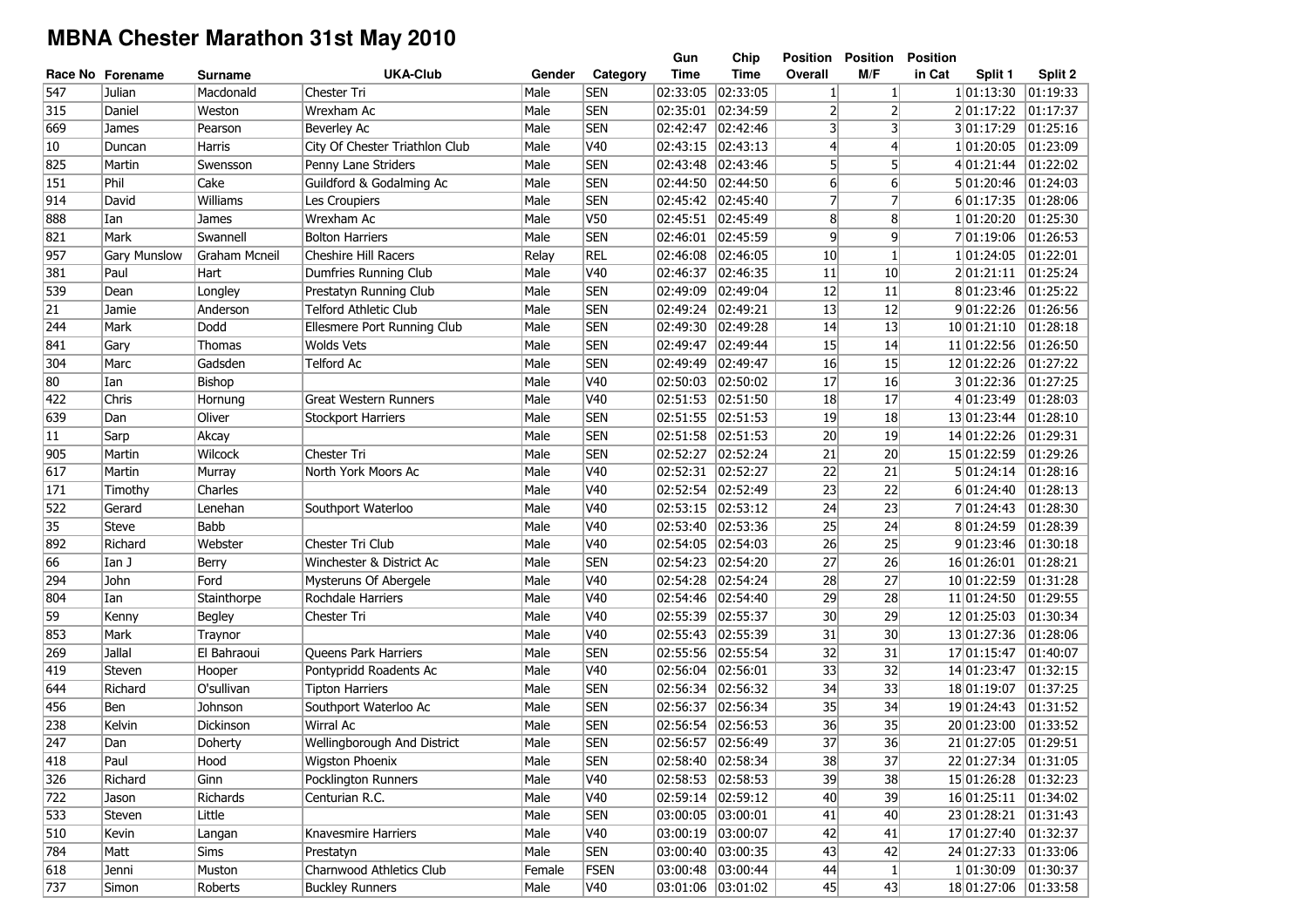## **MBNA Chester Marathon 31st May 2010**

|              |                     |                      |                                |        |             | Gun               | Chip              | Position       | <b>Position</b> | <b>Position</b>      |                   |
|--------------|---------------------|----------------------|--------------------------------|--------|-------------|-------------------|-------------------|----------------|-----------------|----------------------|-------------------|
|              | Race No Forename    | Surname              | <b>UKA-Club</b>                | Gender | Category    | Time              | Time              | Overall        | M/F             | in Cat<br>Split 1    | Split 2           |
| 547          | Julian              | Macdonald            | Chester Tri                    | Male   | <b>SEN</b>  | 02:33:05          | 02:33:05          | 1              | $\mathbf{1}$    | 1 01:13:30           | $\sqrt{01:19:33}$ |
| 315          | Daniel              | Weston               | Wrexham Ac                     | Male   | <b>SEN</b>  | 02:35:01          | 02:34:59          | 2              | 2               | 201:17:22            | 01:17:37          |
| 669          | James               | Pearson              | Beverley Ac                    | Male   | <b>SEN</b>  | 02:42:47          | 02:42:46          | 3              | 3               | 3 01:17:29           | 01:25:16          |
| $ 10\rangle$ | Duncan              | Harris               | City Of Chester Triathlon Club | Male   | V40         | 02:43:15          | 02:43:13          | $\overline{4}$ | 4               | 1 01:20:05           | 01:23:09          |
| 825          | Martin              | Swensson             | Penny Lane Striders            | Male   | <b>SEN</b>  | 02:43:48          | 02:43:46          | 5 <sup>1</sup> | 5               | 4 01:21:44           | 01:22:02          |
| 151          | Phil                | Cake                 | Guildford & Godalming Ac       | Male   | <b>SEN</b>  | 02:44:50          | 02:44:50          | 6              | $6 \mid$        | 5 01:20:46           | 01:24:03          |
| 914          | David               | Williams             | Les Croupiers                  | Male   | <b>SEN</b>  | 02:45:42          | 02:45:40          | 7              | 7               | 6 01:17:35           | 01:28:06          |
| 888          | Ian                 | James                | Wrexham Ac                     | Male   | V50         | 02:45:51 02:45:49 |                   | 8 <sup>1</sup> | 8               | 1 01:20:20           | 01:25:30          |
| 821          | Mark                | Swannell             | <b>Bolton Harriers</b>         | Male   | <b>SEN</b>  | 02:46:01          | 02:45:59          | 9              | 9               | 701:19:06            | 01:26:53          |
| 957          | <b>Gary Munslow</b> | <b>Graham Mcneil</b> | <b>Cheshire Hill Racers</b>    | Relay  | <b>REL</b>  | 02:46:08          | 02:46:05          | 10             | $\mathbf{1}$    | 1 01:24:05           | 01:22:01          |
| 381          | Paul                | Hart                 | Dumfries Running Club          | Male   | V40         | 02:46:37          | 02:46:35          | 11             | 10 <sup>1</sup> | 2 01:21:11           | 01:25:24          |
| 539          | Dean                | Longley              | Prestatyn Running Club         | Male   | <b>SEN</b>  | 02:49:09          | 02:49:04          | 12             | 11              | 8 01:23:46           | 01:25:22          |
| $ 21\rangle$ | Jamie               | Anderson             | <b>Telford Athletic Club</b>   | Male   | <b>SEN</b>  | 02:49:24          | 02:49:21          | 13             | 12              | 9 01:22:26           | 01:26:56          |
| 244          | Mark                | Dodd                 | Ellesmere Port Running Club    | Male   | <b>SEN</b>  | 02:49:30          | 02:49:28          | 14             | 13              | 10 01:21:10          | 01:28:18          |
| 841          | Gary                | Thomas               | Wolds Vets                     | Male   | <b>SEN</b>  | 02:49:47          | 02:49:44          | 15             | 14              | 11 01:22:56          | 01:26:50          |
| 304          | Marc                | Gadsden              | Telford Ac                     | Male   | <b>SEN</b>  | 02:49:49          | 02:49:47          | 16             | 15              | 12 01:22:26          | 01:27:22          |
| 80           | Ian                 | Bishop               |                                | Male   | V40         | 02:50:03          | 02:50:02          | 17             | 16              | 3 01:22:36           | 01:27:25          |
| 422          | Chris               | Hornung              | <b>Great Western Runners</b>   | Male   | V40         | 02:51:53          | 02:51:50          | 18             | 17              | 4 01:23:49           | 01:28:03          |
| 639          | Dan                 | Oliver               | <b>Stockport Harriers</b>      | Male   | <b>SEN</b>  | 02:51:55 02:51:53 |                   | 19             | 18              | 13 01:23:44          | 01:28:10          |
| 11           | Sarp                | Akcay                |                                | Male   | <b>SEN</b>  | 02:51:58          | 02:51:53          | 20             | 19              | 14 01:22:26          | 01:29:31          |
| 905          | Martin              | Wilcock              | Chester Tri                    | Male   | <b>SEN</b>  | 02:52:27          | 02:52:24          | 21             | 20              | 15 01:22:59          | 01:29:26          |
| 617          | Martin              | Murray               | North York Moors Ac            | Male   | V40         | 02:52:31          | 02:52:27          | 22             | 21              | 5 01:24:14           | 01:28:16          |
| 171          | Timothy             | Charles              |                                | Male   | V40         | 02:52:54          | 02:52:49          | 23             | 22              | 6 01:24:40           | 01:28:13          |
| 522          | Gerard              | Lenehan              | Southport Waterloo             | Male   | V40         | 02:53:15          | 02:53:12          | 24             | 23              | 7 01:24:43           | 01:28:30          |
| 35           | <b>Steve</b>        | <b>Babb</b>          |                                | Male   | V40         | 02:53:40          | 02:53:36          | 25             | 24              | 8 01:24:59           | 01:28:39          |
| 892          | Richard             | Webster              | Chester Tri Club               | Male   | V40         | 02:54:05          | 02:54:03          | 26             | 25              | 9 01:23:46           | 01:30:18          |
| 66           | Ian J               | Berry                | Winchester & District Ac       | Male   | <b>SEN</b>  | 02:54:23          | 02:54:20          | 27             | 26              | 16 01:26:01          | 01:28:21          |
| 294          | John                | Ford                 | Mysteruns Of Abergele          | Male   | V40         | 02:54:28          | 02:54:24          | 28             | 27              | 10 01:22:59          | 01:31:28          |
| 804          | Ian                 | Stainthorpe          | Rochdale Harriers              | Male   | V40         | 02:54:46          | 02:54:40          | 29             | 28              | 11 01:24:50          | 01:29:55          |
| 59           | Kenny               | Begley               | Chester Tri                    | Male   | V40         | 02:55:39          | 02:55:37          | 30             | 29              | 12 01:25:03          | 01:30:34          |
| 853          | Mark                | Traynor              |                                | Male   | V40         | 02:55:43          | 02:55:39          | 31             | 30              | 13 01:27:36          | 01:28:06          |
| 269          | Jallal              | El Bahraoui          | <b>Queens Park Harriers</b>    | Male   | <b>SEN</b>  | 02:55:56          | 02:55:54          | 32             | 31              | 17 01:15:47          | 01:40:07          |
| 419          | Steven              | Hooper               | Pontypridd Roadents Ac         | Male   | V40         | 02:56:04          | 02:56:01          | 33             | 32              | 14 01:23:47          | 01:32:15          |
| 644          | Richard             | O'sullivan           | <b>Tipton Harriers</b>         | Male   | <b>SEN</b>  | 02:56:34          | 02:56:32          | 34             | 33              | 18 01:19:07          | 01:37:25          |
| 456          | Ben                 | Johnson              | Southport Waterloo Ac          | Male   | <b>SEN</b>  | 02:56:37          | 02:56:34          | 35             | 34              | 19 01:24:43          | 01:31:52          |
| 238          | Kelvin              | Dickinson            | Wirral Ac                      | Male   | <b>SEN</b>  | 02:56:54          | 02:56:53          | 36             | 35              | 20 01:23:00          | 01:33:52          |
| 247          | Dan                 | Doherty              | Wellingborough And District    | Male   | <b>SEN</b>  | 02:56:57 02:56:49 |                   | 37             | 36              | 21 01:27:05          | 01:29:51          |
| 418          | Paul                | Hood                 | <b>Wigston Phoenix</b>         | Male   | <b>SEN</b>  |                   | 02:58:40 02:58:34 | 38             | 37              | 22 01:27:34 01:31:05 |                   |
| 326          | Richard             | Ginn                 | Pocklington Runners            | Male   | V40         | 02:58:53 02:58:53 |                   | 39             | 38              | 15 01:26:28 01:32:23 |                   |
| 722          | Jason               | Richards             | Centurian R.C.                 | Male   | V40         |                   | 02:59:14 02:59:12 | 40             | 39              |                      |                   |
| 533          | Steven              | Little               |                                | Male   | <b>SEN</b>  | 03:00:05 03:00:01 |                   | 41             | 40              | 23 01:28:21 01:31:43 |                   |
| 510          | Kevin               | Langan               | Knavesmire Harriers            | Male   | V40         |                   | 03:00:19 03:00:07 | 42             | 41              | 17 01:27:40 01:32:37 |                   |
| 784          | Matt                | Sims                 | Prestatyn                      | Male   | <b>SEN</b>  | 03:00:40 03:00:35 |                   | 43             | 42              | 24 01:27:33 01:33:06 |                   |
| 618          | Jenni               | Muston               | Charnwood Athletics Club       | Female | <b>FSEN</b> |                   | 03:00:48 03:00:44 | 44             | $\mathbf{1}$    | 1 01:30:09           | 01:30:37          |
| 737          | Simon               | Roberts              | <b>Buckley Runners</b>         | Male   | V40         |                   | 03:01:06 03:01:02 | 45             | 43              | 18 01:27:06          | 01:33:58          |
|              |                     |                      |                                |        |             |                   |                   |                |                 |                      |                   |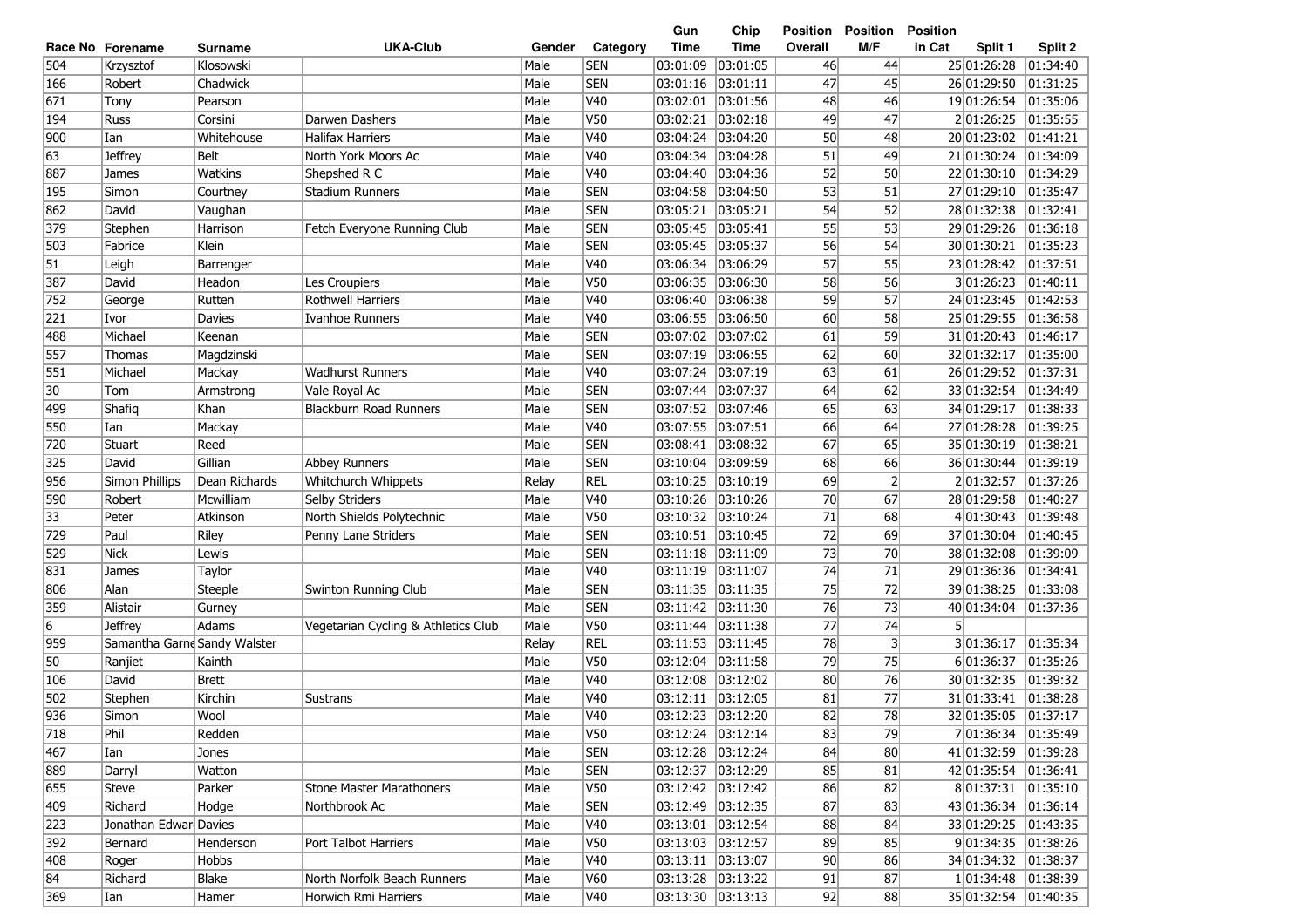|     |                              |                |                                     |        |                 | Gun                | Chip        | Position | <b>Position</b> | <b>Position</b>       |          |
|-----|------------------------------|----------------|-------------------------------------|--------|-----------------|--------------------|-------------|----------|-----------------|-----------------------|----------|
|     | Race No Forename             | <b>Surname</b> | <b>UKA-Club</b>                     | Gender | Category        | <b>Time</b>        | <b>Time</b> | Overall  | M/F             | in Cat<br>Split 1     | Split 2  |
| 504 | Krzysztof                    | Klosowski      |                                     | Male   | <b>SEN</b>      | 03:01:09           | 03:01:05    | 46       | 44              | 25 01:26:28           | 01:34:40 |
| 166 | Robert                       | Chadwick       |                                     | Male   | <b>SEN</b>      | 03:01:16           | 03:01:11    | 47       | 45              | 26 01:29:50           | 01:31:25 |
| 671 | Tony                         | Pearson        |                                     | Male   | V40             | 03:02:01           | 03:01:56    | 48       | 46              | 19 01:26:54           | 01:35:06 |
| 194 | Russ                         | Corsini        | Darwen Dashers                      | Male   | V50             | 03:02:21           | 03:02:18    | 49       | 47              | 201:26:25             | 01:35:55 |
| 900 | Ian                          | Whitehouse     | <b>Halifax Harriers</b>             | Male   | V <sub>40</sub> | 03:04:24           | 03:04:20    | 50       | 48              | 20 01:23:02           | 01:41:21 |
| 63  | <b>Jeffrey</b>               | <b>Belt</b>    | North York Moors Ac                 | Male   | V <sub>40</sub> | 03:04:34           | 03:04:28    | 51       | 49              | 21 01:30:24           | 01:34:09 |
| 887 | James                        | Watkins        | Shepshed R C                        | Male   | V40             | 03:04:40           | 03:04:36    | 52       | 50              | 22 01:30:10           | 01:34:29 |
| 195 | Simon                        | Courtney       | Stadium Runners                     | Male   | <b>SEN</b>      | 03:04:58           | 03:04:50    | 53       | 51              | 27 01:29:10           | 01:35:47 |
| 862 | David                        | Vaughan        |                                     | Male   | <b>SEN</b>      | 03:05:21           | 03:05:21    | 54       | 52              | 28 01:32:38           | 01:32:41 |
| 379 | Stephen                      | Harrison       | Fetch Everyone Running Club         | Male   | <b>SEN</b>      | 03:05:45           | 03:05:41    | 55       | 53              | 29 01:29:26           | 01:36:18 |
| 503 | Fabrice                      | Klein          |                                     | Male   | <b>SEN</b>      | 03:05:45           | 03:05:37    | 56       | 54              | 30 01:30:21           | 01:35:23 |
| 51  | Leigh                        | Barrenger      |                                     | Male   | V40             | 03:06:34           | 03:06:29    | 57       | 55              | 23 01:28:42           | 01:37:51 |
| 387 | David                        | Headon         | Les Croupiers                       | Male   | V50             | 03:06:35           | 03:06:30    | 58       | 56              | 301:26:23             | 01:40:11 |
| 752 | George                       | Rutten         | <b>Rothwell Harriers</b>            | Male   | V40             | 03:06:40           | 03:06:38    | 59       | 57              | 24 01:23:45           | 01:42:53 |
| 221 | Ivor                         | Davies         | Ivanhoe Runners                     | Male   | V40             | 03:06:55           | 03:06:50    | 60       | 58              | 25 01:29:55           | 01:36:58 |
| 488 | Michael                      | Keenan         |                                     | Male   | <b>SEN</b>      | 03:07:02           | 03:07:02    | 61       | 59              | 31 01:20:43           | 01:46:17 |
| 557 | Thomas                       | Magdzinski     |                                     | Male   | <b>SEN</b>      | 03:07:19           | 03:06:55    | 62       | 60              | 32 01:32:17           | 01:35:00 |
| 551 | Michael                      | Mackay         | <b>Wadhurst Runners</b>             | Male   | V40             | 03:07:24           | 03:07:19    | 63       | 61              | 26 01:29:52           | 01:37:31 |
| 30  | Tom                          | Armstrong      | Vale Royal Ac                       | Male   | <b>SEN</b>      | 03:07:44           | 03:07:37    | 64       | 62              | 33 01:32:54           | 01:34:49 |
| 499 | Shafiq                       | Khan           | <b>Blackburn Road Runners</b>       | Male   | <b>SEN</b>      | 03:07:52           | 03:07:46    | 65       | 63              | 34 01:29:17           | 01:38:33 |
| 550 | Ian                          | Mackay         |                                     | Male   | V40             | 03:07:55           | 03:07:51    | 66       | 64              | 27 01:28:28           | 01:39:25 |
| 720 | Stuart                       | Reed           |                                     | Male   | <b>SEN</b>      | 03:08:41           | 03:08:32    | 67       | 65              | 35 01:30:19           | 01:38:21 |
| 325 | David                        | Gillian        | Abbey Runners                       | Male   | <b>SEN</b>      | 03:10:04           | 03:09:59    | 68       | 66              | 36 01:30:44           | 01:39:19 |
| 956 | Simon Phillips               | Dean Richards  | Whitchurch Whippets                 | Relay  | <b>REL</b>      | 03:10:25           | 03:10:19    | 69       | $\overline{2}$  | 201:32:57             | 01:37:26 |
| 590 | Robert                       | Mcwilliam      | Selby Striders                      | Male   | V40             | 03:10:26           | 03:10:26    | 70       | 67              | 28 01:29:58           | 01:40:27 |
| 33  | Peter                        | Atkinson       | North Shields Polytechnic           | Male   | V50             | 03:10:32           | 03:10:24    | 71       | 68              | 401:30:43             | 01:39:48 |
| 729 | Paul                         | Riley          | Penny Lane Striders                 | Male   | <b>SEN</b>      | 03:10:51 03:10:45  |             | 72       | 69              | 37 01:30:04           | 01:40:45 |
| 529 | Nick                         | Lewis          |                                     | Male   | <b>SEN</b>      | 03:11:18 03:11:09  |             | 73       | 70              | 38 01:32:08           | 01:39:09 |
| 831 | James                        | Taylor         |                                     | Male   | V40             | 03:11:19           | 03:11:07    | 74       | 71              | 29 01:36:36           | 01:34:41 |
| 806 | Alan                         | Steeple        | Swinton Running Club                | Male   | <b>SEN</b>      | 03:11:35           | 03:11:35    | 75       | 72              | 39 01:38:25           | 01:33:08 |
| 359 | Alistair                     | Gurney         |                                     | Male   | <b>SEN</b>      | $ 03:11:42\rangle$ | 03:11:30    | 76       | 73              | 40 01:34:04           | 01:37:36 |
| 6   | <b>Jeffrey</b>               | Adams          | Vegetarian Cycling & Athletics Club | Male   | V50             | 03:11:44           | 03:11:38    | 77       | 74              | 51                    |          |
| 959 | Samantha Garne Sandy Walster |                |                                     | Relay  | <b>REL</b>      | 03:11:53           | 03:11:45    | 78       | 3               | 3 01:36:17            | 01:35:34 |
| 50  | Ranjiet                      | Kainth         |                                     | Male   | V50             | 03:12:04           | 03:11:58    | 79       | 75              | 6 01:36:37            | 01:35:26 |
| 106 | David                        | <b>Brett</b>   |                                     | Male   | V40             | 03:12:08           | 03:12:02    | 80       | 76              | 30 01:32:35           | 01:39:32 |
| 502 | Stephen                      | Kirchin        | Sustrans                            | Male   | V40             | 03:12:11 03:12:05  |             | 81       | 77              | 31 01:33:41           | 01:38:28 |
| 936 | Simon                        | Wool           |                                     | Male   | V <sub>40</sub> | 03:12:23 03:12:20  |             | 82       | 78              | 32 01:35:05           | 01:37:17 |
| 718 | Phil                         | Redden         |                                     | Male   | V50             | 03:12:24 03:12:14  |             | 83       | 79              | 7 01:36:34 01:35:49   |          |
| 467 | Ian                          | Jones          |                                     | Male   | <b>SEN</b>      | 03:12:28 03:12:24  |             | 84       | 80              | 41 01:32:59           | 01:39:28 |
| 889 | Darryl                       | Watton         |                                     | Male   | <b>SEN</b>      | 03:12:37 03:12:29  |             | 85       | 81              | 42 01:35:54 01:36:41  |          |
| 655 | Steve                        | Parker         | <b>Stone Master Marathoners</b>     | Male   | V50             | 03:12:42 03:12:42  |             | 86       | 82              |                       |          |
| 409 | Richard                      | Hodge          | Northbrook Ac                       | Male   | <b>SEN</b>      | 03:12:49 03:12:35  |             | 87       | 83              | 43 01:36:34 01:36:14  |          |
| 223 | Jonathan Edwar Davies        |                |                                     | Male   | V40             | 03:13:01 03:12:54  |             | 88       | 84              | 33 01:29:25 01:43:35  |          |
| 392 | Bernard                      | Henderson      | Port Talbot Harriers                | Male   | V50             | 03:13:03  03:12:57 |             | 89       | 85              | 9 01:34:35 01:38:26   |          |
| 408 | Roger                        | Hobbs          |                                     | Male   | V40             | 03:13:11 03:13:07  |             | 90       | 86              | 34 01:34:32  01:38:37 |          |
| 84  | Richard                      | Blake          | North Norfolk Beach Runners         | Male   | V60             | 03:13:28 03:13:22  |             | 91       | 87              | 1 01:34:48            | 01:38:39 |
| 369 | Ian                          | Hamer          | Horwich Rmi Harriers                | Male   | <b>V40</b>      | 03:13:30 03:13:13  |             | 92       | 88              | 35 01:32:54           | 01:40:35 |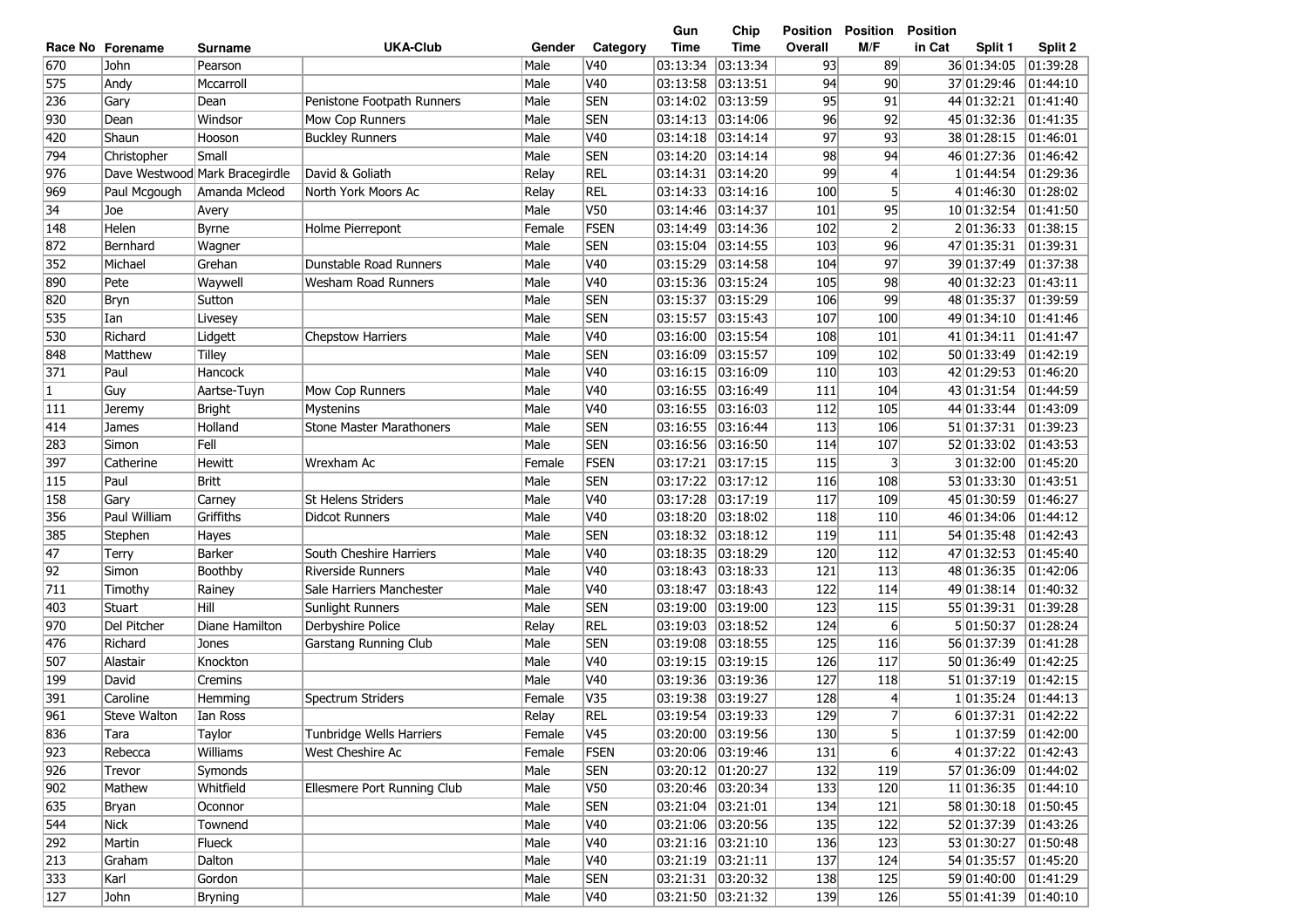| <b>UKA-Club</b><br><b>Time</b><br>M/F<br>Category<br>Time<br>Overall<br>in Cat<br>Split 1<br>Split 2<br>Race No Forename<br>Gender<br>Surname<br>670<br>03:13:34<br>01:39:28<br>John<br>Male<br>V40<br>03:13:34<br>93<br>89<br>36 01:34:05<br>Pearson<br>575<br>V40<br>03:13:58<br>03:13:51<br>90<br>Andy<br>Mccarroll<br>Male<br>94<br>37 01:29:46<br> 01:44:10<br>236<br><b>SEN</b><br>03:13:59<br>95<br>91<br>Gary<br>Penistone Footpath Runners<br>Male<br>03:14:02<br>44 01:32:21<br>01:41:40<br>Dean<br>Male<br><b>SEN</b><br>96<br>92<br>01:41:35<br>930<br>Windsor<br>03:14:13<br>03:14:06<br>45 01:32:36<br>Dean<br>Mow Cop Runners<br>Male<br>V40<br>03:14:14<br>97<br>93<br>38 01:28:15<br>01:46:01<br>420<br>Shaun<br>03:14:18<br>Hooson<br><b>Buckley Runners</b><br><b>SEN</b><br>794<br>Male<br>98<br>94<br>46 01:27:36<br>Christopher<br>Small<br>03:14:20<br> 03:14:14<br> 01:46:42<br>976<br>Dave Westwood Mark Bracegirdle<br>David & Goliath<br><b>REL</b><br>99<br>03:14:31<br> 03:14:20<br>4<br>101:44:54<br> 01:29:36<br>Relay<br>5 <sup>1</sup><br>969<br><b>REL</b><br> 03:14:16<br>100<br>4 01:46:30<br> 01:28:02<br>Paul Mcgough<br>Amanda Mcleod<br>North York Moors Ac<br>Relay<br>03:14:33<br>34<br><b>V50</b><br>95<br> 01:41:50<br>Joe<br>Male<br>03:14:46<br>03:14:37<br>101<br>10 01:32:54<br>Avery<br>FSEN<br>$\overline{2}$<br>201:36:33<br> 01:38:15<br>148<br>Helen<br>Female<br>03:14:49<br> 03:14:36<br>102<br><b>Byrne</b><br>Holme Pierrepont<br>872<br>Male<br><b>SEN</b><br>96<br> 01:39:31<br>Bernhard<br>Wagner<br> 03:15:04<br> 03:14:55<br>103<br>47 01:35:31<br>352<br>Male<br>V40<br>97<br>39 01:37:49<br>01:37:38<br>Michael<br>Grehan<br>Dunstable Road Runners<br>03:15:29<br> 03:14:58<br>104<br>890<br>Male<br>V40<br>03:15:36<br>03:15:24<br>98<br>40 01:32:23<br>01:43:11<br>Pete<br>Waywell<br><b>Wesham Road Runners</b><br>105<br>820<br>Male<br><b>SEN</b><br>03:15:29<br>99<br>01:39:59<br>Bryn<br>Sutton<br>03:15:37<br>106<br>48 01:35:37<br>535<br>Male<br><b>SEN</b><br>03:15:57<br>03:15:43<br>01:41:46<br>Ian<br>107<br>100<br>49 01:34:10<br>Livesey<br>530<br>V40<br>03:16:00<br>03:15:54<br>01:41:47<br>Richard<br><b>Chepstow Harriers</b><br>Male<br>108<br>101<br>41 01:34:11<br>Lidgett<br>848<br>Matthew<br><b>SEN</b><br>03:16:09<br>03:15:57<br>109<br>50 01:33:49<br> 01:42:19<br>Tilley<br>Male<br>102<br>371<br>V40<br>03:16:15<br>Paul<br>Hancock<br>Male<br> 03:16:09<br>110<br>103<br>42 01:29:53<br>01:46:20<br>Aartse-Tuyn<br>V40<br>03:16:55<br>01:44:59<br>1<br>Guy<br>Male<br>03:16:49<br>111<br>104<br>43 01:31:54<br>Mow Cop Runners<br>V40<br>03:16:55<br>111<br>Male<br> 03:16:03<br>112<br>105<br>44 01:33:44<br> 01:43:09<br><b>Bright</b><br><b>Mystenins</b><br>Jeremy<br><b>SEN</b><br>414<br><b>Stone Master Marathoners</b><br>Male<br>03:16:55<br>03:16:44<br>113<br>51 01:37:31<br>01:39:23<br>106<br>James<br>Holland<br><b>SEN</b><br>Fell<br>03:16:56<br> 01:43:53<br>283<br>Simon<br>Male<br> 03:16:50<br>114<br>107<br>52 01:33:02<br>FSEN<br>03:17:21 03:17:15<br>115<br>301:32:00<br>$\overline{01:}45:20$<br>397<br>Wrexham Ac<br>Female<br>3<br>Catherine<br><b>Hewitt</b><br>115<br><b>Britt</b><br><b>SEN</b><br>03:17:22 03:17:12<br>53 01:33:30<br> 01:43:51<br>Paul<br>Male<br>116<br>108<br>158<br>Male<br>V40<br>03:17:28<br> 03:17:19<br>45 01:30:59<br> 01:46:27<br><b>St Helens Striders</b><br>117<br>109<br>Gary<br>Carney<br>356<br>Griffiths<br>Male<br>V40<br>03:18:20<br> 03:18:02<br>118<br>46 01:34:06<br> 01:44:12<br>Paul William<br><b>Didcot Runners</b><br>110<br><b>SEN</b><br>385<br>Male<br>03:18:32<br> 03:18:12<br>119<br>54 01:35:48<br> 01:42:43<br>Stephen<br>111<br>Hayes<br>47<br>V40<br> 03:18:29<br>47 01:32:53<br> 01:45:40<br><b>Barker</b><br>South Cheshire Harriers<br>Male<br>03:18:35<br>120<br>112<br>Terry<br>92<br>Male<br>V40<br>03:18:43<br> 03:18:33<br>121<br>48 01:36:35<br>01:42:06<br>Simon<br>Boothby<br><b>Riverside Runners</b><br>113<br>711<br>Male<br>V40<br>03:18:47<br>03:18:43<br>49 01:38:14<br>01:40:32<br>Timothy<br>Sale Harriers Manchester<br>122<br>114<br>Rainey<br>Hill<br>Male<br><b>SEN</b><br>03:19:00<br>01:39:28<br>403<br>Stuart<br>Sunlight Runners<br> 03:19:00<br>123<br>115<br>55 01:39:31<br>970<br><b>REL</b><br>03:19:03<br>03:18:52<br>6<br>5 01:50:37<br>01:28:24<br>Del Pitcher<br>Diane Hamilton<br>Derbyshire Police<br>Relay<br>124<br>476<br><b>SEN</b><br>03:18:55<br>56 01:37:39<br>01:41:28<br>Richard<br>Male<br>03:19:08<br>125<br>116<br>Jones<br>Garstang Running Club<br>507<br>Knockton<br>V40<br>03:19:15<br>03:19:15<br>126<br>117<br>01:42:25<br>Alastair<br>Male<br>50 01:36:49<br>199<br>David<br>Cremins<br>Male<br>V40<br>03:19:36<br>03:19:36<br>127<br>118<br>51 01:37:19<br> 01:42:15<br>V35<br>391<br>Caroline<br>Spectrum Striders<br>Female<br>03:19:38<br>03:19:27<br>128<br>1 01:35:24<br> 01:44:13<br>4<br>Hemming<br>7<br>961<br><b>REL</b><br>129<br>03:19:54<br> 03:19:33<br>6 01:37:31<br> 01:42:22<br>Steve Walton<br>Relay<br>Ian Ross<br>836<br>5 <sup>1</sup><br>Tunbridge Wells Harriers<br>V45<br>03:20:00 03:19:56<br>130<br>1 01:37:59<br> 01:42:00<br>Taylor<br>Female<br>Tara<br>923<br><b>FSEN</b><br>6<br>Williams<br>West Cheshire Ac<br>03:20:06 03:19:46<br>131<br>4 01:37:22 01:42:43<br>Rebecca<br>Female<br>926<br><b>SEN</b><br>03:20:12 01:20:27<br>132<br>Trevor<br>Male<br>119<br>57 01:36:09  01:44:02<br>Symonds<br>902<br>03:20:46 03:20:34<br>Mathew<br>Whitfield<br>Ellesmere Port Running Club<br>Male<br>V50<br>133<br>120<br>11 01:36:35 01:44:10<br>635<br>03:21:04 03:21:01<br>134<br>58 01:30:18 01:50:45<br>Male<br><b>SEN</b><br>121<br>Bryan<br>Oconnor<br>544<br>03:21:06 03:20:56<br>135<br>52 01:37:39<br>Nick<br>Male<br>V40<br>122<br> 01:43:26<br>Townend<br>292<br>Flueck<br>Male<br>V40<br>03:21:16 03:21:10<br>136<br>123<br>53 01:30:27<br> 01:50:48<br>Martin<br>213<br>03:21:19 03:21:11<br>137<br>54 01:35:57<br>Male<br>V40<br> 01:45:20<br>Graham<br>Dalton<br>124<br>333<br><b>SEN</b><br>03:21:31 03:20:32<br>59 01:40:00<br>Karl<br>Gordon<br>Male<br>138<br>125<br> 01:41:29<br>127<br>Male<br>V40<br>03:21:50 03:21:32<br>139<br>126<br>55 01:41:39<br> 01:40:10<br>John<br>Bryning |  |  |  | Gun | Chip | Position | <b>Position</b> | <b>Position</b> |  |
|-----------------------------------------------------------------------------------------------------------------------------------------------------------------------------------------------------------------------------------------------------------------------------------------------------------------------------------------------------------------------------------------------------------------------------------------------------------------------------------------------------------------------------------------------------------------------------------------------------------------------------------------------------------------------------------------------------------------------------------------------------------------------------------------------------------------------------------------------------------------------------------------------------------------------------------------------------------------------------------------------------------------------------------------------------------------------------------------------------------------------------------------------------------------------------------------------------------------------------------------------------------------------------------------------------------------------------------------------------------------------------------------------------------------------------------------------------------------------------------------------------------------------------------------------------------------------------------------------------------------------------------------------------------------------------------------------------------------------------------------------------------------------------------------------------------------------------------------------------------------------------------------------------------------------------------------------------------------------------------------------------------------------------------------------------------------------------------------------------------------------------------------------------------------------------------------------------------------------------------------------------------------------------------------------------------------------------------------------------------------------------------------------------------------------------------------------------------------------------------------------------------------------------------------------------------------------------------------------------------------------------------------------------------------------------------------------------------------------------------------------------------------------------------------------------------------------------------------------------------------------------------------------------------------------------------------------------------------------------------------------------------------------------------------------------------------------------------------------------------------------------------------------------------------------------------------------------------------------------------------------------------------------------------------------------------------------------------------------------------------------------------------------------------------------------------------------------------------------------------------------------------------------------------------------------------------------------------------------------------------------------------------------------------------------------------------------------------------------------------------------------------------------------------------------------------------------------------------------------------------------------------------------------------------------------------------------------------------------------------------------------------------------------------------------------------------------------------------------------------------------------------------------------------------------------------------------------------------------------------------------------------------------------------------------------------------------------------------------------------------------------------------------------------------------------------------------------------------------------------------------------------------------------------------------------------------------------------------------------------------------------------------------------------------------------------------------------------------------------------------------------------------------------------------------------------------------------------------------------------------------------------------------------------------------------------------------------------------------------------------------------------------------------------------------------------------------------------------------------------------------------------------------------------------------------------------------------------------------------------------------------------------------------------------------------------------------------------------------------------------------------------------------------------------------------------------------------------------------------------------------------------------------------------------------------------------------------------------------------------------------------------------------------------------------------------------------------------------------------------------------------------------------------------------------------------------------------------------------------------------------------------------------------------------------------------------------------------------------------------------------------------------------------------------------------------------------------------------------------------------------------------------------------------------------------------------------------------------------------------------------------------------------------------|--|--|--|-----|------|----------|-----------------|-----------------|--|
|                                                                                                                                                                                                                                                                                                                                                                                                                                                                                                                                                                                                                                                                                                                                                                                                                                                                                                                                                                                                                                                                                                                                                                                                                                                                                                                                                                                                                                                                                                                                                                                                                                                                                                                                                                                                                                                                                                                                                                                                                                                                                                                                                                                                                                                                                                                                                                                                                                                                                                                                                                                                                                                                                                                                                                                                                                                                                                                                                                                                                                                                                                                                                                                                                                                                                                                                                                                                                                                                                                                                                                                                                                                                                                                                                                                                                                                                                                                                                                                                                                                                                                                                                                                                                                                                                                                                                                                                                                                                                                                                                                                                                                                                                                                                                                                                                                                                                                                                                                                                                                                                                                                                                                                                                                                                                                                                                                                                                                                                                                                                                                                                                                                                                                                                                                                                                                                                                                                                                                                                                                                                                                                                                                                                                                                                                   |  |  |  |     |      |          |                 |                 |  |
|                                                                                                                                                                                                                                                                                                                                                                                                                                                                                                                                                                                                                                                                                                                                                                                                                                                                                                                                                                                                                                                                                                                                                                                                                                                                                                                                                                                                                                                                                                                                                                                                                                                                                                                                                                                                                                                                                                                                                                                                                                                                                                                                                                                                                                                                                                                                                                                                                                                                                                                                                                                                                                                                                                                                                                                                                                                                                                                                                                                                                                                                                                                                                                                                                                                                                                                                                                                                                                                                                                                                                                                                                                                                                                                                                                                                                                                                                                                                                                                                                                                                                                                                                                                                                                                                                                                                                                                                                                                                                                                                                                                                                                                                                                                                                                                                                                                                                                                                                                                                                                                                                                                                                                                                                                                                                                                                                                                                                                                                                                                                                                                                                                                                                                                                                                                                                                                                                                                                                                                                                                                                                                                                                                                                                                                                                   |  |  |  |     |      |          |                 |                 |  |
|                                                                                                                                                                                                                                                                                                                                                                                                                                                                                                                                                                                                                                                                                                                                                                                                                                                                                                                                                                                                                                                                                                                                                                                                                                                                                                                                                                                                                                                                                                                                                                                                                                                                                                                                                                                                                                                                                                                                                                                                                                                                                                                                                                                                                                                                                                                                                                                                                                                                                                                                                                                                                                                                                                                                                                                                                                                                                                                                                                                                                                                                                                                                                                                                                                                                                                                                                                                                                                                                                                                                                                                                                                                                                                                                                                                                                                                                                                                                                                                                                                                                                                                                                                                                                                                                                                                                                                                                                                                                                                                                                                                                                                                                                                                                                                                                                                                                                                                                                                                                                                                                                                                                                                                                                                                                                                                                                                                                                                                                                                                                                                                                                                                                                                                                                                                                                                                                                                                                                                                                                                                                                                                                                                                                                                                                                   |  |  |  |     |      |          |                 |                 |  |
|                                                                                                                                                                                                                                                                                                                                                                                                                                                                                                                                                                                                                                                                                                                                                                                                                                                                                                                                                                                                                                                                                                                                                                                                                                                                                                                                                                                                                                                                                                                                                                                                                                                                                                                                                                                                                                                                                                                                                                                                                                                                                                                                                                                                                                                                                                                                                                                                                                                                                                                                                                                                                                                                                                                                                                                                                                                                                                                                                                                                                                                                                                                                                                                                                                                                                                                                                                                                                                                                                                                                                                                                                                                                                                                                                                                                                                                                                                                                                                                                                                                                                                                                                                                                                                                                                                                                                                                                                                                                                                                                                                                                                                                                                                                                                                                                                                                                                                                                                                                                                                                                                                                                                                                                                                                                                                                                                                                                                                                                                                                                                                                                                                                                                                                                                                                                                                                                                                                                                                                                                                                                                                                                                                                                                                                                                   |  |  |  |     |      |          |                 |                 |  |
|                                                                                                                                                                                                                                                                                                                                                                                                                                                                                                                                                                                                                                                                                                                                                                                                                                                                                                                                                                                                                                                                                                                                                                                                                                                                                                                                                                                                                                                                                                                                                                                                                                                                                                                                                                                                                                                                                                                                                                                                                                                                                                                                                                                                                                                                                                                                                                                                                                                                                                                                                                                                                                                                                                                                                                                                                                                                                                                                                                                                                                                                                                                                                                                                                                                                                                                                                                                                                                                                                                                                                                                                                                                                                                                                                                                                                                                                                                                                                                                                                                                                                                                                                                                                                                                                                                                                                                                                                                                                                                                                                                                                                                                                                                                                                                                                                                                                                                                                                                                                                                                                                                                                                                                                                                                                                                                                                                                                                                                                                                                                                                                                                                                                                                                                                                                                                                                                                                                                                                                                                                                                                                                                                                                                                                                                                   |  |  |  |     |      |          |                 |                 |  |
|                                                                                                                                                                                                                                                                                                                                                                                                                                                                                                                                                                                                                                                                                                                                                                                                                                                                                                                                                                                                                                                                                                                                                                                                                                                                                                                                                                                                                                                                                                                                                                                                                                                                                                                                                                                                                                                                                                                                                                                                                                                                                                                                                                                                                                                                                                                                                                                                                                                                                                                                                                                                                                                                                                                                                                                                                                                                                                                                                                                                                                                                                                                                                                                                                                                                                                                                                                                                                                                                                                                                                                                                                                                                                                                                                                                                                                                                                                                                                                                                                                                                                                                                                                                                                                                                                                                                                                                                                                                                                                                                                                                                                                                                                                                                                                                                                                                                                                                                                                                                                                                                                                                                                                                                                                                                                                                                                                                                                                                                                                                                                                                                                                                                                                                                                                                                                                                                                                                                                                                                                                                                                                                                                                                                                                                                                   |  |  |  |     |      |          |                 |                 |  |
|                                                                                                                                                                                                                                                                                                                                                                                                                                                                                                                                                                                                                                                                                                                                                                                                                                                                                                                                                                                                                                                                                                                                                                                                                                                                                                                                                                                                                                                                                                                                                                                                                                                                                                                                                                                                                                                                                                                                                                                                                                                                                                                                                                                                                                                                                                                                                                                                                                                                                                                                                                                                                                                                                                                                                                                                                                                                                                                                                                                                                                                                                                                                                                                                                                                                                                                                                                                                                                                                                                                                                                                                                                                                                                                                                                                                                                                                                                                                                                                                                                                                                                                                                                                                                                                                                                                                                                                                                                                                                                                                                                                                                                                                                                                                                                                                                                                                                                                                                                                                                                                                                                                                                                                                                                                                                                                                                                                                                                                                                                                                                                                                                                                                                                                                                                                                                                                                                                                                                                                                                                                                                                                                                                                                                                                                                   |  |  |  |     |      |          |                 |                 |  |
|                                                                                                                                                                                                                                                                                                                                                                                                                                                                                                                                                                                                                                                                                                                                                                                                                                                                                                                                                                                                                                                                                                                                                                                                                                                                                                                                                                                                                                                                                                                                                                                                                                                                                                                                                                                                                                                                                                                                                                                                                                                                                                                                                                                                                                                                                                                                                                                                                                                                                                                                                                                                                                                                                                                                                                                                                                                                                                                                                                                                                                                                                                                                                                                                                                                                                                                                                                                                                                                                                                                                                                                                                                                                                                                                                                                                                                                                                                                                                                                                                                                                                                                                                                                                                                                                                                                                                                                                                                                                                                                                                                                                                                                                                                                                                                                                                                                                                                                                                                                                                                                                                                                                                                                                                                                                                                                                                                                                                                                                                                                                                                                                                                                                                                                                                                                                                                                                                                                                                                                                                                                                                                                                                                                                                                                                                   |  |  |  |     |      |          |                 |                 |  |
|                                                                                                                                                                                                                                                                                                                                                                                                                                                                                                                                                                                                                                                                                                                                                                                                                                                                                                                                                                                                                                                                                                                                                                                                                                                                                                                                                                                                                                                                                                                                                                                                                                                                                                                                                                                                                                                                                                                                                                                                                                                                                                                                                                                                                                                                                                                                                                                                                                                                                                                                                                                                                                                                                                                                                                                                                                                                                                                                                                                                                                                                                                                                                                                                                                                                                                                                                                                                                                                                                                                                                                                                                                                                                                                                                                                                                                                                                                                                                                                                                                                                                                                                                                                                                                                                                                                                                                                                                                                                                                                                                                                                                                                                                                                                                                                                                                                                                                                                                                                                                                                                                                                                                                                                                                                                                                                                                                                                                                                                                                                                                                                                                                                                                                                                                                                                                                                                                                                                                                                                                                                                                                                                                                                                                                                                                   |  |  |  |     |      |          |                 |                 |  |
|                                                                                                                                                                                                                                                                                                                                                                                                                                                                                                                                                                                                                                                                                                                                                                                                                                                                                                                                                                                                                                                                                                                                                                                                                                                                                                                                                                                                                                                                                                                                                                                                                                                                                                                                                                                                                                                                                                                                                                                                                                                                                                                                                                                                                                                                                                                                                                                                                                                                                                                                                                                                                                                                                                                                                                                                                                                                                                                                                                                                                                                                                                                                                                                                                                                                                                                                                                                                                                                                                                                                                                                                                                                                                                                                                                                                                                                                                                                                                                                                                                                                                                                                                                                                                                                                                                                                                                                                                                                                                                                                                                                                                                                                                                                                                                                                                                                                                                                                                                                                                                                                                                                                                                                                                                                                                                                                                                                                                                                                                                                                                                                                                                                                                                                                                                                                                                                                                                                                                                                                                                                                                                                                                                                                                                                                                   |  |  |  |     |      |          |                 |                 |  |
|                                                                                                                                                                                                                                                                                                                                                                                                                                                                                                                                                                                                                                                                                                                                                                                                                                                                                                                                                                                                                                                                                                                                                                                                                                                                                                                                                                                                                                                                                                                                                                                                                                                                                                                                                                                                                                                                                                                                                                                                                                                                                                                                                                                                                                                                                                                                                                                                                                                                                                                                                                                                                                                                                                                                                                                                                                                                                                                                                                                                                                                                                                                                                                                                                                                                                                                                                                                                                                                                                                                                                                                                                                                                                                                                                                                                                                                                                                                                                                                                                                                                                                                                                                                                                                                                                                                                                                                                                                                                                                                                                                                                                                                                                                                                                                                                                                                                                                                                                                                                                                                                                                                                                                                                                                                                                                                                                                                                                                                                                                                                                                                                                                                                                                                                                                                                                                                                                                                                                                                                                                                                                                                                                                                                                                                                                   |  |  |  |     |      |          |                 |                 |  |
|                                                                                                                                                                                                                                                                                                                                                                                                                                                                                                                                                                                                                                                                                                                                                                                                                                                                                                                                                                                                                                                                                                                                                                                                                                                                                                                                                                                                                                                                                                                                                                                                                                                                                                                                                                                                                                                                                                                                                                                                                                                                                                                                                                                                                                                                                                                                                                                                                                                                                                                                                                                                                                                                                                                                                                                                                                                                                                                                                                                                                                                                                                                                                                                                                                                                                                                                                                                                                                                                                                                                                                                                                                                                                                                                                                                                                                                                                                                                                                                                                                                                                                                                                                                                                                                                                                                                                                                                                                                                                                                                                                                                                                                                                                                                                                                                                                                                                                                                                                                                                                                                                                                                                                                                                                                                                                                                                                                                                                                                                                                                                                                                                                                                                                                                                                                                                                                                                                                                                                                                                                                                                                                                                                                                                                                                                   |  |  |  |     |      |          |                 |                 |  |
|                                                                                                                                                                                                                                                                                                                                                                                                                                                                                                                                                                                                                                                                                                                                                                                                                                                                                                                                                                                                                                                                                                                                                                                                                                                                                                                                                                                                                                                                                                                                                                                                                                                                                                                                                                                                                                                                                                                                                                                                                                                                                                                                                                                                                                                                                                                                                                                                                                                                                                                                                                                                                                                                                                                                                                                                                                                                                                                                                                                                                                                                                                                                                                                                                                                                                                                                                                                                                                                                                                                                                                                                                                                                                                                                                                                                                                                                                                                                                                                                                                                                                                                                                                                                                                                                                                                                                                                                                                                                                                                                                                                                                                                                                                                                                                                                                                                                                                                                                                                                                                                                                                                                                                                                                                                                                                                                                                                                                                                                                                                                                                                                                                                                                                                                                                                                                                                                                                                                                                                                                                                                                                                                                                                                                                                                                   |  |  |  |     |      |          |                 |                 |  |
|                                                                                                                                                                                                                                                                                                                                                                                                                                                                                                                                                                                                                                                                                                                                                                                                                                                                                                                                                                                                                                                                                                                                                                                                                                                                                                                                                                                                                                                                                                                                                                                                                                                                                                                                                                                                                                                                                                                                                                                                                                                                                                                                                                                                                                                                                                                                                                                                                                                                                                                                                                                                                                                                                                                                                                                                                                                                                                                                                                                                                                                                                                                                                                                                                                                                                                                                                                                                                                                                                                                                                                                                                                                                                                                                                                                                                                                                                                                                                                                                                                                                                                                                                                                                                                                                                                                                                                                                                                                                                                                                                                                                                                                                                                                                                                                                                                                                                                                                                                                                                                                                                                                                                                                                                                                                                                                                                                                                                                                                                                                                                                                                                                                                                                                                                                                                                                                                                                                                                                                                                                                                                                                                                                                                                                                                                   |  |  |  |     |      |          |                 |                 |  |
|                                                                                                                                                                                                                                                                                                                                                                                                                                                                                                                                                                                                                                                                                                                                                                                                                                                                                                                                                                                                                                                                                                                                                                                                                                                                                                                                                                                                                                                                                                                                                                                                                                                                                                                                                                                                                                                                                                                                                                                                                                                                                                                                                                                                                                                                                                                                                                                                                                                                                                                                                                                                                                                                                                                                                                                                                                                                                                                                                                                                                                                                                                                                                                                                                                                                                                                                                                                                                                                                                                                                                                                                                                                                                                                                                                                                                                                                                                                                                                                                                                                                                                                                                                                                                                                                                                                                                                                                                                                                                                                                                                                                                                                                                                                                                                                                                                                                                                                                                                                                                                                                                                                                                                                                                                                                                                                                                                                                                                                                                                                                                                                                                                                                                                                                                                                                                                                                                                                                                                                                                                                                                                                                                                                                                                                                                   |  |  |  |     |      |          |                 |                 |  |
|                                                                                                                                                                                                                                                                                                                                                                                                                                                                                                                                                                                                                                                                                                                                                                                                                                                                                                                                                                                                                                                                                                                                                                                                                                                                                                                                                                                                                                                                                                                                                                                                                                                                                                                                                                                                                                                                                                                                                                                                                                                                                                                                                                                                                                                                                                                                                                                                                                                                                                                                                                                                                                                                                                                                                                                                                                                                                                                                                                                                                                                                                                                                                                                                                                                                                                                                                                                                                                                                                                                                                                                                                                                                                                                                                                                                                                                                                                                                                                                                                                                                                                                                                                                                                                                                                                                                                                                                                                                                                                                                                                                                                                                                                                                                                                                                                                                                                                                                                                                                                                                                                                                                                                                                                                                                                                                                                                                                                                                                                                                                                                                                                                                                                                                                                                                                                                                                                                                                                                                                                                                                                                                                                                                                                                                                                   |  |  |  |     |      |          |                 |                 |  |
|                                                                                                                                                                                                                                                                                                                                                                                                                                                                                                                                                                                                                                                                                                                                                                                                                                                                                                                                                                                                                                                                                                                                                                                                                                                                                                                                                                                                                                                                                                                                                                                                                                                                                                                                                                                                                                                                                                                                                                                                                                                                                                                                                                                                                                                                                                                                                                                                                                                                                                                                                                                                                                                                                                                                                                                                                                                                                                                                                                                                                                                                                                                                                                                                                                                                                                                                                                                                                                                                                                                                                                                                                                                                                                                                                                                                                                                                                                                                                                                                                                                                                                                                                                                                                                                                                                                                                                                                                                                                                                                                                                                                                                                                                                                                                                                                                                                                                                                                                                                                                                                                                                                                                                                                                                                                                                                                                                                                                                                                                                                                                                                                                                                                                                                                                                                                                                                                                                                                                                                                                                                                                                                                                                                                                                                                                   |  |  |  |     |      |          |                 |                 |  |
|                                                                                                                                                                                                                                                                                                                                                                                                                                                                                                                                                                                                                                                                                                                                                                                                                                                                                                                                                                                                                                                                                                                                                                                                                                                                                                                                                                                                                                                                                                                                                                                                                                                                                                                                                                                                                                                                                                                                                                                                                                                                                                                                                                                                                                                                                                                                                                                                                                                                                                                                                                                                                                                                                                                                                                                                                                                                                                                                                                                                                                                                                                                                                                                                                                                                                                                                                                                                                                                                                                                                                                                                                                                                                                                                                                                                                                                                                                                                                                                                                                                                                                                                                                                                                                                                                                                                                                                                                                                                                                                                                                                                                                                                                                                                                                                                                                                                                                                                                                                                                                                                                                                                                                                                                                                                                                                                                                                                                                                                                                                                                                                                                                                                                                                                                                                                                                                                                                                                                                                                                                                                                                                                                                                                                                                                                   |  |  |  |     |      |          |                 |                 |  |
|                                                                                                                                                                                                                                                                                                                                                                                                                                                                                                                                                                                                                                                                                                                                                                                                                                                                                                                                                                                                                                                                                                                                                                                                                                                                                                                                                                                                                                                                                                                                                                                                                                                                                                                                                                                                                                                                                                                                                                                                                                                                                                                                                                                                                                                                                                                                                                                                                                                                                                                                                                                                                                                                                                                                                                                                                                                                                                                                                                                                                                                                                                                                                                                                                                                                                                                                                                                                                                                                                                                                                                                                                                                                                                                                                                                                                                                                                                                                                                                                                                                                                                                                                                                                                                                                                                                                                                                                                                                                                                                                                                                                                                                                                                                                                                                                                                                                                                                                                                                                                                                                                                                                                                                                                                                                                                                                                                                                                                                                                                                                                                                                                                                                                                                                                                                                                                                                                                                                                                                                                                                                                                                                                                                                                                                                                   |  |  |  |     |      |          |                 |                 |  |
|                                                                                                                                                                                                                                                                                                                                                                                                                                                                                                                                                                                                                                                                                                                                                                                                                                                                                                                                                                                                                                                                                                                                                                                                                                                                                                                                                                                                                                                                                                                                                                                                                                                                                                                                                                                                                                                                                                                                                                                                                                                                                                                                                                                                                                                                                                                                                                                                                                                                                                                                                                                                                                                                                                                                                                                                                                                                                                                                                                                                                                                                                                                                                                                                                                                                                                                                                                                                                                                                                                                                                                                                                                                                                                                                                                                                                                                                                                                                                                                                                                                                                                                                                                                                                                                                                                                                                                                                                                                                                                                                                                                                                                                                                                                                                                                                                                                                                                                                                                                                                                                                                                                                                                                                                                                                                                                                                                                                                                                                                                                                                                                                                                                                                                                                                                                                                                                                                                                                                                                                                                                                                                                                                                                                                                                                                   |  |  |  |     |      |          |                 |                 |  |
|                                                                                                                                                                                                                                                                                                                                                                                                                                                                                                                                                                                                                                                                                                                                                                                                                                                                                                                                                                                                                                                                                                                                                                                                                                                                                                                                                                                                                                                                                                                                                                                                                                                                                                                                                                                                                                                                                                                                                                                                                                                                                                                                                                                                                                                                                                                                                                                                                                                                                                                                                                                                                                                                                                                                                                                                                                                                                                                                                                                                                                                                                                                                                                                                                                                                                                                                                                                                                                                                                                                                                                                                                                                                                                                                                                                                                                                                                                                                                                                                                                                                                                                                                                                                                                                                                                                                                                                                                                                                                                                                                                                                                                                                                                                                                                                                                                                                                                                                                                                                                                                                                                                                                                                                                                                                                                                                                                                                                                                                                                                                                                                                                                                                                                                                                                                                                                                                                                                                                                                                                                                                                                                                                                                                                                                                                   |  |  |  |     |      |          |                 |                 |  |
|                                                                                                                                                                                                                                                                                                                                                                                                                                                                                                                                                                                                                                                                                                                                                                                                                                                                                                                                                                                                                                                                                                                                                                                                                                                                                                                                                                                                                                                                                                                                                                                                                                                                                                                                                                                                                                                                                                                                                                                                                                                                                                                                                                                                                                                                                                                                                                                                                                                                                                                                                                                                                                                                                                                                                                                                                                                                                                                                                                                                                                                                                                                                                                                                                                                                                                                                                                                                                                                                                                                                                                                                                                                                                                                                                                                                                                                                                                                                                                                                                                                                                                                                                                                                                                                                                                                                                                                                                                                                                                                                                                                                                                                                                                                                                                                                                                                                                                                                                                                                                                                                                                                                                                                                                                                                                                                                                                                                                                                                                                                                                                                                                                                                                                                                                                                                                                                                                                                                                                                                                                                                                                                                                                                                                                                                                   |  |  |  |     |      |          |                 |                 |  |
|                                                                                                                                                                                                                                                                                                                                                                                                                                                                                                                                                                                                                                                                                                                                                                                                                                                                                                                                                                                                                                                                                                                                                                                                                                                                                                                                                                                                                                                                                                                                                                                                                                                                                                                                                                                                                                                                                                                                                                                                                                                                                                                                                                                                                                                                                                                                                                                                                                                                                                                                                                                                                                                                                                                                                                                                                                                                                                                                                                                                                                                                                                                                                                                                                                                                                                                                                                                                                                                                                                                                                                                                                                                                                                                                                                                                                                                                                                                                                                                                                                                                                                                                                                                                                                                                                                                                                                                                                                                                                                                                                                                                                                                                                                                                                                                                                                                                                                                                                                                                                                                                                                                                                                                                                                                                                                                                                                                                                                                                                                                                                                                                                                                                                                                                                                                                                                                                                                                                                                                                                                                                                                                                                                                                                                                                                   |  |  |  |     |      |          |                 |                 |  |
|                                                                                                                                                                                                                                                                                                                                                                                                                                                                                                                                                                                                                                                                                                                                                                                                                                                                                                                                                                                                                                                                                                                                                                                                                                                                                                                                                                                                                                                                                                                                                                                                                                                                                                                                                                                                                                                                                                                                                                                                                                                                                                                                                                                                                                                                                                                                                                                                                                                                                                                                                                                                                                                                                                                                                                                                                                                                                                                                                                                                                                                                                                                                                                                                                                                                                                                                                                                                                                                                                                                                                                                                                                                                                                                                                                                                                                                                                                                                                                                                                                                                                                                                                                                                                                                                                                                                                                                                                                                                                                                                                                                                                                                                                                                                                                                                                                                                                                                                                                                                                                                                                                                                                                                                                                                                                                                                                                                                                                                                                                                                                                                                                                                                                                                                                                                                                                                                                                                                                                                                                                                                                                                                                                                                                                                                                   |  |  |  |     |      |          |                 |                 |  |
|                                                                                                                                                                                                                                                                                                                                                                                                                                                                                                                                                                                                                                                                                                                                                                                                                                                                                                                                                                                                                                                                                                                                                                                                                                                                                                                                                                                                                                                                                                                                                                                                                                                                                                                                                                                                                                                                                                                                                                                                                                                                                                                                                                                                                                                                                                                                                                                                                                                                                                                                                                                                                                                                                                                                                                                                                                                                                                                                                                                                                                                                                                                                                                                                                                                                                                                                                                                                                                                                                                                                                                                                                                                                                                                                                                                                                                                                                                                                                                                                                                                                                                                                                                                                                                                                                                                                                                                                                                                                                                                                                                                                                                                                                                                                                                                                                                                                                                                                                                                                                                                                                                                                                                                                                                                                                                                                                                                                                                                                                                                                                                                                                                                                                                                                                                                                                                                                                                                                                                                                                                                                                                                                                                                                                                                                                   |  |  |  |     |      |          |                 |                 |  |
|                                                                                                                                                                                                                                                                                                                                                                                                                                                                                                                                                                                                                                                                                                                                                                                                                                                                                                                                                                                                                                                                                                                                                                                                                                                                                                                                                                                                                                                                                                                                                                                                                                                                                                                                                                                                                                                                                                                                                                                                                                                                                                                                                                                                                                                                                                                                                                                                                                                                                                                                                                                                                                                                                                                                                                                                                                                                                                                                                                                                                                                                                                                                                                                                                                                                                                                                                                                                                                                                                                                                                                                                                                                                                                                                                                                                                                                                                                                                                                                                                                                                                                                                                                                                                                                                                                                                                                                                                                                                                                                                                                                                                                                                                                                                                                                                                                                                                                                                                                                                                                                                                                                                                                                                                                                                                                                                                                                                                                                                                                                                                                                                                                                                                                                                                                                                                                                                                                                                                                                                                                                                                                                                                                                                                                                                                   |  |  |  |     |      |          |                 |                 |  |
|                                                                                                                                                                                                                                                                                                                                                                                                                                                                                                                                                                                                                                                                                                                                                                                                                                                                                                                                                                                                                                                                                                                                                                                                                                                                                                                                                                                                                                                                                                                                                                                                                                                                                                                                                                                                                                                                                                                                                                                                                                                                                                                                                                                                                                                                                                                                                                                                                                                                                                                                                                                                                                                                                                                                                                                                                                                                                                                                                                                                                                                                                                                                                                                                                                                                                                                                                                                                                                                                                                                                                                                                                                                                                                                                                                                                                                                                                                                                                                                                                                                                                                                                                                                                                                                                                                                                                                                                                                                                                                                                                                                                                                                                                                                                                                                                                                                                                                                                                                                                                                                                                                                                                                                                                                                                                                                                                                                                                                                                                                                                                                                                                                                                                                                                                                                                                                                                                                                                                                                                                                                                                                                                                                                                                                                                                   |  |  |  |     |      |          |                 |                 |  |
|                                                                                                                                                                                                                                                                                                                                                                                                                                                                                                                                                                                                                                                                                                                                                                                                                                                                                                                                                                                                                                                                                                                                                                                                                                                                                                                                                                                                                                                                                                                                                                                                                                                                                                                                                                                                                                                                                                                                                                                                                                                                                                                                                                                                                                                                                                                                                                                                                                                                                                                                                                                                                                                                                                                                                                                                                                                                                                                                                                                                                                                                                                                                                                                                                                                                                                                                                                                                                                                                                                                                                                                                                                                                                                                                                                                                                                                                                                                                                                                                                                                                                                                                                                                                                                                                                                                                                                                                                                                                                                                                                                                                                                                                                                                                                                                                                                                                                                                                                                                                                                                                                                                                                                                                                                                                                                                                                                                                                                                                                                                                                                                                                                                                                                                                                                                                                                                                                                                                                                                                                                                                                                                                                                                                                                                                                   |  |  |  |     |      |          |                 |                 |  |
|                                                                                                                                                                                                                                                                                                                                                                                                                                                                                                                                                                                                                                                                                                                                                                                                                                                                                                                                                                                                                                                                                                                                                                                                                                                                                                                                                                                                                                                                                                                                                                                                                                                                                                                                                                                                                                                                                                                                                                                                                                                                                                                                                                                                                                                                                                                                                                                                                                                                                                                                                                                                                                                                                                                                                                                                                                                                                                                                                                                                                                                                                                                                                                                                                                                                                                                                                                                                                                                                                                                                                                                                                                                                                                                                                                                                                                                                                                                                                                                                                                                                                                                                                                                                                                                                                                                                                                                                                                                                                                                                                                                                                                                                                                                                                                                                                                                                                                                                                                                                                                                                                                                                                                                                                                                                                                                                                                                                                                                                                                                                                                                                                                                                                                                                                                                                                                                                                                                                                                                                                                                                                                                                                                                                                                                                                   |  |  |  |     |      |          |                 |                 |  |
|                                                                                                                                                                                                                                                                                                                                                                                                                                                                                                                                                                                                                                                                                                                                                                                                                                                                                                                                                                                                                                                                                                                                                                                                                                                                                                                                                                                                                                                                                                                                                                                                                                                                                                                                                                                                                                                                                                                                                                                                                                                                                                                                                                                                                                                                                                                                                                                                                                                                                                                                                                                                                                                                                                                                                                                                                                                                                                                                                                                                                                                                                                                                                                                                                                                                                                                                                                                                                                                                                                                                                                                                                                                                                                                                                                                                                                                                                                                                                                                                                                                                                                                                                                                                                                                                                                                                                                                                                                                                                                                                                                                                                                                                                                                                                                                                                                                                                                                                                                                                                                                                                                                                                                                                                                                                                                                                                                                                                                                                                                                                                                                                                                                                                                                                                                                                                                                                                                                                                                                                                                                                                                                                                                                                                                                                                   |  |  |  |     |      |          |                 |                 |  |
|                                                                                                                                                                                                                                                                                                                                                                                                                                                                                                                                                                                                                                                                                                                                                                                                                                                                                                                                                                                                                                                                                                                                                                                                                                                                                                                                                                                                                                                                                                                                                                                                                                                                                                                                                                                                                                                                                                                                                                                                                                                                                                                                                                                                                                                                                                                                                                                                                                                                                                                                                                                                                                                                                                                                                                                                                                                                                                                                                                                                                                                                                                                                                                                                                                                                                                                                                                                                                                                                                                                                                                                                                                                                                                                                                                                                                                                                                                                                                                                                                                                                                                                                                                                                                                                                                                                                                                                                                                                                                                                                                                                                                                                                                                                                                                                                                                                                                                                                                                                                                                                                                                                                                                                                                                                                                                                                                                                                                                                                                                                                                                                                                                                                                                                                                                                                                                                                                                                                                                                                                                                                                                                                                                                                                                                                                   |  |  |  |     |      |          |                 |                 |  |
|                                                                                                                                                                                                                                                                                                                                                                                                                                                                                                                                                                                                                                                                                                                                                                                                                                                                                                                                                                                                                                                                                                                                                                                                                                                                                                                                                                                                                                                                                                                                                                                                                                                                                                                                                                                                                                                                                                                                                                                                                                                                                                                                                                                                                                                                                                                                                                                                                                                                                                                                                                                                                                                                                                                                                                                                                                                                                                                                                                                                                                                                                                                                                                                                                                                                                                                                                                                                                                                                                                                                                                                                                                                                                                                                                                                                                                                                                                                                                                                                                                                                                                                                                                                                                                                                                                                                                                                                                                                                                                                                                                                                                                                                                                                                                                                                                                                                                                                                                                                                                                                                                                                                                                                                                                                                                                                                                                                                                                                                                                                                                                                                                                                                                                                                                                                                                                                                                                                                                                                                                                                                                                                                                                                                                                                                                   |  |  |  |     |      |          |                 |                 |  |
|                                                                                                                                                                                                                                                                                                                                                                                                                                                                                                                                                                                                                                                                                                                                                                                                                                                                                                                                                                                                                                                                                                                                                                                                                                                                                                                                                                                                                                                                                                                                                                                                                                                                                                                                                                                                                                                                                                                                                                                                                                                                                                                                                                                                                                                                                                                                                                                                                                                                                                                                                                                                                                                                                                                                                                                                                                                                                                                                                                                                                                                                                                                                                                                                                                                                                                                                                                                                                                                                                                                                                                                                                                                                                                                                                                                                                                                                                                                                                                                                                                                                                                                                                                                                                                                                                                                                                                                                                                                                                                                                                                                                                                                                                                                                                                                                                                                                                                                                                                                                                                                                                                                                                                                                                                                                                                                                                                                                                                                                                                                                                                                                                                                                                                                                                                                                                                                                                                                                                                                                                                                                                                                                                                                                                                                                                   |  |  |  |     |      |          |                 |                 |  |
|                                                                                                                                                                                                                                                                                                                                                                                                                                                                                                                                                                                                                                                                                                                                                                                                                                                                                                                                                                                                                                                                                                                                                                                                                                                                                                                                                                                                                                                                                                                                                                                                                                                                                                                                                                                                                                                                                                                                                                                                                                                                                                                                                                                                                                                                                                                                                                                                                                                                                                                                                                                                                                                                                                                                                                                                                                                                                                                                                                                                                                                                                                                                                                                                                                                                                                                                                                                                                                                                                                                                                                                                                                                                                                                                                                                                                                                                                                                                                                                                                                                                                                                                                                                                                                                                                                                                                                                                                                                                                                                                                                                                                                                                                                                                                                                                                                                                                                                                                                                                                                                                                                                                                                                                                                                                                                                                                                                                                                                                                                                                                                                                                                                                                                                                                                                                                                                                                                                                                                                                                                                                                                                                                                                                                                                                                   |  |  |  |     |      |          |                 |                 |  |
|                                                                                                                                                                                                                                                                                                                                                                                                                                                                                                                                                                                                                                                                                                                                                                                                                                                                                                                                                                                                                                                                                                                                                                                                                                                                                                                                                                                                                                                                                                                                                                                                                                                                                                                                                                                                                                                                                                                                                                                                                                                                                                                                                                                                                                                                                                                                                                                                                                                                                                                                                                                                                                                                                                                                                                                                                                                                                                                                                                                                                                                                                                                                                                                                                                                                                                                                                                                                                                                                                                                                                                                                                                                                                                                                                                                                                                                                                                                                                                                                                                                                                                                                                                                                                                                                                                                                                                                                                                                                                                                                                                                                                                                                                                                                                                                                                                                                                                                                                                                                                                                                                                                                                                                                                                                                                                                                                                                                                                                                                                                                                                                                                                                                                                                                                                                                                                                                                                                                                                                                                                                                                                                                                                                                                                                                                   |  |  |  |     |      |          |                 |                 |  |
|                                                                                                                                                                                                                                                                                                                                                                                                                                                                                                                                                                                                                                                                                                                                                                                                                                                                                                                                                                                                                                                                                                                                                                                                                                                                                                                                                                                                                                                                                                                                                                                                                                                                                                                                                                                                                                                                                                                                                                                                                                                                                                                                                                                                                                                                                                                                                                                                                                                                                                                                                                                                                                                                                                                                                                                                                                                                                                                                                                                                                                                                                                                                                                                                                                                                                                                                                                                                                                                                                                                                                                                                                                                                                                                                                                                                                                                                                                                                                                                                                                                                                                                                                                                                                                                                                                                                                                                                                                                                                                                                                                                                                                                                                                                                                                                                                                                                                                                                                                                                                                                                                                                                                                                                                                                                                                                                                                                                                                                                                                                                                                                                                                                                                                                                                                                                                                                                                                                                                                                                                                                                                                                                                                                                                                                                                   |  |  |  |     |      |          |                 |                 |  |
|                                                                                                                                                                                                                                                                                                                                                                                                                                                                                                                                                                                                                                                                                                                                                                                                                                                                                                                                                                                                                                                                                                                                                                                                                                                                                                                                                                                                                                                                                                                                                                                                                                                                                                                                                                                                                                                                                                                                                                                                                                                                                                                                                                                                                                                                                                                                                                                                                                                                                                                                                                                                                                                                                                                                                                                                                                                                                                                                                                                                                                                                                                                                                                                                                                                                                                                                                                                                                                                                                                                                                                                                                                                                                                                                                                                                                                                                                                                                                                                                                                                                                                                                                                                                                                                                                                                                                                                                                                                                                                                                                                                                                                                                                                                                                                                                                                                                                                                                                                                                                                                                                                                                                                                                                                                                                                                                                                                                                                                                                                                                                                                                                                                                                                                                                                                                                                                                                                                                                                                                                                                                                                                                                                                                                                                                                   |  |  |  |     |      |          |                 |                 |  |
|                                                                                                                                                                                                                                                                                                                                                                                                                                                                                                                                                                                                                                                                                                                                                                                                                                                                                                                                                                                                                                                                                                                                                                                                                                                                                                                                                                                                                                                                                                                                                                                                                                                                                                                                                                                                                                                                                                                                                                                                                                                                                                                                                                                                                                                                                                                                                                                                                                                                                                                                                                                                                                                                                                                                                                                                                                                                                                                                                                                                                                                                                                                                                                                                                                                                                                                                                                                                                                                                                                                                                                                                                                                                                                                                                                                                                                                                                                                                                                                                                                                                                                                                                                                                                                                                                                                                                                                                                                                                                                                                                                                                                                                                                                                                                                                                                                                                                                                                                                                                                                                                                                                                                                                                                                                                                                                                                                                                                                                                                                                                                                                                                                                                                                                                                                                                                                                                                                                                                                                                                                                                                                                                                                                                                                                                                   |  |  |  |     |      |          |                 |                 |  |
|                                                                                                                                                                                                                                                                                                                                                                                                                                                                                                                                                                                                                                                                                                                                                                                                                                                                                                                                                                                                                                                                                                                                                                                                                                                                                                                                                                                                                                                                                                                                                                                                                                                                                                                                                                                                                                                                                                                                                                                                                                                                                                                                                                                                                                                                                                                                                                                                                                                                                                                                                                                                                                                                                                                                                                                                                                                                                                                                                                                                                                                                                                                                                                                                                                                                                                                                                                                                                                                                                                                                                                                                                                                                                                                                                                                                                                                                                                                                                                                                                                                                                                                                                                                                                                                                                                                                                                                                                                                                                                                                                                                                                                                                                                                                                                                                                                                                                                                                                                                                                                                                                                                                                                                                                                                                                                                                                                                                                                                                                                                                                                                                                                                                                                                                                                                                                                                                                                                                                                                                                                                                                                                                                                                                                                                                                   |  |  |  |     |      |          |                 |                 |  |
|                                                                                                                                                                                                                                                                                                                                                                                                                                                                                                                                                                                                                                                                                                                                                                                                                                                                                                                                                                                                                                                                                                                                                                                                                                                                                                                                                                                                                                                                                                                                                                                                                                                                                                                                                                                                                                                                                                                                                                                                                                                                                                                                                                                                                                                                                                                                                                                                                                                                                                                                                                                                                                                                                                                                                                                                                                                                                                                                                                                                                                                                                                                                                                                                                                                                                                                                                                                                                                                                                                                                                                                                                                                                                                                                                                                                                                                                                                                                                                                                                                                                                                                                                                                                                                                                                                                                                                                                                                                                                                                                                                                                                                                                                                                                                                                                                                                                                                                                                                                                                                                                                                                                                                                                                                                                                                                                                                                                                                                                                                                                                                                                                                                                                                                                                                                                                                                                                                                                                                                                                                                                                                                                                                                                                                                                                   |  |  |  |     |      |          |                 |                 |  |
|                                                                                                                                                                                                                                                                                                                                                                                                                                                                                                                                                                                                                                                                                                                                                                                                                                                                                                                                                                                                                                                                                                                                                                                                                                                                                                                                                                                                                                                                                                                                                                                                                                                                                                                                                                                                                                                                                                                                                                                                                                                                                                                                                                                                                                                                                                                                                                                                                                                                                                                                                                                                                                                                                                                                                                                                                                                                                                                                                                                                                                                                                                                                                                                                                                                                                                                                                                                                                                                                                                                                                                                                                                                                                                                                                                                                                                                                                                                                                                                                                                                                                                                                                                                                                                                                                                                                                                                                                                                                                                                                                                                                                                                                                                                                                                                                                                                                                                                                                                                                                                                                                                                                                                                                                                                                                                                                                                                                                                                                                                                                                                                                                                                                                                                                                                                                                                                                                                                                                                                                                                                                                                                                                                                                                                                                                   |  |  |  |     |      |          |                 |                 |  |
|                                                                                                                                                                                                                                                                                                                                                                                                                                                                                                                                                                                                                                                                                                                                                                                                                                                                                                                                                                                                                                                                                                                                                                                                                                                                                                                                                                                                                                                                                                                                                                                                                                                                                                                                                                                                                                                                                                                                                                                                                                                                                                                                                                                                                                                                                                                                                                                                                                                                                                                                                                                                                                                                                                                                                                                                                                                                                                                                                                                                                                                                                                                                                                                                                                                                                                                                                                                                                                                                                                                                                                                                                                                                                                                                                                                                                                                                                                                                                                                                                                                                                                                                                                                                                                                                                                                                                                                                                                                                                                                                                                                                                                                                                                                                                                                                                                                                                                                                                                                                                                                                                                                                                                                                                                                                                                                                                                                                                                                                                                                                                                                                                                                                                                                                                                                                                                                                                                                                                                                                                                                                                                                                                                                                                                                                                   |  |  |  |     |      |          |                 |                 |  |
|                                                                                                                                                                                                                                                                                                                                                                                                                                                                                                                                                                                                                                                                                                                                                                                                                                                                                                                                                                                                                                                                                                                                                                                                                                                                                                                                                                                                                                                                                                                                                                                                                                                                                                                                                                                                                                                                                                                                                                                                                                                                                                                                                                                                                                                                                                                                                                                                                                                                                                                                                                                                                                                                                                                                                                                                                                                                                                                                                                                                                                                                                                                                                                                                                                                                                                                                                                                                                                                                                                                                                                                                                                                                                                                                                                                                                                                                                                                                                                                                                                                                                                                                                                                                                                                                                                                                                                                                                                                                                                                                                                                                                                                                                                                                                                                                                                                                                                                                                                                                                                                                                                                                                                                                                                                                                                                                                                                                                                                                                                                                                                                                                                                                                                                                                                                                                                                                                                                                                                                                                                                                                                                                                                                                                                                                                   |  |  |  |     |      |          |                 |                 |  |
|                                                                                                                                                                                                                                                                                                                                                                                                                                                                                                                                                                                                                                                                                                                                                                                                                                                                                                                                                                                                                                                                                                                                                                                                                                                                                                                                                                                                                                                                                                                                                                                                                                                                                                                                                                                                                                                                                                                                                                                                                                                                                                                                                                                                                                                                                                                                                                                                                                                                                                                                                                                                                                                                                                                                                                                                                                                                                                                                                                                                                                                                                                                                                                                                                                                                                                                                                                                                                                                                                                                                                                                                                                                                                                                                                                                                                                                                                                                                                                                                                                                                                                                                                                                                                                                                                                                                                                                                                                                                                                                                                                                                                                                                                                                                                                                                                                                                                                                                                                                                                                                                                                                                                                                                                                                                                                                                                                                                                                                                                                                                                                                                                                                                                                                                                                                                                                                                                                                                                                                                                                                                                                                                                                                                                                                                                   |  |  |  |     |      |          |                 |                 |  |
|                                                                                                                                                                                                                                                                                                                                                                                                                                                                                                                                                                                                                                                                                                                                                                                                                                                                                                                                                                                                                                                                                                                                                                                                                                                                                                                                                                                                                                                                                                                                                                                                                                                                                                                                                                                                                                                                                                                                                                                                                                                                                                                                                                                                                                                                                                                                                                                                                                                                                                                                                                                                                                                                                                                                                                                                                                                                                                                                                                                                                                                                                                                                                                                                                                                                                                                                                                                                                                                                                                                                                                                                                                                                                                                                                                                                                                                                                                                                                                                                                                                                                                                                                                                                                                                                                                                                                                                                                                                                                                                                                                                                                                                                                                                                                                                                                                                                                                                                                                                                                                                                                                                                                                                                                                                                                                                                                                                                                                                                                                                                                                                                                                                                                                                                                                                                                                                                                                                                                                                                                                                                                                                                                                                                                                                                                   |  |  |  |     |      |          |                 |                 |  |
|                                                                                                                                                                                                                                                                                                                                                                                                                                                                                                                                                                                                                                                                                                                                                                                                                                                                                                                                                                                                                                                                                                                                                                                                                                                                                                                                                                                                                                                                                                                                                                                                                                                                                                                                                                                                                                                                                                                                                                                                                                                                                                                                                                                                                                                                                                                                                                                                                                                                                                                                                                                                                                                                                                                                                                                                                                                                                                                                                                                                                                                                                                                                                                                                                                                                                                                                                                                                                                                                                                                                                                                                                                                                                                                                                                                                                                                                                                                                                                                                                                                                                                                                                                                                                                                                                                                                                                                                                                                                                                                                                                                                                                                                                                                                                                                                                                                                                                                                                                                                                                                                                                                                                                                                                                                                                                                                                                                                                                                                                                                                                                                                                                                                                                                                                                                                                                                                                                                                                                                                                                                                                                                                                                                                                                                                                   |  |  |  |     |      |          |                 |                 |  |
|                                                                                                                                                                                                                                                                                                                                                                                                                                                                                                                                                                                                                                                                                                                                                                                                                                                                                                                                                                                                                                                                                                                                                                                                                                                                                                                                                                                                                                                                                                                                                                                                                                                                                                                                                                                                                                                                                                                                                                                                                                                                                                                                                                                                                                                                                                                                                                                                                                                                                                                                                                                                                                                                                                                                                                                                                                                                                                                                                                                                                                                                                                                                                                                                                                                                                                                                                                                                                                                                                                                                                                                                                                                                                                                                                                                                                                                                                                                                                                                                                                                                                                                                                                                                                                                                                                                                                                                                                                                                                                                                                                                                                                                                                                                                                                                                                                                                                                                                                                                                                                                                                                                                                                                                                                                                                                                                                                                                                                                                                                                                                                                                                                                                                                                                                                                                                                                                                                                                                                                                                                                                                                                                                                                                                                                                                   |  |  |  |     |      |          |                 |                 |  |
|                                                                                                                                                                                                                                                                                                                                                                                                                                                                                                                                                                                                                                                                                                                                                                                                                                                                                                                                                                                                                                                                                                                                                                                                                                                                                                                                                                                                                                                                                                                                                                                                                                                                                                                                                                                                                                                                                                                                                                                                                                                                                                                                                                                                                                                                                                                                                                                                                                                                                                                                                                                                                                                                                                                                                                                                                                                                                                                                                                                                                                                                                                                                                                                                                                                                                                                                                                                                                                                                                                                                                                                                                                                                                                                                                                                                                                                                                                                                                                                                                                                                                                                                                                                                                                                                                                                                                                                                                                                                                                                                                                                                                                                                                                                                                                                                                                                                                                                                                                                                                                                                                                                                                                                                                                                                                                                                                                                                                                                                                                                                                                                                                                                                                                                                                                                                                                                                                                                                                                                                                                                                                                                                                                                                                                                                                   |  |  |  |     |      |          |                 |                 |  |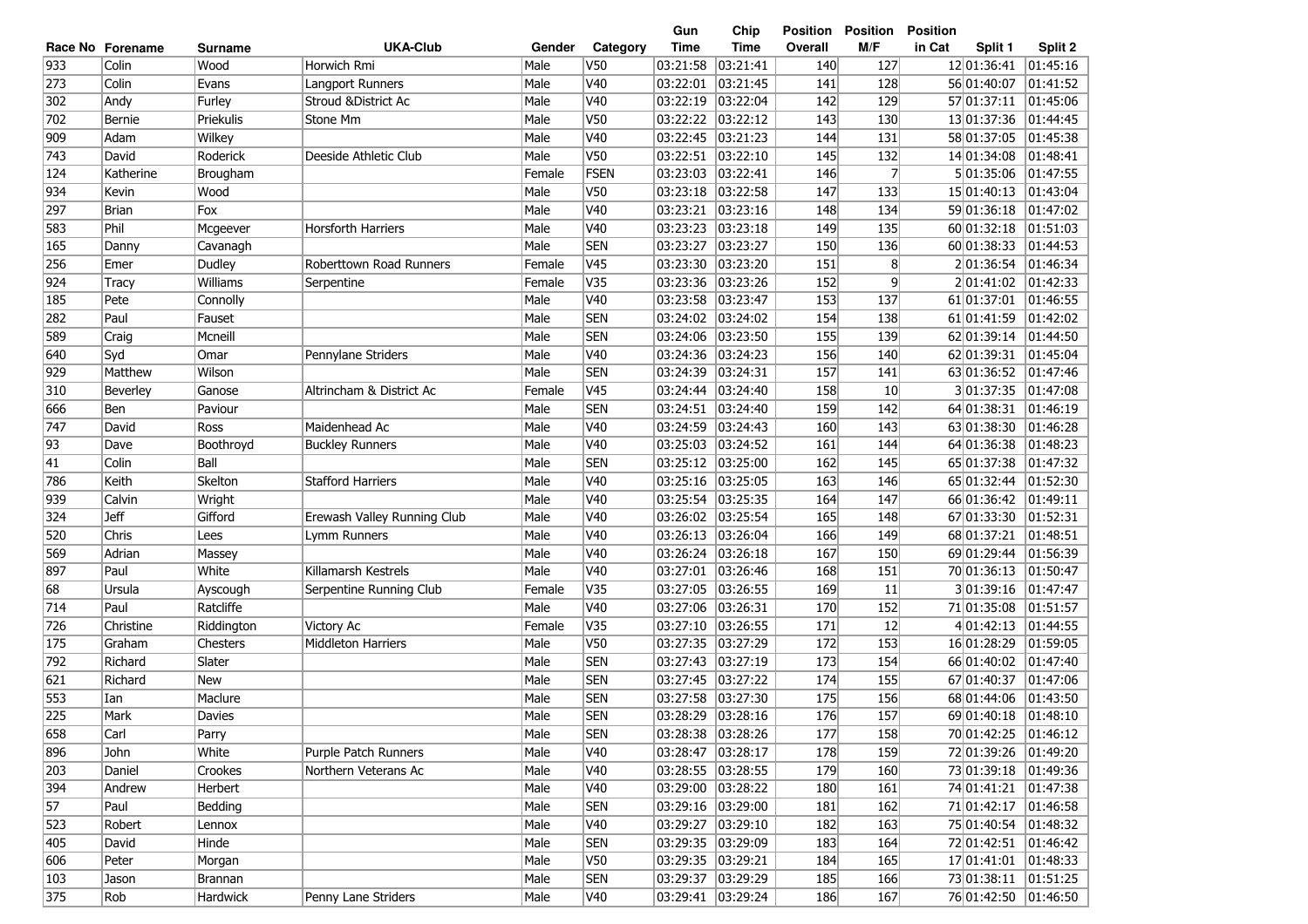| <b>UKA-Club</b><br><b>Time</b><br>M/F<br>in Cat<br>Category<br>Time<br>Overall<br>Split 1<br>Split 2<br>Race No Forename<br>Gender<br>Surname<br>933<br>V <sub>50</sub><br>03:21:41<br>Colin<br>Wood<br>Horwich Rmi<br>Male<br>03:21:58<br>140<br>127<br>12 01:36:41<br> 01:45:16<br>273<br>Colin<br>V40<br>03:21:45<br>01:41:52<br>Evans<br>Langport Runners<br>Male<br>03:22:01<br>141<br>128<br>56 01:40:07<br>V40<br>03:22:19<br>03:22:04<br>302<br>Andy<br>Furley<br>Stroud & District Ac<br>Male<br>142<br>129<br>57 01:37:11<br> 01:45:06<br>Male<br>V50<br>03:22:22<br>03:22:12<br>143<br>702<br>Bernie<br>Priekulis<br>Stone Mm<br>130<br>13 01:37:36<br>01:44:45<br>V40<br>Male<br>03:22:45<br>03:21:23<br>131<br>01:45:38<br>909<br>Adam<br>Wilkey<br>144<br>58 01:37:05<br>V <sub>50</sub><br>743<br>Male<br>03:22:10<br>145<br>David<br>Roderick<br>Deeside Athletic Club<br>03:22:51<br>132<br>14 01:34:08<br> 01:48:41<br>FSEN<br>7<br>124<br>Katherine<br>Brougham<br>Female<br>03:23:03<br> 03:22:41<br>146<br>5 01:35:06<br> 01:47:55<br>934<br>V50<br>03:23:18<br> 03:22:58<br>147<br>15 01:40:13<br> 01:43:04<br>Kevin<br>Wood<br>Male<br>133<br>297<br>Male<br>V40<br> 03:23:16<br>59 01:36:18<br> 01:47:02<br><b>Brian</b><br>Fox<br>03:23:21<br>148<br>134<br>Phil<br>Male<br>V40<br> 03:23:18<br> 01:51:03<br>583<br><b>Horsforth Harriers</b><br>03:23:23<br>149<br>135<br>60 01:32:18<br>Mcgeever<br><b>SEN</b><br>165<br>Male<br>03:23:27<br> 03:23:27<br>150<br>60 01:38:33<br> 01:44:53<br>136<br>Danny<br>Cavanagh<br>256<br>V45<br>03:23:20<br>8<br> 01:46:34<br>Emer<br>Dudley<br>Roberttown Road Runners<br>Female<br>03:23:30<br>151<br>201:36:54<br>924<br>V35<br>03:23:36<br>03:23:26<br>152<br>9<br>01:42:33<br>Williams<br>Female<br>201:41:02<br>Tracy<br>Serpentine<br>Male<br>V40<br>03:23:47<br>185<br>Pete<br>03:23:58<br>153<br>137<br>61 01:37:01<br>01:46:55<br>Connolly<br>Paul<br>Male<br><b>SEN</b><br>01:42:02<br>282<br>03:24:02<br> 03:24:02<br>154<br>138<br>61 01:41:59<br>Fauset<br>589<br><b>SEN</b><br>03:23:50<br>155<br>Craig<br>Mcneill<br>Male<br>03:24:06<br>139<br>62 01:39:14<br> 01:44:50<br>Syd<br>Male<br>V40<br>03:24:23<br>156<br>62 01:39:31<br>640<br>Pennylane Striders<br>03:24:36<br>140<br> 01:45:04<br>Omar<br><b>SEN</b><br>929<br>Matthew<br>Wilson<br>Male<br>03:24:39<br>03:24:31<br>157<br>141<br>63 01:36:52<br> 01:47:46<br>V45<br>3 01:37:35<br> 01:47:08<br>310<br>Beverley<br>Ganose<br>Altrincham & District Ac<br>Female<br>03:24:44<br>03:24:40<br>158<br>10 <sup>°</sup><br><b>SEN</b><br>03:24:51<br>159<br>64 01:38:31<br>666<br>Ben<br>Paviour<br>Male<br> 03:24:40<br>142<br> 01:46:19<br>747<br>Male<br>V40<br>03:24:59<br>03:24:43<br>160<br>David<br>Maidenhead Ac<br>143<br>63 01:38:30<br>01:46:28<br>Ross<br>Male<br>V40<br>03:24:52<br> 93<br>Boothroyd<br>03:25:03<br>161<br>144<br>64 01:36:38<br> 01:48:23<br>Dave<br><b>Buckley Runners</b><br>41<br><b>SEN</b><br>Colin<br>Male<br>03:25:12 03:25:00<br>162<br>65 01:37:38<br> 01:47:32<br>Ball<br>145<br>V40<br>03:25:16 03:25:05<br>163<br> 01:52:30<br>786<br>Keith<br>Skelton<br><b>Stafford Harriers</b><br>Male<br>146<br>65 01:32:44<br>939<br>Male<br>V40<br>03:25:54<br> 03:25:35<br>164<br>66 01:36:42<br> 01:49:11<br>Calvin<br>Wright<br>147<br>324<br><b>Jeff</b><br>Gifford<br>Male<br>V40<br>03:26:02<br> 03:25:54<br>165<br>67 01:33:30<br> 01:52:31<br>Erewash Valley Running Club<br>148<br>520<br>Chris<br>Male<br>V40<br>03:26:13<br> 03:26:04<br>166<br>68 01:37:21<br> 01:48:51<br>149<br>Lees<br>Lymm Runners<br>569<br>Male<br>V40<br>03:26:24 03:26:18<br>167<br>69 01:29:44<br> 01:56:39<br>Adrian<br>150<br>Massey<br>897<br>Paul<br>Killamarsh Kestrels<br>Male<br>V40<br>03:27:01<br>03:26:46<br>168<br>70 01:36:13<br>01:50:47<br>White<br>151<br>V35<br>03:27:05<br>03:26:55<br>301:39:16<br>01:47:47<br>68<br>Ursula<br>Female<br>169<br>11<br>Ayscough<br>Serpentine Running Club<br>714<br>Ratcliffe<br>Male<br>V40<br>03:27:06<br>03:26:31<br>152<br>71 01:35:08<br>01:51:57<br>Paul<br>170<br>V35<br>03:27:10<br>03:26:55<br>4 01:42:13<br>01:44:55<br>726<br>Christine<br>Female<br>171<br>12<br>Riddington<br>Victory Ac<br>175<br>V50<br>03:27:35<br>03:27:29<br>153<br>01:59:05<br>Male<br>172<br>16 01:28:29<br>Graham<br>Chesters<br><b>Middleton Harriers</b><br>Male<br><b>SEN</b><br>03:27:43<br>03:27:19<br>173<br>154<br>01:47:40<br>792<br>Richard<br>Slater<br>66 01:40:02<br>03:27:45<br>03:27:22<br>621<br>Richard<br>Male<br><b>SEN</b><br>174<br>155<br>67 01:40:37<br>01:47:06<br><b>New</b><br>Maclure<br><b>SEN</b><br>553<br>Male<br>03:27:58<br> 03:27:30<br>175<br>156<br>68 01:44:06<br> 01:43:50<br>Ian<br>225<br><b>SEN</b><br>176<br>157<br>03:28:29 03:28:16<br>69 01:40:18<br>Mark<br>Davies<br>Male<br> 01:48:10<br>Male<br>Carl<br><b>SEN</b><br>03:28:38 03:28:26<br>177<br>158<br>70 01:42:25<br> 01:46:12<br>Parry<br>White<br>Male<br>V40<br>03:28:47 03:28:17<br>John<br>Purple Patch Runners<br>178<br>159<br>72 01:39:26<br> 01:49:20<br>Male<br>V40<br>03:28:55  03:28:55<br>179<br>73 01:39:18 01:49:36<br>Daniel<br>Crookes<br>Northern Veterans Ac<br>160<br>394<br>03:29:00 03:28:22<br>Herbert<br>Male<br>V40<br>180<br>161<br>74 01:41:21  01:47:38<br>Andrew<br>$\overline{57}$<br>03:29:16 03:29:00<br>181<br>71 01:42:17<br>Paul<br>Bedding<br>Male<br><b>SEN</b><br>162<br> 01:46:58<br>523<br>V40<br>03:29:27 03:29:10<br>75 01:40:54 01:48:32<br>Male<br>182<br>163<br>Robert<br>Lennox<br>405<br>72 01:42:51<br>David<br>Hinde<br>Male<br><b>SEN</b><br>03:29:35 03:29:09<br>183<br>164<br> 01:46:42<br>606<br>Male<br>V50<br>03:29:35 03:29:21<br>184<br>165<br>17 01:41:01<br> 01:48:33<br>Peter<br>Morgan<br><b>SEN</b><br>03:29:37 03:29:29<br>73 01:38:11<br> 01:51:25<br>Male<br>185<br>166<br>Brannan<br>Jason<br>Penny Lane Striders<br>Rob<br>Hardwick<br>Male<br>V40<br>03:29:41 03:29:24<br>186<br>167<br>76 01:42:50<br> 01:46:50 |     |  |  | Gun | Chip | Position | <b>Position</b> | <b>Position</b> |  |
|-------------------------------------------------------------------------------------------------------------------------------------------------------------------------------------------------------------------------------------------------------------------------------------------------------------------------------------------------------------------------------------------------------------------------------------------------------------------------------------------------------------------------------------------------------------------------------------------------------------------------------------------------------------------------------------------------------------------------------------------------------------------------------------------------------------------------------------------------------------------------------------------------------------------------------------------------------------------------------------------------------------------------------------------------------------------------------------------------------------------------------------------------------------------------------------------------------------------------------------------------------------------------------------------------------------------------------------------------------------------------------------------------------------------------------------------------------------------------------------------------------------------------------------------------------------------------------------------------------------------------------------------------------------------------------------------------------------------------------------------------------------------------------------------------------------------------------------------------------------------------------------------------------------------------------------------------------------------------------------------------------------------------------------------------------------------------------------------------------------------------------------------------------------------------------------------------------------------------------------------------------------------------------------------------------------------------------------------------------------------------------------------------------------------------------------------------------------------------------------------------------------------------------------------------------------------------------------------------------------------------------------------------------------------------------------------------------------------------------------------------------------------------------------------------------------------------------------------------------------------------------------------------------------------------------------------------------------------------------------------------------------------------------------------------------------------------------------------------------------------------------------------------------------------------------------------------------------------------------------------------------------------------------------------------------------------------------------------------------------------------------------------------------------------------------------------------------------------------------------------------------------------------------------------------------------------------------------------------------------------------------------------------------------------------------------------------------------------------------------------------------------------------------------------------------------------------------------------------------------------------------------------------------------------------------------------------------------------------------------------------------------------------------------------------------------------------------------------------------------------------------------------------------------------------------------------------------------------------------------------------------------------------------------------------------------------------------------------------------------------------------------------------------------------------------------------------------------------------------------------------------------------------------------------------------------------------------------------------------------------------------------------------------------------------------------------------------------------------------------------------------------------------------------------------------------------------------------------------------------------------------------------------------------------------------------------------------------------------------------------------------------------------------------------------------------------------------------------------------------------------------------------------------------------------------------------------------------------------------------------------------------------------------------------------------------------------------------------------------------------------------------------------------------------------------------------------------------------------------------------------------------------------------------------------------------------------------------------------------------------------------------------------------------------------------------------------------------------------------------------------------------------------------------------------------------------------------------------------------------------------------------------------------------------------------------------------------------------------------------------------|-----|--|--|-----|------|----------|-----------------|-----------------|--|
|                                                                                                                                                                                                                                                                                                                                                                                                                                                                                                                                                                                                                                                                                                                                                                                                                                                                                                                                                                                                                                                                                                                                                                                                                                                                                                                                                                                                                                                                                                                                                                                                                                                                                                                                                                                                                                                                                                                                                                                                                                                                                                                                                                                                                                                                                                                                                                                                                                                                                                                                                                                                                                                                                                                                                                                                                                                                                                                                                                                                                                                                                                                                                                                                                                                                                                                                                                                                                                                                                                                                                                                                                                                                                                                                                                                                                                                                                                                                                                                                                                                                                                                                                                                                                                                                                                                                                                                                                                                                                                                                                                                                                                                                                                                                                                                                                                                                                                                                                                                                                                                                                                                                                                                                                                                                                                                                                                                                                                                                                                                                                                                                                                                                                                                                                                                                                                                                                                                                                                                                 |     |  |  |     |      |          |                 |                 |  |
|                                                                                                                                                                                                                                                                                                                                                                                                                                                                                                                                                                                                                                                                                                                                                                                                                                                                                                                                                                                                                                                                                                                                                                                                                                                                                                                                                                                                                                                                                                                                                                                                                                                                                                                                                                                                                                                                                                                                                                                                                                                                                                                                                                                                                                                                                                                                                                                                                                                                                                                                                                                                                                                                                                                                                                                                                                                                                                                                                                                                                                                                                                                                                                                                                                                                                                                                                                                                                                                                                                                                                                                                                                                                                                                                                                                                                                                                                                                                                                                                                                                                                                                                                                                                                                                                                                                                                                                                                                                                                                                                                                                                                                                                                                                                                                                                                                                                                                                                                                                                                                                                                                                                                                                                                                                                                                                                                                                                                                                                                                                                                                                                                                                                                                                                                                                                                                                                                                                                                                                                 |     |  |  |     |      |          |                 |                 |  |
|                                                                                                                                                                                                                                                                                                                                                                                                                                                                                                                                                                                                                                                                                                                                                                                                                                                                                                                                                                                                                                                                                                                                                                                                                                                                                                                                                                                                                                                                                                                                                                                                                                                                                                                                                                                                                                                                                                                                                                                                                                                                                                                                                                                                                                                                                                                                                                                                                                                                                                                                                                                                                                                                                                                                                                                                                                                                                                                                                                                                                                                                                                                                                                                                                                                                                                                                                                                                                                                                                                                                                                                                                                                                                                                                                                                                                                                                                                                                                                                                                                                                                                                                                                                                                                                                                                                                                                                                                                                                                                                                                                                                                                                                                                                                                                                                                                                                                                                                                                                                                                                                                                                                                                                                                                                                                                                                                                                                                                                                                                                                                                                                                                                                                                                                                                                                                                                                                                                                                                                                 |     |  |  |     |      |          |                 |                 |  |
|                                                                                                                                                                                                                                                                                                                                                                                                                                                                                                                                                                                                                                                                                                                                                                                                                                                                                                                                                                                                                                                                                                                                                                                                                                                                                                                                                                                                                                                                                                                                                                                                                                                                                                                                                                                                                                                                                                                                                                                                                                                                                                                                                                                                                                                                                                                                                                                                                                                                                                                                                                                                                                                                                                                                                                                                                                                                                                                                                                                                                                                                                                                                                                                                                                                                                                                                                                                                                                                                                                                                                                                                                                                                                                                                                                                                                                                                                                                                                                                                                                                                                                                                                                                                                                                                                                                                                                                                                                                                                                                                                                                                                                                                                                                                                                                                                                                                                                                                                                                                                                                                                                                                                                                                                                                                                                                                                                                                                                                                                                                                                                                                                                                                                                                                                                                                                                                                                                                                                                                                 |     |  |  |     |      |          |                 |                 |  |
|                                                                                                                                                                                                                                                                                                                                                                                                                                                                                                                                                                                                                                                                                                                                                                                                                                                                                                                                                                                                                                                                                                                                                                                                                                                                                                                                                                                                                                                                                                                                                                                                                                                                                                                                                                                                                                                                                                                                                                                                                                                                                                                                                                                                                                                                                                                                                                                                                                                                                                                                                                                                                                                                                                                                                                                                                                                                                                                                                                                                                                                                                                                                                                                                                                                                                                                                                                                                                                                                                                                                                                                                                                                                                                                                                                                                                                                                                                                                                                                                                                                                                                                                                                                                                                                                                                                                                                                                                                                                                                                                                                                                                                                                                                                                                                                                                                                                                                                                                                                                                                                                                                                                                                                                                                                                                                                                                                                                                                                                                                                                                                                                                                                                                                                                                                                                                                                                                                                                                                                                 |     |  |  |     |      |          |                 |                 |  |
|                                                                                                                                                                                                                                                                                                                                                                                                                                                                                                                                                                                                                                                                                                                                                                                                                                                                                                                                                                                                                                                                                                                                                                                                                                                                                                                                                                                                                                                                                                                                                                                                                                                                                                                                                                                                                                                                                                                                                                                                                                                                                                                                                                                                                                                                                                                                                                                                                                                                                                                                                                                                                                                                                                                                                                                                                                                                                                                                                                                                                                                                                                                                                                                                                                                                                                                                                                                                                                                                                                                                                                                                                                                                                                                                                                                                                                                                                                                                                                                                                                                                                                                                                                                                                                                                                                                                                                                                                                                                                                                                                                                                                                                                                                                                                                                                                                                                                                                                                                                                                                                                                                                                                                                                                                                                                                                                                                                                                                                                                                                                                                                                                                                                                                                                                                                                                                                                                                                                                                                                 |     |  |  |     |      |          |                 |                 |  |
|                                                                                                                                                                                                                                                                                                                                                                                                                                                                                                                                                                                                                                                                                                                                                                                                                                                                                                                                                                                                                                                                                                                                                                                                                                                                                                                                                                                                                                                                                                                                                                                                                                                                                                                                                                                                                                                                                                                                                                                                                                                                                                                                                                                                                                                                                                                                                                                                                                                                                                                                                                                                                                                                                                                                                                                                                                                                                                                                                                                                                                                                                                                                                                                                                                                                                                                                                                                                                                                                                                                                                                                                                                                                                                                                                                                                                                                                                                                                                                                                                                                                                                                                                                                                                                                                                                                                                                                                                                                                                                                                                                                                                                                                                                                                                                                                                                                                                                                                                                                                                                                                                                                                                                                                                                                                                                                                                                                                                                                                                                                                                                                                                                                                                                                                                                                                                                                                                                                                                                                                 |     |  |  |     |      |          |                 |                 |  |
|                                                                                                                                                                                                                                                                                                                                                                                                                                                                                                                                                                                                                                                                                                                                                                                                                                                                                                                                                                                                                                                                                                                                                                                                                                                                                                                                                                                                                                                                                                                                                                                                                                                                                                                                                                                                                                                                                                                                                                                                                                                                                                                                                                                                                                                                                                                                                                                                                                                                                                                                                                                                                                                                                                                                                                                                                                                                                                                                                                                                                                                                                                                                                                                                                                                                                                                                                                                                                                                                                                                                                                                                                                                                                                                                                                                                                                                                                                                                                                                                                                                                                                                                                                                                                                                                                                                                                                                                                                                                                                                                                                                                                                                                                                                                                                                                                                                                                                                                                                                                                                                                                                                                                                                                                                                                                                                                                                                                                                                                                                                                                                                                                                                                                                                                                                                                                                                                                                                                                                                                 |     |  |  |     |      |          |                 |                 |  |
|                                                                                                                                                                                                                                                                                                                                                                                                                                                                                                                                                                                                                                                                                                                                                                                                                                                                                                                                                                                                                                                                                                                                                                                                                                                                                                                                                                                                                                                                                                                                                                                                                                                                                                                                                                                                                                                                                                                                                                                                                                                                                                                                                                                                                                                                                                                                                                                                                                                                                                                                                                                                                                                                                                                                                                                                                                                                                                                                                                                                                                                                                                                                                                                                                                                                                                                                                                                                                                                                                                                                                                                                                                                                                                                                                                                                                                                                                                                                                                                                                                                                                                                                                                                                                                                                                                                                                                                                                                                                                                                                                                                                                                                                                                                                                                                                                                                                                                                                                                                                                                                                                                                                                                                                                                                                                                                                                                                                                                                                                                                                                                                                                                                                                                                                                                                                                                                                                                                                                                                                 |     |  |  |     |      |          |                 |                 |  |
|                                                                                                                                                                                                                                                                                                                                                                                                                                                                                                                                                                                                                                                                                                                                                                                                                                                                                                                                                                                                                                                                                                                                                                                                                                                                                                                                                                                                                                                                                                                                                                                                                                                                                                                                                                                                                                                                                                                                                                                                                                                                                                                                                                                                                                                                                                                                                                                                                                                                                                                                                                                                                                                                                                                                                                                                                                                                                                                                                                                                                                                                                                                                                                                                                                                                                                                                                                                                                                                                                                                                                                                                                                                                                                                                                                                                                                                                                                                                                                                                                                                                                                                                                                                                                                                                                                                                                                                                                                                                                                                                                                                                                                                                                                                                                                                                                                                                                                                                                                                                                                                                                                                                                                                                                                                                                                                                                                                                                                                                                                                                                                                                                                                                                                                                                                                                                                                                                                                                                                                                 |     |  |  |     |      |          |                 |                 |  |
|                                                                                                                                                                                                                                                                                                                                                                                                                                                                                                                                                                                                                                                                                                                                                                                                                                                                                                                                                                                                                                                                                                                                                                                                                                                                                                                                                                                                                                                                                                                                                                                                                                                                                                                                                                                                                                                                                                                                                                                                                                                                                                                                                                                                                                                                                                                                                                                                                                                                                                                                                                                                                                                                                                                                                                                                                                                                                                                                                                                                                                                                                                                                                                                                                                                                                                                                                                                                                                                                                                                                                                                                                                                                                                                                                                                                                                                                                                                                                                                                                                                                                                                                                                                                                                                                                                                                                                                                                                                                                                                                                                                                                                                                                                                                                                                                                                                                                                                                                                                                                                                                                                                                                                                                                                                                                                                                                                                                                                                                                                                                                                                                                                                                                                                                                                                                                                                                                                                                                                                                 |     |  |  |     |      |          |                 |                 |  |
|                                                                                                                                                                                                                                                                                                                                                                                                                                                                                                                                                                                                                                                                                                                                                                                                                                                                                                                                                                                                                                                                                                                                                                                                                                                                                                                                                                                                                                                                                                                                                                                                                                                                                                                                                                                                                                                                                                                                                                                                                                                                                                                                                                                                                                                                                                                                                                                                                                                                                                                                                                                                                                                                                                                                                                                                                                                                                                                                                                                                                                                                                                                                                                                                                                                                                                                                                                                                                                                                                                                                                                                                                                                                                                                                                                                                                                                                                                                                                                                                                                                                                                                                                                                                                                                                                                                                                                                                                                                                                                                                                                                                                                                                                                                                                                                                                                                                                                                                                                                                                                                                                                                                                                                                                                                                                                                                                                                                                                                                                                                                                                                                                                                                                                                                                                                                                                                                                                                                                                                                 |     |  |  |     |      |          |                 |                 |  |
|                                                                                                                                                                                                                                                                                                                                                                                                                                                                                                                                                                                                                                                                                                                                                                                                                                                                                                                                                                                                                                                                                                                                                                                                                                                                                                                                                                                                                                                                                                                                                                                                                                                                                                                                                                                                                                                                                                                                                                                                                                                                                                                                                                                                                                                                                                                                                                                                                                                                                                                                                                                                                                                                                                                                                                                                                                                                                                                                                                                                                                                                                                                                                                                                                                                                                                                                                                                                                                                                                                                                                                                                                                                                                                                                                                                                                                                                                                                                                                                                                                                                                                                                                                                                                                                                                                                                                                                                                                                                                                                                                                                                                                                                                                                                                                                                                                                                                                                                                                                                                                                                                                                                                                                                                                                                                                                                                                                                                                                                                                                                                                                                                                                                                                                                                                                                                                                                                                                                                                                                 |     |  |  |     |      |          |                 |                 |  |
|                                                                                                                                                                                                                                                                                                                                                                                                                                                                                                                                                                                                                                                                                                                                                                                                                                                                                                                                                                                                                                                                                                                                                                                                                                                                                                                                                                                                                                                                                                                                                                                                                                                                                                                                                                                                                                                                                                                                                                                                                                                                                                                                                                                                                                                                                                                                                                                                                                                                                                                                                                                                                                                                                                                                                                                                                                                                                                                                                                                                                                                                                                                                                                                                                                                                                                                                                                                                                                                                                                                                                                                                                                                                                                                                                                                                                                                                                                                                                                                                                                                                                                                                                                                                                                                                                                                                                                                                                                                                                                                                                                                                                                                                                                                                                                                                                                                                                                                                                                                                                                                                                                                                                                                                                                                                                                                                                                                                                                                                                                                                                                                                                                                                                                                                                                                                                                                                                                                                                                                                 |     |  |  |     |      |          |                 |                 |  |
|                                                                                                                                                                                                                                                                                                                                                                                                                                                                                                                                                                                                                                                                                                                                                                                                                                                                                                                                                                                                                                                                                                                                                                                                                                                                                                                                                                                                                                                                                                                                                                                                                                                                                                                                                                                                                                                                                                                                                                                                                                                                                                                                                                                                                                                                                                                                                                                                                                                                                                                                                                                                                                                                                                                                                                                                                                                                                                                                                                                                                                                                                                                                                                                                                                                                                                                                                                                                                                                                                                                                                                                                                                                                                                                                                                                                                                                                                                                                                                                                                                                                                                                                                                                                                                                                                                                                                                                                                                                                                                                                                                                                                                                                                                                                                                                                                                                                                                                                                                                                                                                                                                                                                                                                                                                                                                                                                                                                                                                                                                                                                                                                                                                                                                                                                                                                                                                                                                                                                                                                 |     |  |  |     |      |          |                 |                 |  |
|                                                                                                                                                                                                                                                                                                                                                                                                                                                                                                                                                                                                                                                                                                                                                                                                                                                                                                                                                                                                                                                                                                                                                                                                                                                                                                                                                                                                                                                                                                                                                                                                                                                                                                                                                                                                                                                                                                                                                                                                                                                                                                                                                                                                                                                                                                                                                                                                                                                                                                                                                                                                                                                                                                                                                                                                                                                                                                                                                                                                                                                                                                                                                                                                                                                                                                                                                                                                                                                                                                                                                                                                                                                                                                                                                                                                                                                                                                                                                                                                                                                                                                                                                                                                                                                                                                                                                                                                                                                                                                                                                                                                                                                                                                                                                                                                                                                                                                                                                                                                                                                                                                                                                                                                                                                                                                                                                                                                                                                                                                                                                                                                                                                                                                                                                                                                                                                                                                                                                                                                 |     |  |  |     |      |          |                 |                 |  |
|                                                                                                                                                                                                                                                                                                                                                                                                                                                                                                                                                                                                                                                                                                                                                                                                                                                                                                                                                                                                                                                                                                                                                                                                                                                                                                                                                                                                                                                                                                                                                                                                                                                                                                                                                                                                                                                                                                                                                                                                                                                                                                                                                                                                                                                                                                                                                                                                                                                                                                                                                                                                                                                                                                                                                                                                                                                                                                                                                                                                                                                                                                                                                                                                                                                                                                                                                                                                                                                                                                                                                                                                                                                                                                                                                                                                                                                                                                                                                                                                                                                                                                                                                                                                                                                                                                                                                                                                                                                                                                                                                                                                                                                                                                                                                                                                                                                                                                                                                                                                                                                                                                                                                                                                                                                                                                                                                                                                                                                                                                                                                                                                                                                                                                                                                                                                                                                                                                                                                                                                 |     |  |  |     |      |          |                 |                 |  |
|                                                                                                                                                                                                                                                                                                                                                                                                                                                                                                                                                                                                                                                                                                                                                                                                                                                                                                                                                                                                                                                                                                                                                                                                                                                                                                                                                                                                                                                                                                                                                                                                                                                                                                                                                                                                                                                                                                                                                                                                                                                                                                                                                                                                                                                                                                                                                                                                                                                                                                                                                                                                                                                                                                                                                                                                                                                                                                                                                                                                                                                                                                                                                                                                                                                                                                                                                                                                                                                                                                                                                                                                                                                                                                                                                                                                                                                                                                                                                                                                                                                                                                                                                                                                                                                                                                                                                                                                                                                                                                                                                                                                                                                                                                                                                                                                                                                                                                                                                                                                                                                                                                                                                                                                                                                                                                                                                                                                                                                                                                                                                                                                                                                                                                                                                                                                                                                                                                                                                                                                 |     |  |  |     |      |          |                 |                 |  |
|                                                                                                                                                                                                                                                                                                                                                                                                                                                                                                                                                                                                                                                                                                                                                                                                                                                                                                                                                                                                                                                                                                                                                                                                                                                                                                                                                                                                                                                                                                                                                                                                                                                                                                                                                                                                                                                                                                                                                                                                                                                                                                                                                                                                                                                                                                                                                                                                                                                                                                                                                                                                                                                                                                                                                                                                                                                                                                                                                                                                                                                                                                                                                                                                                                                                                                                                                                                                                                                                                                                                                                                                                                                                                                                                                                                                                                                                                                                                                                                                                                                                                                                                                                                                                                                                                                                                                                                                                                                                                                                                                                                                                                                                                                                                                                                                                                                                                                                                                                                                                                                                                                                                                                                                                                                                                                                                                                                                                                                                                                                                                                                                                                                                                                                                                                                                                                                                                                                                                                                                 |     |  |  |     |      |          |                 |                 |  |
|                                                                                                                                                                                                                                                                                                                                                                                                                                                                                                                                                                                                                                                                                                                                                                                                                                                                                                                                                                                                                                                                                                                                                                                                                                                                                                                                                                                                                                                                                                                                                                                                                                                                                                                                                                                                                                                                                                                                                                                                                                                                                                                                                                                                                                                                                                                                                                                                                                                                                                                                                                                                                                                                                                                                                                                                                                                                                                                                                                                                                                                                                                                                                                                                                                                                                                                                                                                                                                                                                                                                                                                                                                                                                                                                                                                                                                                                                                                                                                                                                                                                                                                                                                                                                                                                                                                                                                                                                                                                                                                                                                                                                                                                                                                                                                                                                                                                                                                                                                                                                                                                                                                                                                                                                                                                                                                                                                                                                                                                                                                                                                                                                                                                                                                                                                                                                                                                                                                                                                                                 |     |  |  |     |      |          |                 |                 |  |
|                                                                                                                                                                                                                                                                                                                                                                                                                                                                                                                                                                                                                                                                                                                                                                                                                                                                                                                                                                                                                                                                                                                                                                                                                                                                                                                                                                                                                                                                                                                                                                                                                                                                                                                                                                                                                                                                                                                                                                                                                                                                                                                                                                                                                                                                                                                                                                                                                                                                                                                                                                                                                                                                                                                                                                                                                                                                                                                                                                                                                                                                                                                                                                                                                                                                                                                                                                                                                                                                                                                                                                                                                                                                                                                                                                                                                                                                                                                                                                                                                                                                                                                                                                                                                                                                                                                                                                                                                                                                                                                                                                                                                                                                                                                                                                                                                                                                                                                                                                                                                                                                                                                                                                                                                                                                                                                                                                                                                                                                                                                                                                                                                                                                                                                                                                                                                                                                                                                                                                                                 |     |  |  |     |      |          |                 |                 |  |
|                                                                                                                                                                                                                                                                                                                                                                                                                                                                                                                                                                                                                                                                                                                                                                                                                                                                                                                                                                                                                                                                                                                                                                                                                                                                                                                                                                                                                                                                                                                                                                                                                                                                                                                                                                                                                                                                                                                                                                                                                                                                                                                                                                                                                                                                                                                                                                                                                                                                                                                                                                                                                                                                                                                                                                                                                                                                                                                                                                                                                                                                                                                                                                                                                                                                                                                                                                                                                                                                                                                                                                                                                                                                                                                                                                                                                                                                                                                                                                                                                                                                                                                                                                                                                                                                                                                                                                                                                                                                                                                                                                                                                                                                                                                                                                                                                                                                                                                                                                                                                                                                                                                                                                                                                                                                                                                                                                                                                                                                                                                                                                                                                                                                                                                                                                                                                                                                                                                                                                                                 |     |  |  |     |      |          |                 |                 |  |
|                                                                                                                                                                                                                                                                                                                                                                                                                                                                                                                                                                                                                                                                                                                                                                                                                                                                                                                                                                                                                                                                                                                                                                                                                                                                                                                                                                                                                                                                                                                                                                                                                                                                                                                                                                                                                                                                                                                                                                                                                                                                                                                                                                                                                                                                                                                                                                                                                                                                                                                                                                                                                                                                                                                                                                                                                                                                                                                                                                                                                                                                                                                                                                                                                                                                                                                                                                                                                                                                                                                                                                                                                                                                                                                                                                                                                                                                                                                                                                                                                                                                                                                                                                                                                                                                                                                                                                                                                                                                                                                                                                                                                                                                                                                                                                                                                                                                                                                                                                                                                                                                                                                                                                                                                                                                                                                                                                                                                                                                                                                                                                                                                                                                                                                                                                                                                                                                                                                                                                                                 |     |  |  |     |      |          |                 |                 |  |
|                                                                                                                                                                                                                                                                                                                                                                                                                                                                                                                                                                                                                                                                                                                                                                                                                                                                                                                                                                                                                                                                                                                                                                                                                                                                                                                                                                                                                                                                                                                                                                                                                                                                                                                                                                                                                                                                                                                                                                                                                                                                                                                                                                                                                                                                                                                                                                                                                                                                                                                                                                                                                                                                                                                                                                                                                                                                                                                                                                                                                                                                                                                                                                                                                                                                                                                                                                                                                                                                                                                                                                                                                                                                                                                                                                                                                                                                                                                                                                                                                                                                                                                                                                                                                                                                                                                                                                                                                                                                                                                                                                                                                                                                                                                                                                                                                                                                                                                                                                                                                                                                                                                                                                                                                                                                                                                                                                                                                                                                                                                                                                                                                                                                                                                                                                                                                                                                                                                                                                                                 |     |  |  |     |      |          |                 |                 |  |
|                                                                                                                                                                                                                                                                                                                                                                                                                                                                                                                                                                                                                                                                                                                                                                                                                                                                                                                                                                                                                                                                                                                                                                                                                                                                                                                                                                                                                                                                                                                                                                                                                                                                                                                                                                                                                                                                                                                                                                                                                                                                                                                                                                                                                                                                                                                                                                                                                                                                                                                                                                                                                                                                                                                                                                                                                                                                                                                                                                                                                                                                                                                                                                                                                                                                                                                                                                                                                                                                                                                                                                                                                                                                                                                                                                                                                                                                                                                                                                                                                                                                                                                                                                                                                                                                                                                                                                                                                                                                                                                                                                                                                                                                                                                                                                                                                                                                                                                                                                                                                                                                                                                                                                                                                                                                                                                                                                                                                                                                                                                                                                                                                                                                                                                                                                                                                                                                                                                                                                                                 |     |  |  |     |      |          |                 |                 |  |
|                                                                                                                                                                                                                                                                                                                                                                                                                                                                                                                                                                                                                                                                                                                                                                                                                                                                                                                                                                                                                                                                                                                                                                                                                                                                                                                                                                                                                                                                                                                                                                                                                                                                                                                                                                                                                                                                                                                                                                                                                                                                                                                                                                                                                                                                                                                                                                                                                                                                                                                                                                                                                                                                                                                                                                                                                                                                                                                                                                                                                                                                                                                                                                                                                                                                                                                                                                                                                                                                                                                                                                                                                                                                                                                                                                                                                                                                                                                                                                                                                                                                                                                                                                                                                                                                                                                                                                                                                                                                                                                                                                                                                                                                                                                                                                                                                                                                                                                                                                                                                                                                                                                                                                                                                                                                                                                                                                                                                                                                                                                                                                                                                                                                                                                                                                                                                                                                                                                                                                                                 |     |  |  |     |      |          |                 |                 |  |
|                                                                                                                                                                                                                                                                                                                                                                                                                                                                                                                                                                                                                                                                                                                                                                                                                                                                                                                                                                                                                                                                                                                                                                                                                                                                                                                                                                                                                                                                                                                                                                                                                                                                                                                                                                                                                                                                                                                                                                                                                                                                                                                                                                                                                                                                                                                                                                                                                                                                                                                                                                                                                                                                                                                                                                                                                                                                                                                                                                                                                                                                                                                                                                                                                                                                                                                                                                                                                                                                                                                                                                                                                                                                                                                                                                                                                                                                                                                                                                                                                                                                                                                                                                                                                                                                                                                                                                                                                                                                                                                                                                                                                                                                                                                                                                                                                                                                                                                                                                                                                                                                                                                                                                                                                                                                                                                                                                                                                                                                                                                                                                                                                                                                                                                                                                                                                                                                                                                                                                                                 |     |  |  |     |      |          |                 |                 |  |
|                                                                                                                                                                                                                                                                                                                                                                                                                                                                                                                                                                                                                                                                                                                                                                                                                                                                                                                                                                                                                                                                                                                                                                                                                                                                                                                                                                                                                                                                                                                                                                                                                                                                                                                                                                                                                                                                                                                                                                                                                                                                                                                                                                                                                                                                                                                                                                                                                                                                                                                                                                                                                                                                                                                                                                                                                                                                                                                                                                                                                                                                                                                                                                                                                                                                                                                                                                                                                                                                                                                                                                                                                                                                                                                                                                                                                                                                                                                                                                                                                                                                                                                                                                                                                                                                                                                                                                                                                                                                                                                                                                                                                                                                                                                                                                                                                                                                                                                                                                                                                                                                                                                                                                                                                                                                                                                                                                                                                                                                                                                                                                                                                                                                                                                                                                                                                                                                                                                                                                                                 |     |  |  |     |      |          |                 |                 |  |
|                                                                                                                                                                                                                                                                                                                                                                                                                                                                                                                                                                                                                                                                                                                                                                                                                                                                                                                                                                                                                                                                                                                                                                                                                                                                                                                                                                                                                                                                                                                                                                                                                                                                                                                                                                                                                                                                                                                                                                                                                                                                                                                                                                                                                                                                                                                                                                                                                                                                                                                                                                                                                                                                                                                                                                                                                                                                                                                                                                                                                                                                                                                                                                                                                                                                                                                                                                                                                                                                                                                                                                                                                                                                                                                                                                                                                                                                                                                                                                                                                                                                                                                                                                                                                                                                                                                                                                                                                                                                                                                                                                                                                                                                                                                                                                                                                                                                                                                                                                                                                                                                                                                                                                                                                                                                                                                                                                                                                                                                                                                                                                                                                                                                                                                                                                                                                                                                                                                                                                                                 |     |  |  |     |      |          |                 |                 |  |
|                                                                                                                                                                                                                                                                                                                                                                                                                                                                                                                                                                                                                                                                                                                                                                                                                                                                                                                                                                                                                                                                                                                                                                                                                                                                                                                                                                                                                                                                                                                                                                                                                                                                                                                                                                                                                                                                                                                                                                                                                                                                                                                                                                                                                                                                                                                                                                                                                                                                                                                                                                                                                                                                                                                                                                                                                                                                                                                                                                                                                                                                                                                                                                                                                                                                                                                                                                                                                                                                                                                                                                                                                                                                                                                                                                                                                                                                                                                                                                                                                                                                                                                                                                                                                                                                                                                                                                                                                                                                                                                                                                                                                                                                                                                                                                                                                                                                                                                                                                                                                                                                                                                                                                                                                                                                                                                                                                                                                                                                                                                                                                                                                                                                                                                                                                                                                                                                                                                                                                                                 |     |  |  |     |      |          |                 |                 |  |
|                                                                                                                                                                                                                                                                                                                                                                                                                                                                                                                                                                                                                                                                                                                                                                                                                                                                                                                                                                                                                                                                                                                                                                                                                                                                                                                                                                                                                                                                                                                                                                                                                                                                                                                                                                                                                                                                                                                                                                                                                                                                                                                                                                                                                                                                                                                                                                                                                                                                                                                                                                                                                                                                                                                                                                                                                                                                                                                                                                                                                                                                                                                                                                                                                                                                                                                                                                                                                                                                                                                                                                                                                                                                                                                                                                                                                                                                                                                                                                                                                                                                                                                                                                                                                                                                                                                                                                                                                                                                                                                                                                                                                                                                                                                                                                                                                                                                                                                                                                                                                                                                                                                                                                                                                                                                                                                                                                                                                                                                                                                                                                                                                                                                                                                                                                                                                                                                                                                                                                                                 |     |  |  |     |      |          |                 |                 |  |
|                                                                                                                                                                                                                                                                                                                                                                                                                                                                                                                                                                                                                                                                                                                                                                                                                                                                                                                                                                                                                                                                                                                                                                                                                                                                                                                                                                                                                                                                                                                                                                                                                                                                                                                                                                                                                                                                                                                                                                                                                                                                                                                                                                                                                                                                                                                                                                                                                                                                                                                                                                                                                                                                                                                                                                                                                                                                                                                                                                                                                                                                                                                                                                                                                                                                                                                                                                                                                                                                                                                                                                                                                                                                                                                                                                                                                                                                                                                                                                                                                                                                                                                                                                                                                                                                                                                                                                                                                                                                                                                                                                                                                                                                                                                                                                                                                                                                                                                                                                                                                                                                                                                                                                                                                                                                                                                                                                                                                                                                                                                                                                                                                                                                                                                                                                                                                                                                                                                                                                                                 |     |  |  |     |      |          |                 |                 |  |
|                                                                                                                                                                                                                                                                                                                                                                                                                                                                                                                                                                                                                                                                                                                                                                                                                                                                                                                                                                                                                                                                                                                                                                                                                                                                                                                                                                                                                                                                                                                                                                                                                                                                                                                                                                                                                                                                                                                                                                                                                                                                                                                                                                                                                                                                                                                                                                                                                                                                                                                                                                                                                                                                                                                                                                                                                                                                                                                                                                                                                                                                                                                                                                                                                                                                                                                                                                                                                                                                                                                                                                                                                                                                                                                                                                                                                                                                                                                                                                                                                                                                                                                                                                                                                                                                                                                                                                                                                                                                                                                                                                                                                                                                                                                                                                                                                                                                                                                                                                                                                                                                                                                                                                                                                                                                                                                                                                                                                                                                                                                                                                                                                                                                                                                                                                                                                                                                                                                                                                                                 |     |  |  |     |      |          |                 |                 |  |
|                                                                                                                                                                                                                                                                                                                                                                                                                                                                                                                                                                                                                                                                                                                                                                                                                                                                                                                                                                                                                                                                                                                                                                                                                                                                                                                                                                                                                                                                                                                                                                                                                                                                                                                                                                                                                                                                                                                                                                                                                                                                                                                                                                                                                                                                                                                                                                                                                                                                                                                                                                                                                                                                                                                                                                                                                                                                                                                                                                                                                                                                                                                                                                                                                                                                                                                                                                                                                                                                                                                                                                                                                                                                                                                                                                                                                                                                                                                                                                                                                                                                                                                                                                                                                                                                                                                                                                                                                                                                                                                                                                                                                                                                                                                                                                                                                                                                                                                                                                                                                                                                                                                                                                                                                                                                                                                                                                                                                                                                                                                                                                                                                                                                                                                                                                                                                                                                                                                                                                                                 |     |  |  |     |      |          |                 |                 |  |
|                                                                                                                                                                                                                                                                                                                                                                                                                                                                                                                                                                                                                                                                                                                                                                                                                                                                                                                                                                                                                                                                                                                                                                                                                                                                                                                                                                                                                                                                                                                                                                                                                                                                                                                                                                                                                                                                                                                                                                                                                                                                                                                                                                                                                                                                                                                                                                                                                                                                                                                                                                                                                                                                                                                                                                                                                                                                                                                                                                                                                                                                                                                                                                                                                                                                                                                                                                                                                                                                                                                                                                                                                                                                                                                                                                                                                                                                                                                                                                                                                                                                                                                                                                                                                                                                                                                                                                                                                                                                                                                                                                                                                                                                                                                                                                                                                                                                                                                                                                                                                                                                                                                                                                                                                                                                                                                                                                                                                                                                                                                                                                                                                                                                                                                                                                                                                                                                                                                                                                                                 |     |  |  |     |      |          |                 |                 |  |
|                                                                                                                                                                                                                                                                                                                                                                                                                                                                                                                                                                                                                                                                                                                                                                                                                                                                                                                                                                                                                                                                                                                                                                                                                                                                                                                                                                                                                                                                                                                                                                                                                                                                                                                                                                                                                                                                                                                                                                                                                                                                                                                                                                                                                                                                                                                                                                                                                                                                                                                                                                                                                                                                                                                                                                                                                                                                                                                                                                                                                                                                                                                                                                                                                                                                                                                                                                                                                                                                                                                                                                                                                                                                                                                                                                                                                                                                                                                                                                                                                                                                                                                                                                                                                                                                                                                                                                                                                                                                                                                                                                                                                                                                                                                                                                                                                                                                                                                                                                                                                                                                                                                                                                                                                                                                                                                                                                                                                                                                                                                                                                                                                                                                                                                                                                                                                                                                                                                                                                                                 |     |  |  |     |      |          |                 |                 |  |
|                                                                                                                                                                                                                                                                                                                                                                                                                                                                                                                                                                                                                                                                                                                                                                                                                                                                                                                                                                                                                                                                                                                                                                                                                                                                                                                                                                                                                                                                                                                                                                                                                                                                                                                                                                                                                                                                                                                                                                                                                                                                                                                                                                                                                                                                                                                                                                                                                                                                                                                                                                                                                                                                                                                                                                                                                                                                                                                                                                                                                                                                                                                                                                                                                                                                                                                                                                                                                                                                                                                                                                                                                                                                                                                                                                                                                                                                                                                                                                                                                                                                                                                                                                                                                                                                                                                                                                                                                                                                                                                                                                                                                                                                                                                                                                                                                                                                                                                                                                                                                                                                                                                                                                                                                                                                                                                                                                                                                                                                                                                                                                                                                                                                                                                                                                                                                                                                                                                                                                                                 |     |  |  |     |      |          |                 |                 |  |
|                                                                                                                                                                                                                                                                                                                                                                                                                                                                                                                                                                                                                                                                                                                                                                                                                                                                                                                                                                                                                                                                                                                                                                                                                                                                                                                                                                                                                                                                                                                                                                                                                                                                                                                                                                                                                                                                                                                                                                                                                                                                                                                                                                                                                                                                                                                                                                                                                                                                                                                                                                                                                                                                                                                                                                                                                                                                                                                                                                                                                                                                                                                                                                                                                                                                                                                                                                                                                                                                                                                                                                                                                                                                                                                                                                                                                                                                                                                                                                                                                                                                                                                                                                                                                                                                                                                                                                                                                                                                                                                                                                                                                                                                                                                                                                                                                                                                                                                                                                                                                                                                                                                                                                                                                                                                                                                                                                                                                                                                                                                                                                                                                                                                                                                                                                                                                                                                                                                                                                                                 |     |  |  |     |      |          |                 |                 |  |
|                                                                                                                                                                                                                                                                                                                                                                                                                                                                                                                                                                                                                                                                                                                                                                                                                                                                                                                                                                                                                                                                                                                                                                                                                                                                                                                                                                                                                                                                                                                                                                                                                                                                                                                                                                                                                                                                                                                                                                                                                                                                                                                                                                                                                                                                                                                                                                                                                                                                                                                                                                                                                                                                                                                                                                                                                                                                                                                                                                                                                                                                                                                                                                                                                                                                                                                                                                                                                                                                                                                                                                                                                                                                                                                                                                                                                                                                                                                                                                                                                                                                                                                                                                                                                                                                                                                                                                                                                                                                                                                                                                                                                                                                                                                                                                                                                                                                                                                                                                                                                                                                                                                                                                                                                                                                                                                                                                                                                                                                                                                                                                                                                                                                                                                                                                                                                                                                                                                                                                                                 | 658 |  |  |     |      |          |                 |                 |  |
|                                                                                                                                                                                                                                                                                                                                                                                                                                                                                                                                                                                                                                                                                                                                                                                                                                                                                                                                                                                                                                                                                                                                                                                                                                                                                                                                                                                                                                                                                                                                                                                                                                                                                                                                                                                                                                                                                                                                                                                                                                                                                                                                                                                                                                                                                                                                                                                                                                                                                                                                                                                                                                                                                                                                                                                                                                                                                                                                                                                                                                                                                                                                                                                                                                                                                                                                                                                                                                                                                                                                                                                                                                                                                                                                                                                                                                                                                                                                                                                                                                                                                                                                                                                                                                                                                                                                                                                                                                                                                                                                                                                                                                                                                                                                                                                                                                                                                                                                                                                                                                                                                                                                                                                                                                                                                                                                                                                                                                                                                                                                                                                                                                                                                                                                                                                                                                                                                                                                                                                                 | 896 |  |  |     |      |          |                 |                 |  |
|                                                                                                                                                                                                                                                                                                                                                                                                                                                                                                                                                                                                                                                                                                                                                                                                                                                                                                                                                                                                                                                                                                                                                                                                                                                                                                                                                                                                                                                                                                                                                                                                                                                                                                                                                                                                                                                                                                                                                                                                                                                                                                                                                                                                                                                                                                                                                                                                                                                                                                                                                                                                                                                                                                                                                                                                                                                                                                                                                                                                                                                                                                                                                                                                                                                                                                                                                                                                                                                                                                                                                                                                                                                                                                                                                                                                                                                                                                                                                                                                                                                                                                                                                                                                                                                                                                                                                                                                                                                                                                                                                                                                                                                                                                                                                                                                                                                                                                                                                                                                                                                                                                                                                                                                                                                                                                                                                                                                                                                                                                                                                                                                                                                                                                                                                                                                                                                                                                                                                                                                 | 203 |  |  |     |      |          |                 |                 |  |
|                                                                                                                                                                                                                                                                                                                                                                                                                                                                                                                                                                                                                                                                                                                                                                                                                                                                                                                                                                                                                                                                                                                                                                                                                                                                                                                                                                                                                                                                                                                                                                                                                                                                                                                                                                                                                                                                                                                                                                                                                                                                                                                                                                                                                                                                                                                                                                                                                                                                                                                                                                                                                                                                                                                                                                                                                                                                                                                                                                                                                                                                                                                                                                                                                                                                                                                                                                                                                                                                                                                                                                                                                                                                                                                                                                                                                                                                                                                                                                                                                                                                                                                                                                                                                                                                                                                                                                                                                                                                                                                                                                                                                                                                                                                                                                                                                                                                                                                                                                                                                                                                                                                                                                                                                                                                                                                                                                                                                                                                                                                                                                                                                                                                                                                                                                                                                                                                                                                                                                                                 |     |  |  |     |      |          |                 |                 |  |
|                                                                                                                                                                                                                                                                                                                                                                                                                                                                                                                                                                                                                                                                                                                                                                                                                                                                                                                                                                                                                                                                                                                                                                                                                                                                                                                                                                                                                                                                                                                                                                                                                                                                                                                                                                                                                                                                                                                                                                                                                                                                                                                                                                                                                                                                                                                                                                                                                                                                                                                                                                                                                                                                                                                                                                                                                                                                                                                                                                                                                                                                                                                                                                                                                                                                                                                                                                                                                                                                                                                                                                                                                                                                                                                                                                                                                                                                                                                                                                                                                                                                                                                                                                                                                                                                                                                                                                                                                                                                                                                                                                                                                                                                                                                                                                                                                                                                                                                                                                                                                                                                                                                                                                                                                                                                                                                                                                                                                                                                                                                                                                                                                                                                                                                                                                                                                                                                                                                                                                                                 |     |  |  |     |      |          |                 |                 |  |
|                                                                                                                                                                                                                                                                                                                                                                                                                                                                                                                                                                                                                                                                                                                                                                                                                                                                                                                                                                                                                                                                                                                                                                                                                                                                                                                                                                                                                                                                                                                                                                                                                                                                                                                                                                                                                                                                                                                                                                                                                                                                                                                                                                                                                                                                                                                                                                                                                                                                                                                                                                                                                                                                                                                                                                                                                                                                                                                                                                                                                                                                                                                                                                                                                                                                                                                                                                                                                                                                                                                                                                                                                                                                                                                                                                                                                                                                                                                                                                                                                                                                                                                                                                                                                                                                                                                                                                                                                                                                                                                                                                                                                                                                                                                                                                                                                                                                                                                                                                                                                                                                                                                                                                                                                                                                                                                                                                                                                                                                                                                                                                                                                                                                                                                                                                                                                                                                                                                                                                                                 |     |  |  |     |      |          |                 |                 |  |
|                                                                                                                                                                                                                                                                                                                                                                                                                                                                                                                                                                                                                                                                                                                                                                                                                                                                                                                                                                                                                                                                                                                                                                                                                                                                                                                                                                                                                                                                                                                                                                                                                                                                                                                                                                                                                                                                                                                                                                                                                                                                                                                                                                                                                                                                                                                                                                                                                                                                                                                                                                                                                                                                                                                                                                                                                                                                                                                                                                                                                                                                                                                                                                                                                                                                                                                                                                                                                                                                                                                                                                                                                                                                                                                                                                                                                                                                                                                                                                                                                                                                                                                                                                                                                                                                                                                                                                                                                                                                                                                                                                                                                                                                                                                                                                                                                                                                                                                                                                                                                                                                                                                                                                                                                                                                                                                                                                                                                                                                                                                                                                                                                                                                                                                                                                                                                                                                                                                                                                                                 |     |  |  |     |      |          |                 |                 |  |
|                                                                                                                                                                                                                                                                                                                                                                                                                                                                                                                                                                                                                                                                                                                                                                                                                                                                                                                                                                                                                                                                                                                                                                                                                                                                                                                                                                                                                                                                                                                                                                                                                                                                                                                                                                                                                                                                                                                                                                                                                                                                                                                                                                                                                                                                                                                                                                                                                                                                                                                                                                                                                                                                                                                                                                                                                                                                                                                                                                                                                                                                                                                                                                                                                                                                                                                                                                                                                                                                                                                                                                                                                                                                                                                                                                                                                                                                                                                                                                                                                                                                                                                                                                                                                                                                                                                                                                                                                                                                                                                                                                                                                                                                                                                                                                                                                                                                                                                                                                                                                                                                                                                                                                                                                                                                                                                                                                                                                                                                                                                                                                                                                                                                                                                                                                                                                                                                                                                                                                                                 |     |  |  |     |      |          |                 |                 |  |
|                                                                                                                                                                                                                                                                                                                                                                                                                                                                                                                                                                                                                                                                                                                                                                                                                                                                                                                                                                                                                                                                                                                                                                                                                                                                                                                                                                                                                                                                                                                                                                                                                                                                                                                                                                                                                                                                                                                                                                                                                                                                                                                                                                                                                                                                                                                                                                                                                                                                                                                                                                                                                                                                                                                                                                                                                                                                                                                                                                                                                                                                                                                                                                                                                                                                                                                                                                                                                                                                                                                                                                                                                                                                                                                                                                                                                                                                                                                                                                                                                                                                                                                                                                                                                                                                                                                                                                                                                                                                                                                                                                                                                                                                                                                                                                                                                                                                                                                                                                                                                                                                                                                                                                                                                                                                                                                                                                                                                                                                                                                                                                                                                                                                                                                                                                                                                                                                                                                                                                                                 | 103 |  |  |     |      |          |                 |                 |  |
|                                                                                                                                                                                                                                                                                                                                                                                                                                                                                                                                                                                                                                                                                                                                                                                                                                                                                                                                                                                                                                                                                                                                                                                                                                                                                                                                                                                                                                                                                                                                                                                                                                                                                                                                                                                                                                                                                                                                                                                                                                                                                                                                                                                                                                                                                                                                                                                                                                                                                                                                                                                                                                                                                                                                                                                                                                                                                                                                                                                                                                                                                                                                                                                                                                                                                                                                                                                                                                                                                                                                                                                                                                                                                                                                                                                                                                                                                                                                                                                                                                                                                                                                                                                                                                                                                                                                                                                                                                                                                                                                                                                                                                                                                                                                                                                                                                                                                                                                                                                                                                                                                                                                                                                                                                                                                                                                                                                                                                                                                                                                                                                                                                                                                                                                                                                                                                                                                                                                                                                                 | 375 |  |  |     |      |          |                 |                 |  |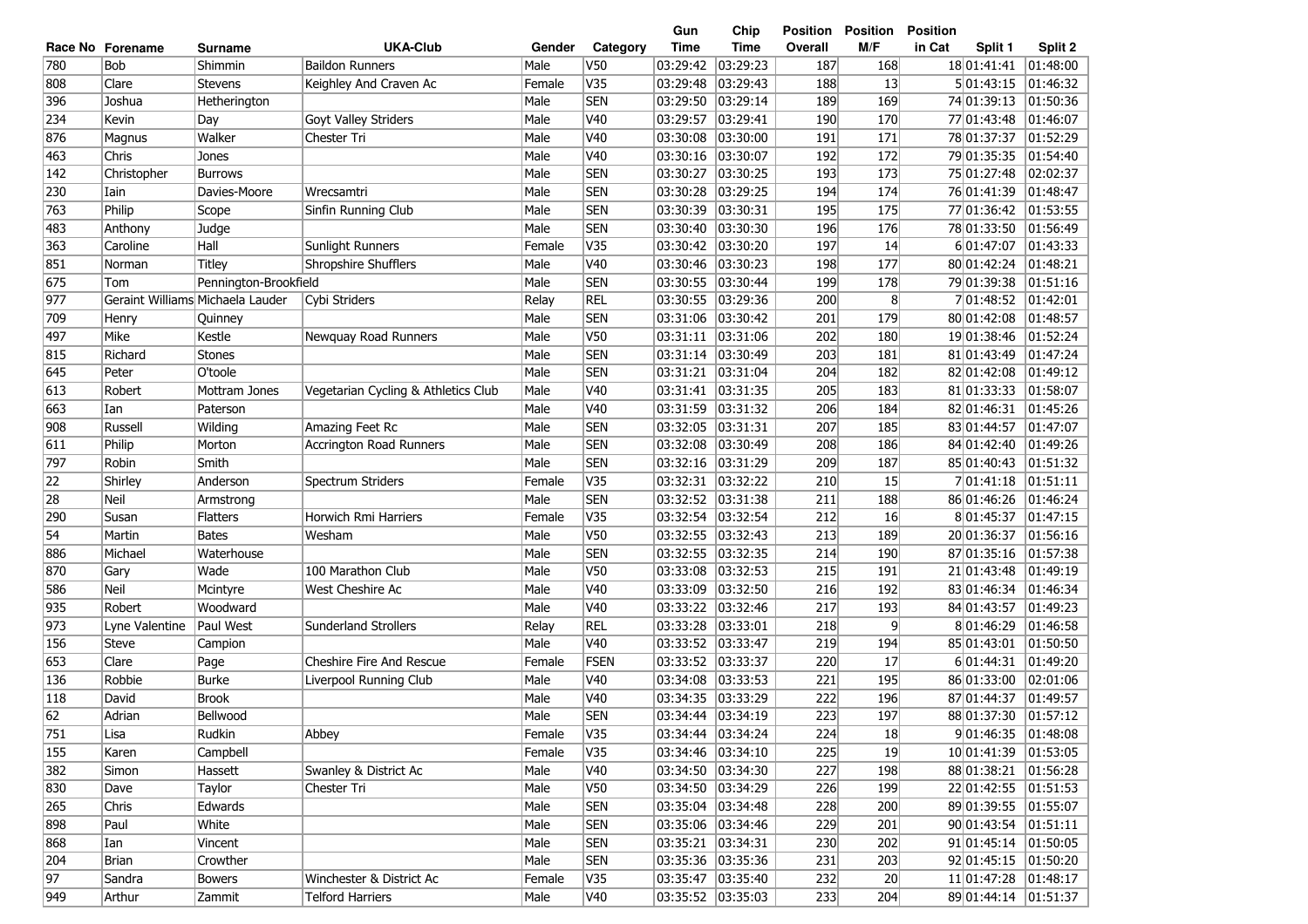| <b>UKA-Club</b><br>Time<br>Time<br>Overall<br>M/F<br>in Cat<br>Split 1<br>Split 2<br>Race No Forename<br>Gender<br>Category<br><b>Surname</b><br>780<br>Bob<br>V <sub>50</sub><br>03:29:23<br>187<br>168<br>18 01:41:41<br>Shimmin<br><b>Baildon Runners</b><br>Male<br>03:29:42<br>01:48:00<br>V35<br>03:29:48<br>03:29:43<br>13<br>808<br>Clare<br>Keighley And Craven Ac<br>Female<br>188<br>5 01:43:15<br>01:46:32<br>Stevens<br><b>SEN</b><br>03:29:50<br>03:29:14<br>189<br>169<br>396<br>Joshua<br>Male<br>74 01:39:13<br> 01:50:36<br>Hetherington<br>Goyt Valley Striders<br>Male<br>V40<br>190<br>234<br>Kevin<br>03:29:57<br>03:29:41<br>170<br>77 01:43:48<br> 01:46:07<br>Day<br>Walker<br>Male<br>V40<br>01:52:29<br>876<br>03:30:08<br> 03:30:00<br>191<br>171<br>78 01:37:37<br>Magnus<br>Chester Tri<br>V40<br>192<br>172<br> 01:54:40<br>463<br>Chris<br>Male<br>03:30:16<br> 03:30:07<br>79 01:35:35<br>Jones<br><b>SEN</b><br>03:30:27<br>03:30:25<br>193<br>173<br>75 01:27:48<br>02:02:37<br>142<br>Christopher<br>Male<br><b>Burrows</b><br><b>SEN</b><br>03:29:25<br>194<br>76 01:41:39<br> 01:48:47<br>230<br>Davies-Moore<br>Male<br>03:30:28<br>174<br>Iain<br>Wrecsamtri<br><b>SEN</b><br>763<br>Philip<br>Sinfin Running Club<br>Male<br>03:30:39<br>03:30:31<br>195<br>175<br>77 01:36:42<br> 01:53:55<br>Scope<br>Male<br><b>SEN</b><br> 01:56:49<br>483<br>Judge<br>03:30:40<br> 03:30:30<br>196<br>176<br>78 01:33:50<br>Anthony<br>Hall<br>V35<br>03:30:42<br>03:30:20<br>197<br>6 01:47:07<br>01:43:33<br>363<br>Caroline<br>Sunlight Runners<br>Female<br> 14 <br>851<br>Shropshire Shufflers<br>Male<br>V40<br>03:30:46<br>03:30:23<br>198<br>177<br>80 01:42:24<br>01:48:21<br><b>Titley</b><br>Norman<br>675<br>Male<br><b>SEN</b><br>Pennington-Brookfield<br>03:30:55<br>03:30:44<br>199<br>178<br>79 01:39:38<br> 01:51:16<br>Tom<br>977<br>Geraint Williams Michaela Lauder<br><b>REL</b><br>8 <sup>°</sup><br>01:42:01<br>Cybi Striders<br>Relay<br>03:30:55<br>03:29:36<br>200<br>7 01:48:52<br><b>SEN</b><br>03:31:06<br>03:30:42<br>179<br>01:48:57<br>709<br>Male<br>201<br>80 01:42:08<br>Henry<br>Quinney<br>Male<br>V50<br>03:31:11<br> 03:31:06<br>202<br>19 01:38:46<br>01:52:24<br>497<br>Mike<br>Kestle<br>Newquay Road Runners<br>180<br>Male<br><b>SEN</b><br>03:31:14<br>815<br>Richard<br><b>Stones</b><br> 03:30:49<br>203<br>181<br>81 01:43:49<br> 01:47:24<br><b>SEN</b><br>645<br>O'toole<br>Male<br>03:31:21 03:31:04<br>204<br>82 01:42:08<br>01:49:12<br>Peter<br>182<br>V40<br>03:31:41 03:31:35<br>205<br>01:58:07<br>613<br>Robert<br>Mottram Jones<br>Vegetarian Cycling & Athletics Club<br>Male<br>183<br>81 01:33:33<br>V <sub>40</sub><br>Male<br>03:31:59<br>03:31:32<br>206<br>184<br>82 01:46:31<br>01:45:26<br>663<br>Ian<br>Paterson<br>Amazing Feet Rc<br>Male<br><b>SEN</b><br>03:31:31<br>207<br>185<br>$\overline{01:}47:07$<br>908<br><b>Russell</b><br>Wilding<br>03:32:05<br>83 01:44:57<br><b>SEN</b><br>03:32:08<br> 03:30:49<br>186<br>611<br>Philip<br>Morton<br>Male<br>208<br>84 01:42:40<br> 01:49:26<br><b>Accrington Road Runners</b><br><b>SEN</b><br>03:32:16<br> 03:31:29<br>209<br> 01:51:32<br>797<br>Robin<br>Smith<br>Male<br>187<br>85 01:40:43<br>$\overline{\text{V35}}$<br> 01:51:11<br>22<br>03:32:31 03:32:22<br>210<br>15<br>7 01:41:18<br>Shirley<br>Anderson<br>Spectrum Striders<br>Female<br>28<br><b>SEN</b><br>03:32:52<br> 03:31:38<br> 01:46:24<br>Neil<br>Male<br>211<br>188<br>86 01:46:26<br>Armstrong<br>V35<br>Horwich Rmi Harriers<br>03:32:54<br>03:32:54<br>212<br>16<br>8 01:45:37<br> 01:47:15<br>290<br>Susan<br><b>Flatters</b><br>Female<br>54<br>Male<br>V50<br>03:32:55<br> 03:32:43<br>213<br>20 01:36:37<br> 01:56:16<br>Martin<br><b>Bates</b><br>Wesham<br>189<br><b>SEN</b><br>Male<br>03:32:55<br>03:32:35<br>214<br>87 01:35:16<br>01:57:38<br>886<br>Michael<br>Waterhouse<br>190<br>870<br>100 Marathon Club<br>Male<br>V50<br>03:33:08<br>03:32:53<br>215<br>21 01:43:48<br>01:49:19<br>Gary<br>Wade<br>191<br>586<br><b>Neil</b><br>Male<br>V40<br>03:33:09<br>03:32:50<br>216<br>192<br>83 01:46:34<br>01:46:34<br>Mcintyre<br>West Cheshire Ac<br>935<br>Woodward<br>Male<br>V40<br>03:33:22<br>03:32:46<br>01:49:23<br>Robert<br>217<br>193<br>84 01:43:57<br>973<br><b>Sunderland Strollers</b><br><b>REL</b><br>03:33:28<br>03:33:01<br>9<br>8 01:46:29<br>01:46:58<br>Lyne Valentine<br>Paul West<br>Relay<br>218<br>156<br>Male<br>V40<br>03:33:52<br>03:33:47<br>219<br>01:50:50<br><b>Steve</b><br>194<br>85 01:43:01<br>Campion<br><b>Cheshire Fire And Rescue</b><br>FSEN<br>03:33:52<br>03:33:37<br>653<br>Clare<br>Page<br>Female<br>220<br>17<br>6 01:44:31<br> 01:49:20<br><b>Burke</b><br>V40<br>02:01:06<br>136<br>Robbie<br>Male<br>03:34:08<br> 03:33:53<br>221<br>195<br>86 01:33:00<br>Liverpool Running Club<br>V40<br> 118<br>David<br><b>Brook</b><br>Male<br>03:34:35<br>03:33:29<br>222<br>196<br>87 01:44:37<br> 01:49:57<br>62<br><b>SEN</b><br>03:34:44 03:34:19<br>223<br>197<br>Male<br>88 01:37:30<br>$\sqrt{01:57:12}$<br>Adrian<br>Bellwood<br>751<br>03:34:44 03:34:24<br>224<br>Rudkin<br>Female<br>V35<br>18<br>9 01:46:35<br> 01:48:08<br>Lisa<br>Abbey<br>155<br>V35<br>03:34:46 03:34:10<br>225<br>19<br>10 01:41:39<br>Karen<br>Campbell<br>Female<br> 01:53:05<br>382<br>03:34:50 03:34:30<br>227<br>198<br>88 01:38:21 01:56:28<br>Swanley & District Ac<br>Male<br>V40<br>Simon<br>Hassett<br>830<br>V50<br>03:34:50 03:34:29<br>226<br>199<br>22 01:42:55 01:51:53<br>Taylor<br>Male<br>Dave<br>Chester Tri<br>265<br>03:35:04 03:34:48<br>228<br>89 01:39:55 01:55:07<br>Edwards<br>Male<br><b>SEN</b><br>200<br>Chris<br>898<br><b>SEN</b><br>229<br>90 01:43:54 01:51:11<br>Paul<br>White<br>Male<br>03:35:06 03:34:46<br>201<br>868<br><b>SEN</b><br>03:35:21 03:34:31<br>230<br>202<br>91 01:45:14 01:50:05<br>Male<br>Ian<br>Vincent<br>03:35:36 03:35:36<br>92 01:45:15<br>204<br>Crowther<br>Male<br><b>SEN</b><br>231<br>203<br> 01:50:20<br>Brian<br>11 01:47:28<br>97<br>Sandra<br>Winchester & District Ac<br>Female<br>V35<br>232<br>20 <sup>°</sup><br> 01:48:17<br><b>Bowers</b><br>233<br>949<br><b>Telford Harriers</b><br>Male<br>V40<br>204<br>89 01:44:14<br> 01:51:37<br>Arthur<br>Zammit |  |  |  | Gun | Chip | Position | <b>Position</b> | <b>Position</b> |  |
|-------------------------------------------------------------------------------------------------------------------------------------------------------------------------------------------------------------------------------------------------------------------------------------------------------------------------------------------------------------------------------------------------------------------------------------------------------------------------------------------------------------------------------------------------------------------------------------------------------------------------------------------------------------------------------------------------------------------------------------------------------------------------------------------------------------------------------------------------------------------------------------------------------------------------------------------------------------------------------------------------------------------------------------------------------------------------------------------------------------------------------------------------------------------------------------------------------------------------------------------------------------------------------------------------------------------------------------------------------------------------------------------------------------------------------------------------------------------------------------------------------------------------------------------------------------------------------------------------------------------------------------------------------------------------------------------------------------------------------------------------------------------------------------------------------------------------------------------------------------------------------------------------------------------------------------------------------------------------------------------------------------------------------------------------------------------------------------------------------------------------------------------------------------------------------------------------------------------------------------------------------------------------------------------------------------------------------------------------------------------------------------------------------------------------------------------------------------------------------------------------------------------------------------------------------------------------------------------------------------------------------------------------------------------------------------------------------------------------------------------------------------------------------------------------------------------------------------------------------------------------------------------------------------------------------------------------------------------------------------------------------------------------------------------------------------------------------------------------------------------------------------------------------------------------------------------------------------------------------------------------------------------------------------------------------------------------------------------------------------------------------------------------------------------------------------------------------------------------------------------------------------------------------------------------------------------------------------------------------------------------------------------------------------------------------------------------------------------------------------------------------------------------------------------------------------------------------------------------------------------------------------------------------------------------------------------------------------------------------------------------------------------------------------------------------------------------------------------------------------------------------------------------------------------------------------------------------------------------------------------------------------------------------------------------------------------------------------------------------------------------------------------------------------------------------------------------------------------------------------------------------------------------------------------------------------------------------------------------------------------------------------------------------------------------------------------------------------------------------------------------------------------------------------------------------------------------------------------------------------------------------------------------------------------------------------------------------------------------------------------------------------------------------------------------------------------------------------------------------------------------------------------------------------------------------------------------------------------------------------------------------------------------------------------------------------------------------------------------------------------------------------------------------------------------------------------------------------------------------------------------------------------------------------------------------------------------------------------------------------------------------------------------------------------------------------------------------------------------------------------------------------------------------------------------------------------------------------------------------------------------------------------------------------------------------------------------------------------------------------------------------------------------------------------------------------------------------------------------------------------------------------------------------------------------------------------------------------------------------------------------------------------------------------------------------------|--|--|--|-----|------|----------|-----------------|-----------------|--|
|                                                                                                                                                                                                                                                                                                                                                                                                                                                                                                                                                                                                                                                                                                                                                                                                                                                                                                                                                                                                                                                                                                                                                                                                                                                                                                                                                                                                                                                                                                                                                                                                                                                                                                                                                                                                                                                                                                                                                                                                                                                                                                                                                                                                                                                                                                                                                                                                                                                                                                                                                                                                                                                                                                                                                                                                                                                                                                                                                                                                                                                                                                                                                                                                                                                                                                                                                                                                                                                                                                                                                                                                                                                                                                                                                                                                                                                                                                                                                                                                                                                                                                                                                                                                                                                                                                                                                                                                                                                                                                                                                                                                                                                                                                                                                                                                                                                                                                                                                                                                                                                                                                                                                                                                                                                                                                                                                                                                                                                                                                                                                                                                                                                                                                                                                                                                                                                                                                                                                                                                                                                                                                                                                                                                                                                                                                             |  |  |  |     |      |          |                 |                 |  |
|                                                                                                                                                                                                                                                                                                                                                                                                                                                                                                                                                                                                                                                                                                                                                                                                                                                                                                                                                                                                                                                                                                                                                                                                                                                                                                                                                                                                                                                                                                                                                                                                                                                                                                                                                                                                                                                                                                                                                                                                                                                                                                                                                                                                                                                                                                                                                                                                                                                                                                                                                                                                                                                                                                                                                                                                                                                                                                                                                                                                                                                                                                                                                                                                                                                                                                                                                                                                                                                                                                                                                                                                                                                                                                                                                                                                                                                                                                                                                                                                                                                                                                                                                                                                                                                                                                                                                                                                                                                                                                                                                                                                                                                                                                                                                                                                                                                                                                                                                                                                                                                                                                                                                                                                                                                                                                                                                                                                                                                                                                                                                                                                                                                                                                                                                                                                                                                                                                                                                                                                                                                                                                                                                                                                                                                                                                             |  |  |  |     |      |          |                 |                 |  |
|                                                                                                                                                                                                                                                                                                                                                                                                                                                                                                                                                                                                                                                                                                                                                                                                                                                                                                                                                                                                                                                                                                                                                                                                                                                                                                                                                                                                                                                                                                                                                                                                                                                                                                                                                                                                                                                                                                                                                                                                                                                                                                                                                                                                                                                                                                                                                                                                                                                                                                                                                                                                                                                                                                                                                                                                                                                                                                                                                                                                                                                                                                                                                                                                                                                                                                                                                                                                                                                                                                                                                                                                                                                                                                                                                                                                                                                                                                                                                                                                                                                                                                                                                                                                                                                                                                                                                                                                                                                                                                                                                                                                                                                                                                                                                                                                                                                                                                                                                                                                                                                                                                                                                                                                                                                                                                                                                                                                                                                                                                                                                                                                                                                                                                                                                                                                                                                                                                                                                                                                                                                                                                                                                                                                                                                                                                             |  |  |  |     |      |          |                 |                 |  |
|                                                                                                                                                                                                                                                                                                                                                                                                                                                                                                                                                                                                                                                                                                                                                                                                                                                                                                                                                                                                                                                                                                                                                                                                                                                                                                                                                                                                                                                                                                                                                                                                                                                                                                                                                                                                                                                                                                                                                                                                                                                                                                                                                                                                                                                                                                                                                                                                                                                                                                                                                                                                                                                                                                                                                                                                                                                                                                                                                                                                                                                                                                                                                                                                                                                                                                                                                                                                                                                                                                                                                                                                                                                                                                                                                                                                                                                                                                                                                                                                                                                                                                                                                                                                                                                                                                                                                                                                                                                                                                                                                                                                                                                                                                                                                                                                                                                                                                                                                                                                                                                                                                                                                                                                                                                                                                                                                                                                                                                                                                                                                                                                                                                                                                                                                                                                                                                                                                                                                                                                                                                                                                                                                                                                                                                                                                             |  |  |  |     |      |          |                 |                 |  |
|                                                                                                                                                                                                                                                                                                                                                                                                                                                                                                                                                                                                                                                                                                                                                                                                                                                                                                                                                                                                                                                                                                                                                                                                                                                                                                                                                                                                                                                                                                                                                                                                                                                                                                                                                                                                                                                                                                                                                                                                                                                                                                                                                                                                                                                                                                                                                                                                                                                                                                                                                                                                                                                                                                                                                                                                                                                                                                                                                                                                                                                                                                                                                                                                                                                                                                                                                                                                                                                                                                                                                                                                                                                                                                                                                                                                                                                                                                                                                                                                                                                                                                                                                                                                                                                                                                                                                                                                                                                                                                                                                                                                                                                                                                                                                                                                                                                                                                                                                                                                                                                                                                                                                                                                                                                                                                                                                                                                                                                                                                                                                                                                                                                                                                                                                                                                                                                                                                                                                                                                                                                                                                                                                                                                                                                                                                             |  |  |  |     |      |          |                 |                 |  |
|                                                                                                                                                                                                                                                                                                                                                                                                                                                                                                                                                                                                                                                                                                                                                                                                                                                                                                                                                                                                                                                                                                                                                                                                                                                                                                                                                                                                                                                                                                                                                                                                                                                                                                                                                                                                                                                                                                                                                                                                                                                                                                                                                                                                                                                                                                                                                                                                                                                                                                                                                                                                                                                                                                                                                                                                                                                                                                                                                                                                                                                                                                                                                                                                                                                                                                                                                                                                                                                                                                                                                                                                                                                                                                                                                                                                                                                                                                                                                                                                                                                                                                                                                                                                                                                                                                                                                                                                                                                                                                                                                                                                                                                                                                                                                                                                                                                                                                                                                                                                                                                                                                                                                                                                                                                                                                                                                                                                                                                                                                                                                                                                                                                                                                                                                                                                                                                                                                                                                                                                                                                                                                                                                                                                                                                                                                             |  |  |  |     |      |          |                 |                 |  |
|                                                                                                                                                                                                                                                                                                                                                                                                                                                                                                                                                                                                                                                                                                                                                                                                                                                                                                                                                                                                                                                                                                                                                                                                                                                                                                                                                                                                                                                                                                                                                                                                                                                                                                                                                                                                                                                                                                                                                                                                                                                                                                                                                                                                                                                                                                                                                                                                                                                                                                                                                                                                                                                                                                                                                                                                                                                                                                                                                                                                                                                                                                                                                                                                                                                                                                                                                                                                                                                                                                                                                                                                                                                                                                                                                                                                                                                                                                                                                                                                                                                                                                                                                                                                                                                                                                                                                                                                                                                                                                                                                                                                                                                                                                                                                                                                                                                                                                                                                                                                                                                                                                                                                                                                                                                                                                                                                                                                                                                                                                                                                                                                                                                                                                                                                                                                                                                                                                                                                                                                                                                                                                                                                                                                                                                                                                             |  |  |  |     |      |          |                 |                 |  |
|                                                                                                                                                                                                                                                                                                                                                                                                                                                                                                                                                                                                                                                                                                                                                                                                                                                                                                                                                                                                                                                                                                                                                                                                                                                                                                                                                                                                                                                                                                                                                                                                                                                                                                                                                                                                                                                                                                                                                                                                                                                                                                                                                                                                                                                                                                                                                                                                                                                                                                                                                                                                                                                                                                                                                                                                                                                                                                                                                                                                                                                                                                                                                                                                                                                                                                                                                                                                                                                                                                                                                                                                                                                                                                                                                                                                                                                                                                                                                                                                                                                                                                                                                                                                                                                                                                                                                                                                                                                                                                                                                                                                                                                                                                                                                                                                                                                                                                                                                                                                                                                                                                                                                                                                                                                                                                                                                                                                                                                                                                                                                                                                                                                                                                                                                                                                                                                                                                                                                                                                                                                                                                                                                                                                                                                                                                             |  |  |  |     |      |          |                 |                 |  |
|                                                                                                                                                                                                                                                                                                                                                                                                                                                                                                                                                                                                                                                                                                                                                                                                                                                                                                                                                                                                                                                                                                                                                                                                                                                                                                                                                                                                                                                                                                                                                                                                                                                                                                                                                                                                                                                                                                                                                                                                                                                                                                                                                                                                                                                                                                                                                                                                                                                                                                                                                                                                                                                                                                                                                                                                                                                                                                                                                                                                                                                                                                                                                                                                                                                                                                                                                                                                                                                                                                                                                                                                                                                                                                                                                                                                                                                                                                                                                                                                                                                                                                                                                                                                                                                                                                                                                                                                                                                                                                                                                                                                                                                                                                                                                                                                                                                                                                                                                                                                                                                                                                                                                                                                                                                                                                                                                                                                                                                                                                                                                                                                                                                                                                                                                                                                                                                                                                                                                                                                                                                                                                                                                                                                                                                                                                             |  |  |  |     |      |          |                 |                 |  |
|                                                                                                                                                                                                                                                                                                                                                                                                                                                                                                                                                                                                                                                                                                                                                                                                                                                                                                                                                                                                                                                                                                                                                                                                                                                                                                                                                                                                                                                                                                                                                                                                                                                                                                                                                                                                                                                                                                                                                                                                                                                                                                                                                                                                                                                                                                                                                                                                                                                                                                                                                                                                                                                                                                                                                                                                                                                                                                                                                                                                                                                                                                                                                                                                                                                                                                                                                                                                                                                                                                                                                                                                                                                                                                                                                                                                                                                                                                                                                                                                                                                                                                                                                                                                                                                                                                                                                                                                                                                                                                                                                                                                                                                                                                                                                                                                                                                                                                                                                                                                                                                                                                                                                                                                                                                                                                                                                                                                                                                                                                                                                                                                                                                                                                                                                                                                                                                                                                                                                                                                                                                                                                                                                                                                                                                                                                             |  |  |  |     |      |          |                 |                 |  |
|                                                                                                                                                                                                                                                                                                                                                                                                                                                                                                                                                                                                                                                                                                                                                                                                                                                                                                                                                                                                                                                                                                                                                                                                                                                                                                                                                                                                                                                                                                                                                                                                                                                                                                                                                                                                                                                                                                                                                                                                                                                                                                                                                                                                                                                                                                                                                                                                                                                                                                                                                                                                                                                                                                                                                                                                                                                                                                                                                                                                                                                                                                                                                                                                                                                                                                                                                                                                                                                                                                                                                                                                                                                                                                                                                                                                                                                                                                                                                                                                                                                                                                                                                                                                                                                                                                                                                                                                                                                                                                                                                                                                                                                                                                                                                                                                                                                                                                                                                                                                                                                                                                                                                                                                                                                                                                                                                                                                                                                                                                                                                                                                                                                                                                                                                                                                                                                                                                                                                                                                                                                                                                                                                                                                                                                                                                             |  |  |  |     |      |          |                 |                 |  |
|                                                                                                                                                                                                                                                                                                                                                                                                                                                                                                                                                                                                                                                                                                                                                                                                                                                                                                                                                                                                                                                                                                                                                                                                                                                                                                                                                                                                                                                                                                                                                                                                                                                                                                                                                                                                                                                                                                                                                                                                                                                                                                                                                                                                                                                                                                                                                                                                                                                                                                                                                                                                                                                                                                                                                                                                                                                                                                                                                                                                                                                                                                                                                                                                                                                                                                                                                                                                                                                                                                                                                                                                                                                                                                                                                                                                                                                                                                                                                                                                                                                                                                                                                                                                                                                                                                                                                                                                                                                                                                                                                                                                                                                                                                                                                                                                                                                                                                                                                                                                                                                                                                                                                                                                                                                                                                                                                                                                                                                                                                                                                                                                                                                                                                                                                                                                                                                                                                                                                                                                                                                                                                                                                                                                                                                                                                             |  |  |  |     |      |          |                 |                 |  |
|                                                                                                                                                                                                                                                                                                                                                                                                                                                                                                                                                                                                                                                                                                                                                                                                                                                                                                                                                                                                                                                                                                                                                                                                                                                                                                                                                                                                                                                                                                                                                                                                                                                                                                                                                                                                                                                                                                                                                                                                                                                                                                                                                                                                                                                                                                                                                                                                                                                                                                                                                                                                                                                                                                                                                                                                                                                                                                                                                                                                                                                                                                                                                                                                                                                                                                                                                                                                                                                                                                                                                                                                                                                                                                                                                                                                                                                                                                                                                                                                                                                                                                                                                                                                                                                                                                                                                                                                                                                                                                                                                                                                                                                                                                                                                                                                                                                                                                                                                                                                                                                                                                                                                                                                                                                                                                                                                                                                                                                                                                                                                                                                                                                                                                                                                                                                                                                                                                                                                                                                                                                                                                                                                                                                                                                                                                             |  |  |  |     |      |          |                 |                 |  |
|                                                                                                                                                                                                                                                                                                                                                                                                                                                                                                                                                                                                                                                                                                                                                                                                                                                                                                                                                                                                                                                                                                                                                                                                                                                                                                                                                                                                                                                                                                                                                                                                                                                                                                                                                                                                                                                                                                                                                                                                                                                                                                                                                                                                                                                                                                                                                                                                                                                                                                                                                                                                                                                                                                                                                                                                                                                                                                                                                                                                                                                                                                                                                                                                                                                                                                                                                                                                                                                                                                                                                                                                                                                                                                                                                                                                                                                                                                                                                                                                                                                                                                                                                                                                                                                                                                                                                                                                                                                                                                                                                                                                                                                                                                                                                                                                                                                                                                                                                                                                                                                                                                                                                                                                                                                                                                                                                                                                                                                                                                                                                                                                                                                                                                                                                                                                                                                                                                                                                                                                                                                                                                                                                                                                                                                                                                             |  |  |  |     |      |          |                 |                 |  |
|                                                                                                                                                                                                                                                                                                                                                                                                                                                                                                                                                                                                                                                                                                                                                                                                                                                                                                                                                                                                                                                                                                                                                                                                                                                                                                                                                                                                                                                                                                                                                                                                                                                                                                                                                                                                                                                                                                                                                                                                                                                                                                                                                                                                                                                                                                                                                                                                                                                                                                                                                                                                                                                                                                                                                                                                                                                                                                                                                                                                                                                                                                                                                                                                                                                                                                                                                                                                                                                                                                                                                                                                                                                                                                                                                                                                                                                                                                                                                                                                                                                                                                                                                                                                                                                                                                                                                                                                                                                                                                                                                                                                                                                                                                                                                                                                                                                                                                                                                                                                                                                                                                                                                                                                                                                                                                                                                                                                                                                                                                                                                                                                                                                                                                                                                                                                                                                                                                                                                                                                                                                                                                                                                                                                                                                                                                             |  |  |  |     |      |          |                 |                 |  |
|                                                                                                                                                                                                                                                                                                                                                                                                                                                                                                                                                                                                                                                                                                                                                                                                                                                                                                                                                                                                                                                                                                                                                                                                                                                                                                                                                                                                                                                                                                                                                                                                                                                                                                                                                                                                                                                                                                                                                                                                                                                                                                                                                                                                                                                                                                                                                                                                                                                                                                                                                                                                                                                                                                                                                                                                                                                                                                                                                                                                                                                                                                                                                                                                                                                                                                                                                                                                                                                                                                                                                                                                                                                                                                                                                                                                                                                                                                                                                                                                                                                                                                                                                                                                                                                                                                                                                                                                                                                                                                                                                                                                                                                                                                                                                                                                                                                                                                                                                                                                                                                                                                                                                                                                                                                                                                                                                                                                                                                                                                                                                                                                                                                                                                                                                                                                                                                                                                                                                                                                                                                                                                                                                                                                                                                                                                             |  |  |  |     |      |          |                 |                 |  |
|                                                                                                                                                                                                                                                                                                                                                                                                                                                                                                                                                                                                                                                                                                                                                                                                                                                                                                                                                                                                                                                                                                                                                                                                                                                                                                                                                                                                                                                                                                                                                                                                                                                                                                                                                                                                                                                                                                                                                                                                                                                                                                                                                                                                                                                                                                                                                                                                                                                                                                                                                                                                                                                                                                                                                                                                                                                                                                                                                                                                                                                                                                                                                                                                                                                                                                                                                                                                                                                                                                                                                                                                                                                                                                                                                                                                                                                                                                                                                                                                                                                                                                                                                                                                                                                                                                                                                                                                                                                                                                                                                                                                                                                                                                                                                                                                                                                                                                                                                                                                                                                                                                                                                                                                                                                                                                                                                                                                                                                                                                                                                                                                                                                                                                                                                                                                                                                                                                                                                                                                                                                                                                                                                                                                                                                                                                             |  |  |  |     |      |          |                 |                 |  |
|                                                                                                                                                                                                                                                                                                                                                                                                                                                                                                                                                                                                                                                                                                                                                                                                                                                                                                                                                                                                                                                                                                                                                                                                                                                                                                                                                                                                                                                                                                                                                                                                                                                                                                                                                                                                                                                                                                                                                                                                                                                                                                                                                                                                                                                                                                                                                                                                                                                                                                                                                                                                                                                                                                                                                                                                                                                                                                                                                                                                                                                                                                                                                                                                                                                                                                                                                                                                                                                                                                                                                                                                                                                                                                                                                                                                                                                                                                                                                                                                                                                                                                                                                                                                                                                                                                                                                                                                                                                                                                                                                                                                                                                                                                                                                                                                                                                                                                                                                                                                                                                                                                                                                                                                                                                                                                                                                                                                                                                                                                                                                                                                                                                                                                                                                                                                                                                                                                                                                                                                                                                                                                                                                                                                                                                                                                             |  |  |  |     |      |          |                 |                 |  |
|                                                                                                                                                                                                                                                                                                                                                                                                                                                                                                                                                                                                                                                                                                                                                                                                                                                                                                                                                                                                                                                                                                                                                                                                                                                                                                                                                                                                                                                                                                                                                                                                                                                                                                                                                                                                                                                                                                                                                                                                                                                                                                                                                                                                                                                                                                                                                                                                                                                                                                                                                                                                                                                                                                                                                                                                                                                                                                                                                                                                                                                                                                                                                                                                                                                                                                                                                                                                                                                                                                                                                                                                                                                                                                                                                                                                                                                                                                                                                                                                                                                                                                                                                                                                                                                                                                                                                                                                                                                                                                                                                                                                                                                                                                                                                                                                                                                                                                                                                                                                                                                                                                                                                                                                                                                                                                                                                                                                                                                                                                                                                                                                                                                                                                                                                                                                                                                                                                                                                                                                                                                                                                                                                                                                                                                                                                             |  |  |  |     |      |          |                 |                 |  |
|                                                                                                                                                                                                                                                                                                                                                                                                                                                                                                                                                                                                                                                                                                                                                                                                                                                                                                                                                                                                                                                                                                                                                                                                                                                                                                                                                                                                                                                                                                                                                                                                                                                                                                                                                                                                                                                                                                                                                                                                                                                                                                                                                                                                                                                                                                                                                                                                                                                                                                                                                                                                                                                                                                                                                                                                                                                                                                                                                                                                                                                                                                                                                                                                                                                                                                                                                                                                                                                                                                                                                                                                                                                                                                                                                                                                                                                                                                                                                                                                                                                                                                                                                                                                                                                                                                                                                                                                                                                                                                                                                                                                                                                                                                                                                                                                                                                                                                                                                                                                                                                                                                                                                                                                                                                                                                                                                                                                                                                                                                                                                                                                                                                                                                                                                                                                                                                                                                                                                                                                                                                                                                                                                                                                                                                                                                             |  |  |  |     |      |          |                 |                 |  |
|                                                                                                                                                                                                                                                                                                                                                                                                                                                                                                                                                                                                                                                                                                                                                                                                                                                                                                                                                                                                                                                                                                                                                                                                                                                                                                                                                                                                                                                                                                                                                                                                                                                                                                                                                                                                                                                                                                                                                                                                                                                                                                                                                                                                                                                                                                                                                                                                                                                                                                                                                                                                                                                                                                                                                                                                                                                                                                                                                                                                                                                                                                                                                                                                                                                                                                                                                                                                                                                                                                                                                                                                                                                                                                                                                                                                                                                                                                                                                                                                                                                                                                                                                                                                                                                                                                                                                                                                                                                                                                                                                                                                                                                                                                                                                                                                                                                                                                                                                                                                                                                                                                                                                                                                                                                                                                                                                                                                                                                                                                                                                                                                                                                                                                                                                                                                                                                                                                                                                                                                                                                                                                                                                                                                                                                                                                             |  |  |  |     |      |          |                 |                 |  |
|                                                                                                                                                                                                                                                                                                                                                                                                                                                                                                                                                                                                                                                                                                                                                                                                                                                                                                                                                                                                                                                                                                                                                                                                                                                                                                                                                                                                                                                                                                                                                                                                                                                                                                                                                                                                                                                                                                                                                                                                                                                                                                                                                                                                                                                                                                                                                                                                                                                                                                                                                                                                                                                                                                                                                                                                                                                                                                                                                                                                                                                                                                                                                                                                                                                                                                                                                                                                                                                                                                                                                                                                                                                                                                                                                                                                                                                                                                                                                                                                                                                                                                                                                                                                                                                                                                                                                                                                                                                                                                                                                                                                                                                                                                                                                                                                                                                                                                                                                                                                                                                                                                                                                                                                                                                                                                                                                                                                                                                                                                                                                                                                                                                                                                                                                                                                                                                                                                                                                                                                                                                                                                                                                                                                                                                                                                             |  |  |  |     |      |          |                 |                 |  |
|                                                                                                                                                                                                                                                                                                                                                                                                                                                                                                                                                                                                                                                                                                                                                                                                                                                                                                                                                                                                                                                                                                                                                                                                                                                                                                                                                                                                                                                                                                                                                                                                                                                                                                                                                                                                                                                                                                                                                                                                                                                                                                                                                                                                                                                                                                                                                                                                                                                                                                                                                                                                                                                                                                                                                                                                                                                                                                                                                                                                                                                                                                                                                                                                                                                                                                                                                                                                                                                                                                                                                                                                                                                                                                                                                                                                                                                                                                                                                                                                                                                                                                                                                                                                                                                                                                                                                                                                                                                                                                                                                                                                                                                                                                                                                                                                                                                                                                                                                                                                                                                                                                                                                                                                                                                                                                                                                                                                                                                                                                                                                                                                                                                                                                                                                                                                                                                                                                                                                                                                                                                                                                                                                                                                                                                                                                             |  |  |  |     |      |          |                 |                 |  |
|                                                                                                                                                                                                                                                                                                                                                                                                                                                                                                                                                                                                                                                                                                                                                                                                                                                                                                                                                                                                                                                                                                                                                                                                                                                                                                                                                                                                                                                                                                                                                                                                                                                                                                                                                                                                                                                                                                                                                                                                                                                                                                                                                                                                                                                                                                                                                                                                                                                                                                                                                                                                                                                                                                                                                                                                                                                                                                                                                                                                                                                                                                                                                                                                                                                                                                                                                                                                                                                                                                                                                                                                                                                                                                                                                                                                                                                                                                                                                                                                                                                                                                                                                                                                                                                                                                                                                                                                                                                                                                                                                                                                                                                                                                                                                                                                                                                                                                                                                                                                                                                                                                                                                                                                                                                                                                                                                                                                                                                                                                                                                                                                                                                                                                                                                                                                                                                                                                                                                                                                                                                                                                                                                                                                                                                                                                             |  |  |  |     |      |          |                 |                 |  |
|                                                                                                                                                                                                                                                                                                                                                                                                                                                                                                                                                                                                                                                                                                                                                                                                                                                                                                                                                                                                                                                                                                                                                                                                                                                                                                                                                                                                                                                                                                                                                                                                                                                                                                                                                                                                                                                                                                                                                                                                                                                                                                                                                                                                                                                                                                                                                                                                                                                                                                                                                                                                                                                                                                                                                                                                                                                                                                                                                                                                                                                                                                                                                                                                                                                                                                                                                                                                                                                                                                                                                                                                                                                                                                                                                                                                                                                                                                                                                                                                                                                                                                                                                                                                                                                                                                                                                                                                                                                                                                                                                                                                                                                                                                                                                                                                                                                                                                                                                                                                                                                                                                                                                                                                                                                                                                                                                                                                                                                                                                                                                                                                                                                                                                                                                                                                                                                                                                                                                                                                                                                                                                                                                                                                                                                                                                             |  |  |  |     |      |          |                 |                 |  |
|                                                                                                                                                                                                                                                                                                                                                                                                                                                                                                                                                                                                                                                                                                                                                                                                                                                                                                                                                                                                                                                                                                                                                                                                                                                                                                                                                                                                                                                                                                                                                                                                                                                                                                                                                                                                                                                                                                                                                                                                                                                                                                                                                                                                                                                                                                                                                                                                                                                                                                                                                                                                                                                                                                                                                                                                                                                                                                                                                                                                                                                                                                                                                                                                                                                                                                                                                                                                                                                                                                                                                                                                                                                                                                                                                                                                                                                                                                                                                                                                                                                                                                                                                                                                                                                                                                                                                                                                                                                                                                                                                                                                                                                                                                                                                                                                                                                                                                                                                                                                                                                                                                                                                                                                                                                                                                                                                                                                                                                                                                                                                                                                                                                                                                                                                                                                                                                                                                                                                                                                                                                                                                                                                                                                                                                                                                             |  |  |  |     |      |          |                 |                 |  |
|                                                                                                                                                                                                                                                                                                                                                                                                                                                                                                                                                                                                                                                                                                                                                                                                                                                                                                                                                                                                                                                                                                                                                                                                                                                                                                                                                                                                                                                                                                                                                                                                                                                                                                                                                                                                                                                                                                                                                                                                                                                                                                                                                                                                                                                                                                                                                                                                                                                                                                                                                                                                                                                                                                                                                                                                                                                                                                                                                                                                                                                                                                                                                                                                                                                                                                                                                                                                                                                                                                                                                                                                                                                                                                                                                                                                                                                                                                                                                                                                                                                                                                                                                                                                                                                                                                                                                                                                                                                                                                                                                                                                                                                                                                                                                                                                                                                                                                                                                                                                                                                                                                                                                                                                                                                                                                                                                                                                                                                                                                                                                                                                                                                                                                                                                                                                                                                                                                                                                                                                                                                                                                                                                                                                                                                                                                             |  |  |  |     |      |          |                 |                 |  |
|                                                                                                                                                                                                                                                                                                                                                                                                                                                                                                                                                                                                                                                                                                                                                                                                                                                                                                                                                                                                                                                                                                                                                                                                                                                                                                                                                                                                                                                                                                                                                                                                                                                                                                                                                                                                                                                                                                                                                                                                                                                                                                                                                                                                                                                                                                                                                                                                                                                                                                                                                                                                                                                                                                                                                                                                                                                                                                                                                                                                                                                                                                                                                                                                                                                                                                                                                                                                                                                                                                                                                                                                                                                                                                                                                                                                                                                                                                                                                                                                                                                                                                                                                                                                                                                                                                                                                                                                                                                                                                                                                                                                                                                                                                                                                                                                                                                                                                                                                                                                                                                                                                                                                                                                                                                                                                                                                                                                                                                                                                                                                                                                                                                                                                                                                                                                                                                                                                                                                                                                                                                                                                                                                                                                                                                                                                             |  |  |  |     |      |          |                 |                 |  |
|                                                                                                                                                                                                                                                                                                                                                                                                                                                                                                                                                                                                                                                                                                                                                                                                                                                                                                                                                                                                                                                                                                                                                                                                                                                                                                                                                                                                                                                                                                                                                                                                                                                                                                                                                                                                                                                                                                                                                                                                                                                                                                                                                                                                                                                                                                                                                                                                                                                                                                                                                                                                                                                                                                                                                                                                                                                                                                                                                                                                                                                                                                                                                                                                                                                                                                                                                                                                                                                                                                                                                                                                                                                                                                                                                                                                                                                                                                                                                                                                                                                                                                                                                                                                                                                                                                                                                                                                                                                                                                                                                                                                                                                                                                                                                                                                                                                                                                                                                                                                                                                                                                                                                                                                                                                                                                                                                                                                                                                                                                                                                                                                                                                                                                                                                                                                                                                                                                                                                                                                                                                                                                                                                                                                                                                                                                             |  |  |  |     |      |          |                 |                 |  |
|                                                                                                                                                                                                                                                                                                                                                                                                                                                                                                                                                                                                                                                                                                                                                                                                                                                                                                                                                                                                                                                                                                                                                                                                                                                                                                                                                                                                                                                                                                                                                                                                                                                                                                                                                                                                                                                                                                                                                                                                                                                                                                                                                                                                                                                                                                                                                                                                                                                                                                                                                                                                                                                                                                                                                                                                                                                                                                                                                                                                                                                                                                                                                                                                                                                                                                                                                                                                                                                                                                                                                                                                                                                                                                                                                                                                                                                                                                                                                                                                                                                                                                                                                                                                                                                                                                                                                                                                                                                                                                                                                                                                                                                                                                                                                                                                                                                                                                                                                                                                                                                                                                                                                                                                                                                                                                                                                                                                                                                                                                                                                                                                                                                                                                                                                                                                                                                                                                                                                                                                                                                                                                                                                                                                                                                                                                             |  |  |  |     |      |          |                 |                 |  |
|                                                                                                                                                                                                                                                                                                                                                                                                                                                                                                                                                                                                                                                                                                                                                                                                                                                                                                                                                                                                                                                                                                                                                                                                                                                                                                                                                                                                                                                                                                                                                                                                                                                                                                                                                                                                                                                                                                                                                                                                                                                                                                                                                                                                                                                                                                                                                                                                                                                                                                                                                                                                                                                                                                                                                                                                                                                                                                                                                                                                                                                                                                                                                                                                                                                                                                                                                                                                                                                                                                                                                                                                                                                                                                                                                                                                                                                                                                                                                                                                                                                                                                                                                                                                                                                                                                                                                                                                                                                                                                                                                                                                                                                                                                                                                                                                                                                                                                                                                                                                                                                                                                                                                                                                                                                                                                                                                                                                                                                                                                                                                                                                                                                                                                                                                                                                                                                                                                                                                                                                                                                                                                                                                                                                                                                                                                             |  |  |  |     |      |          |                 |                 |  |
|                                                                                                                                                                                                                                                                                                                                                                                                                                                                                                                                                                                                                                                                                                                                                                                                                                                                                                                                                                                                                                                                                                                                                                                                                                                                                                                                                                                                                                                                                                                                                                                                                                                                                                                                                                                                                                                                                                                                                                                                                                                                                                                                                                                                                                                                                                                                                                                                                                                                                                                                                                                                                                                                                                                                                                                                                                                                                                                                                                                                                                                                                                                                                                                                                                                                                                                                                                                                                                                                                                                                                                                                                                                                                                                                                                                                                                                                                                                                                                                                                                                                                                                                                                                                                                                                                                                                                                                                                                                                                                                                                                                                                                                                                                                                                                                                                                                                                                                                                                                                                                                                                                                                                                                                                                                                                                                                                                                                                                                                                                                                                                                                                                                                                                                                                                                                                                                                                                                                                                                                                                                                                                                                                                                                                                                                                                             |  |  |  |     |      |          |                 |                 |  |
|                                                                                                                                                                                                                                                                                                                                                                                                                                                                                                                                                                                                                                                                                                                                                                                                                                                                                                                                                                                                                                                                                                                                                                                                                                                                                                                                                                                                                                                                                                                                                                                                                                                                                                                                                                                                                                                                                                                                                                                                                                                                                                                                                                                                                                                                                                                                                                                                                                                                                                                                                                                                                                                                                                                                                                                                                                                                                                                                                                                                                                                                                                                                                                                                                                                                                                                                                                                                                                                                                                                                                                                                                                                                                                                                                                                                                                                                                                                                                                                                                                                                                                                                                                                                                                                                                                                                                                                                                                                                                                                                                                                                                                                                                                                                                                                                                                                                                                                                                                                                                                                                                                                                                                                                                                                                                                                                                                                                                                                                                                                                                                                                                                                                                                                                                                                                                                                                                                                                                                                                                                                                                                                                                                                                                                                                                                             |  |  |  |     |      |          |                 |                 |  |
|                                                                                                                                                                                                                                                                                                                                                                                                                                                                                                                                                                                                                                                                                                                                                                                                                                                                                                                                                                                                                                                                                                                                                                                                                                                                                                                                                                                                                                                                                                                                                                                                                                                                                                                                                                                                                                                                                                                                                                                                                                                                                                                                                                                                                                                                                                                                                                                                                                                                                                                                                                                                                                                                                                                                                                                                                                                                                                                                                                                                                                                                                                                                                                                                                                                                                                                                                                                                                                                                                                                                                                                                                                                                                                                                                                                                                                                                                                                                                                                                                                                                                                                                                                                                                                                                                                                                                                                                                                                                                                                                                                                                                                                                                                                                                                                                                                                                                                                                                                                                                                                                                                                                                                                                                                                                                                                                                                                                                                                                                                                                                                                                                                                                                                                                                                                                                                                                                                                                                                                                                                                                                                                                                                                                                                                                                                             |  |  |  |     |      |          |                 |                 |  |
|                                                                                                                                                                                                                                                                                                                                                                                                                                                                                                                                                                                                                                                                                                                                                                                                                                                                                                                                                                                                                                                                                                                                                                                                                                                                                                                                                                                                                                                                                                                                                                                                                                                                                                                                                                                                                                                                                                                                                                                                                                                                                                                                                                                                                                                                                                                                                                                                                                                                                                                                                                                                                                                                                                                                                                                                                                                                                                                                                                                                                                                                                                                                                                                                                                                                                                                                                                                                                                                                                                                                                                                                                                                                                                                                                                                                                                                                                                                                                                                                                                                                                                                                                                                                                                                                                                                                                                                                                                                                                                                                                                                                                                                                                                                                                                                                                                                                                                                                                                                                                                                                                                                                                                                                                                                                                                                                                                                                                                                                                                                                                                                                                                                                                                                                                                                                                                                                                                                                                                                                                                                                                                                                                                                                                                                                                                             |  |  |  |     |      |          |                 |                 |  |
|                                                                                                                                                                                                                                                                                                                                                                                                                                                                                                                                                                                                                                                                                                                                                                                                                                                                                                                                                                                                                                                                                                                                                                                                                                                                                                                                                                                                                                                                                                                                                                                                                                                                                                                                                                                                                                                                                                                                                                                                                                                                                                                                                                                                                                                                                                                                                                                                                                                                                                                                                                                                                                                                                                                                                                                                                                                                                                                                                                                                                                                                                                                                                                                                                                                                                                                                                                                                                                                                                                                                                                                                                                                                                                                                                                                                                                                                                                                                                                                                                                                                                                                                                                                                                                                                                                                                                                                                                                                                                                                                                                                                                                                                                                                                                                                                                                                                                                                                                                                                                                                                                                                                                                                                                                                                                                                                                                                                                                                                                                                                                                                                                                                                                                                                                                                                                                                                                                                                                                                                                                                                                                                                                                                                                                                                                                             |  |  |  |     |      |          |                 |                 |  |
|                                                                                                                                                                                                                                                                                                                                                                                                                                                                                                                                                                                                                                                                                                                                                                                                                                                                                                                                                                                                                                                                                                                                                                                                                                                                                                                                                                                                                                                                                                                                                                                                                                                                                                                                                                                                                                                                                                                                                                                                                                                                                                                                                                                                                                                                                                                                                                                                                                                                                                                                                                                                                                                                                                                                                                                                                                                                                                                                                                                                                                                                                                                                                                                                                                                                                                                                                                                                                                                                                                                                                                                                                                                                                                                                                                                                                                                                                                                                                                                                                                                                                                                                                                                                                                                                                                                                                                                                                                                                                                                                                                                                                                                                                                                                                                                                                                                                                                                                                                                                                                                                                                                                                                                                                                                                                                                                                                                                                                                                                                                                                                                                                                                                                                                                                                                                                                                                                                                                                                                                                                                                                                                                                                                                                                                                                                             |  |  |  |     |      |          |                 |                 |  |
|                                                                                                                                                                                                                                                                                                                                                                                                                                                                                                                                                                                                                                                                                                                                                                                                                                                                                                                                                                                                                                                                                                                                                                                                                                                                                                                                                                                                                                                                                                                                                                                                                                                                                                                                                                                                                                                                                                                                                                                                                                                                                                                                                                                                                                                                                                                                                                                                                                                                                                                                                                                                                                                                                                                                                                                                                                                                                                                                                                                                                                                                                                                                                                                                                                                                                                                                                                                                                                                                                                                                                                                                                                                                                                                                                                                                                                                                                                                                                                                                                                                                                                                                                                                                                                                                                                                                                                                                                                                                                                                                                                                                                                                                                                                                                                                                                                                                                                                                                                                                                                                                                                                                                                                                                                                                                                                                                                                                                                                                                                                                                                                                                                                                                                                                                                                                                                                                                                                                                                                                                                                                                                                                                                                                                                                                                                             |  |  |  |     |      |          |                 |                 |  |
|                                                                                                                                                                                                                                                                                                                                                                                                                                                                                                                                                                                                                                                                                                                                                                                                                                                                                                                                                                                                                                                                                                                                                                                                                                                                                                                                                                                                                                                                                                                                                                                                                                                                                                                                                                                                                                                                                                                                                                                                                                                                                                                                                                                                                                                                                                                                                                                                                                                                                                                                                                                                                                                                                                                                                                                                                                                                                                                                                                                                                                                                                                                                                                                                                                                                                                                                                                                                                                                                                                                                                                                                                                                                                                                                                                                                                                                                                                                                                                                                                                                                                                                                                                                                                                                                                                                                                                                                                                                                                                                                                                                                                                                                                                                                                                                                                                                                                                                                                                                                                                                                                                                                                                                                                                                                                                                                                                                                                                                                                                                                                                                                                                                                                                                                                                                                                                                                                                                                                                                                                                                                                                                                                                                                                                                                                                             |  |  |  |     |      |          |                 |                 |  |
|                                                                                                                                                                                                                                                                                                                                                                                                                                                                                                                                                                                                                                                                                                                                                                                                                                                                                                                                                                                                                                                                                                                                                                                                                                                                                                                                                                                                                                                                                                                                                                                                                                                                                                                                                                                                                                                                                                                                                                                                                                                                                                                                                                                                                                                                                                                                                                                                                                                                                                                                                                                                                                                                                                                                                                                                                                                                                                                                                                                                                                                                                                                                                                                                                                                                                                                                                                                                                                                                                                                                                                                                                                                                                                                                                                                                                                                                                                                                                                                                                                                                                                                                                                                                                                                                                                                                                                                                                                                                                                                                                                                                                                                                                                                                                                                                                                                                                                                                                                                                                                                                                                                                                                                                                                                                                                                                                                                                                                                                                                                                                                                                                                                                                                                                                                                                                                                                                                                                                                                                                                                                                                                                                                                                                                                                                                             |  |  |  |     |      |          |                 |                 |  |
|                                                                                                                                                                                                                                                                                                                                                                                                                                                                                                                                                                                                                                                                                                                                                                                                                                                                                                                                                                                                                                                                                                                                                                                                                                                                                                                                                                                                                                                                                                                                                                                                                                                                                                                                                                                                                                                                                                                                                                                                                                                                                                                                                                                                                                                                                                                                                                                                                                                                                                                                                                                                                                                                                                                                                                                                                                                                                                                                                                                                                                                                                                                                                                                                                                                                                                                                                                                                                                                                                                                                                                                                                                                                                                                                                                                                                                                                                                                                                                                                                                                                                                                                                                                                                                                                                                                                                                                                                                                                                                                                                                                                                                                                                                                                                                                                                                                                                                                                                                                                                                                                                                                                                                                                                                                                                                                                                                                                                                                                                                                                                                                                                                                                                                                                                                                                                                                                                                                                                                                                                                                                                                                                                                                                                                                                                                             |  |  |  |     |      |          |                 |                 |  |
|                                                                                                                                                                                                                                                                                                                                                                                                                                                                                                                                                                                                                                                                                                                                                                                                                                                                                                                                                                                                                                                                                                                                                                                                                                                                                                                                                                                                                                                                                                                                                                                                                                                                                                                                                                                                                                                                                                                                                                                                                                                                                                                                                                                                                                                                                                                                                                                                                                                                                                                                                                                                                                                                                                                                                                                                                                                                                                                                                                                                                                                                                                                                                                                                                                                                                                                                                                                                                                                                                                                                                                                                                                                                                                                                                                                                                                                                                                                                                                                                                                                                                                                                                                                                                                                                                                                                                                                                                                                                                                                                                                                                                                                                                                                                                                                                                                                                                                                                                                                                                                                                                                                                                                                                                                                                                                                                                                                                                                                                                                                                                                                                                                                                                                                                                                                                                                                                                                                                                                                                                                                                                                                                                                                                                                                                                                             |  |  |  |     |      |          |                 |                 |  |
|                                                                                                                                                                                                                                                                                                                                                                                                                                                                                                                                                                                                                                                                                                                                                                                                                                                                                                                                                                                                                                                                                                                                                                                                                                                                                                                                                                                                                                                                                                                                                                                                                                                                                                                                                                                                                                                                                                                                                                                                                                                                                                                                                                                                                                                                                                                                                                                                                                                                                                                                                                                                                                                                                                                                                                                                                                                                                                                                                                                                                                                                                                                                                                                                                                                                                                                                                                                                                                                                                                                                                                                                                                                                                                                                                                                                                                                                                                                                                                                                                                                                                                                                                                                                                                                                                                                                                                                                                                                                                                                                                                                                                                                                                                                                                                                                                                                                                                                                                                                                                                                                                                                                                                                                                                                                                                                                                                                                                                                                                                                                                                                                                                                                                                                                                                                                                                                                                                                                                                                                                                                                                                                                                                                                                                                                                                             |  |  |  |     |      |          |                 |                 |  |
|                                                                                                                                                                                                                                                                                                                                                                                                                                                                                                                                                                                                                                                                                                                                                                                                                                                                                                                                                                                                                                                                                                                                                                                                                                                                                                                                                                                                                                                                                                                                                                                                                                                                                                                                                                                                                                                                                                                                                                                                                                                                                                                                                                                                                                                                                                                                                                                                                                                                                                                                                                                                                                                                                                                                                                                                                                                                                                                                                                                                                                                                                                                                                                                                                                                                                                                                                                                                                                                                                                                                                                                                                                                                                                                                                                                                                                                                                                                                                                                                                                                                                                                                                                                                                                                                                                                                                                                                                                                                                                                                                                                                                                                                                                                                                                                                                                                                                                                                                                                                                                                                                                                                                                                                                                                                                                                                                                                                                                                                                                                                                                                                                                                                                                                                                                                                                                                                                                                                                                                                                                                                                                                                                                                                                                                                                                             |  |  |  |     |      |          |                 |                 |  |
|                                                                                                                                                                                                                                                                                                                                                                                                                                                                                                                                                                                                                                                                                                                                                                                                                                                                                                                                                                                                                                                                                                                                                                                                                                                                                                                                                                                                                                                                                                                                                                                                                                                                                                                                                                                                                                                                                                                                                                                                                                                                                                                                                                                                                                                                                                                                                                                                                                                                                                                                                                                                                                                                                                                                                                                                                                                                                                                                                                                                                                                                                                                                                                                                                                                                                                                                                                                                                                                                                                                                                                                                                                                                                                                                                                                                                                                                                                                                                                                                                                                                                                                                                                                                                                                                                                                                                                                                                                                                                                                                                                                                                                                                                                                                                                                                                                                                                                                                                                                                                                                                                                                                                                                                                                                                                                                                                                                                                                                                                                                                                                                                                                                                                                                                                                                                                                                                                                                                                                                                                                                                                                                                                                                                                                                                                                             |  |  |  |     |      |          |                 |                 |  |
|                                                                                                                                                                                                                                                                                                                                                                                                                                                                                                                                                                                                                                                                                                                                                                                                                                                                                                                                                                                                                                                                                                                                                                                                                                                                                                                                                                                                                                                                                                                                                                                                                                                                                                                                                                                                                                                                                                                                                                                                                                                                                                                                                                                                                                                                                                                                                                                                                                                                                                                                                                                                                                                                                                                                                                                                                                                                                                                                                                                                                                                                                                                                                                                                                                                                                                                                                                                                                                                                                                                                                                                                                                                                                                                                                                                                                                                                                                                                                                                                                                                                                                                                                                                                                                                                                                                                                                                                                                                                                                                                                                                                                                                                                                                                                                                                                                                                                                                                                                                                                                                                                                                                                                                                                                                                                                                                                                                                                                                                                                                                                                                                                                                                                                                                                                                                                                                                                                                                                                                                                                                                                                                                                                                                                                                                                                             |  |  |  |     |      |          |                 |                 |  |
|                                                                                                                                                                                                                                                                                                                                                                                                                                                                                                                                                                                                                                                                                                                                                                                                                                                                                                                                                                                                                                                                                                                                                                                                                                                                                                                                                                                                                                                                                                                                                                                                                                                                                                                                                                                                                                                                                                                                                                                                                                                                                                                                                                                                                                                                                                                                                                                                                                                                                                                                                                                                                                                                                                                                                                                                                                                                                                                                                                                                                                                                                                                                                                                                                                                                                                                                                                                                                                                                                                                                                                                                                                                                                                                                                                                                                                                                                                                                                                                                                                                                                                                                                                                                                                                                                                                                                                                                                                                                                                                                                                                                                                                                                                                                                                                                                                                                                                                                                                                                                                                                                                                                                                                                                                                                                                                                                                                                                                                                                                                                                                                                                                                                                                                                                                                                                                                                                                                                                                                                                                                                                                                                                                                                                                                                                                             |  |  |  |     |      |          |                 |                 |  |
|                                                                                                                                                                                                                                                                                                                                                                                                                                                                                                                                                                                                                                                                                                                                                                                                                                                                                                                                                                                                                                                                                                                                                                                                                                                                                                                                                                                                                                                                                                                                                                                                                                                                                                                                                                                                                                                                                                                                                                                                                                                                                                                                                                                                                                                                                                                                                                                                                                                                                                                                                                                                                                                                                                                                                                                                                                                                                                                                                                                                                                                                                                                                                                                                                                                                                                                                                                                                                                                                                                                                                                                                                                                                                                                                                                                                                                                                                                                                                                                                                                                                                                                                                                                                                                                                                                                                                                                                                                                                                                                                                                                                                                                                                                                                                                                                                                                                                                                                                                                                                                                                                                                                                                                                                                                                                                                                                                                                                                                                                                                                                                                                                                                                                                                                                                                                                                                                                                                                                                                                                                                                                                                                                                                                                                                                                                             |  |  |  |     |      |          |                 |                 |  |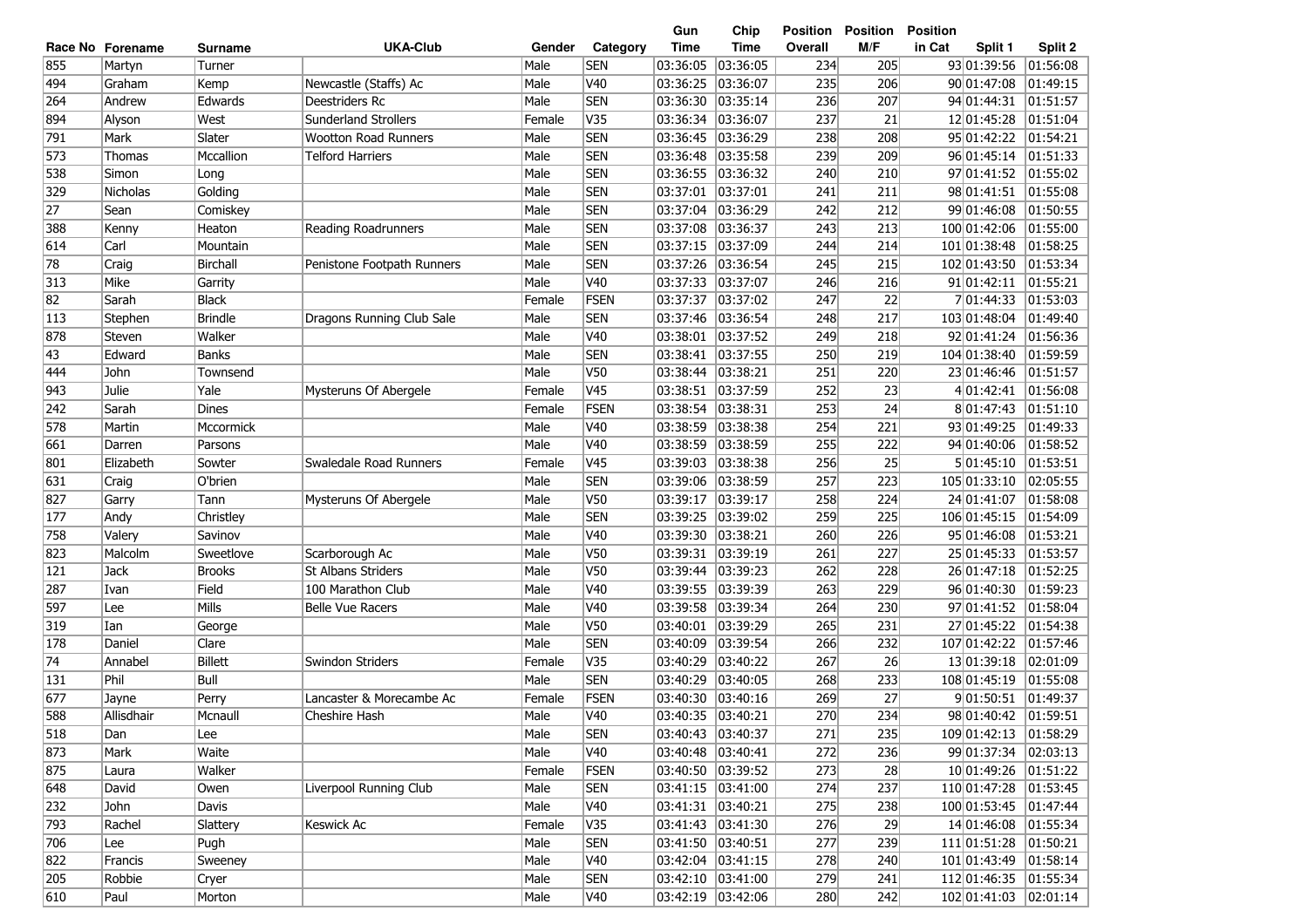|            |                  |                      |                             |        |             | Gun      | Chip                 | Position | <b>Position</b> | <b>Position</b>       |          |
|------------|------------------|----------------------|-----------------------------|--------|-------------|----------|----------------------|----------|-----------------|-----------------------|----------|
|            | Race No Forename | Surname              | <b>UKA-Club</b>             | Gender | Category    | Time     | <b>Time</b>          | Overall  | M/F             | in Cat<br>Split 1     | Split 2  |
| 855        | Martyn           | Turner               |                             | Male   | <b>SEN</b>  | 03:36:05 | 03:36:05             | 234      | 205             | 93 01:39:56           | 01:56:08 |
| 494        | Graham           | Kemp                 | Newcastle (Staffs) Ac       | Male   | V40         | 03:36:25 | 03:36:07             | 235      | 206             | 90 01:47:08           | 01:49:15 |
| 264        | Andrew           | Edwards              | Deestriders Rc              | Male   | <b>SEN</b>  | 03:36:30 | 03:35:14             | 236      | 207             | 94 01:44:31           | 01:51:57 |
| 894        | Alyson           | West                 | <b>Sunderland Strollers</b> | Female | V35         | 03:36:34 | 03:36:07             | 237      | 21              | 12 01:45:28           | 01:51:04 |
| 791        | Mark             | Slater               | <b>Wootton Road Runners</b> | Male   | <b>SEN</b>  | 03:36:45 | 03:36:29             | 238      | 208             | 95 01:42:22           | 01:54:21 |
| 573        | Thomas           | Mccallion            | <b>Telford Harriers</b>     | Male   | <b>SEN</b>  | 03:36:48 | 03:35:58             | 239      | 209             | 96 01:45:14           | 01:51:33 |
| 538        | Simon            | Long                 |                             | Male   | <b>SEN</b>  | 03:36:55 | 03:36:32             | 240      | 210             | 97 01:41:52           | 01:55:02 |
| 329        | Nicholas         | Golding              |                             | Male   | <b>SEN</b>  | 03:37:01 | 03:37:01             | 241      | 211             | 98 01:41:51           | 01:55:08 |
| 27         | Sean             | Comiskey             |                             | Male   | <b>SEN</b>  | 03:37:04 | 03:36:29             | 242      | 212             | 99 01:46:08           | 01:50:55 |
| 388        | Kenny            | Heaton               | Reading Roadrunners         | Male   | <b>SEN</b>  | 03:37:08 | 03:36:37             | 243      | 213             | 100 01:42:06          | 01:55:00 |
| 614        | Carl             | Mountain             |                             | Male   | <b>SEN</b>  | 03:37:15 | 03:37:09             | 244      | 214             | 101 01:38:48          | 01:58:25 |
| 78         | Craig            | Birchall             | Penistone Footpath Runners  | Male   | <b>SEN</b>  | 03:37:26 | 03:36:54             | 245      | 215             | 102 01:43:50          | 01:53:34 |
| 313        | Mike             | Garrity              |                             | Male   | V40         | 03:37:33 | 03:37:07             | 246      | 216             | 91 01:42:11           | 01:55:21 |
| 82         | Sarah            | <b>Black</b>         |                             | Female | FSEN        | 03:37:37 | 03:37:02             | 247      | 22              | 7 01:44:33            | 01:53:03 |
| 113        | Stephen          | <b>Brindle</b>       | Dragons Running Club Sale   | Male   | <b>SEN</b>  | 03:37:46 | 03:36:54             | 248      | 217             | 103 01:48:04          | 01:49:40 |
| 878        | Steven           | Walker               |                             | Male   | V40         | 03:38:01 | 03:37:52             | 249      | 218             | 92 01:41:24           | 01:56:36 |
| 43         | Edward           | <b>Banks</b>         |                             | Male   | <b>SEN</b>  | 03:38:41 | 03:37:55             | 250      | 219             | 104 01:38:40          | 01:59:59 |
| 444        | John             | Townsend             |                             | Male   | <b>V50</b>  | 03:38:44 | 03:38:21             | 251      | 220             | 23 01:46:46           | 01:51:57 |
| 943        | Julie            | Yale                 | Mysteruns Of Abergele       | Female | V45         | 03:38:51 | 03:37:59             | 252      | 23              | 4 01:42:41            | 01:56:08 |
| 242        | Sarah            | <b>Dines</b>         |                             | Female | FSEN        | 03:38:54 | 03:38:31             | 253      | 24              | 8 01:47:43            | 01:51:10 |
| 578        | Martin           | Mccormick            |                             | Male   | V40         | 03:38:59 | 03:38:38             | 254      | 221             | 93 01:49:25           | 01:49:33 |
| 661        | Darren           | Parsons              |                             | Male   | V40         | 03:38:59 | 03:38:59             | 255      | 222             | 94 01:40:06           | 01:58:52 |
| 801        | Elizabeth        | Sowter               | Swaledale Road Runners      | Female | V45         | 03:39:03 | 03:38:38             | 256      | 25              | 5 01:45:10            | 01:53:51 |
| 631        | Craig            | O'brien              |                             | Male   | <b>SEN</b>  | 03:39:06 | 03:38:59             | 257      | 223             | 105 01:33:10          | 02:05:55 |
| 827        | Garry            | Tann                 | Mysteruns Of Abergele       | Male   | V50         | 03:39:17 | 03:39:17             | 258      | 224             | 24 01:41:07           | 01:58:08 |
|            |                  |                      |                             | Male   | <b>SEN</b>  | 03:39:25 |                      | 259      | 225             | 106 01:45:15          | 01:54:09 |
| 177<br>758 | Andy<br>Valery   | Christley<br>Savinov |                             | Male   | V40         | 03:39:30 | 03:39:02<br>03:38:21 | 260      | 226             | 95 01:46:08           | 01:53:21 |
|            |                  |                      |                             |        |             |          |                      |          |                 |                       |          |
| 823        | Malcolm          | Sweetlove            | Scarborough Ac              | Male   | <b>V50</b>  | 03:39:31 | 03:39:19             | 261      | 227             | 25 01:45:33           | 01:53:57 |
| 121        | Jack             | <b>Brooks</b>        | <b>St Albans Striders</b>   | Male   | V50         | 03:39:44 | 03:39:23             | 262      | 228             | 26 01:47:18           | 01:52:25 |
| 287        | Ivan             | Field                | 100 Marathon Club           | Male   | V40         | 03:39:55 | 03:39:39             | 263      | 229             | 96 01:40:30           | 01:59:23 |
| 597        | Lee              | Mills                | <b>Belle Vue Racers</b>     | Male   | V40         | 03:39:58 | 03:39:34             | 264      | 230             | 97 01:41:52           | 01:58:04 |
| 319        | Ian              | George               |                             | Male   | V50         | 03:40:01 | 03:39:29             | 265      | 231             | 27 01:45:22           | 01:54:38 |
| 178        | Daniel           | Clare                |                             | Male   | <b>SEN</b>  | 03:40:09 | 03:39:54             | 266      | 232             | 107 01:42:22          | 01:57:46 |
| 74         | Annabel          | <b>Billett</b>       | Swindon Striders            | Female | V35         | 03:40:29 | 03:40:22             | 267      | 26              | 13 01:39:18           | 02:01:09 |
| 131        | Phil             | Bull                 |                             | Male   | <b>SEN</b>  | 03:40:29 | 03:40:05             | 268      | 233             | 108 01:45:19          | 01:55:08 |
| 677        | Jayne            | Perry                | Lancaster & Morecambe Ac    | Female | FSEN        | 03:40:30 | 03:40:16             | 269      | 27              | 9 01:50:51            | 01:49:37 |
| 588        | Allisdhair       | Mcnaull              | Cheshire Hash               | Male   | V40         | 03:40:35 | 03:40:21             | 270      | 234             | 98 01:40:42           | 01:59:51 |
| 518        | Dan              | Lee                  |                             | Male   | <b>SEN</b>  |          | 03:40:43 03:40:37    | 271      | 235             | 109 01:42:13          | 01:58:29 |
| 873        | Mark             | Waite                |                             | Male   | <b>V40</b>  |          | 03:40:48 03:40:41    | 272      | 236             | 99 01:37:34 02:03:13  |          |
| 875        | Laura            | Walker               |                             | Female | <b>FSEN</b> |          | 03:40:50 03:39:52    | 273      | 28              | 10 01:49:26 01:51:22  |          |
| 648        | David            | Owen                 | Liverpool Running Club      | Male   | <b>SEN</b>  |          | 03:41:15  03:41:00   | 274      | 237             | 110 01:47:28 01:53:45 |          |
| 232        | John             | Davis                |                             | Male   | V40         |          | 03:41:31  03:40:21   | 275      | 238             | 100 01:53:45 01:47:44 |          |
| 793        | Rachel           | Slattery             | Keswick Ac                  | Female | V35         |          | 03:41:43  03:41:30   | 276      | 29              | 14 01:46:08           | 01:55:34 |
| 706        | Lee              | Pugh                 |                             | Male   | <b>SEN</b>  |          | 03:41:50 03:40:51    | 277      | 239             | 111 01:51:28          | 01:50:21 |
| 822        | Francis          | Sweeney              |                             | Male   | V40         |          | 03:42:04  03:41:15   | 278      | 240             | 101 01:43:49          | 01:58:14 |
| 205        | Robbie           | Cryer                |                             | Male   | <b>SEN</b>  |          | 03:42:10 03:41:00    | 279      | 241             | 112 01:46:35          | 01:55:34 |
| 610        | Paul             | Morton               |                             | Male   | V40         |          | 03:42:19  03:42:06   | 280      | 242             | 102 01:41:03          | 02:01:14 |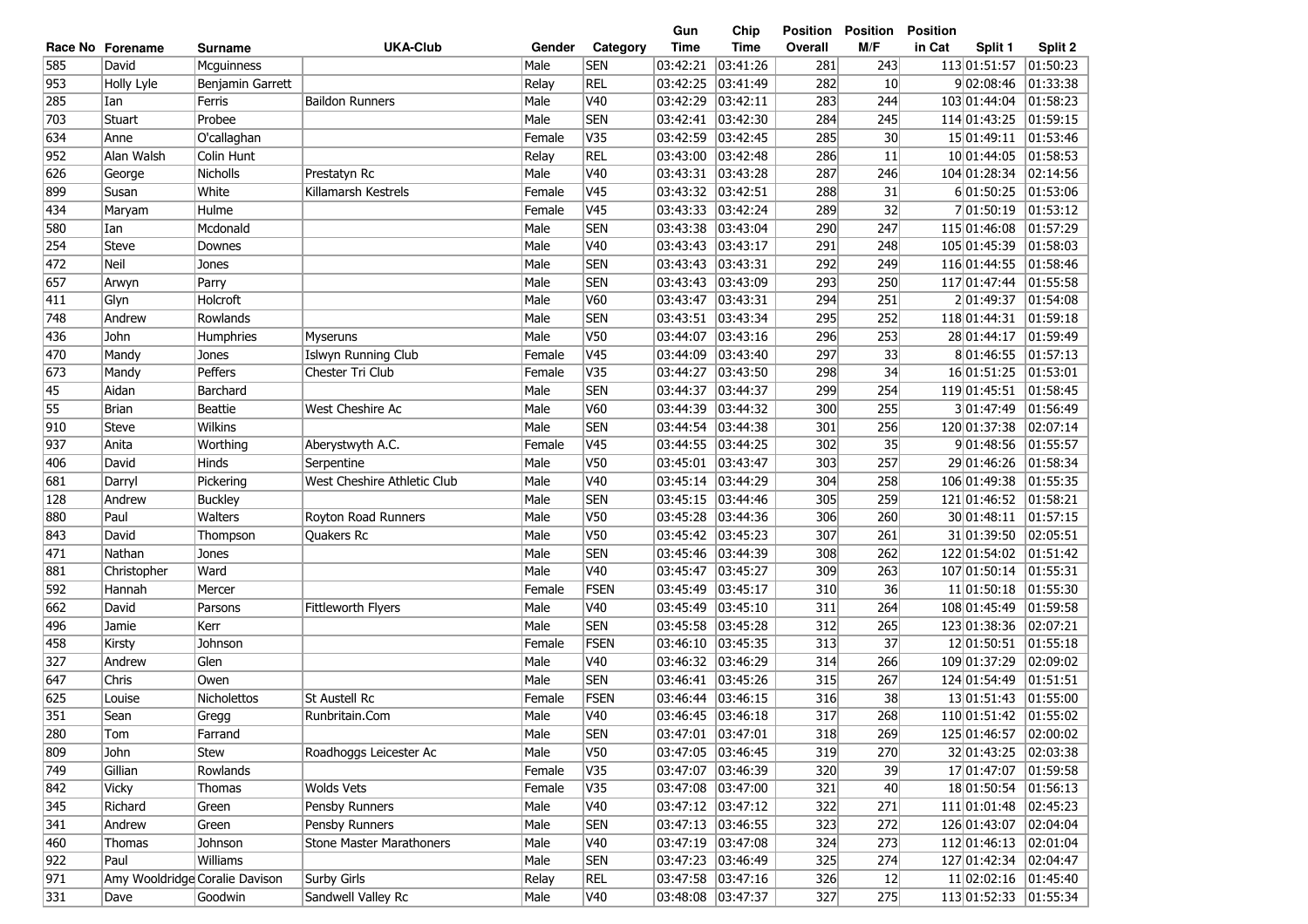| Race No Forename |             | Surname                        | <b>UKA-Club</b>                 | Gender | Category        | <b>Time</b>       | <b>Time</b>        | Overall | M/F             | in Cat<br>Split 1     | Split 2  |
|------------------|-------------|--------------------------------|---------------------------------|--------|-----------------|-------------------|--------------------|---------|-----------------|-----------------------|----------|
| 585              | David       | Mcguinness                     |                                 | Male   | <b>SEN</b>      | 03:42:21          | 03:41:26           | 281     | 243             | 113 01:51:57          | 01:50:23 |
| 953              | Holly Lyle  | Benjamin Garrett               |                                 | Relay  | <b>REL</b>      | 03:42:25          | 03:41:49           | 282     | 10 <sup>1</sup> | 902:08:46             | 01:33:38 |
| 285              | Ian         | Ferris                         | <b>Baildon Runners</b>          | Male   | V40             | 03:42:29          | 03:42:11           | 283     | 244             | 103 01:44:04          | 01:58:23 |
| 703              | Stuart      | Probee                         |                                 | Male   | <b>SEN</b>      | 03:42:41          | 03:42:30           | 284     | 245             | 114 01:43:25          | 01:59:15 |
| 634              | Anne        | O'callaghan                    |                                 | Female | V35             | 03:42:59          | 03:42:45           | 285     | 30 <sup>2</sup> | 15 01:49:11           | 01:53:46 |
| 952              | Alan Walsh  | Colin Hunt                     |                                 | Relay  | <b>REL</b>      | 03:43:00          | 03:42:48           | 286     | 11              | 10 01:44:05           | 01:58:53 |
| 626              | George      | Nicholls                       | Prestatyn Rc                    | Male   | V40             | 03:43:31          | 03:43:28           | 287     | 246             | 104 01:28:34          | 02:14:56 |
| 899              | Susan       | White                          | Killamarsh Kestrels             | Female | V <sub>45</sub> | 03:43:32 03:42:51 |                    | 288     | 31              | 6 01:50:25            | 01:53:06 |
| 434              | Maryam      | Hulme                          |                                 | Female | V45             | 03:43:33          | 03:42:24           | 289     | 32              | 7 01:50:19            | 01:53:12 |
| 580              | Ian         | Mcdonald                       |                                 | Male   | <b>SEN</b>      | 03:43:38          | 03:43:04           | 290     | 247             | 115 01:46:08          | 01:57:29 |
| $\overline{254}$ | Steve       | Downes                         |                                 | Male   | V40             | 03:43:43          | 03:43:17           | 291     | 248             | 105 01:45:39          | 01:58:03 |
| 472              | Neil        | Jones                          |                                 | Male   | <b>SEN</b>      | 03:43:43          | 03:43:31           | 292     | 249             | 116 01:44:55          | 01:58:46 |
| 657              | Arwyn       | Parry                          |                                 | Male   | <b>SEN</b>      | 03:43:43          | 03:43:09           | 293     | 250             | 117 01:47:44          | 01:55:58 |
| 411              | Glyn        | Holcroft                       |                                 | Male   | V60             | 03:43:47          | 03:43:31           | 294     | 251             | 201:49:37             | 01:54:08 |
| 748              | Andrew      | Rowlands                       |                                 | Male   | <b>SEN</b>      | 03:43:51          | 03:43:34           | 295     | 252             | 118 01:44:31          | 01:59:18 |
| 436              | John        | Humphries                      | <b>Myseruns</b>                 | Male   | V50             | 03:44:07          | 03:43:16           | 296     | 253             | 28 01:44:17           | 01:59:49 |
| 470              | Mandy       | Jones                          | Islwyn Running Club             | Female | V45             | 03:44:09          | 03:43:40           | 297     | 33              | 801:46:55             | 01:57:13 |
| 673              | Mandy       | Peffers                        | Chester Tri Club                | Female | V35             | 03:44:27          | 03:43:50           | 298     | 34              | 16 01:51:25           | 01:53:01 |
| 45               | Aidan       | Barchard                       |                                 | Male   | <b>SEN</b>      | 03:44:37          | 03:44:37           | 299     | 254             | 119 01:45:51          | 01:58:45 |
| 55               | Brian       | Beattie                        | West Cheshire Ac                | Male   | <b>V60</b>      | 03:44:39          | 03:44:32           | 300     | 255             | 3 01:47:49            | 01:56:49 |
| 910              | Steve       | Wilkins                        |                                 | Male   | <b>SEN</b>      | 03:44:54          | 03:44:38           | 301     | 256             | 120 01:37:38          | 02:07:14 |
| 937              | Anita       | Worthing                       | Aberystwyth A.C.                | Female | V <sub>45</sub> | 03:44:55          | 03:44:25           | 302     | 35              | 9 01:48:56            | 01:55:57 |
| 406              | David       | Hinds                          | Serpentine                      | Male   | V <sub>50</sub> | 03:45:01          | 03:43:47           | 303     | 257             | 29 01:46:26           | 01:58:34 |
| 681              | Darryl      | Pickering                      | West Cheshire Athletic Club     | Male   | V40             | 03:45:14          | 03:44:29           | 304     | 258             | 106 01:49:38          | 01:55:35 |
| 128              | Andrew      | <b>Buckley</b>                 |                                 | Male   | <b>SEN</b>      | 03:45:15          | 03:44:46           | 305     | 259             | 121 01:46:52          | 01:58:21 |
| 880              | Paul        | Walters                        | Royton Road Runners             | Male   | <b>V50</b>      | 03:45:28          | 03:44:36           | 306     | 260             | 30 01:48:11           | 01:57:15 |
| 843              | David       | Thompson                       | Quakers Rc                      | Male   | V50             | 03:45:42 03:45:23 |                    | 307     | 261             | 31 01:39:50           | 02:05:51 |
| 471              | Nathan      | Jones                          |                                 | Male   | <b>SEN</b>      | 03:45:46          | 03:44:39           | 308     | 262             | 122 01:54:02          | 01:51:42 |
| 881              | Christopher | Ward                           |                                 | Male   | V40             | 03:45:47          | 03:45:27           | 309     | 263             | 107 01:50:14          | 01:55:31 |
| 592              | Hannah      | Mercer                         |                                 | Female | <b>FSEN</b>     | 03:45:49          | 03:45:17           | 310     | 36              | 11 01:50:18           | 01:55:30 |
| 662              | David       | Parsons                        | Fittleworth Flyers              | Male   | V40             | 03:45:49          | 03:45:10           | 311     | 264             | 108 01:45:49          | 01:59:58 |
| 496              | Jamie       | Kerr                           |                                 | Male   | <b>SEN</b>      | 03:45:58          | 03:45:28           | 312     | 265             | 123 01:38:36          | 02:07:21 |
| 458              | Kirsty      | Johnson                        |                                 | Female | FSEN            | 03:46:10          | 03:45:35           | 313     | 37              | 12 01:50:51           | 01:55:18 |
| 327              | Andrew      | Glen                           |                                 | Male   | V40             | 03:46:32          | 03:46:29           | 314     | 266             | 109 01:37:29          | 02:09:02 |
| 647              | Chris       | Owen                           |                                 | Male   | <b>SEN</b>      | 03:46:41          | 03:45:26           | 315     | 267             | 124 01:54:49          | 01:51:51 |
| 625              | Louise      | <b>Nicholettos</b>             | St Austell Rc                   | Female | <b>FSEN</b>     | 03:46:44          | 03:46:15           | 316     | 38              | 13 01:51:43           | 01:55:00 |
| 351              | Sean        | Gregg                          | Runbritain.Com                  | Male   | V40             | 03:46:45 03:46:18 |                    | 317     | 268             | 110 01:51:42          | 01:55:02 |
| 280              | Tom         | Farrand                        |                                 | Male   | <b>SEN</b>      | 03:47:01 03:47:01 |                    | 318     | 269             | 125 01:46:57          | 02:00:02 |
| 809              | John        | Stew                           | Roadhoggs Leicester Ac          | Male   | <b>V50</b>      |                   | 03:47:05  03:46:45 | 319     | 270             | 32 01:43:25           | 02:03:38 |
| 749              | Gillian     | Rowlands                       |                                 | Female | V35             |                   | 03:47:07  03:46:39 | 320     | 39              | 17 01:47:07           | 01:59:58 |
| 842              | Vicky       | Thomas                         | Wolds Vets                      | Female | V35             |                   | 03:47:08  03:47:00 | 321     | 40              | 18 01:50:54 01:56:13  |          |
| 345              | Richard     | Green                          | Pensby Runners                  | Male   | V40             |                   | 03:47:12 03:47:12  | 322     | 271             | 111 01:01:48          | 02:45:23 |
| 341              | Andrew      | Green                          | Pensby Runners                  | Male   | <b>SEN</b>      |                   | 03:47:13  03:46:55 | 323     | 272             | 126 01:43:07          | 02:04:04 |
| 460              | Thomas      | Johnson                        | <b>Stone Master Marathoners</b> | Male   | V40             |                   | 03:47:19 03:47:08  | 324     | 273             | 112 01:46:13          | 02:01:04 |
| 922              | Paul        | Williams                       |                                 | Male   | <b>SEN</b>      |                   | 03:47:23  03:46:49 | 325     | 274             | 127 01:42:34 02:04:47 |          |
| 971              |             | Amy Wooldridge Coralie Davison | Surby Girls                     | Relay  | <b>REL</b>      |                   | 03:47:58  03:47:16 | 326     | 12              | 11 02:02:16           | 01:45:40 |
| 331              | Dave        | Goodwin                        | Sandwell Valley Rc              | Male   | V40             |                   | 03:48:08 03:47:37  | 327     | 275             | 113 01:52:33          | 01:55:34 |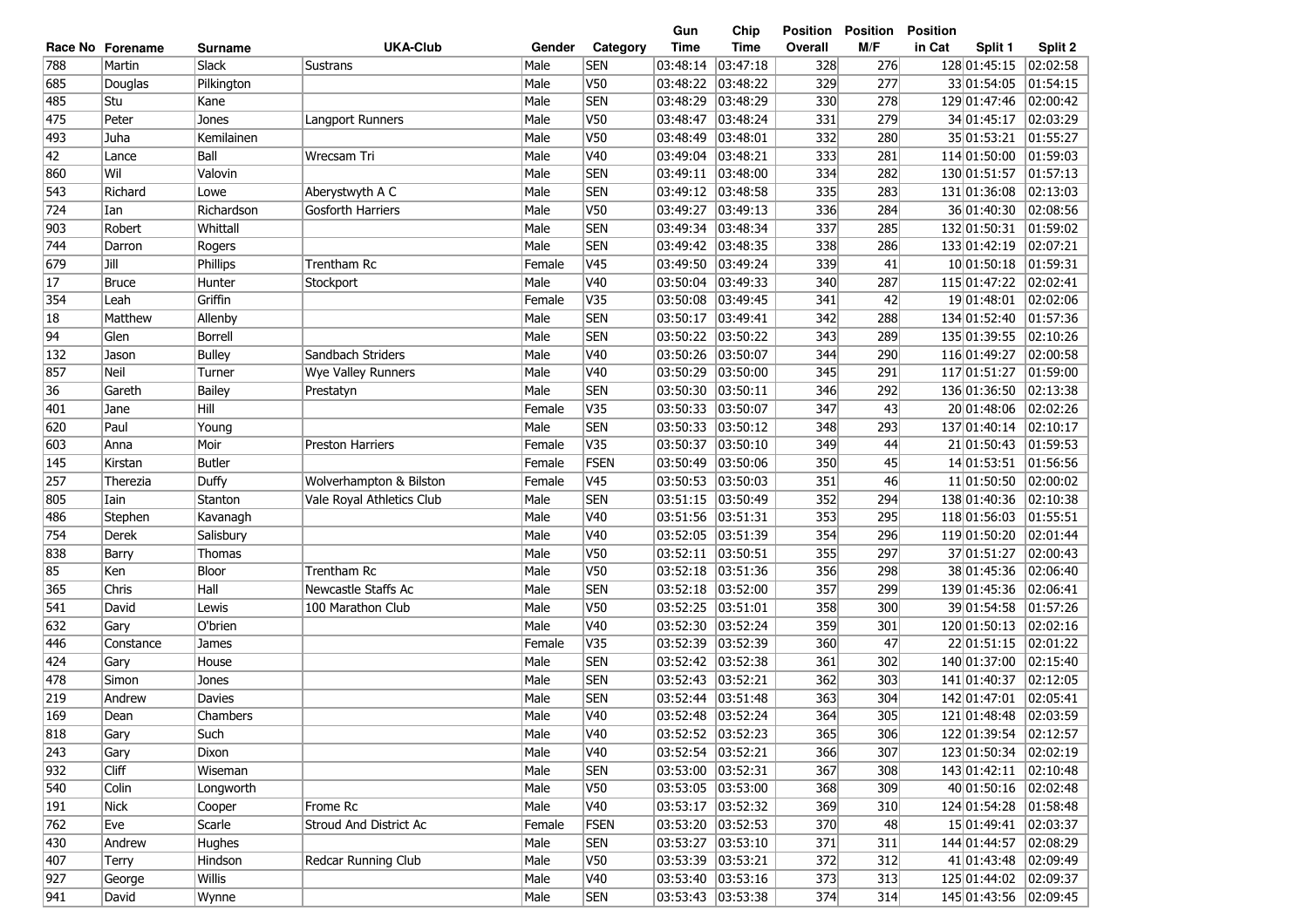|     |                  |                |                           |        |                 | Gun         | Chip               | Position | <b>Position</b> | <b>Position</b>        |          |
|-----|------------------|----------------|---------------------------|--------|-----------------|-------------|--------------------|----------|-----------------|------------------------|----------|
|     | Race No Forename | <b>Surname</b> | <b>UKA-Club</b>           | Gender | Category        | <b>Time</b> | Time               | Overall  | M/F             | in Cat<br>Split 1      | Split 2  |
| 788 | Martin           | Slack          | <b>Sustrans</b>           | Male   | <b>SEN</b>      | 03:48:14    | 03:47:18           | 328      | 276             | 128 01:45:15           | 02:02:58 |
| 685 | Douglas          | Pilkington     |                           | Male   | V50             | 03:48:22    | 03:48:22           | 329      | 277             | 33 01:54:05            | 01:54:15 |
| 485 | Stu              | Kane           |                           | Male   | <b>SEN</b>      | 03:48:29    | 03:48:29           | 330      | 278             | 129 01:47:46           | 02:00:42 |
| 475 | Peter            | Jones          | Langport Runners          | Male   | <b>V50</b>      | 03:48:47    | 03:48:24           | 331      | 279             | 34 01:45:17            | 02:03:29 |
| 493 | Juha             | Kemilainen     |                           | Male   | <b>V50</b>      | 03:48:49    | 03:48:01           | 332      | 280             | 35 01:53:21            | 01:55:27 |
| 42  | Lance            | Ball           | Wrecsam Tri               | Male   | V40             | 03:49:04    | 03:48:21           | 333      | 281             | 114 01:50:00           | 01:59:03 |
| 860 | Wil              | Valovin        |                           | Male   | <b>SEN</b>      | 03:49:11    | 03:48:00           | 334      | 282             | 130 01:51:57           | 01:57:13 |
| 543 | Richard          | Lowe           | Aberystwyth A C           | Male   | <b>SEN</b>      | 03:49:12    | 03:48:58           | 335      | 283             | 131 01:36:08           | 02:13:03 |
| 724 | Ian              | Richardson     | <b>Gosforth Harriers</b>  | Male   | <b>V50</b>      | 03:49:27    | 03:49:13           | 336      | 284             | 36 01:40:30            | 02:08:56 |
| 903 | Robert           | Whittall       |                           | Male   | <b>SEN</b>      | 03:49:34    | 03:48:34           | 337      | 285             | 132 01:50:31           | 01:59:02 |
| 744 | Darron           | Rogers         |                           | Male   | <b>SEN</b>      | 03:49:42    | 03:48:35           | 338      | 286             | 133 01:42:19           | 02:07:21 |
| 679 | Jill             | Phillips       | Trentham Rc               | Female | V45             | 03:49:50    | 03:49:24           | 339      | 41              | 10 01:50:18            | 01:59:31 |
| 17  | <b>Bruce</b>     | Hunter         | Stockport                 | Male   | V40             | 03:50:04    | 03:49:33           | 340      | 287             | 115 01:47:22           | 02:02:41 |
| 354 | Leah             | Griffin        |                           | Female | V35             | 03:50:08    | 03:49:45           | 341      | 42              | 19 01:48:01            | 02:02:06 |
| 18  | Matthew          | Allenby        |                           | Male   | <b>SEN</b>      | 03:50:17    | 03:49:41           | 342      | 288             | 134 01:52:40           | 01:57:36 |
| 94  | Glen             | <b>Borrell</b> |                           | Male   | <b>SEN</b>      | 03:50:22    | 03:50:22           | 343      | 289             | 135 01:39:55           | 02:10:26 |
| 132 | Jason            | <b>Bulley</b>  | Sandbach Striders         | Male   | V40             | 03:50:26    | 03:50:07           | 344      | 290             | 116 01:49:27           | 02:00:58 |
| 857 | Neil             | Turner         | Wye Valley Runners        | Male   | V40             | 03:50:29    | 03:50:00           | 345      | 291             | 117 01:51:27           | 01:59:00 |
| 36  | Gareth           | <b>Bailey</b>  | Prestatyn                 | Male   | <b>SEN</b>      | 03:50:30    | 03:50:11           | 346      | 292             | 136 01:36:50           | 02:13:38 |
| 401 | Jane             | Hill           |                           | Female | V35             | 03:50:33    | 03:50:07           | 347      | 43              | 20 01:48:06            | 02:02:26 |
| 620 | Paul             | Young          |                           | Male   | <b>SEN</b>      | 03:50:33    | 03:50:12           | 348      | 293             | 137 01:40:14           | 02:10:17 |
| 603 | Anna             | Moir           | <b>Preston Harriers</b>   | Female | V35             | 03:50:37    | 03:50:10           | 349      | 44              | 21 01:50:43            | 01:59:53 |
| 145 | Kirstan          | <b>Butler</b>  |                           | Female | FSEN            | 03:50:49    | 03:50:06           | 350      | 45              | 14 01:53:51            | 01:56:56 |
| 257 | Therezia         | Duffy          | Wolverhampton & Bilston   | Female | V45             | 03:50:53    | 03:50:03           | 351      | 46              | 11 01:50:50            | 02:00:02 |
| 805 | Iain             | Stanton        | Vale Royal Athletics Club | Male   | <b>SEN</b>      | 03:51:15    | 03:50:49           | 352      | 294             | 138 01:40:36           | 02:10:38 |
| 486 | Stephen          | Kavanagh       |                           | Male   | V40             | 03:51:56    | 03:51:31           | 353      | 295             | 118 01:56:03           | 01:55:51 |
| 754 | Derek            | Salisbury      |                           | Male   | V40             | 03:52:05    | 03:51:39           | 354      | 296             | 119 01:50:20           | 02:01:44 |
| 838 | Barry            | Thomas         |                           | Male   | <b>V50</b>      | 03:52:11    | 03:50:51           | 355      | 297             | 37 01:51:27            | 02:00:43 |
| 85  | Ken              | Bloor          | Trentham Rc               | Male   | <b>V50</b>      | 03:52:18    | 03:51:36           | 356      | 298             | 38 01:45:36            | 02:06:40 |
| 365 | Chris            | Hall           | Newcastle Staffs Ac       | Male   | <b>SEN</b>      | 03:52:18    | 03:52:00           | 357      | 299             | 139 01:45:36           | 02:06:41 |
| 541 | David            | Lewis          | 100 Marathon Club         | Male   | V50             | 03:52:25    | 03:51:01           | 358      | 300             | 39 01:54:58            | 01:57:26 |
| 632 | Gary             | O'brien        |                           | Male   | V <sub>40</sub> | 03:52:30    | 03:52:24           | 359      | 301             | 120 01:50:13           | 02:02:16 |
| 446 | Constance        | James          |                           | Female | V35             | 03:52:39    | 03:52:39           | 360      | 47              | 22 01:51:15            | 02:01:22 |
| 424 | Gary             | House          |                           | Male   | <b>SEN</b>      | 03:52:42    | 03:52:38           | 361      | 302             | 140 01:37:00           | 02:15:40 |
| 478 | Simon            | Jones          |                           | Male   | <b>SEN</b>      | 03:52:43    | 03:52:21           | 362      | 303             | 141 01:40:37           | 02:12:05 |
| 219 | Andrew           | <b>Davies</b>  |                           | Male   | <b>SEN</b>      | 03:52:44    | 03:51:48           | 363      | 304             | 142 01:47:01           | 02:05:41 |
| 169 | Dean             | Chambers       |                           | Male   | V40             |             | 03:52:48 03:52:24  | 364      | 305             | 121 01:48:48           | 02:03:59 |
| 818 | Gary             | Such           |                           | Male   | V40             |             | 03:52:52 03:52:23  | 365      | 306             | 122 01:39:54           | 02:12:57 |
| 243 | Gary             | Dixon          |                           | Male   | V40             |             | 03:52:54  03:52:21 | 366      | 307             | 123 01:50:34  02:02:19 |          |
| 932 | Cliff            | Wiseman        |                           | Male   | <b>SEN</b>      |             | 03:53:00 03:52:31  | 367      | 308             | 143 01:42:11 02:10:48  |          |
| 540 | Colin            | Longworth      |                           | Male   | <b>V50</b>      |             | 03:53:05  03:53:00 | 368      | 309             | 40 01:50:16 02:02:48   |          |
| 191 | Nick             | Cooper         | Frome Rc                  | Male   | V40             |             | 03:53:17 03:52:32  | 369      | 310             | 124 01:54:28 01:58:48  |          |
| 762 | Eve              | Scarle         | Stroud And District Ac    | Female | <b>FSEN</b>     |             | 03:53:20 03:52:53  | 370      | 48              | 15 01:49:41  02:03:37  |          |
| 430 | Andrew           | Hughes         |                           | Male   | <b>SEN</b>      |             | 03:53:27 03:53:10  | 371      | 311             | 144 01:44:57           | 02:08:29 |
| 407 | Terry            | Hindson        | Redcar Running Club       | Male   | <b>V50</b>      |             | 03:53:39  03:53:21 | 372      | 312             | 41 01:43:48            | 02:09:49 |
| 927 | George           | Willis         |                           | Male   | V40             |             | 03:53:40 03:53:16  | 373      | 313             | 125 01:44:02           | 02:09:37 |
| 941 | David            | Wynne          |                           | Male   | <b>SEN</b>      |             | 03:53:43  03:53:38 | 374      | 314             | 145 01:43:56           | 02:09:45 |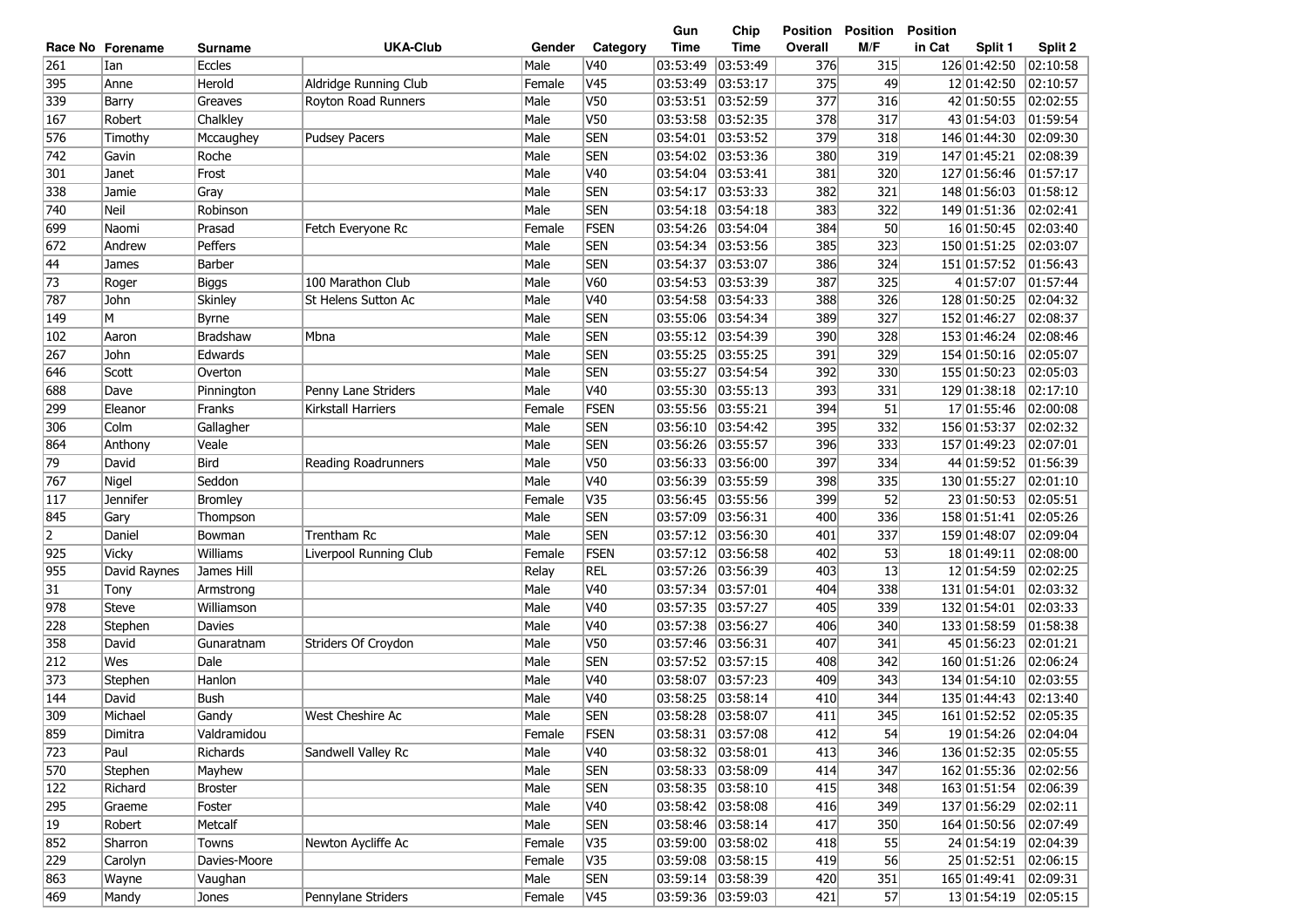|                |                  |                |                        |        |             | Gun               | Chip               | Position | <b>Position</b> | <b>Position</b>   |          |
|----------------|------------------|----------------|------------------------|--------|-------------|-------------------|--------------------|----------|-----------------|-------------------|----------|
|                | Race No Forename | <b>Surname</b> | <b>UKA-Club</b>        | Gender | Category    | <b>Time</b>       | <b>Time</b>        | Overall  | M/F             | in Cat<br>Split 1 | Split 2  |
| 261            | Ian              | <b>Eccles</b>  |                        | Male   | V40         | 03:53:49          | 03:53:49           | 376      | 315             | 126 01:42:50      | 02:10:58 |
| 395            | Anne             | Herold         | Aldridge Running Club  | Female | V45         | 03:53:49          | 03:53:17           | 375      | 49              | 12 01:42:50       | 02:10:57 |
| 339            | Barry            | Greaves        | Royton Road Runners    | Male   | V50         | 03:53:51          | 03:52:59           | 377      | 316             | 42 01:50:55       | 02:02:55 |
| 167            | Robert           | Chalkley       |                        | Male   | V50         | 03:53:58          | 03:52:35           | 378      | 317             | 43 01:54:03       | 01:59:54 |
| 576            | Timothy          | Mccaughey      | <b>Pudsey Pacers</b>   | Male   | <b>SEN</b>  | 03:54:01          | 03:53:52           | 379      | 318             | 146 01:44:30      | 02:09:30 |
| 742            | Gavin            | Roche          |                        | Male   | <b>SEN</b>  | 03:54:02          | 03:53:36           | 380      | 319             | 147 01:45:21      | 02:08:39 |
| 301            | Janet            | Frost          |                        | Male   | V40         | 03:54:04          | 03:53:41           | 381      | 320             | 127 01:56:46      | 01:57:17 |
| 338            | Jamie            | Gray           |                        | Male   | <b>SEN</b>  | 03:54:17          | 03:53:33           | 382      | 321             | 148 01:56:03      | 01:58:12 |
| 740            | Neil             | Robinson       |                        | Male   | <b>SEN</b>  | 03:54:18          | 03:54:18           | 383      | 322             | 149 01:51:36      | 02:02:41 |
| 699            | Naomi            | Prasad         | Fetch Everyone Rc      | Female | FSEN        | 03:54:26          | 03:54:04           | 384      | 50              | 16 01:50:45       | 02:03:40 |
| 672            | Andrew           | Peffers        |                        | Male   | <b>SEN</b>  | 03:54:34          | 03:53:56           | 385      | 323             | 150 01:51:25      | 02:03:07 |
| 44             | James            | Barber         |                        | Male   | <b>SEN</b>  | 03:54:37          | 03:53:07           | 386      | 324             | 151 01:57:52      | 01:56:43 |
| 73             | Roger            | Biggs          | 100 Marathon Club      | Male   | V60         | 03:54:53          | 03:53:39           | 387      | 325             | 4 01:57:07        | 01:57:44 |
| 787            | John             | <b>Skinley</b> | St Helens Sutton Ac    | Male   | V40         | 03:54:58          | 03:54:33           | 388      | 326             | 128 01:50:25      | 02:04:32 |
| 149            | M                | Byrne          |                        | Male   | <b>SEN</b>  | 03:55:06          | 03:54:34           | 389      | 327             | 152 01:46:27      | 02:08:37 |
| 102            | Aaron            | Bradshaw       | Mbna                   | Male   | <b>SEN</b>  | 03:55:12          | 03:54:39           | 390      | 328             | 153 01:46:24      | 02:08:46 |
| 267            | John             | Edwards        |                        | Male   | <b>SEN</b>  | 03:55:25          | 03:55:25           | 391      | 329             | 154 01:50:16      | 02:05:07 |
| 646            | Scott            | Overton        |                        | Male   | <b>SEN</b>  | 03:55:27          | 03:54:54           | 392      | 330             | 155 01:50:23      | 02:05:03 |
| 688            | Dave             | Pinnington     | Penny Lane Striders    | Male   | V40         | 03:55:30          | 03:55:13           | 393      | 331             | 129 01:38:18      | 02:17:10 |
| 299            | Eleanor          | Franks         | Kirkstall Harriers     | Female | FSEN        | 03:55:56          | 03:55:21           | 394      | 51              | 17 01:55:46       | 02:00:08 |
| 306            | Colm             | Gallagher      |                        | Male   | <b>SEN</b>  | 03:56:10          | 03:54:42           | 395      | 332             | 156 01:53:37      | 02:02:32 |
| 864            | Anthony          | Veale          |                        | Male   | <b>SEN</b>  | 03:56:26          | 03:55:57           | 396      | 333             | 157 01:49:23      | 02:07:01 |
| 79             | David            | Bird           | Reading Roadrunners    | Male   | V50         | 03:56:33          | 03:56:00           | 397      | 334             | 44 01:59:52       | 01:56:39 |
| 767            | Nigel            | Seddon         |                        | Male   | V40         | 03:56:39          | 03:55:59           | 398      | 335             | 130 01:55:27      | 02:01:10 |
| 117            | Jennifer         | <b>Bromley</b> |                        | Female | V35         | 03:56:45          | 03:55:56           | 399      | 52              | 23 01:50:53       | 02:05:51 |
| 845            | Gary             | Thompson       |                        | Male   | <b>SEN</b>  | 03:57:09          | 03:56:31           | 400      | 336             | 158 01:51:41      | 02:05:26 |
| $\overline{2}$ | Daniel           | Bowman         | Trentham Rc            | Male   | <b>SEN</b>  | 03:57:12          | 03:56:30           | 401      | 337             | 159 01:48:07      | 02:09:04 |
| 925            | <b>Vicky</b>     | Williams       | Liverpool Running Club | Female | FSEN        | 03:57:12          | 03:56:58           | 402      | 53              | 18 01:49:11       | 02:08:00 |
| 955            | David Raynes     | James Hill     |                        | Relay  | REL         | 03:57:26          | 03:56:39           | 403      | 13              | 12 01:54:59       | 02:02:25 |
| 31             | Tony             | Armstrong      |                        | Male   | V40         | 03:57:34          | 03:57:01           | 404      | 338             | 131 01:54:01      | 02:03:32 |
| 978            | <b>Steve</b>     | Williamson     |                        | Male   | V40         | 03:57:35          | 03:57:27           | 405      | 339             | 132 01:54:01      | 02:03:33 |
| 228            | Stephen          | <b>Davies</b>  |                        | Male   | V40         | 03:57:38          | 03:56:27           | 406      | 340             | 133 01:58:59      | 01:58:38 |
| 358            | David            | Gunaratnam     | Striders Of Croydon    | Male   | V50         | 03:57:46          | 03:56:31           | 407      | 341             | 45 01:56:23       | 02:01:21 |
| 212            | Wes              | Dale           |                        | Male   | <b>SEN</b>  | 03:57:52          | 03:57:15           | 408      | 342             | 160 01:51:26      | 02:06:24 |
| 373            | Stephen          | Hanlon         |                        | Male   | V40         | 03:58:07          | 03:57:23           | 409      | 343             | 134 01:54:10      | 02:03:55 |
| 144            | David            | <b>Bush</b>    |                        | Male   | V40         | 03:58:25          | 03:58:14           | 410      | 344             | 135 01:44:43      | 02:13:40 |
| 309            | Michael          | Gandy          | West Cheshire Ac       | Male   | <b>SEN</b>  | 03:58:28 03:58:07 |                    | 411      | 345             | 161 01:52:52      | 02:05:35 |
| 859            | Dimitra          | Valdramidou    |                        | Female | <b>FSEN</b> | 03:58:31 03:57:08 |                    | 412      | 54              | 19 01:54:26       | 02:04:04 |
| 723            | Paul             | Richards       | Sandwell Valley Rc     | Male   | V40         |                   | 03:58:32 03:58:01  | 413      | 346             | 136 01:52:35      | 02:05:55 |
| 570            | Stephen          | Mayhew         |                        | Male   | <b>SEN</b>  |                   | 03:58:33  03:58:09 | 414      | 347             | 162 01:55:36      | 02:02:56 |
| 122            | Richard          | <b>Broster</b> |                        | Male   | <b>SEN</b>  |                   | 03:58:35 03:58:10  | 415      | 348             | 163 01:51:54      | 02:06:39 |
| 295            | Graeme           | Foster         |                        | Male   | V40         |                   | 03:58:42  03:58:08 | 416      | 349             | 137 01:56:29      | 02:02:11 |
| $ 19\rangle$   | Robert           | Metcalf        |                        | Male   | <b>SEN</b>  |                   | 03:58:46 03:58:14  | 417      | 350             | 164 01:50:56      | 02:07:49 |
| 852            | Sharron          | Towns          | Newton Aycliffe Ac     | Female | V35         |                   | 03:59:00 03:58:02  | 418      | 55              | 24 01:54:19       | 02:04:39 |
| 229            | Carolyn          | Davies-Moore   |                        | Female | V35         |                   | 03:59:08 03:58:15  | 419      | 56              | 25 01:52:51       | 02:06:15 |
| 863            | Wayne            | Vaughan        |                        | Male   | <b>SEN</b>  |                   | 03:59:14 03:58:39  | 420      | 351             | 165 01:49:41      | 02:09:31 |
| 469            | Mandy            | Jones          | Pennylane Striders     | Female | V45         |                   | 03:59:36 03:59:03  | 421      | 57              | 13 01:54:19       | 02:05:15 |
|                |                  |                |                        |        |             |                   |                    |          |                 |                   |          |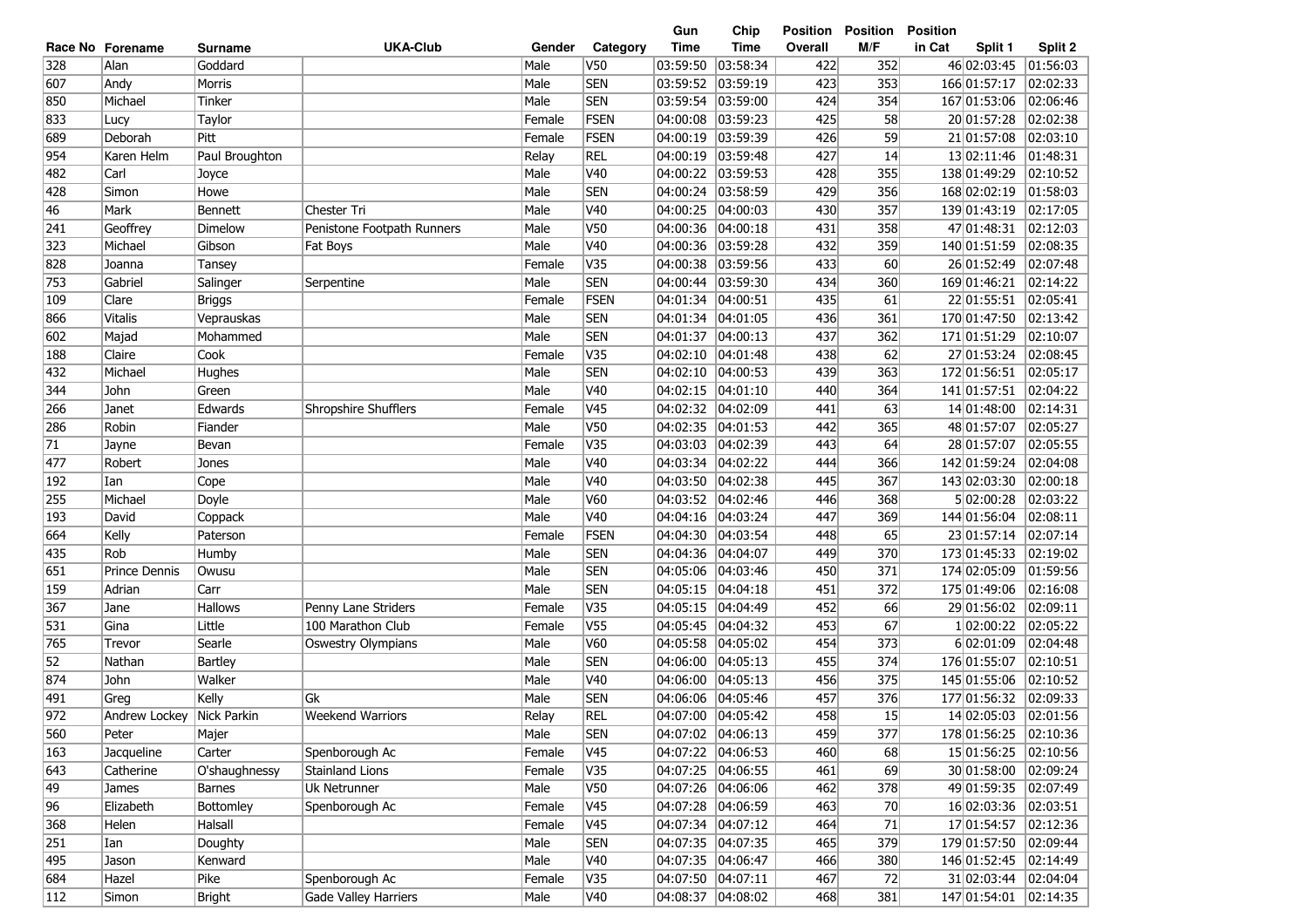|     |                           |                |                            |        |                 | Gun               | Chip              | <b>Position</b> | <b>Position</b> | <b>Position</b>   |          |
|-----|---------------------------|----------------|----------------------------|--------|-----------------|-------------------|-------------------|-----------------|-----------------|-------------------|----------|
|     | Race No Forename          | Surname        | <b>UKA-Club</b>            | Gender | Category        | <b>Time</b>       | <b>Time</b>       | Overall         | M/F             | in Cat<br>Split 1 | Split 2  |
| 328 | Alan                      | Goddard        |                            | Male   | V50             | 03:59:50          | 03:58:34          | 422             | 352             | 46 02:03:45       | 01:56:03 |
| 607 | Andy                      | Morris         |                            | Male   | <b>SEN</b>      | 03:59:52          | 03:59:19          | 423             | 353             | 166 01:57:17      | 02:02:33 |
| 850 | Michael                   | Tinker         |                            | Male   | <b>SEN</b>      | 03:59:54          | 03:59:00          | 424             | 354             | 167 01:53:06      | 02:06:46 |
| 833 | Lucy                      | Taylor         |                            | Female | <b>FSEN</b>     | 04:00:08          | 03:59:23          | 425             | 58              | 20 01:57:28       | 02:02:38 |
| 689 | Deborah                   | Pitt           |                            | Female | FSEN            | 04:00:19          | 03:59:39          | 426             | 59              | 21 01:57:08       | 02:03:10 |
| 954 | Karen Helm                | Paul Broughton |                            | Relay  | <b>REL</b>      | 04:00:19          | 03:59:48          | 427             | 14              | 13 02:11:46       | 01:48:31 |
| 482 | Carl                      | Joyce          |                            | Male   | V40             | 04:00:22          | 03:59:53          | 428             | 355             | 138 01:49:29      | 02:10:52 |
| 428 | Simon                     | Howe           |                            | Male   | <b>SEN</b>      | 04:00:24          | 03:58:59          | 429             | 356             | 168 02:02:19      | 01:58:03 |
| 46  | Mark                      | <b>Bennett</b> | Chester Tri                | Male   | V40             | 04:00:25          | 04:00:03          | 430             | 357             | 139 01:43:19      | 02:17:05 |
| 241 | Geoffrey                  | Dimelow        | Penistone Footpath Runners | Male   | V50             | 04:00:36          | 04:00:18          | 431             | 358             | 47 01:48:31       | 02:12:03 |
| 323 | Michael                   | Gibson         | Fat Boys                   | Male   | V40             | 04:00:36          | 03:59:28          | 432             | 359             | 140 01:51:59      | 02:08:35 |
| 828 | Joanna                    | Tansey         |                            | Female | V35             | 04:00:38          | 03:59:56          | 433             | 60              | 26 01:52:49       | 02:07:48 |
| 753 | Gabriel                   | Salinger       | Serpentine                 | Male   | <b>SEN</b>      | 04:00:44          | 03:59:30          | 434             | 360             | 169 01:46:21      | 02:14:22 |
| 109 | Clare                     | Briggs         |                            | Female | FSEN            | 04:01:34          | 04:00:51          | 435             | 61              | 22 01:55:51       | 02:05:41 |
| 866 | <b>Vitalis</b>            | Veprauskas     |                            | Male   | <b>SEN</b>      | 04:01:34          | 04:01:05          | 436             | 361             | 170 01:47:50      | 02:13:42 |
| 602 | Majad                     | Mohammed       |                            | Male   | <b>SEN</b>      | 04:01:37          | 04:00:13          | 437             | 362             | 171 01:51:29      | 02:10:07 |
| 188 | Claire                    | Cook           |                            | Female | V35             | 04:02:10          | 04:01:48          | 438             | 62              | 27 01:53:24       | 02:08:45 |
| 432 | Michael                   | Hughes         |                            | Male   | <b>SEN</b>      | 04:02:10          | 04:00:53          | 439             | 363             | 172 01:56:51      | 02:05:17 |
| 344 | John                      | Green          |                            | Male   | V40             | 04:02:15          | 04:01:10          | 440             | 364             | 141 01:57:51      | 02:04:22 |
| 266 | Janet                     | Edwards        | Shropshire Shufflers       | Female | V45             | 04:02:32          | 04:02:09          | 441             | 63              | 14 01:48:00       | 02:14:31 |
| 286 | Robin                     | Fiander        |                            | Male   | V50             | 04:02:35          | 04:01:53          | 442             | 365             | 48 01:57:07       | 02:05:27 |
| 71  | Jayne                     | Bevan          |                            | Female | V35             | 04:03:03          | 04:02:39          | 443             | 64              | 28 01:57:07       | 02:05:55 |
| 477 | Robert                    | Jones          |                            | Male   | V40             | 04:03:34          | 04:02:22          | 444             | 366             | 142 01:59:24      | 02:04:08 |
| 192 | Ian                       | Cope           |                            | Male   | V40             | 04:03:50          | 04:02:38          | 445             | 367             | 143 02:03:30      | 02:00:18 |
| 255 | Michael                   | Doyle          |                            | Male   | V60             | 04:03:52          | 04:02:46          | 446             | 368             | 5 02:00:28        | 02:03:22 |
| 193 | David                     | Coppack        |                            | Male   | V40             | 04:04:16          | 04:03:24          | 447             | 369             | 144 01:56:04      | 02:08:11 |
| 664 | Kelly                     | Paterson       |                            | Female | <b>FSEN</b>     | 04:04:30          | 04:03:54          | 448             | 65              | 23 01:57:14       | 02:07:14 |
| 435 | Rob                       | Humby          |                            | Male   | <b>SEN</b>      | 04:04:36          | 04:04:07          | 449             | 370             | 173 01:45:33      | 02:19:02 |
| 651 | Prince Dennis             | Owusu          |                            | Male   | <b>SEN</b>      | 04:05:06          | 04:03:46          | 450             | 371             | 174 02:05:09      | 01:59:56 |
| 159 | Adrian                    | Carr           |                            | Male   | <b>SEN</b>      | 04:05:15          | 04:04:18          | 451             | 372             | 175 01:49:06      | 02:16:08 |
| 367 | Jane                      | <b>Hallows</b> | Penny Lane Striders        | Female | V35             | 04:05:15          | 04:04:49          | 452             | 66              | 29 01:56:02       | 02:09:11 |
| 531 | Gina                      | Little         | 100 Marathon Club          | Female | V <sub>55</sub> | 04:05:45          | 04:04:32          | 453             | 67              | 1 02:00:22        | 02:05:22 |
| 765 | Trevor                    | Searle         | <b>Oswestry Olympians</b>  | Male   | V60             | 04:05:58          | 04:05:02          | 454             | 373             | 6 02:01:09        | 02:04:48 |
| 52  | Nathan                    | Bartley        |                            | Male   | <b>SEN</b>      | 04:06:00          | 04:05:13          | 455             | 374             | 176 01:55:07      | 02:10:51 |
| 874 | John                      | Walker         |                            | Male   | V40             | 04:06:00          | 04:05:13          | 456             | 375             | 145 01:55:06      | 02:10:52 |
| 491 | Greg                      | Kelly          | Gk                         | Male   | <b>SEN</b>      | 04:06:06          | 04:05:46          | 457             | 376             | 177 01:56:32      | 02:09:33 |
| 972 | Andrew Lockey Nick Parkin |                | <b>Weekend Warriors</b>    | Relay  | <b>REL</b>      | 04:07:00 04:05:42 |                   | 458             | 15              | 14 02:05:03       | 02:01:56 |
| 560 | Peter                     | Majer          |                            | Male   | <b>SEN</b>      | 04:07:02 04:06:13 |                   | 459             | 377             | 178 01:56:25      | 02:10:36 |
| 163 | Jacqueline                | Carter         | Spenborough Ac             | Female | V <sub>45</sub> |                   | 04:07:22 04:06:53 | 460             | 68              | 15 01:56:25       | 02:10:56 |
| 643 | Catherine                 | O'shaughnessy  | Stainland Lions            | Female | V35             |                   | 04:07:25 04:06:55 | 461             | 69              | 30 01:58:00       | 02:09:24 |
| 49  | James                     | Barnes         | Uk Netrunner               | Male   | V50             |                   | 04:07:26 04:06:06 | 462             | 378             | 49 01:59:35       | 02:07:49 |
| 96  | Elizabeth                 | Bottomley      | Spenborough Ac             | Female | V <sub>45</sub> |                   | 04:07:28 04:06:59 | 463             | 70              | 16 02:03:36       | 02:03:51 |
| 368 | Helen                     | Halsall        |                            | Female | V <sub>45</sub> |                   | 04:07:34 04:07:12 | 464             | 71              | 17 01:54:57       | 02:12:36 |
| 251 | Ian                       | Doughty        |                            | Male   | <b>SEN</b>      |                   | 04:07:35 04:07:35 | 465             | 379             | 179 01:57:50      | 02:09:44 |
| 495 | Jason                     | Kenward        |                            | Male   | V40             |                   | 04:07:35 04:06:47 | 466             | 380             | 146 01:52:45      | 02:14:49 |
| 684 | Hazel                     | Pike           | Spenborough Ac             | Female | V35             |                   | 04:07:50 04:07:11 | 467             | 72              | 31 02:03:44       | 02:04:04 |
| 112 | Simon                     | Bright         | Gade Valley Harriers       | Male   | V40             | 04:08:37          | 04:08:02          | 468             | 381             | 147 01:54:01      | 02:14:35 |
|     |                           |                |                            |        |                 |                   |                   |                 |                 |                   |          |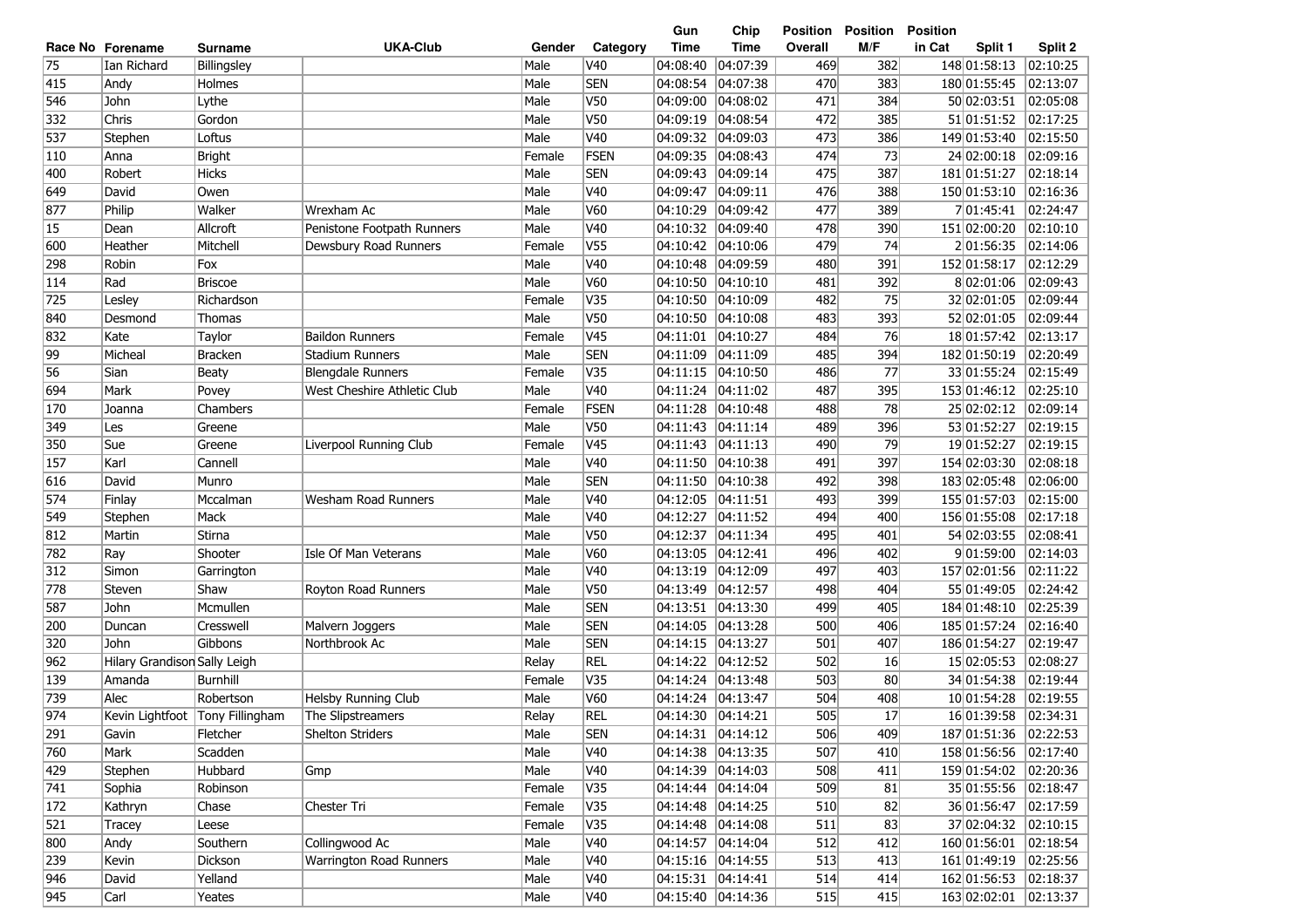|     |                              |                                 |                             |        |                 | Gun                | Chip                  | Position | <b>Position</b> | <b>Position</b>        |                   |
|-----|------------------------------|---------------------------------|-----------------------------|--------|-----------------|--------------------|-----------------------|----------|-----------------|------------------------|-------------------|
|     | Race No Forename             | <b>Surname</b>                  | <b>UKA-Club</b>             | Gender | Category        | <b>Time</b>        | <b>Time</b>           | Overall  | M/F             | in Cat<br>Split 1      | Split 2           |
| 75  | Ian Richard                  | Billingsley                     |                             | Male   | V40             | 04:08:40           | 04:07:39              | 469      | 382             | 148 01:58:13           | 02:10:25          |
| 415 | Andy                         | Holmes                          |                             | Male   | <b>SEN</b>      | 04:08:54           | 04:07:38              | 470      | 383             | 180 01:55:45           | 02:13:07          |
| 546 | John                         | Lythe                           |                             | Male   | V50             | 04:09:00           | 04:08:02              | 471      | 384             | 50 02:03:51            | 02:05:08          |
| 332 | Chris                        | Gordon                          |                             | Male   | V50             | 04:09:19           | 04:08:54              | 472      | 385             | 51 01:51:52            | 02:17:25          |
| 537 | Stephen                      | Loftus                          |                             | Male   | V40             | 04:09:32           | 04:09:03              | 473      | 386             | 149 01:53:40           | 02:15:50          |
| 110 | Anna                         | <b>Bright</b>                   |                             | Female | FSEN            | 04:09:35           | 04:08:43              | 474      | 73              | 24 02:00:18            | 02:09:16          |
| 400 | Robert                       | Hicks                           |                             | Male   | <b>SEN</b>      | 04:09:43           | 04:09:14              | 475      | 387             | 181 01:51:27           | 02:18:14          |
| 649 | David                        | Owen                            |                             | Male   | V40             | 04:09:47           | 04:09:11              | 476      | 388             | 150 01:53:10           | 02:16:36          |
| 877 | Philip                       | Walker                          | Wrexham Ac                  | Male   | V60             | 04:10:29           | 04:09:42              | 477      | 389             | 7 01:45:41             | 02:24:47          |
| 15  | Dean                         | Allcroft                        | Penistone Footpath Runners  | Male   | V40             | 04:10:32           | 04:09:40              | 478      | 390             | 151 02:00:20           | 02:10:10          |
| 600 | Heather                      | Mitchell                        | Dewsbury Road Runners       | Female | V <sub>55</sub> | 04:10:42           | 04:10:06              | 479      | 74              | 201:56:35              | 02:14:06          |
| 298 | Robin                        | Fox                             |                             | Male   | V40             | 04:10:48           | 04:09:59              | 480      | 391             | 152 01:58:17           | 02:12:29          |
| 114 | Rad                          | <b>Briscoe</b>                  |                             | Male   | V60             | 04:10:50           | 04:10:10              | 481      | 392             | 802:01:06              | 02:09:43          |
| 725 | Lesley                       | Richardson                      |                             | Female | V35             | $ 04:10:50\rangle$ | 04:10:09              | 482      | 75              | 32 02:01:05            | 02:09:44          |
| 840 | Desmond                      | Thomas                          |                             | Male   | V <sub>50</sub> | 04:10:50           | 04:10:08              | 483      | 393             | 52 02:01:05            | 02:09:44          |
| 832 | Kate                         | Taylor                          | <b>Baildon Runners</b>      | Female | V45             | 04:11:01           | 04:10:27              | 484      | 76              | 18 01:57:42            | 02:13:17          |
| 99  | Micheal                      | <b>Bracken</b>                  | <b>Stadium Runners</b>      | Male   | <b>SEN</b>      | 04:11:09           | 04:11:09              | 485      | 394             | 182 01:50:19           | 02:20:49          |
| 56  | Sian                         | <b>Beaty</b>                    | <b>Blengdale Runners</b>    | Female | V35             | 04:11:15           | 04:10:50              | 486      | 77              | 33 01:55:24            | 02:15:49          |
| 694 | Mark                         | Povey                           | West Cheshire Athletic Club | Male   | V <sub>40</sub> | 04:11:24           | 04:11:02              | 487      | 395             | 153 01:46:12           | 02:25:10          |
| 170 | Joanna                       | Chambers                        |                             | Female | FSEN            | 04:11:28           | 04:10:48              | 488      | 78              | 25 02:02:12            | 02:09:14          |
| 349 | Les                          | Greene                          |                             | Male   | V50             | 04:11:43           | 04:11:14              | 489      | 396             | 53 01:52:27            | 02:19:15          |
| 350 | Sue                          | Greene                          | Liverpool Running Club      | Female | V <sub>45</sub> | 04:11:43           | $\overline{04:11:13}$ | 490      | 79              | 19 01:52:27            | 02:19:15          |
| 157 | Karl                         | Cannell                         |                             | Male   | V40             | 04:11:50           | 04:10:38              | 491      | 397             | 154 02:03:30           | 02:08:18          |
| 616 | David                        | Munro                           |                             | Male   | <b>SEN</b>      | 04:11:50           | 04:10:38              | 492      | 398             | 183 02:05:48           | 02:06:00          |
| 574 | Finlay                       | Mccalman                        | Wesham Road Runners         | Male   | V <sub>40</sub> | 04:12:05           | 04:11:51              | 493      | 399             | 155 01:57:03           | 02:15:00          |
| 549 | Stephen                      | Mack                            |                             | Male   | V40             | 04:12:27           | 04:11:52              | 494      | 400             | 156 01:55:08           | 02:17:18          |
| 812 | Martin                       | Stirna                          |                             | Male   | V <sub>50</sub> | 04:12:37           | 04:11:34              | 495      | 401             | 54 02:03:55            | 02:08:41          |
| 782 | Ray                          | Shooter                         | Isle Of Man Veterans        | Male   | V60             | 04:13:05           | 04:12:41              | 496      | 402             | 9 01:59:00             | 02:14:03          |
| 312 | Simon                        | Garrington                      |                             | Male   | V40             | 04:13:19           | 04:12:09              | 497      | 403             | 157 02:01:56           | $\sqrt{02:11:22}$ |
| 778 | Steven                       | Shaw                            | Royton Road Runners         | Male   | V50             | 04:13:49           | 04:12:57              | 498      | 404             | 55 01:49:05            | 02:24:42          |
| 587 | John                         | Mcmullen                        |                             | Male   | <b>SEN</b>      | 04:13:51           | 04:13:30              | 499      | 405             | 184 01:48:10           | 02:25:39          |
| 200 | Duncan                       | Cresswell                       | Malvern Joggers             | Male   | <b>SEN</b>      | 04:14:05           | 04:13:28              | 500      | 406             | 185 01:57:24           | 02:16:40          |
| 320 | John                         | Gibbons                         | Northbrook Ac               | Male   | <b>SEN</b>      | 04:14:15           | 04:13:27              | 501      | 407             | 186 01:54:27           | 02:19:47          |
| 962 | Hilary Grandison Sally Leigh |                                 |                             | Relay  | <b>REL</b>      | 04:14:22           | 04:12:52              | 502      | 16              | 15 02:05:53            | 02:08:27          |
| 139 | Amanda                       | <b>Burnhill</b>                 |                             | Female | V35             | 04:14:24           | 04:13:48              | 503      | 80              | 34 01:54:38            | 02:19:44          |
| 739 | Alec                         | Robertson                       | Helsby Running Club         | Male   | V60             | 04:14:24           | 04:13:47              | 504      | 408             | 10 01:54:28            | $\sqrt{02:19:55}$ |
| 974 |                              | Kevin Lightfoot Tony Fillingham | The Slipstreamers           | Relay  | <b>REL</b>      | 04:14:30 04:14:21  |                       | 505      | 17              | 16 01:39:58            | 02:34:31          |
| 291 | Gavin                        | Fletcher                        | <b>Shelton Striders</b>     | Male   | <b>SEN</b>      |                    | 04:14:31 04:14:12     | 506      | 409             | 187 01:51:36 02:22:53  |                   |
| 760 | Mark                         | Scadden                         |                             | Male   | V40             |                    | 04:14:38 04:13:35     | 507      | 410             | 158 01:56:56 02:17:40  |                   |
| 429 | Stephen                      | Hubbard                         | Gmp                         | Male   | V40             |                    | 04:14:39 04:14:03     | 508      | 411             | 159 01:54:02  02:20:36 |                   |
| 741 | Sophia                       | Robinson                        |                             | Female | V35             |                    | 04:14:44 04:14:04     | 509      | 81              | 35 01:55:56 02:18:47   |                   |
| 172 | Kathryn                      | Chase                           | Chester Tri                 | Female | V35             |                    | 04:14:48 04:14:25     | 510      | 82              | 36 01:56:47 02:17:59   |                   |
| 521 | Tracey                       | Leese                           |                             | Female | V35             |                    | 04:14:48 04:14:08     | 511      | 83              | 37 02:04:32 02:10:15   |                   |
| 800 | Andy                         | Southern                        | Collingwood Ac              | Male   | V40             |                    | 04:14:57 04:14:04     | 512      | 412             | 160 01:56:01 02:18:54  |                   |
| 239 | Kevin                        | Dickson                         | Warrington Road Runners     | Male   | V40             |                    | 04:15:16 04:14:55     | 513      | 413             | 161 01:49:19 02:25:56  |                   |
| 946 | David                        | Yelland                         |                             | Male   | V40             |                    | 04:15:31 04:14:41     | 514      | 414             | 162 01:56:53 02:18:37  |                   |
| 945 | Carl                         | Yeates                          |                             | Male   | V40             |                    | 04:15:40 04:14:36     | 515      | 415             | 163 02:02:01           | 02:13:37          |
|     |                              |                                 |                             |        |                 |                    |                       |          |                 |                        |                   |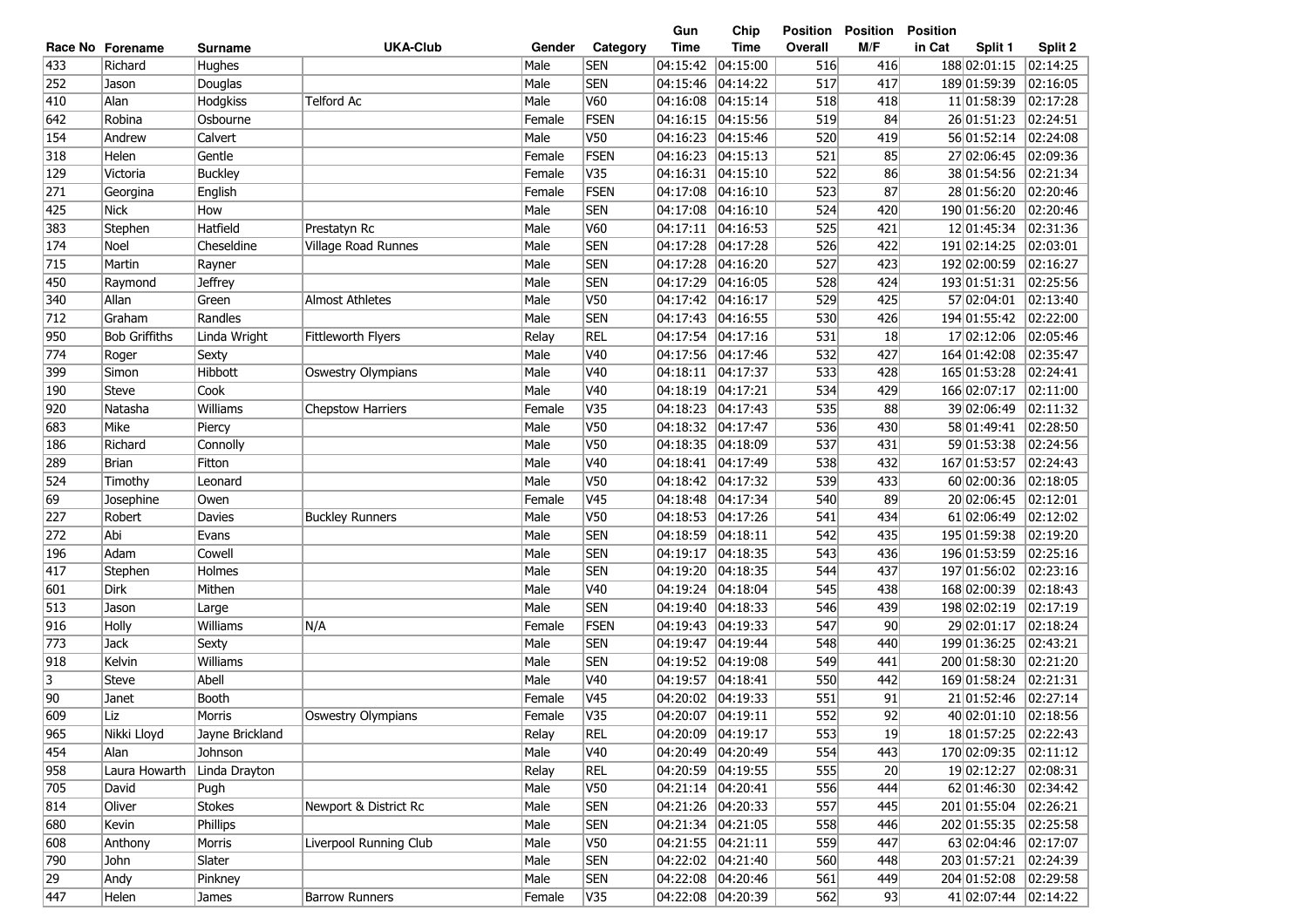| <b>UKA-Club</b><br><b>Time</b><br><b>Time</b><br>M/F<br>in Cat<br>Gender<br>Category<br>Overall<br>Split 1<br>Split 2<br>Race No Forename<br><b>Surname</b><br>433<br><b>SEN</b><br>04:15:42<br> 04:15:00<br>416<br>188 02:01:15<br>02:14:25<br>Richard<br>Male<br>516<br>Hughes<br><b>SEN</b><br>252<br>Male<br>04:15:46<br>04:14:22<br>517<br>417<br>189 01:59:39<br>02:16:05<br>Jason<br>Douglas<br>Alan<br><b>Telford Ac</b><br>Male<br><b>V60</b><br>04:16:08<br>518<br>11 01:58:39<br>02:17:28<br>410<br>Hodgkiss<br> 04:15:14<br>418<br>642<br>Robina<br>FSEN<br>04:16:15<br>04:15:56<br>519<br>84<br>26 01:51:23<br>02:24:51<br>Osbourne<br>Female<br>154<br>Calvert<br>Male<br><b>V50</b><br>04:16:23<br>04:15:46<br>520<br>56 01:52:14<br>02:24:08<br>Andrew<br>419<br>FSEN<br>85<br>Gentle<br>04:16:23<br> 04:15:13<br>521<br>27 02:06:45<br>02:09:36<br>318<br>Helen<br>Female<br>V35<br>04:16:31<br>522<br>86<br>38 01:54:56<br>02:21:34<br>129<br>Victoria<br><b>Buckley</b><br>Female<br> 04:15:10<br>FSEN<br>523<br>87<br>271<br>04:17:08<br>04:16:10<br>28 01:56:20<br>02:20:46<br>English<br>Female<br>Georgina<br>425<br><b>Nick</b><br>Male<br><b>SEN</b><br>04:17:08<br> 04:16:10<br>524<br>190 01:56:20<br>02:20:46<br>How<br>420<br><b>V60</b><br>02:31:36<br>383<br>Stephen<br>Hatfield<br>Prestatyn Rc<br>Male<br> 04:17:11<br> 04:16:53<br>525<br>12 01:45:34<br>421<br><b>SEN</b><br>02:03:01<br>174<br>Noel<br>Male<br>04:17:28<br>04:17:28<br>526<br>191 02:14:25<br>Cheseldine<br>Village Road Runnes<br>422<br><b>SEN</b><br>02:16:27<br>715<br>Male<br>04:17:28<br> 04:16:20<br>527<br>192 02:00:59<br>Martin<br>423<br>Rayner<br><b>SEN</b><br>02:25:56<br>450<br>Male<br>04:17:29<br> 04:16:05<br>528<br>193 01:51:31<br>Raymond<br><b>Jeffrey</b><br>424<br>340<br>Allan<br>Green<br><b>Almost Athletes</b><br>Male<br>V50<br>04:17:42<br> 04:16:17<br>529<br>57 02:04:01<br>02:13:40<br>425<br><b>SEN</b><br>02:22:00<br>712<br>Randles<br>Male<br>04:17:43<br> 04:16:55<br>194 01:55:42<br>Graham<br>530<br>426<br><b>REL</b><br>950<br><b>Bob Griffiths</b><br>Fittleworth Flyers<br>Relay<br>04:17:54<br> 04:17:16<br>531<br>17 02:12:06<br>02:05:46<br>Linda Wright<br>18<br>774<br>V40<br>04:17:56<br>04:17:46<br>532<br>427<br>164 01:42:08<br>02:35:47<br>Male<br>Roger<br>Sexty<br>Hibbott<br>Male<br>V40<br>04:18:11<br>04:17:37<br>533<br>165 01:53:28<br>02:24:41<br>399<br>Simon<br>Oswestry Olympians<br>428<br>V <sub>40</sub><br>Steve<br>Cook<br>Male<br>04:18:19<br> 04:17:21<br>534<br>166 02:07:17<br>02:11:00<br>190<br>429<br>Female<br>V35<br>04:18:23<br>04:17:43<br>535<br>88<br>39 02:06:49<br>02:11:32<br>920<br>Natasha<br>Williams<br><b>Chepstow Harriers</b><br>V <sub>50</sub><br>02:28:50<br>Mike<br>Male<br>04:18:32<br>04:17:47<br>536<br>430<br>58 01:49:41<br>683<br>Piercy<br>V <sub>50</sub><br>02:24:56<br>Male<br>04:18:35<br>04:18:09<br>537<br>59 01:53:38<br>186<br>Richard<br>431<br>Connolly<br>V <sub>40</sub><br>02:24:43<br><b>Brian</b><br>Male<br>04:18:41<br> 04:17:49<br>538<br>167 01:53:57<br>289<br>Fitton<br>432<br>V50<br>524<br>Male<br>04:18:42<br> 04:17:32<br>539<br>433<br>60 02:00:36<br>02:18:05<br>Timothy<br>Leonard<br>69<br>V <sub>45</sub><br>Female<br>04:18:48<br>04:17:34<br>540<br>89<br>20 02:06:45<br>02:12:01<br>Josephine<br>Owen<br><b>V50</b><br>61 02:06:49<br>02:12:02<br>227<br>Male<br>04:18:53<br>04:17:26<br>541<br>434<br>Robert<br>Davies<br><b>Buckley Runners</b><br>Abi<br><b>SEN</b><br>195 01:59:38<br>02:19:20<br>272<br>Male<br>04:18:59<br>04:18:11<br>542<br>435<br>Evans<br><b>SEN</b><br>196 01:53:59<br>02:25:16<br>Adam<br>Cowell<br>Male<br>04:19:17<br>04:18:35<br>543<br>436<br>196<br>417<br>Male<br><b>SEN</b><br>197 01:56:02<br>02:23:16<br>04:19:20<br>04:18:35<br>544<br>437<br>Stephen<br>Holmes<br>Dirk<br>Mithen<br>Male<br>V40<br>04:19:24<br>04:18:04<br>168 02:00:39<br>02:18:43<br>601<br>545<br>438<br><b>SEN</b><br>513<br>Jason<br>Male<br>04:19:40<br>04:18:33<br>546<br>198 02:02:19<br>02:17:19<br>439<br>Large<br>916<br>Holly<br>N/A<br>Female<br>FSEN<br>04:19:43<br>04:19:33<br>547<br>90<br>29 02:01:17<br>02:18:24<br>Williams<br>773<br>Male<br><b>SEN</b><br>04:19:47<br>04:19:44<br>548<br>199 01:36:25<br>02:43:21<br><b>Jack</b><br>440<br>Sexty<br><b>SEN</b><br>918<br>Male<br>04:19:52<br> 04:19:08<br>549<br>200 01:58:30<br>02:21:20<br>Kelvin<br>Williams<br>441<br>3<br>Abell<br>V40<br>04:19:57<br>550<br>02:21:31<br><b>Steve</b><br>Male<br> 04:18:41<br>442<br>169 01:58:24<br>90<br>Booth<br>V45<br>04:20:02<br>551<br>02:27:14<br>Female<br> 04:19:33<br>91<br>21 01:52:46<br>Janet<br>552<br>609<br>V35<br>04:20:07<br>92<br> 04:19:11<br>40 02:01:10<br>02:18:56<br>Liz<br>Morris<br><b>Oswestry Olympians</b><br>Female<br>965<br>Nikki Lloyd<br>Jayne Brickland<br>Relay<br><b>REL</b><br>04:20:09 04:19:17<br>553<br>18 01:57:25<br> 02:22:43<br>19<br>454<br>Male<br>554<br>Johnson<br>V40<br>04:20:49  04:20:49<br>443<br>170 02:09:35<br> 02:11:12<br>Alan<br>958<br>Laura Howarth<br><b>REL</b><br>555<br>20<br>19 02:12:27<br>Linda Drayton<br>Relay<br>04:20:59 04:19:55<br> 02:08:31<br>705<br>04:21:14 04:20:41<br>556<br>62 01:46:30<br>David<br>Male<br>V50<br>444<br> 02:34:42 <br>Pugh<br>814<br><b>SEN</b><br>04:21:26 04:20:33<br>557<br>201 01:55:04 02:26:21<br>Stokes<br>Newport & District Rc<br>Male<br>445<br>Oliver<br>680<br>202 01:55:35<br>Phillips<br>Male<br><b>SEN</b><br>04:21:34 04:21:05<br>558<br>446<br> 02:25:58<br>Kevin<br>608<br>Liverpool Running Club<br>63 02:04:46<br>Morris<br>Male<br>V50<br>04:21:55 04:21:11<br>559<br>447<br> 02:17:07<br>Anthony<br>790<br>04:22:02 04:21:40<br>560<br>203 01:57:21<br>Slater<br>Male<br><b>SEN</b><br>448<br> 02:24:39<br>John<br>29<br><b>SEN</b><br>04:22:08 04:20:46<br>204 01:52:08<br>Andy<br>Male<br>561<br>449<br> 02:29:58<br>Pinkney<br>447<br>Helen<br><b>Barrow Runners</b><br>V35<br>04:22:08 04:20:39<br>562<br>93<br>41 02:07:44<br> 02:14:22<br>James<br>Female |  |  |  | Gun | Chip | <b>Position</b> | <b>Position</b> | <b>Position</b> |  |
|----------------------------------------------------------------------------------------------------------------------------------------------------------------------------------------------------------------------------------------------------------------------------------------------------------------------------------------------------------------------------------------------------------------------------------------------------------------------------------------------------------------------------------------------------------------------------------------------------------------------------------------------------------------------------------------------------------------------------------------------------------------------------------------------------------------------------------------------------------------------------------------------------------------------------------------------------------------------------------------------------------------------------------------------------------------------------------------------------------------------------------------------------------------------------------------------------------------------------------------------------------------------------------------------------------------------------------------------------------------------------------------------------------------------------------------------------------------------------------------------------------------------------------------------------------------------------------------------------------------------------------------------------------------------------------------------------------------------------------------------------------------------------------------------------------------------------------------------------------------------------------------------------------------------------------------------------------------------------------------------------------------------------------------------------------------------------------------------------------------------------------------------------------------------------------------------------------------------------------------------------------------------------------------------------------------------------------------------------------------------------------------------------------------------------------------------------------------------------------------------------------------------------------------------------------------------------------------------------------------------------------------------------------------------------------------------------------------------------------------------------------------------------------------------------------------------------------------------------------------------------------------------------------------------------------------------------------------------------------------------------------------------------------------------------------------------------------------------------------------------------------------------------------------------------------------------------------------------------------------------------------------------------------------------------------------------------------------------------------------------------------------------------------------------------------------------------------------------------------------------------------------------------------------------------------------------------------------------------------------------------------------------------------------------------------------------------------------------------------------------------------------------------------------------------------------------------------------------------------------------------------------------------------------------------------------------------------------------------------------------------------------------------------------------------------------------------------------------------------------------------------------------------------------------------------------------------------------------------------------------------------------------------------------------------------------------------------------------------------------------------------------------------------------------------------------------------------------------------------------------------------------------------------------------------------------------------------------------------------------------------------------------------------------------------------------------------------------------------------------------------------------------------------------------------------------------------------------------------------------------------------------------------------------------------------------------------------------------------------------------------------------------------------------------------------------------------------------------------------------------------------------------------------------------------------------------------------------------------------------------------------------------------------------------------------------------------------------------------------------------------------------------------------------------------------------------------------------------------------------------------------------------------------------------------------------------------------------------------------------------------------------------------------------------------------------------------------------------------------------------------------------------------------------------------------------------------------------------------------------------------------------------------------------------------------------------------------------------------------------------------------------------------------------------------------|--|--|--|-----|------|-----------------|-----------------|-----------------|--|
|                                                                                                                                                                                                                                                                                                                                                                                                                                                                                                                                                                                                                                                                                                                                                                                                                                                                                                                                                                                                                                                                                                                                                                                                                                                                                                                                                                                                                                                                                                                                                                                                                                                                                                                                                                                                                                                                                                                                                                                                                                                                                                                                                                                                                                                                                                                                                                                                                                                                                                                                                                                                                                                                                                                                                                                                                                                                                                                                                                                                                                                                                                                                                                                                                                                                                                                                                                                                                                                                                                                                                                                                                                                                                                                                                                                                                                                                                                                                                                                                                                                                                                                                                                                                                                                                                                                                                                                                                                                                                                                                                                                                                                                                                                                                                                                                                                                                                                                                                                                                                                                                                                                                                                                                                                                                                                                                                                                                                                                                                                                                                                                                                                                                                                                                                                                                                                                                                                                                                                                                                                                          |  |  |  |     |      |                 |                 |                 |  |
|                                                                                                                                                                                                                                                                                                                                                                                                                                                                                                                                                                                                                                                                                                                                                                                                                                                                                                                                                                                                                                                                                                                                                                                                                                                                                                                                                                                                                                                                                                                                                                                                                                                                                                                                                                                                                                                                                                                                                                                                                                                                                                                                                                                                                                                                                                                                                                                                                                                                                                                                                                                                                                                                                                                                                                                                                                                                                                                                                                                                                                                                                                                                                                                                                                                                                                                                                                                                                                                                                                                                                                                                                                                                                                                                                                                                                                                                                                                                                                                                                                                                                                                                                                                                                                                                                                                                                                                                                                                                                                                                                                                                                                                                                                                                                                                                                                                                                                                                                                                                                                                                                                                                                                                                                                                                                                                                                                                                                                                                                                                                                                                                                                                                                                                                                                                                                                                                                                                                                                                                                                                          |  |  |  |     |      |                 |                 |                 |  |
|                                                                                                                                                                                                                                                                                                                                                                                                                                                                                                                                                                                                                                                                                                                                                                                                                                                                                                                                                                                                                                                                                                                                                                                                                                                                                                                                                                                                                                                                                                                                                                                                                                                                                                                                                                                                                                                                                                                                                                                                                                                                                                                                                                                                                                                                                                                                                                                                                                                                                                                                                                                                                                                                                                                                                                                                                                                                                                                                                                                                                                                                                                                                                                                                                                                                                                                                                                                                                                                                                                                                                                                                                                                                                                                                                                                                                                                                                                                                                                                                                                                                                                                                                                                                                                                                                                                                                                                                                                                                                                                                                                                                                                                                                                                                                                                                                                                                                                                                                                                                                                                                                                                                                                                                                                                                                                                                                                                                                                                                                                                                                                                                                                                                                                                                                                                                                                                                                                                                                                                                                                                          |  |  |  |     |      |                 |                 |                 |  |
|                                                                                                                                                                                                                                                                                                                                                                                                                                                                                                                                                                                                                                                                                                                                                                                                                                                                                                                                                                                                                                                                                                                                                                                                                                                                                                                                                                                                                                                                                                                                                                                                                                                                                                                                                                                                                                                                                                                                                                                                                                                                                                                                                                                                                                                                                                                                                                                                                                                                                                                                                                                                                                                                                                                                                                                                                                                                                                                                                                                                                                                                                                                                                                                                                                                                                                                                                                                                                                                                                                                                                                                                                                                                                                                                                                                                                                                                                                                                                                                                                                                                                                                                                                                                                                                                                                                                                                                                                                                                                                                                                                                                                                                                                                                                                                                                                                                                                                                                                                                                                                                                                                                                                                                                                                                                                                                                                                                                                                                                                                                                                                                                                                                                                                                                                                                                                                                                                                                                                                                                                                                          |  |  |  |     |      |                 |                 |                 |  |
|                                                                                                                                                                                                                                                                                                                                                                                                                                                                                                                                                                                                                                                                                                                                                                                                                                                                                                                                                                                                                                                                                                                                                                                                                                                                                                                                                                                                                                                                                                                                                                                                                                                                                                                                                                                                                                                                                                                                                                                                                                                                                                                                                                                                                                                                                                                                                                                                                                                                                                                                                                                                                                                                                                                                                                                                                                                                                                                                                                                                                                                                                                                                                                                                                                                                                                                                                                                                                                                                                                                                                                                                                                                                                                                                                                                                                                                                                                                                                                                                                                                                                                                                                                                                                                                                                                                                                                                                                                                                                                                                                                                                                                                                                                                                                                                                                                                                                                                                                                                                                                                                                                                                                                                                                                                                                                                                                                                                                                                                                                                                                                                                                                                                                                                                                                                                                                                                                                                                                                                                                                                          |  |  |  |     |      |                 |                 |                 |  |
|                                                                                                                                                                                                                                                                                                                                                                                                                                                                                                                                                                                                                                                                                                                                                                                                                                                                                                                                                                                                                                                                                                                                                                                                                                                                                                                                                                                                                                                                                                                                                                                                                                                                                                                                                                                                                                                                                                                                                                                                                                                                                                                                                                                                                                                                                                                                                                                                                                                                                                                                                                                                                                                                                                                                                                                                                                                                                                                                                                                                                                                                                                                                                                                                                                                                                                                                                                                                                                                                                                                                                                                                                                                                                                                                                                                                                                                                                                                                                                                                                                                                                                                                                                                                                                                                                                                                                                                                                                                                                                                                                                                                                                                                                                                                                                                                                                                                                                                                                                                                                                                                                                                                                                                                                                                                                                                                                                                                                                                                                                                                                                                                                                                                                                                                                                                                                                                                                                                                                                                                                                                          |  |  |  |     |      |                 |                 |                 |  |
|                                                                                                                                                                                                                                                                                                                                                                                                                                                                                                                                                                                                                                                                                                                                                                                                                                                                                                                                                                                                                                                                                                                                                                                                                                                                                                                                                                                                                                                                                                                                                                                                                                                                                                                                                                                                                                                                                                                                                                                                                                                                                                                                                                                                                                                                                                                                                                                                                                                                                                                                                                                                                                                                                                                                                                                                                                                                                                                                                                                                                                                                                                                                                                                                                                                                                                                                                                                                                                                                                                                                                                                                                                                                                                                                                                                                                                                                                                                                                                                                                                                                                                                                                                                                                                                                                                                                                                                                                                                                                                                                                                                                                                                                                                                                                                                                                                                                                                                                                                                                                                                                                                                                                                                                                                                                                                                                                                                                                                                                                                                                                                                                                                                                                                                                                                                                                                                                                                                                                                                                                                                          |  |  |  |     |      |                 |                 |                 |  |
|                                                                                                                                                                                                                                                                                                                                                                                                                                                                                                                                                                                                                                                                                                                                                                                                                                                                                                                                                                                                                                                                                                                                                                                                                                                                                                                                                                                                                                                                                                                                                                                                                                                                                                                                                                                                                                                                                                                                                                                                                                                                                                                                                                                                                                                                                                                                                                                                                                                                                                                                                                                                                                                                                                                                                                                                                                                                                                                                                                                                                                                                                                                                                                                                                                                                                                                                                                                                                                                                                                                                                                                                                                                                                                                                                                                                                                                                                                                                                                                                                                                                                                                                                                                                                                                                                                                                                                                                                                                                                                                                                                                                                                                                                                                                                                                                                                                                                                                                                                                                                                                                                                                                                                                                                                                                                                                                                                                                                                                                                                                                                                                                                                                                                                                                                                                                                                                                                                                                                                                                                                                          |  |  |  |     |      |                 |                 |                 |  |
|                                                                                                                                                                                                                                                                                                                                                                                                                                                                                                                                                                                                                                                                                                                                                                                                                                                                                                                                                                                                                                                                                                                                                                                                                                                                                                                                                                                                                                                                                                                                                                                                                                                                                                                                                                                                                                                                                                                                                                                                                                                                                                                                                                                                                                                                                                                                                                                                                                                                                                                                                                                                                                                                                                                                                                                                                                                                                                                                                                                                                                                                                                                                                                                                                                                                                                                                                                                                                                                                                                                                                                                                                                                                                                                                                                                                                                                                                                                                                                                                                                                                                                                                                                                                                                                                                                                                                                                                                                                                                                                                                                                                                                                                                                                                                                                                                                                                                                                                                                                                                                                                                                                                                                                                                                                                                                                                                                                                                                                                                                                                                                                                                                                                                                                                                                                                                                                                                                                                                                                                                                                          |  |  |  |     |      |                 |                 |                 |  |
|                                                                                                                                                                                                                                                                                                                                                                                                                                                                                                                                                                                                                                                                                                                                                                                                                                                                                                                                                                                                                                                                                                                                                                                                                                                                                                                                                                                                                                                                                                                                                                                                                                                                                                                                                                                                                                                                                                                                                                                                                                                                                                                                                                                                                                                                                                                                                                                                                                                                                                                                                                                                                                                                                                                                                                                                                                                                                                                                                                                                                                                                                                                                                                                                                                                                                                                                                                                                                                                                                                                                                                                                                                                                                                                                                                                                                                                                                                                                                                                                                                                                                                                                                                                                                                                                                                                                                                                                                                                                                                                                                                                                                                                                                                                                                                                                                                                                                                                                                                                                                                                                                                                                                                                                                                                                                                                                                                                                                                                                                                                                                                                                                                                                                                                                                                                                                                                                                                                                                                                                                                                          |  |  |  |     |      |                 |                 |                 |  |
|                                                                                                                                                                                                                                                                                                                                                                                                                                                                                                                                                                                                                                                                                                                                                                                                                                                                                                                                                                                                                                                                                                                                                                                                                                                                                                                                                                                                                                                                                                                                                                                                                                                                                                                                                                                                                                                                                                                                                                                                                                                                                                                                                                                                                                                                                                                                                                                                                                                                                                                                                                                                                                                                                                                                                                                                                                                                                                                                                                                                                                                                                                                                                                                                                                                                                                                                                                                                                                                                                                                                                                                                                                                                                                                                                                                                                                                                                                                                                                                                                                                                                                                                                                                                                                                                                                                                                                                                                                                                                                                                                                                                                                                                                                                                                                                                                                                                                                                                                                                                                                                                                                                                                                                                                                                                                                                                                                                                                                                                                                                                                                                                                                                                                                                                                                                                                                                                                                                                                                                                                                                          |  |  |  |     |      |                 |                 |                 |  |
|                                                                                                                                                                                                                                                                                                                                                                                                                                                                                                                                                                                                                                                                                                                                                                                                                                                                                                                                                                                                                                                                                                                                                                                                                                                                                                                                                                                                                                                                                                                                                                                                                                                                                                                                                                                                                                                                                                                                                                                                                                                                                                                                                                                                                                                                                                                                                                                                                                                                                                                                                                                                                                                                                                                                                                                                                                                                                                                                                                                                                                                                                                                                                                                                                                                                                                                                                                                                                                                                                                                                                                                                                                                                                                                                                                                                                                                                                                                                                                                                                                                                                                                                                                                                                                                                                                                                                                                                                                                                                                                                                                                                                                                                                                                                                                                                                                                                                                                                                                                                                                                                                                                                                                                                                                                                                                                                                                                                                                                                                                                                                                                                                                                                                                                                                                                                                                                                                                                                                                                                                                                          |  |  |  |     |      |                 |                 |                 |  |
|                                                                                                                                                                                                                                                                                                                                                                                                                                                                                                                                                                                                                                                                                                                                                                                                                                                                                                                                                                                                                                                                                                                                                                                                                                                                                                                                                                                                                                                                                                                                                                                                                                                                                                                                                                                                                                                                                                                                                                                                                                                                                                                                                                                                                                                                                                                                                                                                                                                                                                                                                                                                                                                                                                                                                                                                                                                                                                                                                                                                                                                                                                                                                                                                                                                                                                                                                                                                                                                                                                                                                                                                                                                                                                                                                                                                                                                                                                                                                                                                                                                                                                                                                                                                                                                                                                                                                                                                                                                                                                                                                                                                                                                                                                                                                                                                                                                                                                                                                                                                                                                                                                                                                                                                                                                                                                                                                                                                                                                                                                                                                                                                                                                                                                                                                                                                                                                                                                                                                                                                                                                          |  |  |  |     |      |                 |                 |                 |  |
|                                                                                                                                                                                                                                                                                                                                                                                                                                                                                                                                                                                                                                                                                                                                                                                                                                                                                                                                                                                                                                                                                                                                                                                                                                                                                                                                                                                                                                                                                                                                                                                                                                                                                                                                                                                                                                                                                                                                                                                                                                                                                                                                                                                                                                                                                                                                                                                                                                                                                                                                                                                                                                                                                                                                                                                                                                                                                                                                                                                                                                                                                                                                                                                                                                                                                                                                                                                                                                                                                                                                                                                                                                                                                                                                                                                                                                                                                                                                                                                                                                                                                                                                                                                                                                                                                                                                                                                                                                                                                                                                                                                                                                                                                                                                                                                                                                                                                                                                                                                                                                                                                                                                                                                                                                                                                                                                                                                                                                                                                                                                                                                                                                                                                                                                                                                                                                                                                                                                                                                                                                                          |  |  |  |     |      |                 |                 |                 |  |
|                                                                                                                                                                                                                                                                                                                                                                                                                                                                                                                                                                                                                                                                                                                                                                                                                                                                                                                                                                                                                                                                                                                                                                                                                                                                                                                                                                                                                                                                                                                                                                                                                                                                                                                                                                                                                                                                                                                                                                                                                                                                                                                                                                                                                                                                                                                                                                                                                                                                                                                                                                                                                                                                                                                                                                                                                                                                                                                                                                                                                                                                                                                                                                                                                                                                                                                                                                                                                                                                                                                                                                                                                                                                                                                                                                                                                                                                                                                                                                                                                                                                                                                                                                                                                                                                                                                                                                                                                                                                                                                                                                                                                                                                                                                                                                                                                                                                                                                                                                                                                                                                                                                                                                                                                                                                                                                                                                                                                                                                                                                                                                                                                                                                                                                                                                                                                                                                                                                                                                                                                                                          |  |  |  |     |      |                 |                 |                 |  |
|                                                                                                                                                                                                                                                                                                                                                                                                                                                                                                                                                                                                                                                                                                                                                                                                                                                                                                                                                                                                                                                                                                                                                                                                                                                                                                                                                                                                                                                                                                                                                                                                                                                                                                                                                                                                                                                                                                                                                                                                                                                                                                                                                                                                                                                                                                                                                                                                                                                                                                                                                                                                                                                                                                                                                                                                                                                                                                                                                                                                                                                                                                                                                                                                                                                                                                                                                                                                                                                                                                                                                                                                                                                                                                                                                                                                                                                                                                                                                                                                                                                                                                                                                                                                                                                                                                                                                                                                                                                                                                                                                                                                                                                                                                                                                                                                                                                                                                                                                                                                                                                                                                                                                                                                                                                                                                                                                                                                                                                                                                                                                                                                                                                                                                                                                                                                                                                                                                                                                                                                                                                          |  |  |  |     |      |                 |                 |                 |  |
|                                                                                                                                                                                                                                                                                                                                                                                                                                                                                                                                                                                                                                                                                                                                                                                                                                                                                                                                                                                                                                                                                                                                                                                                                                                                                                                                                                                                                                                                                                                                                                                                                                                                                                                                                                                                                                                                                                                                                                                                                                                                                                                                                                                                                                                                                                                                                                                                                                                                                                                                                                                                                                                                                                                                                                                                                                                                                                                                                                                                                                                                                                                                                                                                                                                                                                                                                                                                                                                                                                                                                                                                                                                                                                                                                                                                                                                                                                                                                                                                                                                                                                                                                                                                                                                                                                                                                                                                                                                                                                                                                                                                                                                                                                                                                                                                                                                                                                                                                                                                                                                                                                                                                                                                                                                                                                                                                                                                                                                                                                                                                                                                                                                                                                                                                                                                                                                                                                                                                                                                                                                          |  |  |  |     |      |                 |                 |                 |  |
|                                                                                                                                                                                                                                                                                                                                                                                                                                                                                                                                                                                                                                                                                                                                                                                                                                                                                                                                                                                                                                                                                                                                                                                                                                                                                                                                                                                                                                                                                                                                                                                                                                                                                                                                                                                                                                                                                                                                                                                                                                                                                                                                                                                                                                                                                                                                                                                                                                                                                                                                                                                                                                                                                                                                                                                                                                                                                                                                                                                                                                                                                                                                                                                                                                                                                                                                                                                                                                                                                                                                                                                                                                                                                                                                                                                                                                                                                                                                                                                                                                                                                                                                                                                                                                                                                                                                                                                                                                                                                                                                                                                                                                                                                                                                                                                                                                                                                                                                                                                                                                                                                                                                                                                                                                                                                                                                                                                                                                                                                                                                                                                                                                                                                                                                                                                                                                                                                                                                                                                                                                                          |  |  |  |     |      |                 |                 |                 |  |
|                                                                                                                                                                                                                                                                                                                                                                                                                                                                                                                                                                                                                                                                                                                                                                                                                                                                                                                                                                                                                                                                                                                                                                                                                                                                                                                                                                                                                                                                                                                                                                                                                                                                                                                                                                                                                                                                                                                                                                                                                                                                                                                                                                                                                                                                                                                                                                                                                                                                                                                                                                                                                                                                                                                                                                                                                                                                                                                                                                                                                                                                                                                                                                                                                                                                                                                                                                                                                                                                                                                                                                                                                                                                                                                                                                                                                                                                                                                                                                                                                                                                                                                                                                                                                                                                                                                                                                                                                                                                                                                                                                                                                                                                                                                                                                                                                                                                                                                                                                                                                                                                                                                                                                                                                                                                                                                                                                                                                                                                                                                                                                                                                                                                                                                                                                                                                                                                                                                                                                                                                                                          |  |  |  |     |      |                 |                 |                 |  |
|                                                                                                                                                                                                                                                                                                                                                                                                                                                                                                                                                                                                                                                                                                                                                                                                                                                                                                                                                                                                                                                                                                                                                                                                                                                                                                                                                                                                                                                                                                                                                                                                                                                                                                                                                                                                                                                                                                                                                                                                                                                                                                                                                                                                                                                                                                                                                                                                                                                                                                                                                                                                                                                                                                                                                                                                                                                                                                                                                                                                                                                                                                                                                                                                                                                                                                                                                                                                                                                                                                                                                                                                                                                                                                                                                                                                                                                                                                                                                                                                                                                                                                                                                                                                                                                                                                                                                                                                                                                                                                                                                                                                                                                                                                                                                                                                                                                                                                                                                                                                                                                                                                                                                                                                                                                                                                                                                                                                                                                                                                                                                                                                                                                                                                                                                                                                                                                                                                                                                                                                                                                          |  |  |  |     |      |                 |                 |                 |  |
|                                                                                                                                                                                                                                                                                                                                                                                                                                                                                                                                                                                                                                                                                                                                                                                                                                                                                                                                                                                                                                                                                                                                                                                                                                                                                                                                                                                                                                                                                                                                                                                                                                                                                                                                                                                                                                                                                                                                                                                                                                                                                                                                                                                                                                                                                                                                                                                                                                                                                                                                                                                                                                                                                                                                                                                                                                                                                                                                                                                                                                                                                                                                                                                                                                                                                                                                                                                                                                                                                                                                                                                                                                                                                                                                                                                                                                                                                                                                                                                                                                                                                                                                                                                                                                                                                                                                                                                                                                                                                                                                                                                                                                                                                                                                                                                                                                                                                                                                                                                                                                                                                                                                                                                                                                                                                                                                                                                                                                                                                                                                                                                                                                                                                                                                                                                                                                                                                                                                                                                                                                                          |  |  |  |     |      |                 |                 |                 |  |
|                                                                                                                                                                                                                                                                                                                                                                                                                                                                                                                                                                                                                                                                                                                                                                                                                                                                                                                                                                                                                                                                                                                                                                                                                                                                                                                                                                                                                                                                                                                                                                                                                                                                                                                                                                                                                                                                                                                                                                                                                                                                                                                                                                                                                                                                                                                                                                                                                                                                                                                                                                                                                                                                                                                                                                                                                                                                                                                                                                                                                                                                                                                                                                                                                                                                                                                                                                                                                                                                                                                                                                                                                                                                                                                                                                                                                                                                                                                                                                                                                                                                                                                                                                                                                                                                                                                                                                                                                                                                                                                                                                                                                                                                                                                                                                                                                                                                                                                                                                                                                                                                                                                                                                                                                                                                                                                                                                                                                                                                                                                                                                                                                                                                                                                                                                                                                                                                                                                                                                                                                                                          |  |  |  |     |      |                 |                 |                 |  |
|                                                                                                                                                                                                                                                                                                                                                                                                                                                                                                                                                                                                                                                                                                                                                                                                                                                                                                                                                                                                                                                                                                                                                                                                                                                                                                                                                                                                                                                                                                                                                                                                                                                                                                                                                                                                                                                                                                                                                                                                                                                                                                                                                                                                                                                                                                                                                                                                                                                                                                                                                                                                                                                                                                                                                                                                                                                                                                                                                                                                                                                                                                                                                                                                                                                                                                                                                                                                                                                                                                                                                                                                                                                                                                                                                                                                                                                                                                                                                                                                                                                                                                                                                                                                                                                                                                                                                                                                                                                                                                                                                                                                                                                                                                                                                                                                                                                                                                                                                                                                                                                                                                                                                                                                                                                                                                                                                                                                                                                                                                                                                                                                                                                                                                                                                                                                                                                                                                                                                                                                                                                          |  |  |  |     |      |                 |                 |                 |  |
|                                                                                                                                                                                                                                                                                                                                                                                                                                                                                                                                                                                                                                                                                                                                                                                                                                                                                                                                                                                                                                                                                                                                                                                                                                                                                                                                                                                                                                                                                                                                                                                                                                                                                                                                                                                                                                                                                                                                                                                                                                                                                                                                                                                                                                                                                                                                                                                                                                                                                                                                                                                                                                                                                                                                                                                                                                                                                                                                                                                                                                                                                                                                                                                                                                                                                                                                                                                                                                                                                                                                                                                                                                                                                                                                                                                                                                                                                                                                                                                                                                                                                                                                                                                                                                                                                                                                                                                                                                                                                                                                                                                                                                                                                                                                                                                                                                                                                                                                                                                                                                                                                                                                                                                                                                                                                                                                                                                                                                                                                                                                                                                                                                                                                                                                                                                                                                                                                                                                                                                                                                                          |  |  |  |     |      |                 |                 |                 |  |
|                                                                                                                                                                                                                                                                                                                                                                                                                                                                                                                                                                                                                                                                                                                                                                                                                                                                                                                                                                                                                                                                                                                                                                                                                                                                                                                                                                                                                                                                                                                                                                                                                                                                                                                                                                                                                                                                                                                                                                                                                                                                                                                                                                                                                                                                                                                                                                                                                                                                                                                                                                                                                                                                                                                                                                                                                                                                                                                                                                                                                                                                                                                                                                                                                                                                                                                                                                                                                                                                                                                                                                                                                                                                                                                                                                                                                                                                                                                                                                                                                                                                                                                                                                                                                                                                                                                                                                                                                                                                                                                                                                                                                                                                                                                                                                                                                                                                                                                                                                                                                                                                                                                                                                                                                                                                                                                                                                                                                                                                                                                                                                                                                                                                                                                                                                                                                                                                                                                                                                                                                                                          |  |  |  |     |      |                 |                 |                 |  |
|                                                                                                                                                                                                                                                                                                                                                                                                                                                                                                                                                                                                                                                                                                                                                                                                                                                                                                                                                                                                                                                                                                                                                                                                                                                                                                                                                                                                                                                                                                                                                                                                                                                                                                                                                                                                                                                                                                                                                                                                                                                                                                                                                                                                                                                                                                                                                                                                                                                                                                                                                                                                                                                                                                                                                                                                                                                                                                                                                                                                                                                                                                                                                                                                                                                                                                                                                                                                                                                                                                                                                                                                                                                                                                                                                                                                                                                                                                                                                                                                                                                                                                                                                                                                                                                                                                                                                                                                                                                                                                                                                                                                                                                                                                                                                                                                                                                                                                                                                                                                                                                                                                                                                                                                                                                                                                                                                                                                                                                                                                                                                                                                                                                                                                                                                                                                                                                                                                                                                                                                                                                          |  |  |  |     |      |                 |                 |                 |  |
|                                                                                                                                                                                                                                                                                                                                                                                                                                                                                                                                                                                                                                                                                                                                                                                                                                                                                                                                                                                                                                                                                                                                                                                                                                                                                                                                                                                                                                                                                                                                                                                                                                                                                                                                                                                                                                                                                                                                                                                                                                                                                                                                                                                                                                                                                                                                                                                                                                                                                                                                                                                                                                                                                                                                                                                                                                                                                                                                                                                                                                                                                                                                                                                                                                                                                                                                                                                                                                                                                                                                                                                                                                                                                                                                                                                                                                                                                                                                                                                                                                                                                                                                                                                                                                                                                                                                                                                                                                                                                                                                                                                                                                                                                                                                                                                                                                                                                                                                                                                                                                                                                                                                                                                                                                                                                                                                                                                                                                                                                                                                                                                                                                                                                                                                                                                                                                                                                                                                                                                                                                                          |  |  |  |     |      |                 |                 |                 |  |
|                                                                                                                                                                                                                                                                                                                                                                                                                                                                                                                                                                                                                                                                                                                                                                                                                                                                                                                                                                                                                                                                                                                                                                                                                                                                                                                                                                                                                                                                                                                                                                                                                                                                                                                                                                                                                                                                                                                                                                                                                                                                                                                                                                                                                                                                                                                                                                                                                                                                                                                                                                                                                                                                                                                                                                                                                                                                                                                                                                                                                                                                                                                                                                                                                                                                                                                                                                                                                                                                                                                                                                                                                                                                                                                                                                                                                                                                                                                                                                                                                                                                                                                                                                                                                                                                                                                                                                                                                                                                                                                                                                                                                                                                                                                                                                                                                                                                                                                                                                                                                                                                                                                                                                                                                                                                                                                                                                                                                                                                                                                                                                                                                                                                                                                                                                                                                                                                                                                                                                                                                                                          |  |  |  |     |      |                 |                 |                 |  |
|                                                                                                                                                                                                                                                                                                                                                                                                                                                                                                                                                                                                                                                                                                                                                                                                                                                                                                                                                                                                                                                                                                                                                                                                                                                                                                                                                                                                                                                                                                                                                                                                                                                                                                                                                                                                                                                                                                                                                                                                                                                                                                                                                                                                                                                                                                                                                                                                                                                                                                                                                                                                                                                                                                                                                                                                                                                                                                                                                                                                                                                                                                                                                                                                                                                                                                                                                                                                                                                                                                                                                                                                                                                                                                                                                                                                                                                                                                                                                                                                                                                                                                                                                                                                                                                                                                                                                                                                                                                                                                                                                                                                                                                                                                                                                                                                                                                                                                                                                                                                                                                                                                                                                                                                                                                                                                                                                                                                                                                                                                                                                                                                                                                                                                                                                                                                                                                                                                                                                                                                                                                          |  |  |  |     |      |                 |                 |                 |  |
|                                                                                                                                                                                                                                                                                                                                                                                                                                                                                                                                                                                                                                                                                                                                                                                                                                                                                                                                                                                                                                                                                                                                                                                                                                                                                                                                                                                                                                                                                                                                                                                                                                                                                                                                                                                                                                                                                                                                                                                                                                                                                                                                                                                                                                                                                                                                                                                                                                                                                                                                                                                                                                                                                                                                                                                                                                                                                                                                                                                                                                                                                                                                                                                                                                                                                                                                                                                                                                                                                                                                                                                                                                                                                                                                                                                                                                                                                                                                                                                                                                                                                                                                                                                                                                                                                                                                                                                                                                                                                                                                                                                                                                                                                                                                                                                                                                                                                                                                                                                                                                                                                                                                                                                                                                                                                                                                                                                                                                                                                                                                                                                                                                                                                                                                                                                                                                                                                                                                                                                                                                                          |  |  |  |     |      |                 |                 |                 |  |
|                                                                                                                                                                                                                                                                                                                                                                                                                                                                                                                                                                                                                                                                                                                                                                                                                                                                                                                                                                                                                                                                                                                                                                                                                                                                                                                                                                                                                                                                                                                                                                                                                                                                                                                                                                                                                                                                                                                                                                                                                                                                                                                                                                                                                                                                                                                                                                                                                                                                                                                                                                                                                                                                                                                                                                                                                                                                                                                                                                                                                                                                                                                                                                                                                                                                                                                                                                                                                                                                                                                                                                                                                                                                                                                                                                                                                                                                                                                                                                                                                                                                                                                                                                                                                                                                                                                                                                                                                                                                                                                                                                                                                                                                                                                                                                                                                                                                                                                                                                                                                                                                                                                                                                                                                                                                                                                                                                                                                                                                                                                                                                                                                                                                                                                                                                                                                                                                                                                                                                                                                                                          |  |  |  |     |      |                 |                 |                 |  |
|                                                                                                                                                                                                                                                                                                                                                                                                                                                                                                                                                                                                                                                                                                                                                                                                                                                                                                                                                                                                                                                                                                                                                                                                                                                                                                                                                                                                                                                                                                                                                                                                                                                                                                                                                                                                                                                                                                                                                                                                                                                                                                                                                                                                                                                                                                                                                                                                                                                                                                                                                                                                                                                                                                                                                                                                                                                                                                                                                                                                                                                                                                                                                                                                                                                                                                                                                                                                                                                                                                                                                                                                                                                                                                                                                                                                                                                                                                                                                                                                                                                                                                                                                                                                                                                                                                                                                                                                                                                                                                                                                                                                                                                                                                                                                                                                                                                                                                                                                                                                                                                                                                                                                                                                                                                                                                                                                                                                                                                                                                                                                                                                                                                                                                                                                                                                                                                                                                                                                                                                                                                          |  |  |  |     |      |                 |                 |                 |  |
|                                                                                                                                                                                                                                                                                                                                                                                                                                                                                                                                                                                                                                                                                                                                                                                                                                                                                                                                                                                                                                                                                                                                                                                                                                                                                                                                                                                                                                                                                                                                                                                                                                                                                                                                                                                                                                                                                                                                                                                                                                                                                                                                                                                                                                                                                                                                                                                                                                                                                                                                                                                                                                                                                                                                                                                                                                                                                                                                                                                                                                                                                                                                                                                                                                                                                                                                                                                                                                                                                                                                                                                                                                                                                                                                                                                                                                                                                                                                                                                                                                                                                                                                                                                                                                                                                                                                                                                                                                                                                                                                                                                                                                                                                                                                                                                                                                                                                                                                                                                                                                                                                                                                                                                                                                                                                                                                                                                                                                                                                                                                                                                                                                                                                                                                                                                                                                                                                                                                                                                                                                                          |  |  |  |     |      |                 |                 |                 |  |
|                                                                                                                                                                                                                                                                                                                                                                                                                                                                                                                                                                                                                                                                                                                                                                                                                                                                                                                                                                                                                                                                                                                                                                                                                                                                                                                                                                                                                                                                                                                                                                                                                                                                                                                                                                                                                                                                                                                                                                                                                                                                                                                                                                                                                                                                                                                                                                                                                                                                                                                                                                                                                                                                                                                                                                                                                                                                                                                                                                                                                                                                                                                                                                                                                                                                                                                                                                                                                                                                                                                                                                                                                                                                                                                                                                                                                                                                                                                                                                                                                                                                                                                                                                                                                                                                                                                                                                                                                                                                                                                                                                                                                                                                                                                                                                                                                                                                                                                                                                                                                                                                                                                                                                                                                                                                                                                                                                                                                                                                                                                                                                                                                                                                                                                                                                                                                                                                                                                                                                                                                                                          |  |  |  |     |      |                 |                 |                 |  |
|                                                                                                                                                                                                                                                                                                                                                                                                                                                                                                                                                                                                                                                                                                                                                                                                                                                                                                                                                                                                                                                                                                                                                                                                                                                                                                                                                                                                                                                                                                                                                                                                                                                                                                                                                                                                                                                                                                                                                                                                                                                                                                                                                                                                                                                                                                                                                                                                                                                                                                                                                                                                                                                                                                                                                                                                                                                                                                                                                                                                                                                                                                                                                                                                                                                                                                                                                                                                                                                                                                                                                                                                                                                                                                                                                                                                                                                                                                                                                                                                                                                                                                                                                                                                                                                                                                                                                                                                                                                                                                                                                                                                                                                                                                                                                                                                                                                                                                                                                                                                                                                                                                                                                                                                                                                                                                                                                                                                                                                                                                                                                                                                                                                                                                                                                                                                                                                                                                                                                                                                                                                          |  |  |  |     |      |                 |                 |                 |  |
|                                                                                                                                                                                                                                                                                                                                                                                                                                                                                                                                                                                                                                                                                                                                                                                                                                                                                                                                                                                                                                                                                                                                                                                                                                                                                                                                                                                                                                                                                                                                                                                                                                                                                                                                                                                                                                                                                                                                                                                                                                                                                                                                                                                                                                                                                                                                                                                                                                                                                                                                                                                                                                                                                                                                                                                                                                                                                                                                                                                                                                                                                                                                                                                                                                                                                                                                                                                                                                                                                                                                                                                                                                                                                                                                                                                                                                                                                                                                                                                                                                                                                                                                                                                                                                                                                                                                                                                                                                                                                                                                                                                                                                                                                                                                                                                                                                                                                                                                                                                                                                                                                                                                                                                                                                                                                                                                                                                                                                                                                                                                                                                                                                                                                                                                                                                                                                                                                                                                                                                                                                                          |  |  |  |     |      |                 |                 |                 |  |
|                                                                                                                                                                                                                                                                                                                                                                                                                                                                                                                                                                                                                                                                                                                                                                                                                                                                                                                                                                                                                                                                                                                                                                                                                                                                                                                                                                                                                                                                                                                                                                                                                                                                                                                                                                                                                                                                                                                                                                                                                                                                                                                                                                                                                                                                                                                                                                                                                                                                                                                                                                                                                                                                                                                                                                                                                                                                                                                                                                                                                                                                                                                                                                                                                                                                                                                                                                                                                                                                                                                                                                                                                                                                                                                                                                                                                                                                                                                                                                                                                                                                                                                                                                                                                                                                                                                                                                                                                                                                                                                                                                                                                                                                                                                                                                                                                                                                                                                                                                                                                                                                                                                                                                                                                                                                                                                                                                                                                                                                                                                                                                                                                                                                                                                                                                                                                                                                                                                                                                                                                                                          |  |  |  |     |      |                 |                 |                 |  |
|                                                                                                                                                                                                                                                                                                                                                                                                                                                                                                                                                                                                                                                                                                                                                                                                                                                                                                                                                                                                                                                                                                                                                                                                                                                                                                                                                                                                                                                                                                                                                                                                                                                                                                                                                                                                                                                                                                                                                                                                                                                                                                                                                                                                                                                                                                                                                                                                                                                                                                                                                                                                                                                                                                                                                                                                                                                                                                                                                                                                                                                                                                                                                                                                                                                                                                                                                                                                                                                                                                                                                                                                                                                                                                                                                                                                                                                                                                                                                                                                                                                                                                                                                                                                                                                                                                                                                                                                                                                                                                                                                                                                                                                                                                                                                                                                                                                                                                                                                                                                                                                                                                                                                                                                                                                                                                                                                                                                                                                                                                                                                                                                                                                                                                                                                                                                                                                                                                                                                                                                                                                          |  |  |  |     |      |                 |                 |                 |  |
|                                                                                                                                                                                                                                                                                                                                                                                                                                                                                                                                                                                                                                                                                                                                                                                                                                                                                                                                                                                                                                                                                                                                                                                                                                                                                                                                                                                                                                                                                                                                                                                                                                                                                                                                                                                                                                                                                                                                                                                                                                                                                                                                                                                                                                                                                                                                                                                                                                                                                                                                                                                                                                                                                                                                                                                                                                                                                                                                                                                                                                                                                                                                                                                                                                                                                                                                                                                                                                                                                                                                                                                                                                                                                                                                                                                                                                                                                                                                                                                                                                                                                                                                                                                                                                                                                                                                                                                                                                                                                                                                                                                                                                                                                                                                                                                                                                                                                                                                                                                                                                                                                                                                                                                                                                                                                                                                                                                                                                                                                                                                                                                                                                                                                                                                                                                                                                                                                                                                                                                                                                                          |  |  |  |     |      |                 |                 |                 |  |
|                                                                                                                                                                                                                                                                                                                                                                                                                                                                                                                                                                                                                                                                                                                                                                                                                                                                                                                                                                                                                                                                                                                                                                                                                                                                                                                                                                                                                                                                                                                                                                                                                                                                                                                                                                                                                                                                                                                                                                                                                                                                                                                                                                                                                                                                                                                                                                                                                                                                                                                                                                                                                                                                                                                                                                                                                                                                                                                                                                                                                                                                                                                                                                                                                                                                                                                                                                                                                                                                                                                                                                                                                                                                                                                                                                                                                                                                                                                                                                                                                                                                                                                                                                                                                                                                                                                                                                                                                                                                                                                                                                                                                                                                                                                                                                                                                                                                                                                                                                                                                                                                                                                                                                                                                                                                                                                                                                                                                                                                                                                                                                                                                                                                                                                                                                                                                                                                                                                                                                                                                                                          |  |  |  |     |      |                 |                 |                 |  |
|                                                                                                                                                                                                                                                                                                                                                                                                                                                                                                                                                                                                                                                                                                                                                                                                                                                                                                                                                                                                                                                                                                                                                                                                                                                                                                                                                                                                                                                                                                                                                                                                                                                                                                                                                                                                                                                                                                                                                                                                                                                                                                                                                                                                                                                                                                                                                                                                                                                                                                                                                                                                                                                                                                                                                                                                                                                                                                                                                                                                                                                                                                                                                                                                                                                                                                                                                                                                                                                                                                                                                                                                                                                                                                                                                                                                                                                                                                                                                                                                                                                                                                                                                                                                                                                                                                                                                                                                                                                                                                                                                                                                                                                                                                                                                                                                                                                                                                                                                                                                                                                                                                                                                                                                                                                                                                                                                                                                                                                                                                                                                                                                                                                                                                                                                                                                                                                                                                                                                                                                                                                          |  |  |  |     |      |                 |                 |                 |  |
|                                                                                                                                                                                                                                                                                                                                                                                                                                                                                                                                                                                                                                                                                                                                                                                                                                                                                                                                                                                                                                                                                                                                                                                                                                                                                                                                                                                                                                                                                                                                                                                                                                                                                                                                                                                                                                                                                                                                                                                                                                                                                                                                                                                                                                                                                                                                                                                                                                                                                                                                                                                                                                                                                                                                                                                                                                                                                                                                                                                                                                                                                                                                                                                                                                                                                                                                                                                                                                                                                                                                                                                                                                                                                                                                                                                                                                                                                                                                                                                                                                                                                                                                                                                                                                                                                                                                                                                                                                                                                                                                                                                                                                                                                                                                                                                                                                                                                                                                                                                                                                                                                                                                                                                                                                                                                                                                                                                                                                                                                                                                                                                                                                                                                                                                                                                                                                                                                                                                                                                                                                                          |  |  |  |     |      |                 |                 |                 |  |
|                                                                                                                                                                                                                                                                                                                                                                                                                                                                                                                                                                                                                                                                                                                                                                                                                                                                                                                                                                                                                                                                                                                                                                                                                                                                                                                                                                                                                                                                                                                                                                                                                                                                                                                                                                                                                                                                                                                                                                                                                                                                                                                                                                                                                                                                                                                                                                                                                                                                                                                                                                                                                                                                                                                                                                                                                                                                                                                                                                                                                                                                                                                                                                                                                                                                                                                                                                                                                                                                                                                                                                                                                                                                                                                                                                                                                                                                                                                                                                                                                                                                                                                                                                                                                                                                                                                                                                                                                                                                                                                                                                                                                                                                                                                                                                                                                                                                                                                                                                                                                                                                                                                                                                                                                                                                                                                                                                                                                                                                                                                                                                                                                                                                                                                                                                                                                                                                                                                                                                                                                                                          |  |  |  |     |      |                 |                 |                 |  |
|                                                                                                                                                                                                                                                                                                                                                                                                                                                                                                                                                                                                                                                                                                                                                                                                                                                                                                                                                                                                                                                                                                                                                                                                                                                                                                                                                                                                                                                                                                                                                                                                                                                                                                                                                                                                                                                                                                                                                                                                                                                                                                                                                                                                                                                                                                                                                                                                                                                                                                                                                                                                                                                                                                                                                                                                                                                                                                                                                                                                                                                                                                                                                                                                                                                                                                                                                                                                                                                                                                                                                                                                                                                                                                                                                                                                                                                                                                                                                                                                                                                                                                                                                                                                                                                                                                                                                                                                                                                                                                                                                                                                                                                                                                                                                                                                                                                                                                                                                                                                                                                                                                                                                                                                                                                                                                                                                                                                                                                                                                                                                                                                                                                                                                                                                                                                                                                                                                                                                                                                                                                          |  |  |  |     |      |                 |                 |                 |  |
|                                                                                                                                                                                                                                                                                                                                                                                                                                                                                                                                                                                                                                                                                                                                                                                                                                                                                                                                                                                                                                                                                                                                                                                                                                                                                                                                                                                                                                                                                                                                                                                                                                                                                                                                                                                                                                                                                                                                                                                                                                                                                                                                                                                                                                                                                                                                                                                                                                                                                                                                                                                                                                                                                                                                                                                                                                                                                                                                                                                                                                                                                                                                                                                                                                                                                                                                                                                                                                                                                                                                                                                                                                                                                                                                                                                                                                                                                                                                                                                                                                                                                                                                                                                                                                                                                                                                                                                                                                                                                                                                                                                                                                                                                                                                                                                                                                                                                                                                                                                                                                                                                                                                                                                                                                                                                                                                                                                                                                                                                                                                                                                                                                                                                                                                                                                                                                                                                                                                                                                                                                                          |  |  |  |     |      |                 |                 |                 |  |
|                                                                                                                                                                                                                                                                                                                                                                                                                                                                                                                                                                                                                                                                                                                                                                                                                                                                                                                                                                                                                                                                                                                                                                                                                                                                                                                                                                                                                                                                                                                                                                                                                                                                                                                                                                                                                                                                                                                                                                                                                                                                                                                                                                                                                                                                                                                                                                                                                                                                                                                                                                                                                                                                                                                                                                                                                                                                                                                                                                                                                                                                                                                                                                                                                                                                                                                                                                                                                                                                                                                                                                                                                                                                                                                                                                                                                                                                                                                                                                                                                                                                                                                                                                                                                                                                                                                                                                                                                                                                                                                                                                                                                                                                                                                                                                                                                                                                                                                                                                                                                                                                                                                                                                                                                                                                                                                                                                                                                                                                                                                                                                                                                                                                                                                                                                                                                                                                                                                                                                                                                                                          |  |  |  |     |      |                 |                 |                 |  |
|                                                                                                                                                                                                                                                                                                                                                                                                                                                                                                                                                                                                                                                                                                                                                                                                                                                                                                                                                                                                                                                                                                                                                                                                                                                                                                                                                                                                                                                                                                                                                                                                                                                                                                                                                                                                                                                                                                                                                                                                                                                                                                                                                                                                                                                                                                                                                                                                                                                                                                                                                                                                                                                                                                                                                                                                                                                                                                                                                                                                                                                                                                                                                                                                                                                                                                                                                                                                                                                                                                                                                                                                                                                                                                                                                                                                                                                                                                                                                                                                                                                                                                                                                                                                                                                                                                                                                                                                                                                                                                                                                                                                                                                                                                                                                                                                                                                                                                                                                                                                                                                                                                                                                                                                                                                                                                                                                                                                                                                                                                                                                                                                                                                                                                                                                                                                                                                                                                                                                                                                                                                          |  |  |  |     |      |                 |                 |                 |  |
|                                                                                                                                                                                                                                                                                                                                                                                                                                                                                                                                                                                                                                                                                                                                                                                                                                                                                                                                                                                                                                                                                                                                                                                                                                                                                                                                                                                                                                                                                                                                                                                                                                                                                                                                                                                                                                                                                                                                                                                                                                                                                                                                                                                                                                                                                                                                                                                                                                                                                                                                                                                                                                                                                                                                                                                                                                                                                                                                                                                                                                                                                                                                                                                                                                                                                                                                                                                                                                                                                                                                                                                                                                                                                                                                                                                                                                                                                                                                                                                                                                                                                                                                                                                                                                                                                                                                                                                                                                                                                                                                                                                                                                                                                                                                                                                                                                                                                                                                                                                                                                                                                                                                                                                                                                                                                                                                                                                                                                                                                                                                                                                                                                                                                                                                                                                                                                                                                                                                                                                                                                                          |  |  |  |     |      |                 |                 |                 |  |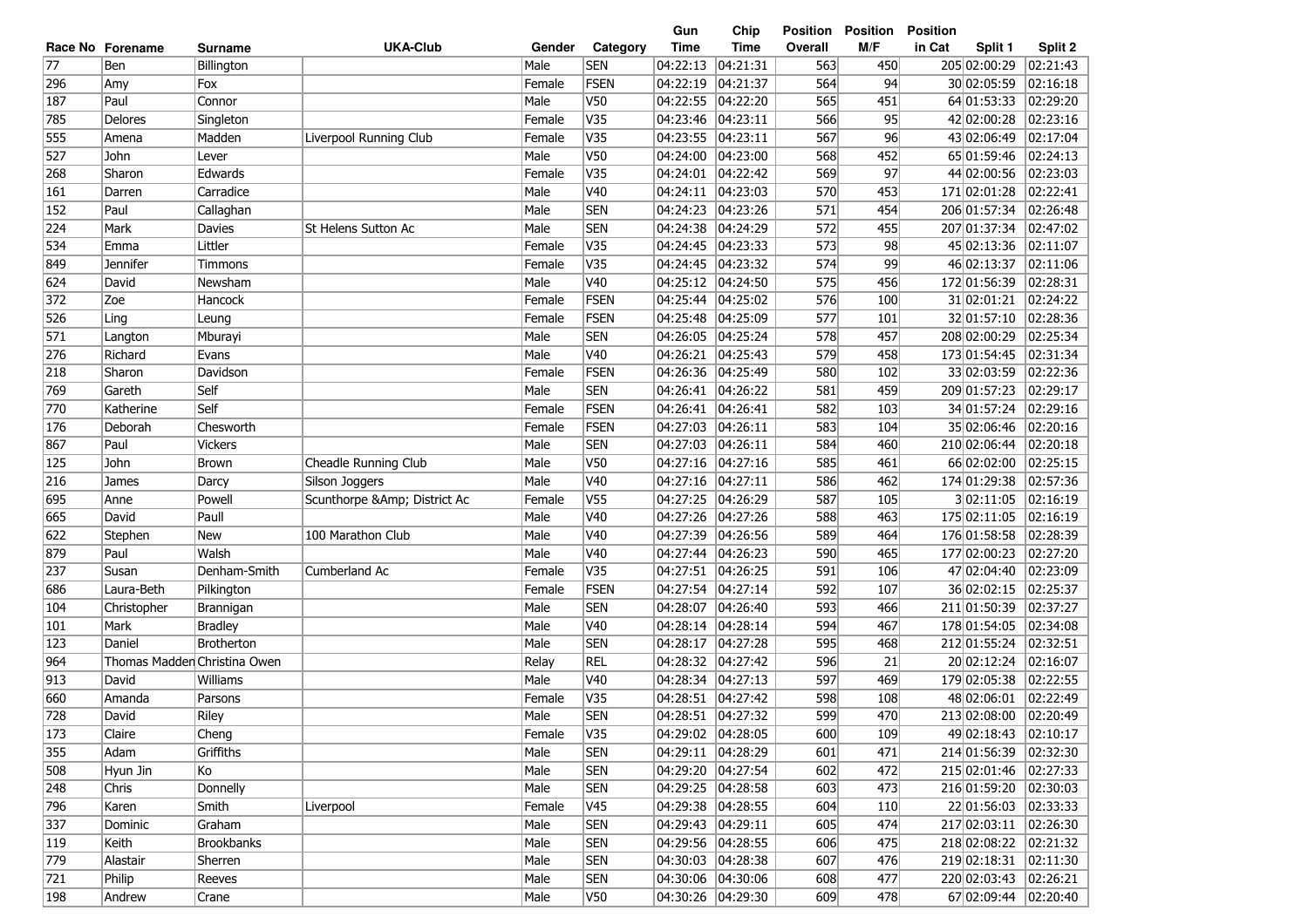|                 |                              |                |                             |        |                 | Gun               | Chip                | Position | <b>Position</b> | <b>Position</b>       |          |
|-----------------|------------------------------|----------------|-----------------------------|--------|-----------------|-------------------|---------------------|----------|-----------------|-----------------------|----------|
|                 | Race No Forename             | <b>Surname</b> | <b>UKA-Club</b>             | Gender | Category        | <b>Time</b>       | <b>Time</b>         | Overall  | M/F             | in Cat<br>Split 1     | Split 2  |
| $\overline{77}$ | Ben                          | Billington     |                             | Male   | <b>SEN</b>      | 04:22:13          | 04:21:31            | 563      | 450             | 205 02:00:29          | 02:21:43 |
| 296             | Amy                          | Fox            |                             | Female | FSEN            | 04:22:19          | 04:21:37            | 564      | 94              | 30 02:05:59           | 02:16:18 |
| 187             | Paul                         | Connor         |                             | Male   | V50             | 04:22:55          | 04:22:20            | 565      | 451             | 64 01:53:33           | 02:29:20 |
| 785             | Delores                      | Singleton      |                             | Female | V35             | 04:23:46          | 04:23:11            | 566      | 95              | 42 02:00:28           | 02:23:16 |
| 555             | Amena                        | Madden         | Liverpool Running Club      | Female | V35             | 04:23:55          | 04:23:11            | 567      | 96              | 43 02:06:49           | 02:17:04 |
| 527             | John                         | Lever          |                             | Male   | <b>V50</b>      | 04:24:00          | 04:23:00            | 568      | 452             | 65 01:59:46           | 02:24:13 |
| 268             | Sharon                       | Edwards        |                             | Female | V35             | 04:24:01          | 04:22:42            | 569      | 97              | 44 02:00:56           | 02:23:03 |
| 161             | Darren                       | Carradice      |                             | Male   | V <sub>40</sub> | 04:24:11          | 04:23:03            | 570      | 453             | 171 02:01:28          | 02:22:41 |
| 152             | Paul                         | Callaghan      |                             | Male   | <b>SEN</b>      | 04:24:23          | 04:23:26            | 571      | 454             | 206 01:57:34          | 02:26:48 |
| 224             | Mark                         | <b>Davies</b>  | St Helens Sutton Ac         | Male   | <b>SEN</b>      | 04:24:38          | 04:24:29            | 572      | 455             | 207 01:37:34          | 02:47:02 |
| 534             | Emma                         | Littler        |                             | Female | V35             | 04:24:45          | 04:23:33            | 573      | 98              | 45 02:13:36           | 02:11:07 |
| 849             | <b>Jennifer</b>              | Timmons        |                             | Female | V35             | 04:24:45          | 04:23:32            | 574      | 99              | 46 02:13:37           | 02:11:06 |
| 624             | David                        | Newsham        |                             | Male   | V40             | 04:25:12          | 04:24:50            | 575      | 456             | 172 01:56:39          | 02:28:31 |
| 372             | Zoe                          | Hancock        |                             | Female | FSEN            | 04:25:44          | 04:25:02            | 576      | 100             | 31 02:01:21           | 02:24:22 |
| 526             | Ling                         | Leung          |                             | Female | FSEN            | 04:25:48          | 04:25:09            | 577      | 101             | 32 01:57:10           | 02:28:36 |
| 571             | Langton                      | Mburayi        |                             | Male   | <b>SEN</b>      | 04:26:05          | 04:25:24            | 578      | 457             | 208 02:00:29          | 02:25:34 |
| 276             | Richard                      | Evans          |                             | Male   | V40             | 04:26:21          | 04:25:43            | 579      | 458             | 173 01:54:45          | 02:31:34 |
| 218             | Sharon                       | Davidson       |                             | Female | <b>FSEN</b>     | 04:26:36          | 04:25:49            | 580      | 102             | 33 02:03:59           | 02:22:36 |
| 769             | Gareth                       | Self           |                             | Male   | <b>SEN</b>      | 04:26:41          | 04:26:22            | 581      | 459             | 209 01:57:23          | 02:29:17 |
| 770             | Katherine                    | Self           |                             | Female | <b>FSEN</b>     | 04:26:41          | 04:26:41            | 582      | 103             | 34 01:57:24           | 02:29:16 |
| 176             | Deborah                      | Chesworth      |                             | Female | FSEN            | 04:27:03          | 04:26:11            | 583      | 104             | 35 02:06:46           | 02:20:16 |
| 867             | Paul                         | <b>Vickers</b> |                             | Male   | <b>SEN</b>      | 04:27:03          | 04:26:11            | 584      | 460             | 210 02:06:44          | 02:20:18 |
| 125             | John                         | <b>Brown</b>   | Cheadle Running Club        | Male   | V50             | 04:27:16          | 04:27:16            | 585      | 461             | 66 02:02:00           | 02:25:15 |
| 216             | James                        | Darcy          | Silson Joggers              | Male   | V40             | 04:27:16          | 04:27:11            | 586      | 462             | 174 01:29:38          | 02:57:36 |
| 695             | Anne                         | Powell         | Scunthorpe &Amp District Ac | Female | V <sub>55</sub> | 04:27:25          | 04:26:29            | 587      | 105             | 302:11:05             | 02:16:19 |
| 665             | David                        | Paull          |                             | Male   | V40             | 04:27:26          | 04:27:26            | 588      | 463             | 175 02:11:05          | 02:16:19 |
| 622             | Stephen                      | New            | 100 Marathon Club           | Male   | V <sub>40</sub> | 04:27:39          | 04:26:56            | 589      | 464             | 176 01:58:58          | 02:28:39 |
| 879             | Paul                         | Walsh          |                             | Male   | V40             | 04:27:44          | 04:26:23            | 590      | 465             | 177 02:00:23          | 02:27:20 |
| 237             | Susan                        | Denham-Smith   | Cumberland Ac               | Female | V35             | 04:27:51          | 04:26:25            | 591      | 106             | 47 02:04:40           | 02:23:09 |
| 686             | Laura-Beth                   | Pilkington     |                             | Female | <b>FSEN</b>     | 04:27:54          | 04:27:14            | 592      | 107             | 36 02:02:15           | 02:25:37 |
| 104             | Christopher                  | Brannigan      |                             | Male   | <b>SEN</b>      | 04:28:07          | 04:26:40            | 593      | 466             | 211 01:50:39          | 02:37:27 |
| 101             | Mark                         | <b>Bradley</b> |                             | Male   | V <sub>40</sub> | 04:28:14          | 04:28:14            | 594      | 467             | 178 01:54:05          | 02:34:08 |
| 123             | Daniel                       | Brotherton     |                             | Male   | <b>SEN</b>      | 04:28:17          | 04:27:28            | 595      | 468             | 212 01:55:24          | 02:32:51 |
| 964             | Thomas Madder Christina Owen |                |                             | Relay  | <b>REL</b>      | 04:28:32          | 04:27:42            | 596      | 21              | 20 02:12:24           | 02:16:07 |
| 913             | David                        | Williams       |                             | Male   | V40             | 04:28:34          | 04:27:13            | 597      | 469             | 179 02:05:38          | 02:22:55 |
| 660             | Amanda                       | Parsons        |                             | Female | V35             | 04:28:51          | 04:27:42            | 598      | 108             | 48 02:06:01           | 02:22:49 |
| 728             | David                        | Riley          |                             | Male   | <b>SEN</b>      | 04:28:51 04:27:32 |                     | 599      | 470             | 213 02:08:00          | 02:20:49 |
| 173             | Claire                       | Cheng          |                             | Female | V35             |                   | 04:29:02 04:28:05   | 600      | 109             | 49 02:18:43           | 02:10:17 |
| 355             | Adam                         | Griffiths      |                             | Male   | <b>SEN</b>      |                   | 04:29:11 04:28:29   | 601      | 471             | 214 01:56:39          | 02:32:30 |
| 508             | Hyun Jin                     | Ko             |                             | Male   | <b>SEN</b>      |                   | 04:29:20 04:27:54   | 602      | 472             | 215 02:01:46          | 02:27:33 |
| 248             | Chris                        | Donnelly       |                             | Male   | <b>SEN</b>      |                   | 04:29:25 04:28:58   | 603      | 473             | 216 01:59:20          | 02:30:03 |
| 796             | Karen                        | Smith          | Liverpool                   | Female | V45             |                   | 04:29:38 04:28:55   | 604      | 110             | 22 01:56:03 02:33:33  |          |
| $337$           | Dominic                      | Graham         |                             | Male   | <b>SEN</b>      | 04:29:43 04:29:11 |                     | 605      | 474             | 217 02:03:11 02:26:30 |          |
| 119             | Keith                        | Brookbanks     |                             | Male   | <b>SEN</b>      |                   | 04:29:56 04:28:55   | 606      | 475             | 218 02:08:22          | 02:21:32 |
| 779             | Alastair                     | Sherren        |                             | Male   | <b>SEN</b>      |                   | 04:30:03 04:28:38   | 607      | 476             | 219 02:18:31 02:11:30 |          |
| 721             | Philip                       | Reeves         |                             | Male   | <b>SEN</b>      |                   | 04:30:06 04:30:06   | 608      | 477             | 220 02:03:43          | 02:26:21 |
| 198             | Andrew                       | Crane          |                             | Male   | V50             |                   | 04:30:26   04:29:30 | 609      | 478             | 67 02:09:44           | 02:20:40 |
|                 |                              |                |                             |        |                 |                   |                     |          |                 |                       |          |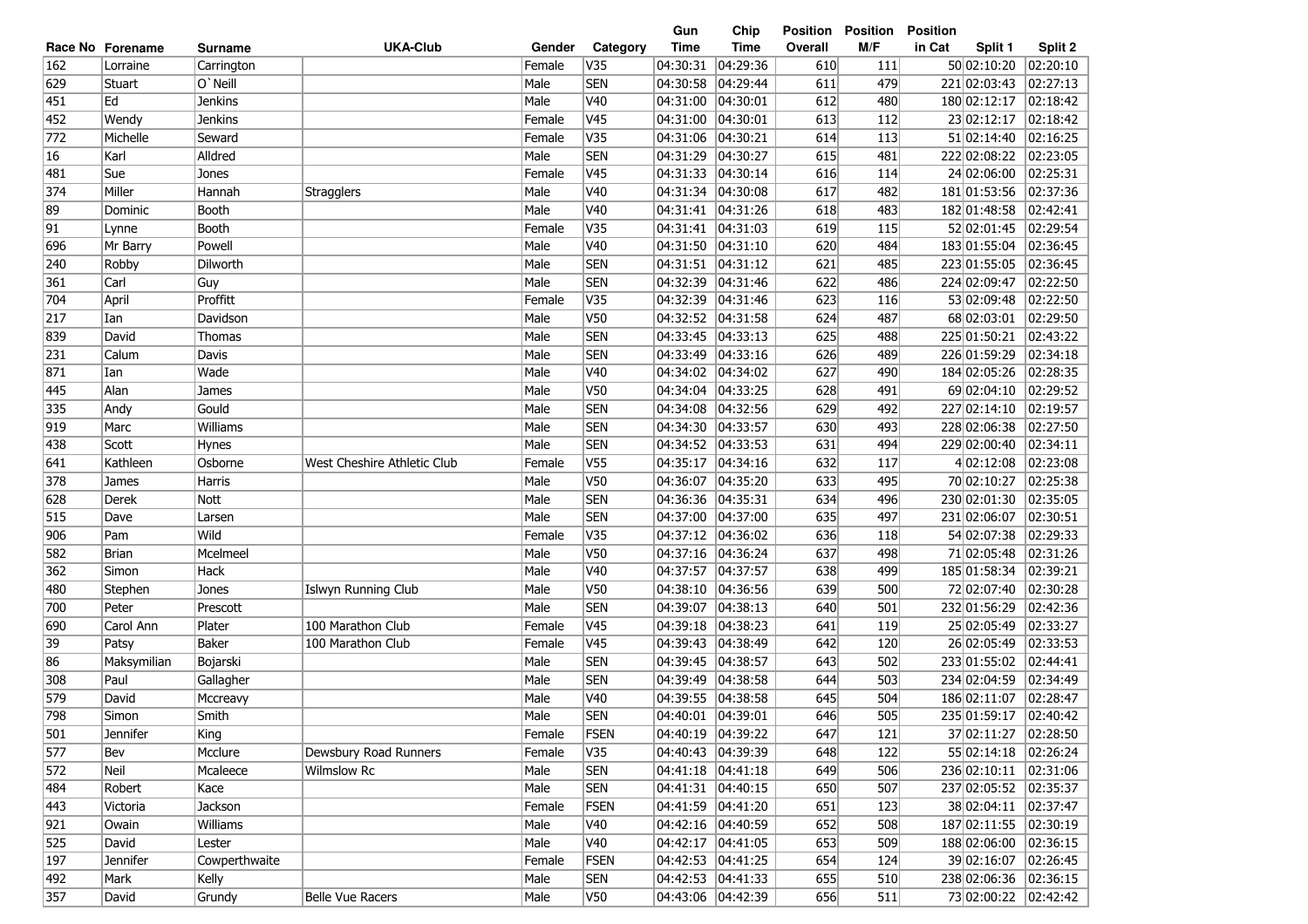| <b>UKA-Club</b><br><b>Time</b><br><b>Time</b><br>M/F<br>in Cat<br>Category<br>Overall<br>Split 1<br>Split 2<br>Race No Forename<br>Gender<br>Surname<br>162<br>V35<br>04:30:31<br>04:29:36<br>111<br>50 02:10:20<br>02:20:10<br>Female<br>610<br>Lorraine<br>Carrington<br>629<br>O'Neill<br><b>SEN</b><br>04:30:58<br>04:29:44<br>479<br>221 02:03:43<br>02:27:13<br>Stuart<br>Male<br>611<br>451<br>Ed<br><b>Jenkins</b><br>Male<br>V40<br>04:31:00<br> 04:30:01<br>180 02:12:17<br>02:18:42<br>612<br>480<br>Female<br>V <sub>45</sub><br>04:31:00<br>613<br>23 02:12:17<br>02:18:42<br>452<br>Wendy<br><b>Jenkins</b><br> 04:30:01<br>112<br>772<br>V35<br>04:31:06<br>04:30:21<br>614<br>51 02:14:40<br>02:16:25<br>Michelle<br>Seward<br>Female<br>113<br><b>SEN</b><br>02:23:05<br>Alldred<br>04:31:29<br>04:30:27<br>615<br>222 02:08:22<br>16<br>Karl<br>Male<br>481<br>V <sub>45</sub><br>$\sqrt{02:25:31}$<br>Sue<br>Female<br>04:31:33<br> 04:30:14<br>616<br>24 02:06:00<br>481<br>Jones<br>114<br>374<br>Miller<br>V40<br>617<br>181 01:53:56<br>02:37:36<br>Hannah<br><b>Stragglers</b><br>Male<br>04:31:34<br> 04:30:08<br>482<br>V40<br>02:42:41<br>89<br>Booth<br>Male<br>04:31:41<br> 04:31:26<br>618<br>483<br>182 01:48:58<br>Dominic<br>91<br>V35<br>02:29:54<br>Booth<br>Female<br>04:31:41<br> 04:31:03<br>619<br>115<br>52 02:01:45<br>Lynne<br>Male<br>V40<br>04:31:50<br>183 01:55:04<br>02:36:45<br>696<br>Mr Barry<br>Powell<br> 04:31:10<br>620<br>484<br><b>SEN</b><br>240<br>Male<br>04:31:51<br>223 01:55:05<br>02:36:45<br>Robby<br>Dilworth<br> 04:31:12<br>621<br>485<br><b>SEN</b><br>361<br>Carl<br>Guy<br>Male<br>04:32:39<br> 04:31:46<br>622<br>224 02:09:47<br>02:22:50<br>486<br>704<br>April<br>Proffitt<br>Female<br>V35<br>04:32:39<br> 04:31:46<br>623<br>53 02:09:48<br>02:22:50<br>116<br>217<br>Davidson<br>Male<br><b>V50</b><br>04:32:52<br>68 02:03:01<br>02:29:50<br>Ian<br> 04:31:58<br>624<br>487<br><b>SEN</b><br>839<br>Male<br>04:33:45<br> 04:33:13<br>225 01:50:21<br>02:43:22<br>David<br>Thomas<br>625<br>488<br>231<br>Male<br><b>SEN</b><br>04:33:49<br> 04:33:16<br>626<br>226 01:59:29<br>02:34:18<br>Calum<br>Davis<br>489<br>871<br>Wade<br>Male<br>V40<br>04:34:02<br> 04:34:02<br>627<br>184 02:05:26<br>02:28:35<br>Ian<br>490<br>Alan<br>V <sub>50</sub><br>04:34:04<br>04:33:25<br>69 02:04:10<br>02:29:52<br>445<br>Male<br>628<br>491<br>James<br><b>SEN</b><br>335<br>Gould<br>Male<br>04:34:08<br>04:32:56<br>227 02:14:10<br>02:19:57<br>Andy<br>629<br>492<br>Male<br><b>SEN</b><br>04:34:30<br>04:33:57<br>630<br>228 02:06:38<br>02:27:50<br> 919<br>Marc<br>Williams<br>493<br><b>SEN</b><br>02:34:11<br>Male<br>04:34:52<br> 04:33:53<br>631<br>494<br>229 02:00:40<br>438<br>Scott<br><b>Hynes</b><br>02:23:08<br>Female<br>V <sub>55</sub><br>04:35:17<br>04:34:16<br>4 02:12:08<br>641<br>Kathleen<br>Osborne<br>West Cheshire Athletic Club<br>632<br>117<br>V50<br>$\sqrt{02:25:38}$<br>378<br>Male<br>04:36:07<br>04:35:20<br>70 02:10:27<br><b>Harris</b><br>633<br>495<br>James<br><b>SEN</b><br>628<br>04:36:36<br> 04:35:31<br>634<br>230 02:01:30<br>02:35:05<br>Derek<br><b>Nott</b><br>Male<br>496<br>515<br><b>SEN</b><br>231 02:06:07<br>02:30:51<br>Male<br>04:37:00<br> 04:37:00<br>635<br>497<br>Dave<br>Larsen<br>Wild<br>V35<br>54 02:07:38<br>02:29:33<br>906<br>Female<br>04:37:12<br> 04:36:02<br>636<br>Pam<br>118<br>V <sub>50</sub><br>04:37:16<br>71 02:05:48<br>582<br>Mcelmeel<br>Male<br> 04:36:24<br>637<br>02:31:26<br><b>Brian</b><br>498<br>362<br>Hack<br>Male<br>V40<br>04:37:57<br> 04:37:57<br>185 01:58:34<br>02:39:21<br>Simon<br>638<br>499<br>V50<br>72 02:07:40<br>02:30:28<br>480<br>Male<br>04:38:10<br>04:36:56<br>639<br>500<br>Jones<br>Islwyn Running Club<br>Stephen<br><b>SEN</b><br>700<br>Male<br>04:39:07<br> 04:38:13<br>640<br>232 01:56:29<br>02:42:36<br>Peter<br>Prescott<br>501<br>V <sub>45</sub><br>Carol Ann<br>Plater<br>100 Marathon Club<br>Female<br>04:39:18<br>04:38:23<br>641<br>25 02:05:49<br>02:33:27<br>690<br>119<br>V <sub>45</sub><br>39<br><b>Baker</b><br>Female<br>04:39:43<br>04:38:49<br>642<br>26 02:05:49<br>02:33:53<br>Patsy<br>100 Marathon Club<br>120<br>86<br>Male<br><b>SEN</b><br>04:39:45<br>04:38:57<br>643<br>233 01:55:02<br>02:44:41<br>Maksymilian<br>Bojarski<br>502<br>308<br>Male<br><b>SEN</b><br>04:39:49<br>02:34:49<br>Paul<br>Gallagher<br>04:38:58<br>644<br>503<br>234 02:04:59<br>579<br>V40<br>04:39:55<br> 04:38:58<br>645<br>02:28:47<br>David<br>Male<br>504<br>186 02:11:07<br>Mccreavy<br>798<br><b>SEN</b><br>Simon<br>Smith<br>Male<br>04:40:01 04:39:01<br>646<br>505<br>235 01:59:17<br> 02:40:42<br>501<br>Jennifer<br>Female<br><b>FSEN</b><br>04:40:19 04:39:22<br>647<br>121<br>37 02:11:27<br> 02:28:50<br>King<br>577<br>V35<br>04:40:43 04:39:39<br>55 02:14:18 02:26:24<br>Mcclure<br>Dewsbury Road Runners<br>Female<br>648<br>122<br>Bev<br><b>SEN</b><br>236 02:10:11 02:31:06<br>572<br>Neil<br>Mcaleece<br>Male<br>04:41:18 04:41:18<br>649<br>506<br>Wilmslow Rc<br><b>SEN</b><br>237 02:05:52 02:35:37<br>484<br>Male<br>04:41:31  04:40:15<br>650<br>507<br>Robert<br>Kace<br>443<br>FSEN<br>651<br>38 02:04:11 02:37:47<br>Female<br>04:41:59 04:41:20<br>123<br>Victoria<br>Jackson<br>921<br>187 02:11:55 02:30:19<br>Male<br>V40<br>04:42:16 04:40:59<br>652<br>508<br>Owain<br>Williams<br>525<br>188 02:06:00 02:36:15<br>David<br>Male<br>V40<br>04:42:17 04:41:05<br>653<br>509<br>Lester<br>197<br>39 02:16:07  02:26:45<br>Female<br><b>FSEN</b><br>04:42:53 04:41:25<br>654<br>124<br>Jennifer<br>Cowperthwaite<br>238 02:06:36<br>492<br>Mark<br>Kelly<br>Male<br><b>SEN</b><br>04:42:53  04:41:33<br>655<br>510<br> 02:36:15<br>73 02:00:22<br>04:43:06  04:42:39<br>Grundy |     |       |                         |      |     | Gun | Chip | <b>Position</b> | <b>Position</b> | <b>Position</b> |          |
|---------------------------------------------------------------------------------------------------------------------------------------------------------------------------------------------------------------------------------------------------------------------------------------------------------------------------------------------------------------------------------------------------------------------------------------------------------------------------------------------------------------------------------------------------------------------------------------------------------------------------------------------------------------------------------------------------------------------------------------------------------------------------------------------------------------------------------------------------------------------------------------------------------------------------------------------------------------------------------------------------------------------------------------------------------------------------------------------------------------------------------------------------------------------------------------------------------------------------------------------------------------------------------------------------------------------------------------------------------------------------------------------------------------------------------------------------------------------------------------------------------------------------------------------------------------------------------------------------------------------------------------------------------------------------------------------------------------------------------------------------------------------------------------------------------------------------------------------------------------------------------------------------------------------------------------------------------------------------------------------------------------------------------------------------------------------------------------------------------------------------------------------------------------------------------------------------------------------------------------------------------------------------------------------------------------------------------------------------------------------------------------------------------------------------------------------------------------------------------------------------------------------------------------------------------------------------------------------------------------------------------------------------------------------------------------------------------------------------------------------------------------------------------------------------------------------------------------------------------------------------------------------------------------------------------------------------------------------------------------------------------------------------------------------------------------------------------------------------------------------------------------------------------------------------------------------------------------------------------------------------------------------------------------------------------------------------------------------------------------------------------------------------------------------------------------------------------------------------------------------------------------------------------------------------------------------------------------------------------------------------------------------------------------------------------------------------------------------------------------------------------------------------------------------------------------------------------------------------------------------------------------------------------------------------------------------------------------------------------------------------------------------------------------------------------------------------------------------------------------------------------------------------------------------------------------------------------------------------------------------------------------------------------------------------------------------------------------------------------------------------------------------------------------------------------------------------------------------------------------------------------------------------------------------------------------------------------------------------------------------------------------------------------------------------------------------------------------------------------------------------------------------------------------------------------------------------------------------------------------------------------------------------------------------------------------------------------------------------------------------------------------------------------------------------------------------------------------------------------------------------------------------------------------------------------------------------------------------------------------------------------------------------------------------------------------------------------------------------------------------------------------------------------------------------------------------------------------------------------------------------------------------------------------------------------------------------------------------------------------------------------------------------------------------------------------------------------------------------------------------------------------------------------------------------------------------|-----|-------|-------------------------|------|-----|-----|------|-----------------|-----------------|-----------------|----------|
|                                                                                                                                                                                                                                                                                                                                                                                                                                                                                                                                                                                                                                                                                                                                                                                                                                                                                                                                                                                                                                                                                                                                                                                                                                                                                                                                                                                                                                                                                                                                                                                                                                                                                                                                                                                                                                                                                                                                                                                                                                                                                                                                                                                                                                                                                                                                                                                                                                                                                                                                                                                                                                                                                                                                                                                                                                                                                                                                                                                                                                                                                                                                                                                                                                                                                                                                                                                                                                                                                                                                                                                                                                                                                                                                                                                                                                                                                                                                                                                                                                                                                                                                                                                                                                                                                                                                                                                                                                                                                                                                                                                                                                                                                                                                                                                                                                                                                                                                                                                                                                                                                                                                                                                                                                                                                                                                                                                                                                                                                                                                                                                                                                                                                                                                                                                                                     |     |       |                         |      |     |     |      |                 |                 |                 |          |
|                                                                                                                                                                                                                                                                                                                                                                                                                                                                                                                                                                                                                                                                                                                                                                                                                                                                                                                                                                                                                                                                                                                                                                                                                                                                                                                                                                                                                                                                                                                                                                                                                                                                                                                                                                                                                                                                                                                                                                                                                                                                                                                                                                                                                                                                                                                                                                                                                                                                                                                                                                                                                                                                                                                                                                                                                                                                                                                                                                                                                                                                                                                                                                                                                                                                                                                                                                                                                                                                                                                                                                                                                                                                                                                                                                                                                                                                                                                                                                                                                                                                                                                                                                                                                                                                                                                                                                                                                                                                                                                                                                                                                                                                                                                                                                                                                                                                                                                                                                                                                                                                                                                                                                                                                                                                                                                                                                                                                                                                                                                                                                                                                                                                                                                                                                                                                     |     |       |                         |      |     |     |      |                 |                 |                 |          |
|                                                                                                                                                                                                                                                                                                                                                                                                                                                                                                                                                                                                                                                                                                                                                                                                                                                                                                                                                                                                                                                                                                                                                                                                                                                                                                                                                                                                                                                                                                                                                                                                                                                                                                                                                                                                                                                                                                                                                                                                                                                                                                                                                                                                                                                                                                                                                                                                                                                                                                                                                                                                                                                                                                                                                                                                                                                                                                                                                                                                                                                                                                                                                                                                                                                                                                                                                                                                                                                                                                                                                                                                                                                                                                                                                                                                                                                                                                                                                                                                                                                                                                                                                                                                                                                                                                                                                                                                                                                                                                                                                                                                                                                                                                                                                                                                                                                                                                                                                                                                                                                                                                                                                                                                                                                                                                                                                                                                                                                                                                                                                                                                                                                                                                                                                                                                                     |     |       |                         |      |     |     |      |                 |                 |                 |          |
|                                                                                                                                                                                                                                                                                                                                                                                                                                                                                                                                                                                                                                                                                                                                                                                                                                                                                                                                                                                                                                                                                                                                                                                                                                                                                                                                                                                                                                                                                                                                                                                                                                                                                                                                                                                                                                                                                                                                                                                                                                                                                                                                                                                                                                                                                                                                                                                                                                                                                                                                                                                                                                                                                                                                                                                                                                                                                                                                                                                                                                                                                                                                                                                                                                                                                                                                                                                                                                                                                                                                                                                                                                                                                                                                                                                                                                                                                                                                                                                                                                                                                                                                                                                                                                                                                                                                                                                                                                                                                                                                                                                                                                                                                                                                                                                                                                                                                                                                                                                                                                                                                                                                                                                                                                                                                                                                                                                                                                                                                                                                                                                                                                                                                                                                                                                                                     |     |       |                         |      |     |     |      |                 |                 |                 |          |
|                                                                                                                                                                                                                                                                                                                                                                                                                                                                                                                                                                                                                                                                                                                                                                                                                                                                                                                                                                                                                                                                                                                                                                                                                                                                                                                                                                                                                                                                                                                                                                                                                                                                                                                                                                                                                                                                                                                                                                                                                                                                                                                                                                                                                                                                                                                                                                                                                                                                                                                                                                                                                                                                                                                                                                                                                                                                                                                                                                                                                                                                                                                                                                                                                                                                                                                                                                                                                                                                                                                                                                                                                                                                                                                                                                                                                                                                                                                                                                                                                                                                                                                                                                                                                                                                                                                                                                                                                                                                                                                                                                                                                                                                                                                                                                                                                                                                                                                                                                                                                                                                                                                                                                                                                                                                                                                                                                                                                                                                                                                                                                                                                                                                                                                                                                                                                     |     |       |                         |      |     |     |      |                 |                 |                 |          |
|                                                                                                                                                                                                                                                                                                                                                                                                                                                                                                                                                                                                                                                                                                                                                                                                                                                                                                                                                                                                                                                                                                                                                                                                                                                                                                                                                                                                                                                                                                                                                                                                                                                                                                                                                                                                                                                                                                                                                                                                                                                                                                                                                                                                                                                                                                                                                                                                                                                                                                                                                                                                                                                                                                                                                                                                                                                                                                                                                                                                                                                                                                                                                                                                                                                                                                                                                                                                                                                                                                                                                                                                                                                                                                                                                                                                                                                                                                                                                                                                                                                                                                                                                                                                                                                                                                                                                                                                                                                                                                                                                                                                                                                                                                                                                                                                                                                                                                                                                                                                                                                                                                                                                                                                                                                                                                                                                                                                                                                                                                                                                                                                                                                                                                                                                                                                                     |     |       |                         |      |     |     |      |                 |                 |                 |          |
|                                                                                                                                                                                                                                                                                                                                                                                                                                                                                                                                                                                                                                                                                                                                                                                                                                                                                                                                                                                                                                                                                                                                                                                                                                                                                                                                                                                                                                                                                                                                                                                                                                                                                                                                                                                                                                                                                                                                                                                                                                                                                                                                                                                                                                                                                                                                                                                                                                                                                                                                                                                                                                                                                                                                                                                                                                                                                                                                                                                                                                                                                                                                                                                                                                                                                                                                                                                                                                                                                                                                                                                                                                                                                                                                                                                                                                                                                                                                                                                                                                                                                                                                                                                                                                                                                                                                                                                                                                                                                                                                                                                                                                                                                                                                                                                                                                                                                                                                                                                                                                                                                                                                                                                                                                                                                                                                                                                                                                                                                                                                                                                                                                                                                                                                                                                                                     |     |       |                         |      |     |     |      |                 |                 |                 |          |
|                                                                                                                                                                                                                                                                                                                                                                                                                                                                                                                                                                                                                                                                                                                                                                                                                                                                                                                                                                                                                                                                                                                                                                                                                                                                                                                                                                                                                                                                                                                                                                                                                                                                                                                                                                                                                                                                                                                                                                                                                                                                                                                                                                                                                                                                                                                                                                                                                                                                                                                                                                                                                                                                                                                                                                                                                                                                                                                                                                                                                                                                                                                                                                                                                                                                                                                                                                                                                                                                                                                                                                                                                                                                                                                                                                                                                                                                                                                                                                                                                                                                                                                                                                                                                                                                                                                                                                                                                                                                                                                                                                                                                                                                                                                                                                                                                                                                                                                                                                                                                                                                                                                                                                                                                                                                                                                                                                                                                                                                                                                                                                                                                                                                                                                                                                                                                     |     |       |                         |      |     |     |      |                 |                 |                 |          |
|                                                                                                                                                                                                                                                                                                                                                                                                                                                                                                                                                                                                                                                                                                                                                                                                                                                                                                                                                                                                                                                                                                                                                                                                                                                                                                                                                                                                                                                                                                                                                                                                                                                                                                                                                                                                                                                                                                                                                                                                                                                                                                                                                                                                                                                                                                                                                                                                                                                                                                                                                                                                                                                                                                                                                                                                                                                                                                                                                                                                                                                                                                                                                                                                                                                                                                                                                                                                                                                                                                                                                                                                                                                                                                                                                                                                                                                                                                                                                                                                                                                                                                                                                                                                                                                                                                                                                                                                                                                                                                                                                                                                                                                                                                                                                                                                                                                                                                                                                                                                                                                                                                                                                                                                                                                                                                                                                                                                                                                                                                                                                                                                                                                                                                                                                                                                                     |     |       |                         |      |     |     |      |                 |                 |                 |          |
|                                                                                                                                                                                                                                                                                                                                                                                                                                                                                                                                                                                                                                                                                                                                                                                                                                                                                                                                                                                                                                                                                                                                                                                                                                                                                                                                                                                                                                                                                                                                                                                                                                                                                                                                                                                                                                                                                                                                                                                                                                                                                                                                                                                                                                                                                                                                                                                                                                                                                                                                                                                                                                                                                                                                                                                                                                                                                                                                                                                                                                                                                                                                                                                                                                                                                                                                                                                                                                                                                                                                                                                                                                                                                                                                                                                                                                                                                                                                                                                                                                                                                                                                                                                                                                                                                                                                                                                                                                                                                                                                                                                                                                                                                                                                                                                                                                                                                                                                                                                                                                                                                                                                                                                                                                                                                                                                                                                                                                                                                                                                                                                                                                                                                                                                                                                                                     |     |       |                         |      |     |     |      |                 |                 |                 |          |
|                                                                                                                                                                                                                                                                                                                                                                                                                                                                                                                                                                                                                                                                                                                                                                                                                                                                                                                                                                                                                                                                                                                                                                                                                                                                                                                                                                                                                                                                                                                                                                                                                                                                                                                                                                                                                                                                                                                                                                                                                                                                                                                                                                                                                                                                                                                                                                                                                                                                                                                                                                                                                                                                                                                                                                                                                                                                                                                                                                                                                                                                                                                                                                                                                                                                                                                                                                                                                                                                                                                                                                                                                                                                                                                                                                                                                                                                                                                                                                                                                                                                                                                                                                                                                                                                                                                                                                                                                                                                                                                                                                                                                                                                                                                                                                                                                                                                                                                                                                                                                                                                                                                                                                                                                                                                                                                                                                                                                                                                                                                                                                                                                                                                                                                                                                                                                     |     |       |                         |      |     |     |      |                 |                 |                 |          |
|                                                                                                                                                                                                                                                                                                                                                                                                                                                                                                                                                                                                                                                                                                                                                                                                                                                                                                                                                                                                                                                                                                                                                                                                                                                                                                                                                                                                                                                                                                                                                                                                                                                                                                                                                                                                                                                                                                                                                                                                                                                                                                                                                                                                                                                                                                                                                                                                                                                                                                                                                                                                                                                                                                                                                                                                                                                                                                                                                                                                                                                                                                                                                                                                                                                                                                                                                                                                                                                                                                                                                                                                                                                                                                                                                                                                                                                                                                                                                                                                                                                                                                                                                                                                                                                                                                                                                                                                                                                                                                                                                                                                                                                                                                                                                                                                                                                                                                                                                                                                                                                                                                                                                                                                                                                                                                                                                                                                                                                                                                                                                                                                                                                                                                                                                                                                                     |     |       |                         |      |     |     |      |                 |                 |                 |          |
|                                                                                                                                                                                                                                                                                                                                                                                                                                                                                                                                                                                                                                                                                                                                                                                                                                                                                                                                                                                                                                                                                                                                                                                                                                                                                                                                                                                                                                                                                                                                                                                                                                                                                                                                                                                                                                                                                                                                                                                                                                                                                                                                                                                                                                                                                                                                                                                                                                                                                                                                                                                                                                                                                                                                                                                                                                                                                                                                                                                                                                                                                                                                                                                                                                                                                                                                                                                                                                                                                                                                                                                                                                                                                                                                                                                                                                                                                                                                                                                                                                                                                                                                                                                                                                                                                                                                                                                                                                                                                                                                                                                                                                                                                                                                                                                                                                                                                                                                                                                                                                                                                                                                                                                                                                                                                                                                                                                                                                                                                                                                                                                                                                                                                                                                                                                                                     |     |       |                         |      |     |     |      |                 |                 |                 |          |
|                                                                                                                                                                                                                                                                                                                                                                                                                                                                                                                                                                                                                                                                                                                                                                                                                                                                                                                                                                                                                                                                                                                                                                                                                                                                                                                                                                                                                                                                                                                                                                                                                                                                                                                                                                                                                                                                                                                                                                                                                                                                                                                                                                                                                                                                                                                                                                                                                                                                                                                                                                                                                                                                                                                                                                                                                                                                                                                                                                                                                                                                                                                                                                                                                                                                                                                                                                                                                                                                                                                                                                                                                                                                                                                                                                                                                                                                                                                                                                                                                                                                                                                                                                                                                                                                                                                                                                                                                                                                                                                                                                                                                                                                                                                                                                                                                                                                                                                                                                                                                                                                                                                                                                                                                                                                                                                                                                                                                                                                                                                                                                                                                                                                                                                                                                                                                     |     |       |                         |      |     |     |      |                 |                 |                 |          |
|                                                                                                                                                                                                                                                                                                                                                                                                                                                                                                                                                                                                                                                                                                                                                                                                                                                                                                                                                                                                                                                                                                                                                                                                                                                                                                                                                                                                                                                                                                                                                                                                                                                                                                                                                                                                                                                                                                                                                                                                                                                                                                                                                                                                                                                                                                                                                                                                                                                                                                                                                                                                                                                                                                                                                                                                                                                                                                                                                                                                                                                                                                                                                                                                                                                                                                                                                                                                                                                                                                                                                                                                                                                                                                                                                                                                                                                                                                                                                                                                                                                                                                                                                                                                                                                                                                                                                                                                                                                                                                                                                                                                                                                                                                                                                                                                                                                                                                                                                                                                                                                                                                                                                                                                                                                                                                                                                                                                                                                                                                                                                                                                                                                                                                                                                                                                                     |     |       |                         |      |     |     |      |                 |                 |                 |          |
|                                                                                                                                                                                                                                                                                                                                                                                                                                                                                                                                                                                                                                                                                                                                                                                                                                                                                                                                                                                                                                                                                                                                                                                                                                                                                                                                                                                                                                                                                                                                                                                                                                                                                                                                                                                                                                                                                                                                                                                                                                                                                                                                                                                                                                                                                                                                                                                                                                                                                                                                                                                                                                                                                                                                                                                                                                                                                                                                                                                                                                                                                                                                                                                                                                                                                                                                                                                                                                                                                                                                                                                                                                                                                                                                                                                                                                                                                                                                                                                                                                                                                                                                                                                                                                                                                                                                                                                                                                                                                                                                                                                                                                                                                                                                                                                                                                                                                                                                                                                                                                                                                                                                                                                                                                                                                                                                                                                                                                                                                                                                                                                                                                                                                                                                                                                                                     |     |       |                         |      |     |     |      |                 |                 |                 |          |
|                                                                                                                                                                                                                                                                                                                                                                                                                                                                                                                                                                                                                                                                                                                                                                                                                                                                                                                                                                                                                                                                                                                                                                                                                                                                                                                                                                                                                                                                                                                                                                                                                                                                                                                                                                                                                                                                                                                                                                                                                                                                                                                                                                                                                                                                                                                                                                                                                                                                                                                                                                                                                                                                                                                                                                                                                                                                                                                                                                                                                                                                                                                                                                                                                                                                                                                                                                                                                                                                                                                                                                                                                                                                                                                                                                                                                                                                                                                                                                                                                                                                                                                                                                                                                                                                                                                                                                                                                                                                                                                                                                                                                                                                                                                                                                                                                                                                                                                                                                                                                                                                                                                                                                                                                                                                                                                                                                                                                                                                                                                                                                                                                                                                                                                                                                                                                     |     |       |                         |      |     |     |      |                 |                 |                 |          |
|                                                                                                                                                                                                                                                                                                                                                                                                                                                                                                                                                                                                                                                                                                                                                                                                                                                                                                                                                                                                                                                                                                                                                                                                                                                                                                                                                                                                                                                                                                                                                                                                                                                                                                                                                                                                                                                                                                                                                                                                                                                                                                                                                                                                                                                                                                                                                                                                                                                                                                                                                                                                                                                                                                                                                                                                                                                                                                                                                                                                                                                                                                                                                                                                                                                                                                                                                                                                                                                                                                                                                                                                                                                                                                                                                                                                                                                                                                                                                                                                                                                                                                                                                                                                                                                                                                                                                                                                                                                                                                                                                                                                                                                                                                                                                                                                                                                                                                                                                                                                                                                                                                                                                                                                                                                                                                                                                                                                                                                                                                                                                                                                                                                                                                                                                                                                                     |     |       |                         |      |     |     |      |                 |                 |                 |          |
|                                                                                                                                                                                                                                                                                                                                                                                                                                                                                                                                                                                                                                                                                                                                                                                                                                                                                                                                                                                                                                                                                                                                                                                                                                                                                                                                                                                                                                                                                                                                                                                                                                                                                                                                                                                                                                                                                                                                                                                                                                                                                                                                                                                                                                                                                                                                                                                                                                                                                                                                                                                                                                                                                                                                                                                                                                                                                                                                                                                                                                                                                                                                                                                                                                                                                                                                                                                                                                                                                                                                                                                                                                                                                                                                                                                                                                                                                                                                                                                                                                                                                                                                                                                                                                                                                                                                                                                                                                                                                                                                                                                                                                                                                                                                                                                                                                                                                                                                                                                                                                                                                                                                                                                                                                                                                                                                                                                                                                                                                                                                                                                                                                                                                                                                                                                                                     |     |       |                         |      |     |     |      |                 |                 |                 |          |
|                                                                                                                                                                                                                                                                                                                                                                                                                                                                                                                                                                                                                                                                                                                                                                                                                                                                                                                                                                                                                                                                                                                                                                                                                                                                                                                                                                                                                                                                                                                                                                                                                                                                                                                                                                                                                                                                                                                                                                                                                                                                                                                                                                                                                                                                                                                                                                                                                                                                                                                                                                                                                                                                                                                                                                                                                                                                                                                                                                                                                                                                                                                                                                                                                                                                                                                                                                                                                                                                                                                                                                                                                                                                                                                                                                                                                                                                                                                                                                                                                                                                                                                                                                                                                                                                                                                                                                                                                                                                                                                                                                                                                                                                                                                                                                                                                                                                                                                                                                                                                                                                                                                                                                                                                                                                                                                                                                                                                                                                                                                                                                                                                                                                                                                                                                                                                     |     |       |                         |      |     |     |      |                 |                 |                 |          |
|                                                                                                                                                                                                                                                                                                                                                                                                                                                                                                                                                                                                                                                                                                                                                                                                                                                                                                                                                                                                                                                                                                                                                                                                                                                                                                                                                                                                                                                                                                                                                                                                                                                                                                                                                                                                                                                                                                                                                                                                                                                                                                                                                                                                                                                                                                                                                                                                                                                                                                                                                                                                                                                                                                                                                                                                                                                                                                                                                                                                                                                                                                                                                                                                                                                                                                                                                                                                                                                                                                                                                                                                                                                                                                                                                                                                                                                                                                                                                                                                                                                                                                                                                                                                                                                                                                                                                                                                                                                                                                                                                                                                                                                                                                                                                                                                                                                                                                                                                                                                                                                                                                                                                                                                                                                                                                                                                                                                                                                                                                                                                                                                                                                                                                                                                                                                                     |     |       |                         |      |     |     |      |                 |                 |                 |          |
|                                                                                                                                                                                                                                                                                                                                                                                                                                                                                                                                                                                                                                                                                                                                                                                                                                                                                                                                                                                                                                                                                                                                                                                                                                                                                                                                                                                                                                                                                                                                                                                                                                                                                                                                                                                                                                                                                                                                                                                                                                                                                                                                                                                                                                                                                                                                                                                                                                                                                                                                                                                                                                                                                                                                                                                                                                                                                                                                                                                                                                                                                                                                                                                                                                                                                                                                                                                                                                                                                                                                                                                                                                                                                                                                                                                                                                                                                                                                                                                                                                                                                                                                                                                                                                                                                                                                                                                                                                                                                                                                                                                                                                                                                                                                                                                                                                                                                                                                                                                                                                                                                                                                                                                                                                                                                                                                                                                                                                                                                                                                                                                                                                                                                                                                                                                                                     |     |       |                         |      |     |     |      |                 |                 |                 |          |
|                                                                                                                                                                                                                                                                                                                                                                                                                                                                                                                                                                                                                                                                                                                                                                                                                                                                                                                                                                                                                                                                                                                                                                                                                                                                                                                                                                                                                                                                                                                                                                                                                                                                                                                                                                                                                                                                                                                                                                                                                                                                                                                                                                                                                                                                                                                                                                                                                                                                                                                                                                                                                                                                                                                                                                                                                                                                                                                                                                                                                                                                                                                                                                                                                                                                                                                                                                                                                                                                                                                                                                                                                                                                                                                                                                                                                                                                                                                                                                                                                                                                                                                                                                                                                                                                                                                                                                                                                                                                                                                                                                                                                                                                                                                                                                                                                                                                                                                                                                                                                                                                                                                                                                                                                                                                                                                                                                                                                                                                                                                                                                                                                                                                                                                                                                                                                     |     |       |                         |      |     |     |      |                 |                 |                 |          |
|                                                                                                                                                                                                                                                                                                                                                                                                                                                                                                                                                                                                                                                                                                                                                                                                                                                                                                                                                                                                                                                                                                                                                                                                                                                                                                                                                                                                                                                                                                                                                                                                                                                                                                                                                                                                                                                                                                                                                                                                                                                                                                                                                                                                                                                                                                                                                                                                                                                                                                                                                                                                                                                                                                                                                                                                                                                                                                                                                                                                                                                                                                                                                                                                                                                                                                                                                                                                                                                                                                                                                                                                                                                                                                                                                                                                                                                                                                                                                                                                                                                                                                                                                                                                                                                                                                                                                                                                                                                                                                                                                                                                                                                                                                                                                                                                                                                                                                                                                                                                                                                                                                                                                                                                                                                                                                                                                                                                                                                                                                                                                                                                                                                                                                                                                                                                                     |     |       |                         |      |     |     |      |                 |                 |                 |          |
|                                                                                                                                                                                                                                                                                                                                                                                                                                                                                                                                                                                                                                                                                                                                                                                                                                                                                                                                                                                                                                                                                                                                                                                                                                                                                                                                                                                                                                                                                                                                                                                                                                                                                                                                                                                                                                                                                                                                                                                                                                                                                                                                                                                                                                                                                                                                                                                                                                                                                                                                                                                                                                                                                                                                                                                                                                                                                                                                                                                                                                                                                                                                                                                                                                                                                                                                                                                                                                                                                                                                                                                                                                                                                                                                                                                                                                                                                                                                                                                                                                                                                                                                                                                                                                                                                                                                                                                                                                                                                                                                                                                                                                                                                                                                                                                                                                                                                                                                                                                                                                                                                                                                                                                                                                                                                                                                                                                                                                                                                                                                                                                                                                                                                                                                                                                                                     |     |       |                         |      |     |     |      |                 |                 |                 |          |
|                                                                                                                                                                                                                                                                                                                                                                                                                                                                                                                                                                                                                                                                                                                                                                                                                                                                                                                                                                                                                                                                                                                                                                                                                                                                                                                                                                                                                                                                                                                                                                                                                                                                                                                                                                                                                                                                                                                                                                                                                                                                                                                                                                                                                                                                                                                                                                                                                                                                                                                                                                                                                                                                                                                                                                                                                                                                                                                                                                                                                                                                                                                                                                                                                                                                                                                                                                                                                                                                                                                                                                                                                                                                                                                                                                                                                                                                                                                                                                                                                                                                                                                                                                                                                                                                                                                                                                                                                                                                                                                                                                                                                                                                                                                                                                                                                                                                                                                                                                                                                                                                                                                                                                                                                                                                                                                                                                                                                                                                                                                                                                                                                                                                                                                                                                                                                     |     |       |                         |      |     |     |      |                 |                 |                 |          |
|                                                                                                                                                                                                                                                                                                                                                                                                                                                                                                                                                                                                                                                                                                                                                                                                                                                                                                                                                                                                                                                                                                                                                                                                                                                                                                                                                                                                                                                                                                                                                                                                                                                                                                                                                                                                                                                                                                                                                                                                                                                                                                                                                                                                                                                                                                                                                                                                                                                                                                                                                                                                                                                                                                                                                                                                                                                                                                                                                                                                                                                                                                                                                                                                                                                                                                                                                                                                                                                                                                                                                                                                                                                                                                                                                                                                                                                                                                                                                                                                                                                                                                                                                                                                                                                                                                                                                                                                                                                                                                                                                                                                                                                                                                                                                                                                                                                                                                                                                                                                                                                                                                                                                                                                                                                                                                                                                                                                                                                                                                                                                                                                                                                                                                                                                                                                                     |     |       |                         |      |     |     |      |                 |                 |                 |          |
|                                                                                                                                                                                                                                                                                                                                                                                                                                                                                                                                                                                                                                                                                                                                                                                                                                                                                                                                                                                                                                                                                                                                                                                                                                                                                                                                                                                                                                                                                                                                                                                                                                                                                                                                                                                                                                                                                                                                                                                                                                                                                                                                                                                                                                                                                                                                                                                                                                                                                                                                                                                                                                                                                                                                                                                                                                                                                                                                                                                                                                                                                                                                                                                                                                                                                                                                                                                                                                                                                                                                                                                                                                                                                                                                                                                                                                                                                                                                                                                                                                                                                                                                                                                                                                                                                                                                                                                                                                                                                                                                                                                                                                                                                                                                                                                                                                                                                                                                                                                                                                                                                                                                                                                                                                                                                                                                                                                                                                                                                                                                                                                                                                                                                                                                                                                                                     |     |       |                         |      |     |     |      |                 |                 |                 |          |
|                                                                                                                                                                                                                                                                                                                                                                                                                                                                                                                                                                                                                                                                                                                                                                                                                                                                                                                                                                                                                                                                                                                                                                                                                                                                                                                                                                                                                                                                                                                                                                                                                                                                                                                                                                                                                                                                                                                                                                                                                                                                                                                                                                                                                                                                                                                                                                                                                                                                                                                                                                                                                                                                                                                                                                                                                                                                                                                                                                                                                                                                                                                                                                                                                                                                                                                                                                                                                                                                                                                                                                                                                                                                                                                                                                                                                                                                                                                                                                                                                                                                                                                                                                                                                                                                                                                                                                                                                                                                                                                                                                                                                                                                                                                                                                                                                                                                                                                                                                                                                                                                                                                                                                                                                                                                                                                                                                                                                                                                                                                                                                                                                                                                                                                                                                                                                     |     |       |                         |      |     |     |      |                 |                 |                 |          |
|                                                                                                                                                                                                                                                                                                                                                                                                                                                                                                                                                                                                                                                                                                                                                                                                                                                                                                                                                                                                                                                                                                                                                                                                                                                                                                                                                                                                                                                                                                                                                                                                                                                                                                                                                                                                                                                                                                                                                                                                                                                                                                                                                                                                                                                                                                                                                                                                                                                                                                                                                                                                                                                                                                                                                                                                                                                                                                                                                                                                                                                                                                                                                                                                                                                                                                                                                                                                                                                                                                                                                                                                                                                                                                                                                                                                                                                                                                                                                                                                                                                                                                                                                                                                                                                                                                                                                                                                                                                                                                                                                                                                                                                                                                                                                                                                                                                                                                                                                                                                                                                                                                                                                                                                                                                                                                                                                                                                                                                                                                                                                                                                                                                                                                                                                                                                                     |     |       |                         |      |     |     |      |                 |                 |                 |          |
|                                                                                                                                                                                                                                                                                                                                                                                                                                                                                                                                                                                                                                                                                                                                                                                                                                                                                                                                                                                                                                                                                                                                                                                                                                                                                                                                                                                                                                                                                                                                                                                                                                                                                                                                                                                                                                                                                                                                                                                                                                                                                                                                                                                                                                                                                                                                                                                                                                                                                                                                                                                                                                                                                                                                                                                                                                                                                                                                                                                                                                                                                                                                                                                                                                                                                                                                                                                                                                                                                                                                                                                                                                                                                                                                                                                                                                                                                                                                                                                                                                                                                                                                                                                                                                                                                                                                                                                                                                                                                                                                                                                                                                                                                                                                                                                                                                                                                                                                                                                                                                                                                                                                                                                                                                                                                                                                                                                                                                                                                                                                                                                                                                                                                                                                                                                                                     |     |       |                         |      |     |     |      |                 |                 |                 |          |
|                                                                                                                                                                                                                                                                                                                                                                                                                                                                                                                                                                                                                                                                                                                                                                                                                                                                                                                                                                                                                                                                                                                                                                                                                                                                                                                                                                                                                                                                                                                                                                                                                                                                                                                                                                                                                                                                                                                                                                                                                                                                                                                                                                                                                                                                                                                                                                                                                                                                                                                                                                                                                                                                                                                                                                                                                                                                                                                                                                                                                                                                                                                                                                                                                                                                                                                                                                                                                                                                                                                                                                                                                                                                                                                                                                                                                                                                                                                                                                                                                                                                                                                                                                                                                                                                                                                                                                                                                                                                                                                                                                                                                                                                                                                                                                                                                                                                                                                                                                                                                                                                                                                                                                                                                                                                                                                                                                                                                                                                                                                                                                                                                                                                                                                                                                                                                     |     |       |                         |      |     |     |      |                 |                 |                 |          |
|                                                                                                                                                                                                                                                                                                                                                                                                                                                                                                                                                                                                                                                                                                                                                                                                                                                                                                                                                                                                                                                                                                                                                                                                                                                                                                                                                                                                                                                                                                                                                                                                                                                                                                                                                                                                                                                                                                                                                                                                                                                                                                                                                                                                                                                                                                                                                                                                                                                                                                                                                                                                                                                                                                                                                                                                                                                                                                                                                                                                                                                                                                                                                                                                                                                                                                                                                                                                                                                                                                                                                                                                                                                                                                                                                                                                                                                                                                                                                                                                                                                                                                                                                                                                                                                                                                                                                                                                                                                                                                                                                                                                                                                                                                                                                                                                                                                                                                                                                                                                                                                                                                                                                                                                                                                                                                                                                                                                                                                                                                                                                                                                                                                                                                                                                                                                                     |     |       |                         |      |     |     |      |                 |                 |                 |          |
|                                                                                                                                                                                                                                                                                                                                                                                                                                                                                                                                                                                                                                                                                                                                                                                                                                                                                                                                                                                                                                                                                                                                                                                                                                                                                                                                                                                                                                                                                                                                                                                                                                                                                                                                                                                                                                                                                                                                                                                                                                                                                                                                                                                                                                                                                                                                                                                                                                                                                                                                                                                                                                                                                                                                                                                                                                                                                                                                                                                                                                                                                                                                                                                                                                                                                                                                                                                                                                                                                                                                                                                                                                                                                                                                                                                                                                                                                                                                                                                                                                                                                                                                                                                                                                                                                                                                                                                                                                                                                                                                                                                                                                                                                                                                                                                                                                                                                                                                                                                                                                                                                                                                                                                                                                                                                                                                                                                                                                                                                                                                                                                                                                                                                                                                                                                                                     |     |       |                         |      |     |     |      |                 |                 |                 |          |
|                                                                                                                                                                                                                                                                                                                                                                                                                                                                                                                                                                                                                                                                                                                                                                                                                                                                                                                                                                                                                                                                                                                                                                                                                                                                                                                                                                                                                                                                                                                                                                                                                                                                                                                                                                                                                                                                                                                                                                                                                                                                                                                                                                                                                                                                                                                                                                                                                                                                                                                                                                                                                                                                                                                                                                                                                                                                                                                                                                                                                                                                                                                                                                                                                                                                                                                                                                                                                                                                                                                                                                                                                                                                                                                                                                                                                                                                                                                                                                                                                                                                                                                                                                                                                                                                                                                                                                                                                                                                                                                                                                                                                                                                                                                                                                                                                                                                                                                                                                                                                                                                                                                                                                                                                                                                                                                                                                                                                                                                                                                                                                                                                                                                                                                                                                                                                     |     |       |                         |      |     |     |      |                 |                 |                 |          |
|                                                                                                                                                                                                                                                                                                                                                                                                                                                                                                                                                                                                                                                                                                                                                                                                                                                                                                                                                                                                                                                                                                                                                                                                                                                                                                                                                                                                                                                                                                                                                                                                                                                                                                                                                                                                                                                                                                                                                                                                                                                                                                                                                                                                                                                                                                                                                                                                                                                                                                                                                                                                                                                                                                                                                                                                                                                                                                                                                                                                                                                                                                                                                                                                                                                                                                                                                                                                                                                                                                                                                                                                                                                                                                                                                                                                                                                                                                                                                                                                                                                                                                                                                                                                                                                                                                                                                                                                                                                                                                                                                                                                                                                                                                                                                                                                                                                                                                                                                                                                                                                                                                                                                                                                                                                                                                                                                                                                                                                                                                                                                                                                                                                                                                                                                                                                                     |     |       |                         |      |     |     |      |                 |                 |                 |          |
|                                                                                                                                                                                                                                                                                                                                                                                                                                                                                                                                                                                                                                                                                                                                                                                                                                                                                                                                                                                                                                                                                                                                                                                                                                                                                                                                                                                                                                                                                                                                                                                                                                                                                                                                                                                                                                                                                                                                                                                                                                                                                                                                                                                                                                                                                                                                                                                                                                                                                                                                                                                                                                                                                                                                                                                                                                                                                                                                                                                                                                                                                                                                                                                                                                                                                                                                                                                                                                                                                                                                                                                                                                                                                                                                                                                                                                                                                                                                                                                                                                                                                                                                                                                                                                                                                                                                                                                                                                                                                                                                                                                                                                                                                                                                                                                                                                                                                                                                                                                                                                                                                                                                                                                                                                                                                                                                                                                                                                                                                                                                                                                                                                                                                                                                                                                                                     |     |       |                         |      |     |     |      |                 |                 |                 |          |
|                                                                                                                                                                                                                                                                                                                                                                                                                                                                                                                                                                                                                                                                                                                                                                                                                                                                                                                                                                                                                                                                                                                                                                                                                                                                                                                                                                                                                                                                                                                                                                                                                                                                                                                                                                                                                                                                                                                                                                                                                                                                                                                                                                                                                                                                                                                                                                                                                                                                                                                                                                                                                                                                                                                                                                                                                                                                                                                                                                                                                                                                                                                                                                                                                                                                                                                                                                                                                                                                                                                                                                                                                                                                                                                                                                                                                                                                                                                                                                                                                                                                                                                                                                                                                                                                                                                                                                                                                                                                                                                                                                                                                                                                                                                                                                                                                                                                                                                                                                                                                                                                                                                                                                                                                                                                                                                                                                                                                                                                                                                                                                                                                                                                                                                                                                                                                     |     |       |                         |      |     |     |      |                 |                 |                 |          |
|                                                                                                                                                                                                                                                                                                                                                                                                                                                                                                                                                                                                                                                                                                                                                                                                                                                                                                                                                                                                                                                                                                                                                                                                                                                                                                                                                                                                                                                                                                                                                                                                                                                                                                                                                                                                                                                                                                                                                                                                                                                                                                                                                                                                                                                                                                                                                                                                                                                                                                                                                                                                                                                                                                                                                                                                                                                                                                                                                                                                                                                                                                                                                                                                                                                                                                                                                                                                                                                                                                                                                                                                                                                                                                                                                                                                                                                                                                                                                                                                                                                                                                                                                                                                                                                                                                                                                                                                                                                                                                                                                                                                                                                                                                                                                                                                                                                                                                                                                                                                                                                                                                                                                                                                                                                                                                                                                                                                                                                                                                                                                                                                                                                                                                                                                                                                                     |     |       |                         |      |     |     |      |                 |                 |                 |          |
|                                                                                                                                                                                                                                                                                                                                                                                                                                                                                                                                                                                                                                                                                                                                                                                                                                                                                                                                                                                                                                                                                                                                                                                                                                                                                                                                                                                                                                                                                                                                                                                                                                                                                                                                                                                                                                                                                                                                                                                                                                                                                                                                                                                                                                                                                                                                                                                                                                                                                                                                                                                                                                                                                                                                                                                                                                                                                                                                                                                                                                                                                                                                                                                                                                                                                                                                                                                                                                                                                                                                                                                                                                                                                                                                                                                                                                                                                                                                                                                                                                                                                                                                                                                                                                                                                                                                                                                                                                                                                                                                                                                                                                                                                                                                                                                                                                                                                                                                                                                                                                                                                                                                                                                                                                                                                                                                                                                                                                                                                                                                                                                                                                                                                                                                                                                                                     |     |       |                         |      |     |     |      |                 |                 |                 |          |
|                                                                                                                                                                                                                                                                                                                                                                                                                                                                                                                                                                                                                                                                                                                                                                                                                                                                                                                                                                                                                                                                                                                                                                                                                                                                                                                                                                                                                                                                                                                                                                                                                                                                                                                                                                                                                                                                                                                                                                                                                                                                                                                                                                                                                                                                                                                                                                                                                                                                                                                                                                                                                                                                                                                                                                                                                                                                                                                                                                                                                                                                                                                                                                                                                                                                                                                                                                                                                                                                                                                                                                                                                                                                                                                                                                                                                                                                                                                                                                                                                                                                                                                                                                                                                                                                                                                                                                                                                                                                                                                                                                                                                                                                                                                                                                                                                                                                                                                                                                                                                                                                                                                                                                                                                                                                                                                                                                                                                                                                                                                                                                                                                                                                                                                                                                                                                     |     |       |                         |      |     |     |      |                 |                 |                 |          |
|                                                                                                                                                                                                                                                                                                                                                                                                                                                                                                                                                                                                                                                                                                                                                                                                                                                                                                                                                                                                                                                                                                                                                                                                                                                                                                                                                                                                                                                                                                                                                                                                                                                                                                                                                                                                                                                                                                                                                                                                                                                                                                                                                                                                                                                                                                                                                                                                                                                                                                                                                                                                                                                                                                                                                                                                                                                                                                                                                                                                                                                                                                                                                                                                                                                                                                                                                                                                                                                                                                                                                                                                                                                                                                                                                                                                                                                                                                                                                                                                                                                                                                                                                                                                                                                                                                                                                                                                                                                                                                                                                                                                                                                                                                                                                                                                                                                                                                                                                                                                                                                                                                                                                                                                                                                                                                                                                                                                                                                                                                                                                                                                                                                                                                                                                                                                                     |     |       |                         |      |     |     |      |                 |                 |                 |          |
|                                                                                                                                                                                                                                                                                                                                                                                                                                                                                                                                                                                                                                                                                                                                                                                                                                                                                                                                                                                                                                                                                                                                                                                                                                                                                                                                                                                                                                                                                                                                                                                                                                                                                                                                                                                                                                                                                                                                                                                                                                                                                                                                                                                                                                                                                                                                                                                                                                                                                                                                                                                                                                                                                                                                                                                                                                                                                                                                                                                                                                                                                                                                                                                                                                                                                                                                                                                                                                                                                                                                                                                                                                                                                                                                                                                                                                                                                                                                                                                                                                                                                                                                                                                                                                                                                                                                                                                                                                                                                                                                                                                                                                                                                                                                                                                                                                                                                                                                                                                                                                                                                                                                                                                                                                                                                                                                                                                                                                                                                                                                                                                                                                                                                                                                                                                                                     |     |       |                         |      |     |     |      |                 |                 |                 |          |
|                                                                                                                                                                                                                                                                                                                                                                                                                                                                                                                                                                                                                                                                                                                                                                                                                                                                                                                                                                                                                                                                                                                                                                                                                                                                                                                                                                                                                                                                                                                                                                                                                                                                                                                                                                                                                                                                                                                                                                                                                                                                                                                                                                                                                                                                                                                                                                                                                                                                                                                                                                                                                                                                                                                                                                                                                                                                                                                                                                                                                                                                                                                                                                                                                                                                                                                                                                                                                                                                                                                                                                                                                                                                                                                                                                                                                                                                                                                                                                                                                                                                                                                                                                                                                                                                                                                                                                                                                                                                                                                                                                                                                                                                                                                                                                                                                                                                                                                                                                                                                                                                                                                                                                                                                                                                                                                                                                                                                                                                                                                                                                                                                                                                                                                                                                                                                     |     |       |                         |      |     |     |      |                 |                 |                 |          |
|                                                                                                                                                                                                                                                                                                                                                                                                                                                                                                                                                                                                                                                                                                                                                                                                                                                                                                                                                                                                                                                                                                                                                                                                                                                                                                                                                                                                                                                                                                                                                                                                                                                                                                                                                                                                                                                                                                                                                                                                                                                                                                                                                                                                                                                                                                                                                                                                                                                                                                                                                                                                                                                                                                                                                                                                                                                                                                                                                                                                                                                                                                                                                                                                                                                                                                                                                                                                                                                                                                                                                                                                                                                                                                                                                                                                                                                                                                                                                                                                                                                                                                                                                                                                                                                                                                                                                                                                                                                                                                                                                                                                                                                                                                                                                                                                                                                                                                                                                                                                                                                                                                                                                                                                                                                                                                                                                                                                                                                                                                                                                                                                                                                                                                                                                                                                                     |     |       |                         |      |     |     |      |                 |                 |                 |          |
|                                                                                                                                                                                                                                                                                                                                                                                                                                                                                                                                                                                                                                                                                                                                                                                                                                                                                                                                                                                                                                                                                                                                                                                                                                                                                                                                                                                                                                                                                                                                                                                                                                                                                                                                                                                                                                                                                                                                                                                                                                                                                                                                                                                                                                                                                                                                                                                                                                                                                                                                                                                                                                                                                                                                                                                                                                                                                                                                                                                                                                                                                                                                                                                                                                                                                                                                                                                                                                                                                                                                                                                                                                                                                                                                                                                                                                                                                                                                                                                                                                                                                                                                                                                                                                                                                                                                                                                                                                                                                                                                                                                                                                                                                                                                                                                                                                                                                                                                                                                                                                                                                                                                                                                                                                                                                                                                                                                                                                                                                                                                                                                                                                                                                                                                                                                                                     |     |       |                         |      |     |     |      |                 |                 |                 |          |
|                                                                                                                                                                                                                                                                                                                                                                                                                                                                                                                                                                                                                                                                                                                                                                                                                                                                                                                                                                                                                                                                                                                                                                                                                                                                                                                                                                                                                                                                                                                                                                                                                                                                                                                                                                                                                                                                                                                                                                                                                                                                                                                                                                                                                                                                                                                                                                                                                                                                                                                                                                                                                                                                                                                                                                                                                                                                                                                                                                                                                                                                                                                                                                                                                                                                                                                                                                                                                                                                                                                                                                                                                                                                                                                                                                                                                                                                                                                                                                                                                                                                                                                                                                                                                                                                                                                                                                                                                                                                                                                                                                                                                                                                                                                                                                                                                                                                                                                                                                                                                                                                                                                                                                                                                                                                                                                                                                                                                                                                                                                                                                                                                                                                                                                                                                                                                     |     |       |                         |      |     |     |      |                 |                 |                 |          |
|                                                                                                                                                                                                                                                                                                                                                                                                                                                                                                                                                                                                                                                                                                                                                                                                                                                                                                                                                                                                                                                                                                                                                                                                                                                                                                                                                                                                                                                                                                                                                                                                                                                                                                                                                                                                                                                                                                                                                                                                                                                                                                                                                                                                                                                                                                                                                                                                                                                                                                                                                                                                                                                                                                                                                                                                                                                                                                                                                                                                                                                                                                                                                                                                                                                                                                                                                                                                                                                                                                                                                                                                                                                                                                                                                                                                                                                                                                                                                                                                                                                                                                                                                                                                                                                                                                                                                                                                                                                                                                                                                                                                                                                                                                                                                                                                                                                                                                                                                                                                                                                                                                                                                                                                                                                                                                                                                                                                                                                                                                                                                                                                                                                                                                                                                                                                                     | 357 | David | <b>Belle Vue Racers</b> | Male | V50 |     |      | 656             | 511             |                 | 02:42:42 |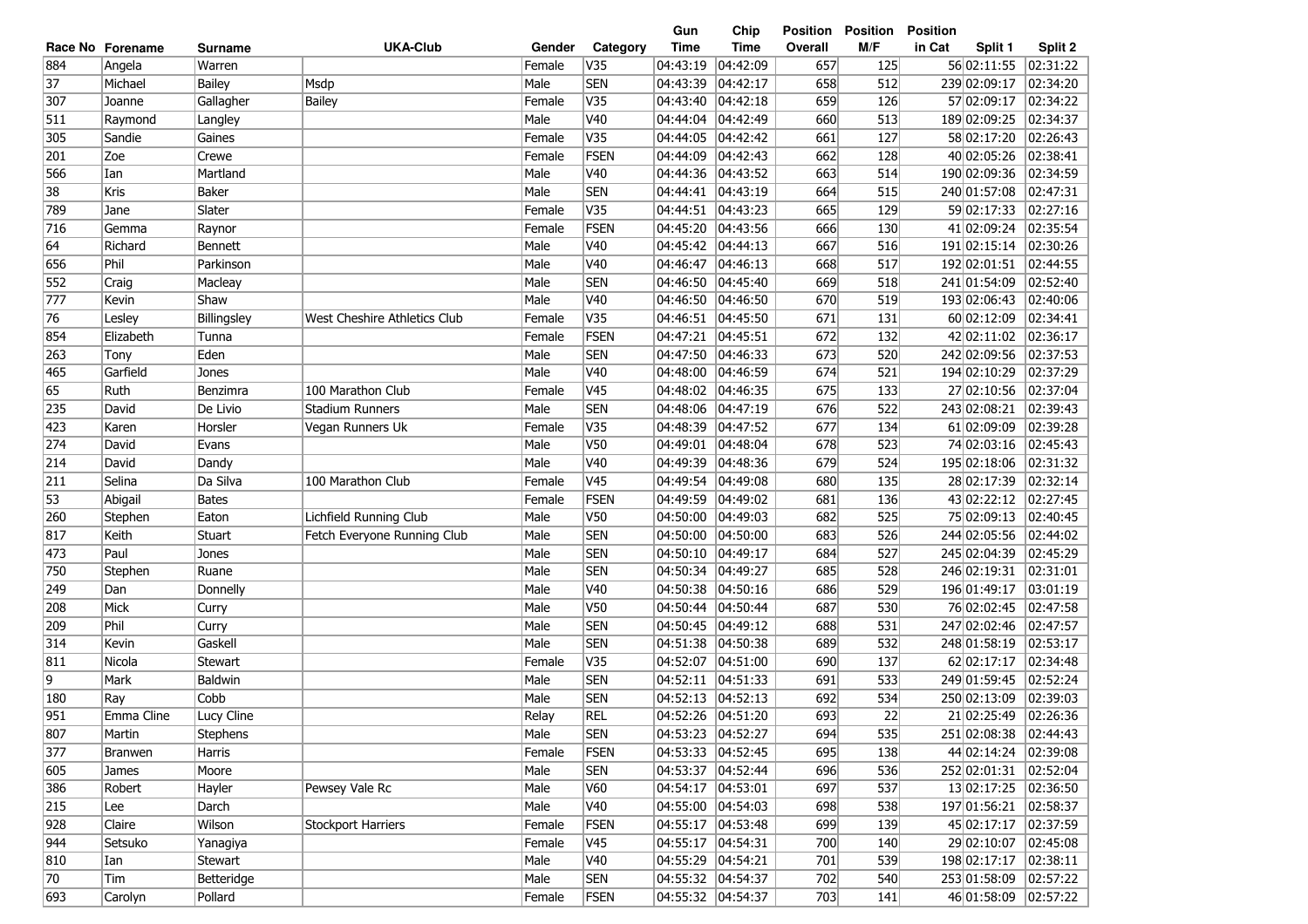| <b>UKA-Club</b><br><b>Time</b><br><b>Time</b><br>M/F<br>in Cat<br>Category<br>Overall<br>Split 1<br>Race No Forename<br>Gender<br><b>Surname</b><br>884<br>V35<br>04:43:19<br>04:42:09<br>125<br>56 02:11:55<br>Warren<br>Female<br>657<br>Angela<br><b>SEN</b><br>37<br>04:43:39<br>04:42:17<br>658<br>512<br>239 02:09:17<br>Michael<br><b>Bailey</b><br>Msdp<br>Male<br>659<br>V35<br>57 02:09:17<br>307<br><b>Bailey</b><br>Female<br>04:43:40<br> 04:42:18<br>126<br>Joanne<br>Gallagher<br>Male<br>V40<br>660<br>513<br>511<br>Raymond<br>04:44:04<br>04:42:49<br>189 02:09:25<br>Langley<br>V35<br>04:42:42<br>661<br>127<br>58 02:17:20<br>305<br>Sandie<br>Gaines<br>Female<br>04:44:05<br><b>FSEN</b><br>Zoe<br>662<br>40 02:05:26<br>201<br>Crewe<br>Female<br>04:44:09<br> 04:42:43<br>128<br>566<br>V40<br>663<br>190 02:09:36<br>Ian<br>Martland<br>Male<br>04:44:36<br> 04:43:52<br>514<br>38<br><b>SEN</b><br>Kris<br>Male<br>04:44:41<br> 04:43:19<br>664<br>515<br>240 01:57:08<br>Baker<br>789<br>Female<br>V35<br> 04:43:23<br>665<br>59 02:17:33<br>Slater<br>04:44:51<br>129<br>Jane<br>716<br><b>FSEN</b><br>04:45:20<br>04:43:56<br>666<br>41 02:09:24<br>Female<br>130<br>Gemma<br>Raynor<br>64<br>Male<br>V40<br>04:45:42<br>667<br>516<br>191 02:15:14<br>Richard<br> 04:44:13<br><b>Bennett</b><br>Phil<br>Male<br>V40<br>04:46:47<br>668<br>517<br>192 02:01:51<br>656<br>Parkinson<br> 04:46:13<br>552<br>Male<br><b>SEN</b><br>04:46:50<br>04:45:40<br>669<br>518<br>241 01:54:09<br>Craig<br>Macleay<br>Male<br>V40<br>04:46:50<br>193 02:06:43<br>777<br>Kevin<br>Shaw<br> 04:46:50<br>670<br>519<br>V35<br>76<br>Female<br>04:46:51<br>671<br>60 02:12:09<br>Lesley<br>Billingsley<br>West Cheshire Athletics Club<br> 04:45:50<br>131<br>854<br>Female<br>FSEN<br>04:47:21<br> 04:45:51<br>672<br>132<br>42 02:11:02<br>Elizabeth<br>Tunna<br>263<br>Eden<br><b>SEN</b><br>04:47:50<br> 04:46:33<br>673<br>242 02:09:56<br>Male<br>520<br>Tony<br>V40<br>04:48:00<br>194 02:10:29<br>465<br>Garfield<br>Male<br>04:46:59<br>674<br>521<br>Jones<br>V45<br>65<br>Ruth<br>100 Marathon Club<br>Female<br>04:48:02<br>04:46:35<br>675<br>27 02:10:56<br>Benzimra<br>133<br><b>SEN</b><br>04:48:06<br>676<br>522<br>243 02:08:21<br>235<br>David<br>De Livio<br><b>Stadium Runners</b><br>Male<br> 04:47:19<br>V35<br>Female<br>04:48:39<br>04:47:52<br>677<br>134<br>61 02:09:09<br>423<br>Karen<br>Vegan Runners Uk<br>Horsler<br>V50<br>274<br>523<br>74 02:03:16<br>David<br>Evans<br>Male<br>04:49:01<br> 04:48:04<br>678<br>V40<br>David<br>Male<br>04:49:39<br>04:48:36<br>679<br>524<br>195 02:18:06<br>214<br>Dandy<br>V45<br>211<br>Da Silva<br>100 Marathon Club<br>Female<br>04:49:54<br>680<br>135<br>28 02:17:39<br>Selina<br> 04:49:08<br>53<br><b>FSEN</b><br>04:49:59<br>136<br>43 02:22:12<br>Abigail<br><b>Bates</b><br>Female<br> 04:49:02<br>681<br>V <sub>50</sub><br>75 02:09:13<br>Lichfield Running Club<br>Male<br>04:50:00<br>04:49:03<br>682<br>525<br>260<br>Stephen<br>Eaton<br><b>SEN</b><br>244 02:05:56<br>817<br>Keith<br>Male<br>04:50:00<br> 04:50:00<br>683<br>526<br>Stuart<br>Fetch Everyone Running Club<br><b>SEN</b><br>245 02:04:39<br>Paul<br>04:50:10<br>684<br>527<br>473<br>Jones<br>Male<br> 04:49:17<br><b>SEN</b><br>246 02:19:31<br>750<br>Male<br>04:50:34<br> 04:49:27<br>685<br>528<br>Stephen<br>Ruane<br>249<br>Male<br>V40<br>04:50:38<br>04:50:16<br>686<br>529<br>196 01:49:17<br>Dan<br>Donnelly<br>Mick<br>Male<br>V50<br>04:50:44<br>04:50:44<br>687<br>76 02:02:45<br>208<br>Curry<br>530<br><b>SEN</b><br>209<br>Phil<br>Male<br>04:50:45<br> 04:49:12<br>531<br>247 02:02:46<br>Curry<br>688 | Split 2<br>02:31:22<br>02:34:20<br>02:34:22<br>02:34:37<br>02:26:43 |
|----------------------------------------------------------------------------------------------------------------------------------------------------------------------------------------------------------------------------------------------------------------------------------------------------------------------------------------------------------------------------------------------------------------------------------------------------------------------------------------------------------------------------------------------------------------------------------------------------------------------------------------------------------------------------------------------------------------------------------------------------------------------------------------------------------------------------------------------------------------------------------------------------------------------------------------------------------------------------------------------------------------------------------------------------------------------------------------------------------------------------------------------------------------------------------------------------------------------------------------------------------------------------------------------------------------------------------------------------------------------------------------------------------------------------------------------------------------------------------------------------------------------------------------------------------------------------------------------------------------------------------------------------------------------------------------------------------------------------------------------------------------------------------------------------------------------------------------------------------------------------------------------------------------------------------------------------------------------------------------------------------------------------------------------------------------------------------------------------------------------------------------------------------------------------------------------------------------------------------------------------------------------------------------------------------------------------------------------------------------------------------------------------------------------------------------------------------------------------------------------------------------------------------------------------------------------------------------------------------------------------------------------------------------------------------------------------------------------------------------------------------------------------------------------------------------------------------------------------------------------------------------------------------------------------------------------------------------------------------------------------------------------------------------------------------------------------------------------------------------------------------------------------------------------------------------------------------------------------------------------------------------------------------------------------------------------------------------------------------------------------------------------------------------------------------------------------------------------------------------------------------------------------------------------------------------------------------------------------------------------------------------------------------------------------------------------|---------------------------------------------------------------------|
|                                                                                                                                                                                                                                                                                                                                                                                                                                                                                                                                                                                                                                                                                                                                                                                                                                                                                                                                                                                                                                                                                                                                                                                                                                                                                                                                                                                                                                                                                                                                                                                                                                                                                                                                                                                                                                                                                                                                                                                                                                                                                                                                                                                                                                                                                                                                                                                                                                                                                                                                                                                                                                                                                                                                                                                                                                                                                                                                                                                                                                                                                                                                                                                                                                                                                                                                                                                                                                                                                                                                                                                                                                                                                              |                                                                     |
|                                                                                                                                                                                                                                                                                                                                                                                                                                                                                                                                                                                                                                                                                                                                                                                                                                                                                                                                                                                                                                                                                                                                                                                                                                                                                                                                                                                                                                                                                                                                                                                                                                                                                                                                                                                                                                                                                                                                                                                                                                                                                                                                                                                                                                                                                                                                                                                                                                                                                                                                                                                                                                                                                                                                                                                                                                                                                                                                                                                                                                                                                                                                                                                                                                                                                                                                                                                                                                                                                                                                                                                                                                                                                              |                                                                     |
|                                                                                                                                                                                                                                                                                                                                                                                                                                                                                                                                                                                                                                                                                                                                                                                                                                                                                                                                                                                                                                                                                                                                                                                                                                                                                                                                                                                                                                                                                                                                                                                                                                                                                                                                                                                                                                                                                                                                                                                                                                                                                                                                                                                                                                                                                                                                                                                                                                                                                                                                                                                                                                                                                                                                                                                                                                                                                                                                                                                                                                                                                                                                                                                                                                                                                                                                                                                                                                                                                                                                                                                                                                                                                              |                                                                     |
|                                                                                                                                                                                                                                                                                                                                                                                                                                                                                                                                                                                                                                                                                                                                                                                                                                                                                                                                                                                                                                                                                                                                                                                                                                                                                                                                                                                                                                                                                                                                                                                                                                                                                                                                                                                                                                                                                                                                                                                                                                                                                                                                                                                                                                                                                                                                                                                                                                                                                                                                                                                                                                                                                                                                                                                                                                                                                                                                                                                                                                                                                                                                                                                                                                                                                                                                                                                                                                                                                                                                                                                                                                                                                              |                                                                     |
|                                                                                                                                                                                                                                                                                                                                                                                                                                                                                                                                                                                                                                                                                                                                                                                                                                                                                                                                                                                                                                                                                                                                                                                                                                                                                                                                                                                                                                                                                                                                                                                                                                                                                                                                                                                                                                                                                                                                                                                                                                                                                                                                                                                                                                                                                                                                                                                                                                                                                                                                                                                                                                                                                                                                                                                                                                                                                                                                                                                                                                                                                                                                                                                                                                                                                                                                                                                                                                                                                                                                                                                                                                                                                              |                                                                     |
|                                                                                                                                                                                                                                                                                                                                                                                                                                                                                                                                                                                                                                                                                                                                                                                                                                                                                                                                                                                                                                                                                                                                                                                                                                                                                                                                                                                                                                                                                                                                                                                                                                                                                                                                                                                                                                                                                                                                                                                                                                                                                                                                                                                                                                                                                                                                                                                                                                                                                                                                                                                                                                                                                                                                                                                                                                                                                                                                                                                                                                                                                                                                                                                                                                                                                                                                                                                                                                                                                                                                                                                                                                                                                              |                                                                     |
|                                                                                                                                                                                                                                                                                                                                                                                                                                                                                                                                                                                                                                                                                                                                                                                                                                                                                                                                                                                                                                                                                                                                                                                                                                                                                                                                                                                                                                                                                                                                                                                                                                                                                                                                                                                                                                                                                                                                                                                                                                                                                                                                                                                                                                                                                                                                                                                                                                                                                                                                                                                                                                                                                                                                                                                                                                                                                                                                                                                                                                                                                                                                                                                                                                                                                                                                                                                                                                                                                                                                                                                                                                                                                              | 02:38:41                                                            |
|                                                                                                                                                                                                                                                                                                                                                                                                                                                                                                                                                                                                                                                                                                                                                                                                                                                                                                                                                                                                                                                                                                                                                                                                                                                                                                                                                                                                                                                                                                                                                                                                                                                                                                                                                                                                                                                                                                                                                                                                                                                                                                                                                                                                                                                                                                                                                                                                                                                                                                                                                                                                                                                                                                                                                                                                                                                                                                                                                                                                                                                                                                                                                                                                                                                                                                                                                                                                                                                                                                                                                                                                                                                                                              | 02:34:59                                                            |
|                                                                                                                                                                                                                                                                                                                                                                                                                                                                                                                                                                                                                                                                                                                                                                                                                                                                                                                                                                                                                                                                                                                                                                                                                                                                                                                                                                                                                                                                                                                                                                                                                                                                                                                                                                                                                                                                                                                                                                                                                                                                                                                                                                                                                                                                                                                                                                                                                                                                                                                                                                                                                                                                                                                                                                                                                                                                                                                                                                                                                                                                                                                                                                                                                                                                                                                                                                                                                                                                                                                                                                                                                                                                                              | 02:47:31                                                            |
|                                                                                                                                                                                                                                                                                                                                                                                                                                                                                                                                                                                                                                                                                                                                                                                                                                                                                                                                                                                                                                                                                                                                                                                                                                                                                                                                                                                                                                                                                                                                                                                                                                                                                                                                                                                                                                                                                                                                                                                                                                                                                                                                                                                                                                                                                                                                                                                                                                                                                                                                                                                                                                                                                                                                                                                                                                                                                                                                                                                                                                                                                                                                                                                                                                                                                                                                                                                                                                                                                                                                                                                                                                                                                              | 02:27:16                                                            |
|                                                                                                                                                                                                                                                                                                                                                                                                                                                                                                                                                                                                                                                                                                                                                                                                                                                                                                                                                                                                                                                                                                                                                                                                                                                                                                                                                                                                                                                                                                                                                                                                                                                                                                                                                                                                                                                                                                                                                                                                                                                                                                                                                                                                                                                                                                                                                                                                                                                                                                                                                                                                                                                                                                                                                                                                                                                                                                                                                                                                                                                                                                                                                                                                                                                                                                                                                                                                                                                                                                                                                                                                                                                                                              | 02:35:54                                                            |
|                                                                                                                                                                                                                                                                                                                                                                                                                                                                                                                                                                                                                                                                                                                                                                                                                                                                                                                                                                                                                                                                                                                                                                                                                                                                                                                                                                                                                                                                                                                                                                                                                                                                                                                                                                                                                                                                                                                                                                                                                                                                                                                                                                                                                                                                                                                                                                                                                                                                                                                                                                                                                                                                                                                                                                                                                                                                                                                                                                                                                                                                                                                                                                                                                                                                                                                                                                                                                                                                                                                                                                                                                                                                                              | 02:30:26                                                            |
|                                                                                                                                                                                                                                                                                                                                                                                                                                                                                                                                                                                                                                                                                                                                                                                                                                                                                                                                                                                                                                                                                                                                                                                                                                                                                                                                                                                                                                                                                                                                                                                                                                                                                                                                                                                                                                                                                                                                                                                                                                                                                                                                                                                                                                                                                                                                                                                                                                                                                                                                                                                                                                                                                                                                                                                                                                                                                                                                                                                                                                                                                                                                                                                                                                                                                                                                                                                                                                                                                                                                                                                                                                                                                              | 02:44:55                                                            |
|                                                                                                                                                                                                                                                                                                                                                                                                                                                                                                                                                                                                                                                                                                                                                                                                                                                                                                                                                                                                                                                                                                                                                                                                                                                                                                                                                                                                                                                                                                                                                                                                                                                                                                                                                                                                                                                                                                                                                                                                                                                                                                                                                                                                                                                                                                                                                                                                                                                                                                                                                                                                                                                                                                                                                                                                                                                                                                                                                                                                                                                                                                                                                                                                                                                                                                                                                                                                                                                                                                                                                                                                                                                                                              | 02:52:40                                                            |
|                                                                                                                                                                                                                                                                                                                                                                                                                                                                                                                                                                                                                                                                                                                                                                                                                                                                                                                                                                                                                                                                                                                                                                                                                                                                                                                                                                                                                                                                                                                                                                                                                                                                                                                                                                                                                                                                                                                                                                                                                                                                                                                                                                                                                                                                                                                                                                                                                                                                                                                                                                                                                                                                                                                                                                                                                                                                                                                                                                                                                                                                                                                                                                                                                                                                                                                                                                                                                                                                                                                                                                                                                                                                                              | 02:40:06                                                            |
|                                                                                                                                                                                                                                                                                                                                                                                                                                                                                                                                                                                                                                                                                                                                                                                                                                                                                                                                                                                                                                                                                                                                                                                                                                                                                                                                                                                                                                                                                                                                                                                                                                                                                                                                                                                                                                                                                                                                                                                                                                                                                                                                                                                                                                                                                                                                                                                                                                                                                                                                                                                                                                                                                                                                                                                                                                                                                                                                                                                                                                                                                                                                                                                                                                                                                                                                                                                                                                                                                                                                                                                                                                                                                              | 02:34:41                                                            |
|                                                                                                                                                                                                                                                                                                                                                                                                                                                                                                                                                                                                                                                                                                                                                                                                                                                                                                                                                                                                                                                                                                                                                                                                                                                                                                                                                                                                                                                                                                                                                                                                                                                                                                                                                                                                                                                                                                                                                                                                                                                                                                                                                                                                                                                                                                                                                                                                                                                                                                                                                                                                                                                                                                                                                                                                                                                                                                                                                                                                                                                                                                                                                                                                                                                                                                                                                                                                                                                                                                                                                                                                                                                                                              | 02:36:17                                                            |
|                                                                                                                                                                                                                                                                                                                                                                                                                                                                                                                                                                                                                                                                                                                                                                                                                                                                                                                                                                                                                                                                                                                                                                                                                                                                                                                                                                                                                                                                                                                                                                                                                                                                                                                                                                                                                                                                                                                                                                                                                                                                                                                                                                                                                                                                                                                                                                                                                                                                                                                                                                                                                                                                                                                                                                                                                                                                                                                                                                                                                                                                                                                                                                                                                                                                                                                                                                                                                                                                                                                                                                                                                                                                                              | 02:37:53                                                            |
|                                                                                                                                                                                                                                                                                                                                                                                                                                                                                                                                                                                                                                                                                                                                                                                                                                                                                                                                                                                                                                                                                                                                                                                                                                                                                                                                                                                                                                                                                                                                                                                                                                                                                                                                                                                                                                                                                                                                                                                                                                                                                                                                                                                                                                                                                                                                                                                                                                                                                                                                                                                                                                                                                                                                                                                                                                                                                                                                                                                                                                                                                                                                                                                                                                                                                                                                                                                                                                                                                                                                                                                                                                                                                              | 02:37:29                                                            |
|                                                                                                                                                                                                                                                                                                                                                                                                                                                                                                                                                                                                                                                                                                                                                                                                                                                                                                                                                                                                                                                                                                                                                                                                                                                                                                                                                                                                                                                                                                                                                                                                                                                                                                                                                                                                                                                                                                                                                                                                                                                                                                                                                                                                                                                                                                                                                                                                                                                                                                                                                                                                                                                                                                                                                                                                                                                                                                                                                                                                                                                                                                                                                                                                                                                                                                                                                                                                                                                                                                                                                                                                                                                                                              | 02:37:04                                                            |
|                                                                                                                                                                                                                                                                                                                                                                                                                                                                                                                                                                                                                                                                                                                                                                                                                                                                                                                                                                                                                                                                                                                                                                                                                                                                                                                                                                                                                                                                                                                                                                                                                                                                                                                                                                                                                                                                                                                                                                                                                                                                                                                                                                                                                                                                                                                                                                                                                                                                                                                                                                                                                                                                                                                                                                                                                                                                                                                                                                                                                                                                                                                                                                                                                                                                                                                                                                                                                                                                                                                                                                                                                                                                                              | 02:39:43                                                            |
|                                                                                                                                                                                                                                                                                                                                                                                                                                                                                                                                                                                                                                                                                                                                                                                                                                                                                                                                                                                                                                                                                                                                                                                                                                                                                                                                                                                                                                                                                                                                                                                                                                                                                                                                                                                                                                                                                                                                                                                                                                                                                                                                                                                                                                                                                                                                                                                                                                                                                                                                                                                                                                                                                                                                                                                                                                                                                                                                                                                                                                                                                                                                                                                                                                                                                                                                                                                                                                                                                                                                                                                                                                                                                              | 02:39:28                                                            |
|                                                                                                                                                                                                                                                                                                                                                                                                                                                                                                                                                                                                                                                                                                                                                                                                                                                                                                                                                                                                                                                                                                                                                                                                                                                                                                                                                                                                                                                                                                                                                                                                                                                                                                                                                                                                                                                                                                                                                                                                                                                                                                                                                                                                                                                                                                                                                                                                                                                                                                                                                                                                                                                                                                                                                                                                                                                                                                                                                                                                                                                                                                                                                                                                                                                                                                                                                                                                                                                                                                                                                                                                                                                                                              | 02:45:43                                                            |
|                                                                                                                                                                                                                                                                                                                                                                                                                                                                                                                                                                                                                                                                                                                                                                                                                                                                                                                                                                                                                                                                                                                                                                                                                                                                                                                                                                                                                                                                                                                                                                                                                                                                                                                                                                                                                                                                                                                                                                                                                                                                                                                                                                                                                                                                                                                                                                                                                                                                                                                                                                                                                                                                                                                                                                                                                                                                                                                                                                                                                                                                                                                                                                                                                                                                                                                                                                                                                                                                                                                                                                                                                                                                                              | 02:31:32                                                            |
|                                                                                                                                                                                                                                                                                                                                                                                                                                                                                                                                                                                                                                                                                                                                                                                                                                                                                                                                                                                                                                                                                                                                                                                                                                                                                                                                                                                                                                                                                                                                                                                                                                                                                                                                                                                                                                                                                                                                                                                                                                                                                                                                                                                                                                                                                                                                                                                                                                                                                                                                                                                                                                                                                                                                                                                                                                                                                                                                                                                                                                                                                                                                                                                                                                                                                                                                                                                                                                                                                                                                                                                                                                                                                              | 02:32:14                                                            |
|                                                                                                                                                                                                                                                                                                                                                                                                                                                                                                                                                                                                                                                                                                                                                                                                                                                                                                                                                                                                                                                                                                                                                                                                                                                                                                                                                                                                                                                                                                                                                                                                                                                                                                                                                                                                                                                                                                                                                                                                                                                                                                                                                                                                                                                                                                                                                                                                                                                                                                                                                                                                                                                                                                                                                                                                                                                                                                                                                                                                                                                                                                                                                                                                                                                                                                                                                                                                                                                                                                                                                                                                                                                                                              | 02:27:45                                                            |
|                                                                                                                                                                                                                                                                                                                                                                                                                                                                                                                                                                                                                                                                                                                                                                                                                                                                                                                                                                                                                                                                                                                                                                                                                                                                                                                                                                                                                                                                                                                                                                                                                                                                                                                                                                                                                                                                                                                                                                                                                                                                                                                                                                                                                                                                                                                                                                                                                                                                                                                                                                                                                                                                                                                                                                                                                                                                                                                                                                                                                                                                                                                                                                                                                                                                                                                                                                                                                                                                                                                                                                                                                                                                                              | 02:40:45                                                            |
|                                                                                                                                                                                                                                                                                                                                                                                                                                                                                                                                                                                                                                                                                                                                                                                                                                                                                                                                                                                                                                                                                                                                                                                                                                                                                                                                                                                                                                                                                                                                                                                                                                                                                                                                                                                                                                                                                                                                                                                                                                                                                                                                                                                                                                                                                                                                                                                                                                                                                                                                                                                                                                                                                                                                                                                                                                                                                                                                                                                                                                                                                                                                                                                                                                                                                                                                                                                                                                                                                                                                                                                                                                                                                              | 02:44:02                                                            |
|                                                                                                                                                                                                                                                                                                                                                                                                                                                                                                                                                                                                                                                                                                                                                                                                                                                                                                                                                                                                                                                                                                                                                                                                                                                                                                                                                                                                                                                                                                                                                                                                                                                                                                                                                                                                                                                                                                                                                                                                                                                                                                                                                                                                                                                                                                                                                                                                                                                                                                                                                                                                                                                                                                                                                                                                                                                                                                                                                                                                                                                                                                                                                                                                                                                                                                                                                                                                                                                                                                                                                                                                                                                                                              | 02:45:29                                                            |
|                                                                                                                                                                                                                                                                                                                                                                                                                                                                                                                                                                                                                                                                                                                                                                                                                                                                                                                                                                                                                                                                                                                                                                                                                                                                                                                                                                                                                                                                                                                                                                                                                                                                                                                                                                                                                                                                                                                                                                                                                                                                                                                                                                                                                                                                                                                                                                                                                                                                                                                                                                                                                                                                                                                                                                                                                                                                                                                                                                                                                                                                                                                                                                                                                                                                                                                                                                                                                                                                                                                                                                                                                                                                                              | 02:31:01                                                            |
|                                                                                                                                                                                                                                                                                                                                                                                                                                                                                                                                                                                                                                                                                                                                                                                                                                                                                                                                                                                                                                                                                                                                                                                                                                                                                                                                                                                                                                                                                                                                                                                                                                                                                                                                                                                                                                                                                                                                                                                                                                                                                                                                                                                                                                                                                                                                                                                                                                                                                                                                                                                                                                                                                                                                                                                                                                                                                                                                                                                                                                                                                                                                                                                                                                                                                                                                                                                                                                                                                                                                                                                                                                                                                              | 03:01:19                                                            |
|                                                                                                                                                                                                                                                                                                                                                                                                                                                                                                                                                                                                                                                                                                                                                                                                                                                                                                                                                                                                                                                                                                                                                                                                                                                                                                                                                                                                                                                                                                                                                                                                                                                                                                                                                                                                                                                                                                                                                                                                                                                                                                                                                                                                                                                                                                                                                                                                                                                                                                                                                                                                                                                                                                                                                                                                                                                                                                                                                                                                                                                                                                                                                                                                                                                                                                                                                                                                                                                                                                                                                                                                                                                                                              | 02:47:58                                                            |
|                                                                                                                                                                                                                                                                                                                                                                                                                                                                                                                                                                                                                                                                                                                                                                                                                                                                                                                                                                                                                                                                                                                                                                                                                                                                                                                                                                                                                                                                                                                                                                                                                                                                                                                                                                                                                                                                                                                                                                                                                                                                                                                                                                                                                                                                                                                                                                                                                                                                                                                                                                                                                                                                                                                                                                                                                                                                                                                                                                                                                                                                                                                                                                                                                                                                                                                                                                                                                                                                                                                                                                                                                                                                                              | 02:47:57                                                            |
| 314<br>Male<br><b>SEN</b><br>04:51:38<br>04:50:38<br>689<br>532<br>Kevin<br>Gaskell<br>248 01:58:19                                                                                                                                                                                                                                                                                                                                                                                                                                                                                                                                                                                                                                                                                                                                                                                                                                                                                                                                                                                                                                                                                                                                                                                                                                                                                                                                                                                                                                                                                                                                                                                                                                                                                                                                                                                                                                                                                                                                                                                                                                                                                                                                                                                                                                                                                                                                                                                                                                                                                                                                                                                                                                                                                                                                                                                                                                                                                                                                                                                                                                                                                                                                                                                                                                                                                                                                                                                                                                                                                                                                                                                          | 02:53:17                                                            |
| 811<br>V35<br>04:52:07<br>04:51:00<br>690<br>137<br>62 02:17:17<br>Nicola<br>Female<br><b>Stewart</b>                                                                                                                                                                                                                                                                                                                                                                                                                                                                                                                                                                                                                                                                                                                                                                                                                                                                                                                                                                                                                                                                                                                                                                                                                                                                                                                                                                                                                                                                                                                                                                                                                                                                                                                                                                                                                                                                                                                                                                                                                                                                                                                                                                                                                                                                                                                                                                                                                                                                                                                                                                                                                                                                                                                                                                                                                                                                                                                                                                                                                                                                                                                                                                                                                                                                                                                                                                                                                                                                                                                                                                                        | 02:34:48                                                            |
| 9<br>Baldwin<br><b>SEN</b><br>04:52:11<br>Mark<br>Male<br> 04:51:33<br>691<br>533<br>249 01:59:45                                                                                                                                                                                                                                                                                                                                                                                                                                                                                                                                                                                                                                                                                                                                                                                                                                                                                                                                                                                                                                                                                                                                                                                                                                                                                                                                                                                                                                                                                                                                                                                                                                                                                                                                                                                                                                                                                                                                                                                                                                                                                                                                                                                                                                                                                                                                                                                                                                                                                                                                                                                                                                                                                                                                                                                                                                                                                                                                                                                                                                                                                                                                                                                                                                                                                                                                                                                                                                                                                                                                                                                            | 02:52:24                                                            |
| <b>SEN</b><br>Cobb<br>Male<br>04:52:13<br> 04:52:13<br>692<br>180<br>534<br>250 02:13:09<br>Ray                                                                                                                                                                                                                                                                                                                                                                                                                                                                                                                                                                                                                                                                                                                                                                                                                                                                                                                                                                                                                                                                                                                                                                                                                                                                                                                                                                                                                                                                                                                                                                                                                                                                                                                                                                                                                                                                                                                                                                                                                                                                                                                                                                                                                                                                                                                                                                                                                                                                                                                                                                                                                                                                                                                                                                                                                                                                                                                                                                                                                                                                                                                                                                                                                                                                                                                                                                                                                                                                                                                                                                                              | 02:39:03                                                            |
| 951<br>04:52:26 04:51:20<br>693<br>22<br>Emma Cline<br><b>REL</b><br>21 02:25:49<br>Lucy Cline<br>Relay                                                                                                                                                                                                                                                                                                                                                                                                                                                                                                                                                                                                                                                                                                                                                                                                                                                                                                                                                                                                                                                                                                                                                                                                                                                                                                                                                                                                                                                                                                                                                                                                                                                                                                                                                                                                                                                                                                                                                                                                                                                                                                                                                                                                                                                                                                                                                                                                                                                                                                                                                                                                                                                                                                                                                                                                                                                                                                                                                                                                                                                                                                                                                                                                                                                                                                                                                                                                                                                                                                                                                                                      | 02:26:36                                                            |
| 807<br>Male<br><b>SEN</b><br>04:53:23 04:52:27<br>694<br>535<br>251 02:08:38<br>Martin<br>Stephens                                                                                                                                                                                                                                                                                                                                                                                                                                                                                                                                                                                                                                                                                                                                                                                                                                                                                                                                                                                                                                                                                                                                                                                                                                                                                                                                                                                                                                                                                                                                                                                                                                                                                                                                                                                                                                                                                                                                                                                                                                                                                                                                                                                                                                                                                                                                                                                                                                                                                                                                                                                                                                                                                                                                                                                                                                                                                                                                                                                                                                                                                                                                                                                                                                                                                                                                                                                                                                                                                                                                                                                           | 02:44:43                                                            |
| 377<br>FSEN<br>04:53:33  04:52:45<br>695<br>44 02:14:24<br>Female<br>138<br>Harris<br>Branwen                                                                                                                                                                                                                                                                                                                                                                                                                                                                                                                                                                                                                                                                                                                                                                                                                                                                                                                                                                                                                                                                                                                                                                                                                                                                                                                                                                                                                                                                                                                                                                                                                                                                                                                                                                                                                                                                                                                                                                                                                                                                                                                                                                                                                                                                                                                                                                                                                                                                                                                                                                                                                                                                                                                                                                                                                                                                                                                                                                                                                                                                                                                                                                                                                                                                                                                                                                                                                                                                                                                                                                                                | 02:39:08                                                            |
| <b>SEN</b><br>04:53:37 04:52:44<br>536<br>252 02:01:31<br>605<br>Moore<br>Male<br>696<br>James                                                                                                                                                                                                                                                                                                                                                                                                                                                                                                                                                                                                                                                                                                                                                                                                                                                                                                                                                                                                                                                                                                                                                                                                                                                                                                                                                                                                                                                                                                                                                                                                                                                                                                                                                                                                                                                                                                                                                                                                                                                                                                                                                                                                                                                                                                                                                                                                                                                                                                                                                                                                                                                                                                                                                                                                                                                                                                                                                                                                                                                                                                                                                                                                                                                                                                                                                                                                                                                                                                                                                                                               | 02:52:04                                                            |
| 386<br>04:54:17 04:53:01<br>697<br>537<br>13 02:17:25<br>Hayler<br>Pewsey Vale Rc<br>Male<br>V60<br>Robert                                                                                                                                                                                                                                                                                                                                                                                                                                                                                                                                                                                                                                                                                                                                                                                                                                                                                                                                                                                                                                                                                                                                                                                                                                                                                                                                                                                                                                                                                                                                                                                                                                                                                                                                                                                                                                                                                                                                                                                                                                                                                                                                                                                                                                                                                                                                                                                                                                                                                                                                                                                                                                                                                                                                                                                                                                                                                                                                                                                                                                                                                                                                                                                                                                                                                                                                                                                                                                                                                                                                                                                   | 02:36:50                                                            |
| 215<br>V40<br>04:55:00 04:54:03<br>197 01:56:21<br>Darch<br>Male<br>698<br>538<br>Lee                                                                                                                                                                                                                                                                                                                                                                                                                                                                                                                                                                                                                                                                                                                                                                                                                                                                                                                                                                                                                                                                                                                                                                                                                                                                                                                                                                                                                                                                                                                                                                                                                                                                                                                                                                                                                                                                                                                                                                                                                                                                                                                                                                                                                                                                                                                                                                                                                                                                                                                                                                                                                                                                                                                                                                                                                                                                                                                                                                                                                                                                                                                                                                                                                                                                                                                                                                                                                                                                                                                                                                                                        | 02:58:37                                                            |
| 928<br>04:55:17 04:53:48<br>45 02:17:17<br>Claire<br>Wilson<br><b>Stockport Harriers</b><br>Female<br><b>FSEN</b><br>699<br>139                                                                                                                                                                                                                                                                                                                                                                                                                                                                                                                                                                                                                                                                                                                                                                                                                                                                                                                                                                                                                                                                                                                                                                                                                                                                                                                                                                                                                                                                                                                                                                                                                                                                                                                                                                                                                                                                                                                                                                                                                                                                                                                                                                                                                                                                                                                                                                                                                                                                                                                                                                                                                                                                                                                                                                                                                                                                                                                                                                                                                                                                                                                                                                                                                                                                                                                                                                                                                                                                                                                                                              | 02:37:59                                                            |
| 944<br>29 02:10:07<br>Setsuko<br>Female<br>V45<br>04:55:17  04:54:31<br>700<br>140<br>Yanagiya                                                                                                                                                                                                                                                                                                                                                                                                                                                                                                                                                                                                                                                                                                                                                                                                                                                                                                                                                                                                                                                                                                                                                                                                                                                                                                                                                                                                                                                                                                                                                                                                                                                                                                                                                                                                                                                                                                                                                                                                                                                                                                                                                                                                                                                                                                                                                                                                                                                                                                                                                                                                                                                                                                                                                                                                                                                                                                                                                                                                                                                                                                                                                                                                                                                                                                                                                                                                                                                                                                                                                                                               | 02:45:08                                                            |
| 810<br>04:55:29 04:54:21<br>701<br>198 02:17:17<br>Male<br>V40<br>539<br>Stewart<br>Ian                                                                                                                                                                                                                                                                                                                                                                                                                                                                                                                                                                                                                                                                                                                                                                                                                                                                                                                                                                                                                                                                                                                                                                                                                                                                                                                                                                                                                                                                                                                                                                                                                                                                                                                                                                                                                                                                                                                                                                                                                                                                                                                                                                                                                                                                                                                                                                                                                                                                                                                                                                                                                                                                                                                                                                                                                                                                                                                                                                                                                                                                                                                                                                                                                                                                                                                                                                                                                                                                                                                                                                                                      | 02:38:11                                                            |
| 70<br><b>SEN</b><br>04:55:32 04:54:37<br>702<br>253 01:58:09<br>Tim<br>Betteridge<br>Male<br>540                                                                                                                                                                                                                                                                                                                                                                                                                                                                                                                                                                                                                                                                                                                                                                                                                                                                                                                                                                                                                                                                                                                                                                                                                                                                                                                                                                                                                                                                                                                                                                                                                                                                                                                                                                                                                                                                                                                                                                                                                                                                                                                                                                                                                                                                                                                                                                                                                                                                                                                                                                                                                                                                                                                                                                                                                                                                                                                                                                                                                                                                                                                                                                                                                                                                                                                                                                                                                                                                                                                                                                                             | 02:57:22                                                            |
| 693<br>Pollard<br>Female<br><b>FSEN</b><br>04:55:32 04:54:37<br>703<br>141<br>46 01:58:09<br>Carolyn                                                                                                                                                                                                                                                                                                                                                                                                                                                                                                                                                                                                                                                                                                                                                                                                                                                                                                                                                                                                                                                                                                                                                                                                                                                                                                                                                                                                                                                                                                                                                                                                                                                                                                                                                                                                                                                                                                                                                                                                                                                                                                                                                                                                                                                                                                                                                                                                                                                                                                                                                                                                                                                                                                                                                                                                                                                                                                                                                                                                                                                                                                                                                                                                                                                                                                                                                                                                                                                                                                                                                                                         | 02:57:22                                                            |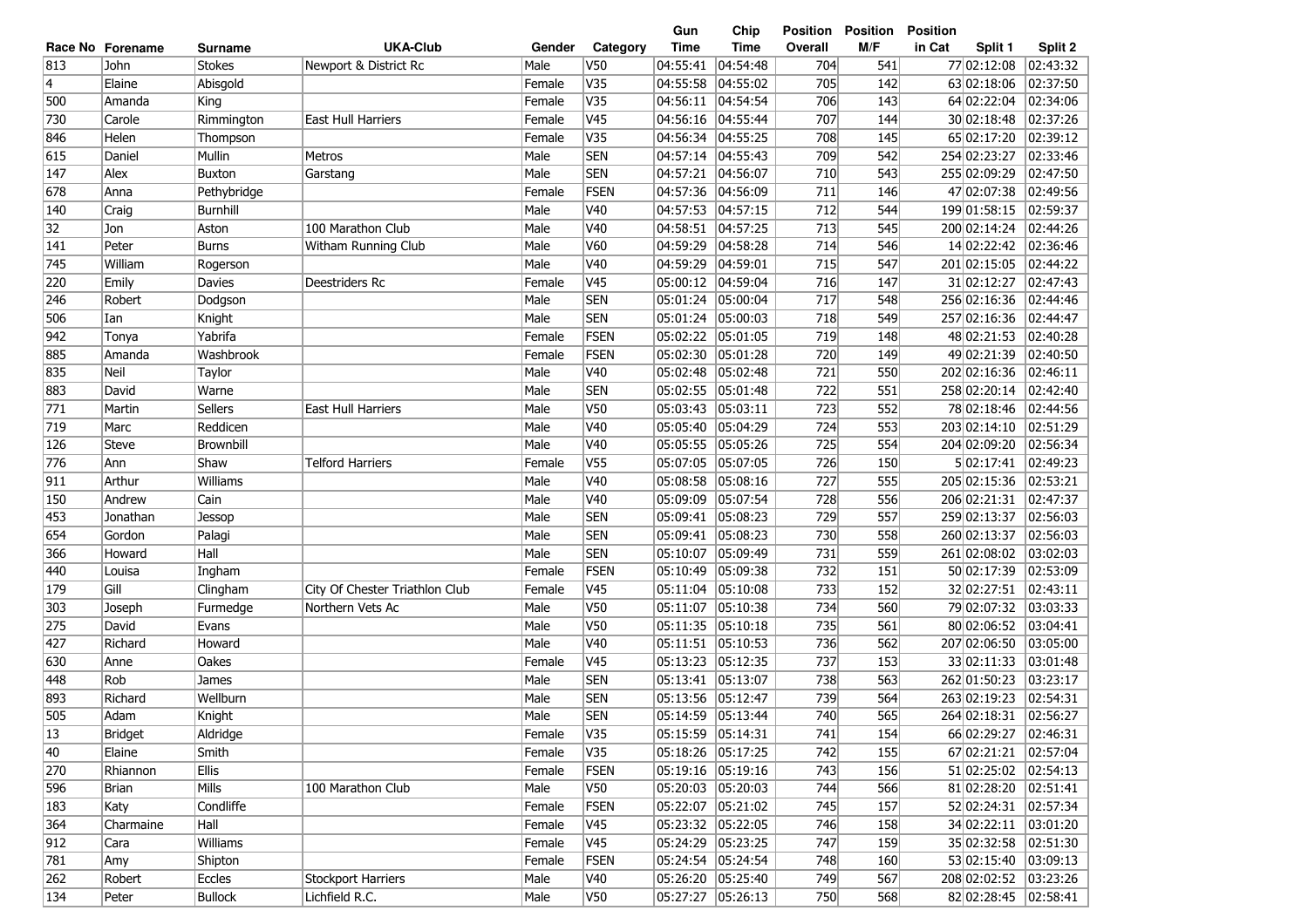|              |                  |                |                                |        |                         | Gun               | Chip              | Position | <b>Position</b> | <b>Position</b>      |          |
|--------------|------------------|----------------|--------------------------------|--------|-------------------------|-------------------|-------------------|----------|-----------------|----------------------|----------|
|              | Race No Forename | Surname        | <b>UKA-Club</b>                | Gender | Category                | <b>Time</b>       | <b>Time</b>       | Overall  | M/F             | in Cat<br>Split 1    | Split 2  |
| 813          | John             | <b>Stokes</b>  | Newport & District Rc          | Male   | V50                     | 04:55:41          | 04:54:48          | 704      | 541             | 77 02:12:08          | 02:43:32 |
| 4            | Elaine           | Abisgold       |                                | Female | V35                     | 04:55:58          | 04:55:02          | 705      | 142             | 63 02:18:06          | 02:37:50 |
| 500          | Amanda           | King           |                                | Female | $\overline{\text{V35}}$ | 04:56:11          | 04:54:54          | 706      | 143             | 64 02:22:04          | 02:34:06 |
| 730          | Carole           | Rimmington     | East Hull Harriers             | Female | V <sub>45</sub>         | 04:56:16          | 04:55:44          | 707      | 144             | 30 02:18:48          | 02:37:26 |
| 846          | Helen            | Thompson       |                                | Female | V35                     | 04:56:34          | 04:55:25          | 708      | 145             | 65 02:17:20          | 02:39:12 |
| 615          | Daniel           | Mullin         | Metros                         | Male   | <b>SEN</b>              | 04:57:14          | 04:55:43          | 709      | 542             | 254 02:23:27         | 02:33:46 |
| 147          | Alex             | Buxton         | Garstang                       | Male   | <b>SEN</b>              | 04:57:21          | 04:56:07          | 710      | 543             | 255 02:09:29         | 02:47:50 |
| 678          | Anna             | Pethybridge    |                                | Female | FSEN                    | 04:57:36          | 04:56:09          | 711      | 146             | 47 02:07:38          | 02:49:56 |
| 140          | Craig            | Burnhill       |                                | Male   | V40                     | 04:57:53          | 04:57:15          | 712      | 544             | 199 01:58:15         | 02:59:37 |
| 32           | Jon              | Aston          | 100 Marathon Club              | Male   | V40                     | 04:58:51          | 04:57:25          | 713      | 545             | 200 02:14:24         | 02:44:26 |
| 141          | Peter            | <b>Burns</b>   | Witham Running Club            | Male   | V60                     | 04:59:29          | 04:58:28          | 714      | 546             | 14 02:22:42          | 02:36:46 |
| 745          | William          | Rogerson       |                                | Male   | V40                     | 04:59:29          | 04:59:01          | 715      | 547             | 20102:15:05          | 02:44:22 |
| 220          | Emily            | Davies         | Deestriders Rc                 | Female | V45                     | 05:00:12          | 04:59:04          | 716      | 147             | 31 02:12:27          | 02:47:43 |
| 246          | Robert           | Dodgson        |                                | Male   | <b>SEN</b>              | 05:01:24          | 05:00:04          | 717      | 548             | 256 02:16:36         | 02:44:46 |
| 506          | Ian              | Knight         |                                | Male   | <b>SEN</b>              | 05:01:24          | 05:00:03          | 718      | 549             | 257 02:16:36         | 02:44:47 |
| 942          | Tonya            | Yabrifa        |                                | Female | FSEN                    | 05:02:22          | 05:01:05          | 719      | 148             | 48 02:21:53          | 02:40:28 |
| 885          | Amanda           | Washbrook      |                                | Female | FSEN                    | 05:02:30          | 05:01:28          | 720      | 149             | 49 02:21:39          | 02:40:50 |
| 835          | Neil             | Taylor         |                                | Male   | V40                     | 05:02:48          | 05:02:48          | 721      | 550             | 202 02:16:36         | 02:46:11 |
| 883          | David            | Warne          |                                | Male   | <b>SEN</b>              | 05:02:55          | 05:01:48          | 722      | 551             | 258 02:20:14         | 02:42:40 |
| 771          | Martin           | <b>Sellers</b> | <b>East Hull Harriers</b>      | Male   | V50                     | 05:03:43          | 05:03:11          | 723      | 552             | 78 02:18:46          | 02:44:56 |
| 719          | Marc             | Reddicen       |                                | Male   | V40                     | 05:05:40          | 05:04:29          | 724      | 553             | 203 02:14:10         | 02:51:29 |
| 126          | Steve            | Brownbill      |                                | Male   | V <sub>40</sub>         | 05:05:55          | 05:05:26          | 725      | 554             | 204 02:09:20         | 02:56:34 |
| 776          | Ann              | Shaw           | <b>Telford Harriers</b>        | Female | V <sub>55</sub>         | 05:07:05          | 05:07:05          | 726      | 150             | 5 02:17:41           | 02:49:23 |
| 911          | Arthur           | Williams       |                                | Male   | V40                     | 05:08:58          | 05:08:16          | 727      | 555             | 205 02:15:36         | 02:53:21 |
| 150          | Andrew           | Cain           |                                | Male   | V40                     | 05:09:09          | 05:07:54          | 728      | 556             | 206 02:21:31         | 02:47:37 |
| 453          | Jonathan         | Jessop         |                                | Male   | <b>SEN</b>              | 05:09:41          | 05:08:23          | 729      | 557             | 259 02:13:37         | 02:56:03 |
| 654          | Gordon           | Palagi         |                                | Male   | <b>SEN</b>              | 05:09:41          | 05:08:23          | 730      | 558             | 260 02:13:37         | 02:56:03 |
| 366          | Howard           | Hall           |                                | Male   | <b>SEN</b>              | 05:10:07          | 05:09:49          | 731      | 559             | 261 02:08:02         | 03:02:03 |
| 440          | Louisa           | Ingham         |                                | Female | FSEN                    | 05:10:49          | 05:09:38          | 732      | 151             | 50 02:17:39          | 02:53:09 |
| 179          | Gill             | Clingham       | City Of Chester Triathlon Club | Female | V45                     | 05:11:04          | 05:10:08          | 733      | 152             | 32 02:27:51          | 02:43:11 |
| 303          | Joseph           | Furmedge       | Northern Vets Ac               | Male   | V50                     | 05:11:07          | 05:10:38          | 734      | 560             | 79 02:07:32          | 03:03:33 |
| 275          | David            | Evans          |                                | Male   | V50                     | 05:11:35          | 05:10:18          | 735      | 561             | 80 02:06:52          | 03:04:41 |
| 427          | Richard          | Howard         |                                | Male   | V40                     | 05:11:51          | 05:10:53          | 736      | 562             | 207 02:06:50         | 03:05:00 |
| 630          | Anne             | Oakes          |                                | Female | V45                     | 05:13:23          | 05:12:35          | 737      | 153             | 33 02:11:33          | 03:01:48 |
| 448          | Rob              | James          |                                | Male   | <b>SEN</b>              | 05:13:41          | 05:13:07          | 738      | 563             | 262 01:50:23         | 03:23:17 |
| 893          | Richard          | Wellburn       |                                | Male   | <b>SEN</b>              | 05:13:56          | 05:12:47          | 739      | 564             | 263 02:19:23         | 02:54:31 |
| 505          | Adam             | Knight         |                                | Male   | <b>SEN</b>              | 05:14:59 05:13:44 |                   | 740      | 565             | 264 02:18:31         | 02:56:27 |
| $ 13\rangle$ | Bridget          | Aldridge       |                                | Female | V35                     | 05:15:59 05:14:31 |                   | 741      | 154             | 66 02:29:27          | 02:46:31 |
| 40           | Elaine           | Smith          |                                | Female | V35                     |                   | 05:18:26 05:17:25 | 742      | 155             | 67 02:21:21 02:57:04 |          |
| 270          | Rhiannon         | Ellis          |                                | Female | <b>FSEN</b>             |                   | 05:19:16 05:19:16 | 743      | 156             | 51 02:25:02 02:54:13 |          |
| 596          | Brian            | Mills          | 100 Marathon Club              | Male   | V50                     |                   | 05:20:03 05:20:03 | 744      | 566             | 81 02:28:20 02:51:41 |          |
| 183          | Katy             | Condliffe      |                                | Female | <b>FSEN</b>             |                   | 05:22:07 05:21:02 | 745      | 157             | 52 02:24:31 02:57:34 |          |
| 364          | Charmaine        | Hall           |                                | Female | V45                     |                   | 05:23:32 05:22:05 | 746      | 158             | 34 02:22:11 03:01:20 |          |
| 912          | Cara             | Williams       |                                | Female | V45                     |                   | 05:24:29 05:23:25 | 747      | 159             | 35 02:32:58 02:51:30 |          |
| 781          | Amy              | Shipton        |                                | Female | <b>FSEN</b>             |                   | 05:24:54 05:24:54 | 748      | 160             | 53 02:15:40          | 03:09:13 |
| 262          | Robert           | Eccles         | <b>Stockport Harriers</b>      | Male   | V40                     |                   | 05:26:20 05:25:40 | 749      | 567             | 208 02:02:52         | 03:23:26 |
| 134          | Peter            | <b>Bullock</b> | Lichfield R.C.                 | Male   | V50                     |                   |                   | 750      | 568             | 82 02:28:45          | 02:58:41 |
|              |                  |                |                                |        |                         |                   |                   |          |                 |                      |          |